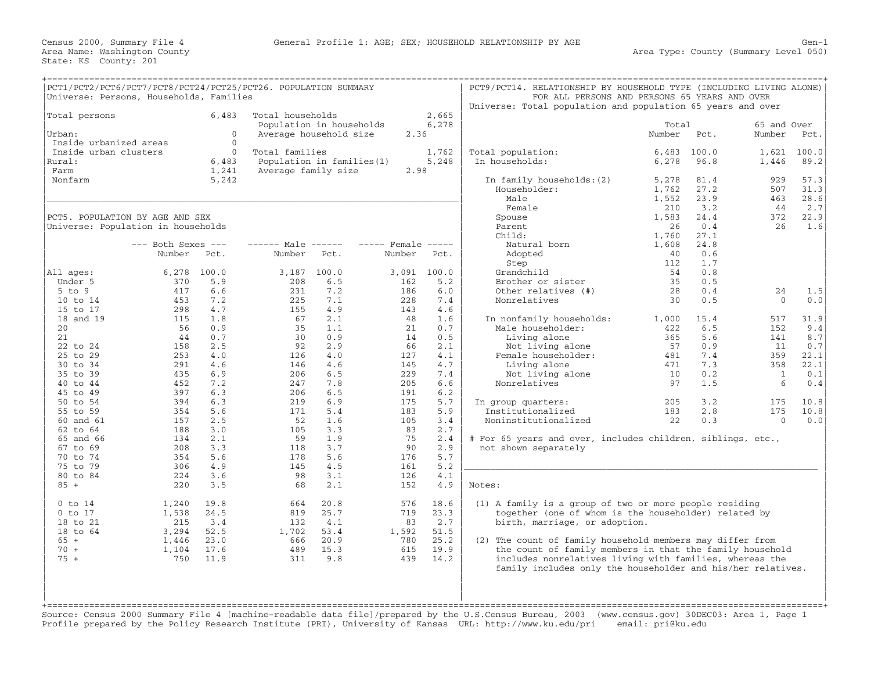| PCT1/PCT2/PCT6/PCT7/PCT8/PCT24/PCT25/PCT26. POPULATION SUMMARY<br>Universe: Persons, Households, Families                                                                                                                         |                                                                                                                                        |                                                                                                                                          |                                                                                                                                  |                                                                                                                                          |                                                                                                                                   |                                                                                                                                          | PCT9/PCT14. RELATIONSHIP BY HOUSEHOLD TYPE (INCLUDING LIVING ALONE)<br>Universe: Total population and population 65 years and over                                                                                                                                                                                                                                                                 | FOR ALL PERSONS AND PERSONS 65 YEARS AND OVER                           |                                                                            |                                                                                      |                                                                                |
|-----------------------------------------------------------------------------------------------------------------------------------------------------------------------------------------------------------------------------------|----------------------------------------------------------------------------------------------------------------------------------------|------------------------------------------------------------------------------------------------------------------------------------------|----------------------------------------------------------------------------------------------------------------------------------|------------------------------------------------------------------------------------------------------------------------------------------|-----------------------------------------------------------------------------------------------------------------------------------|------------------------------------------------------------------------------------------------------------------------------------------|----------------------------------------------------------------------------------------------------------------------------------------------------------------------------------------------------------------------------------------------------------------------------------------------------------------------------------------------------------------------------------------------------|-------------------------------------------------------------------------|----------------------------------------------------------------------------|--------------------------------------------------------------------------------------|--------------------------------------------------------------------------------|
| Total persons<br>Urban:                                                                                                                                                                                                           |                                                                                                                                        | 6,483<br>$\Omega$                                                                                                                        | Total households<br>Population in households<br>Average household size                                                           |                                                                                                                                          | 2.36                                                                                                                              | 2,665<br>6,278                                                                                                                           |                                                                                                                                                                                                                                                                                                                                                                                                    | Total<br>Number                                                         | Pct.                                                                       | 65 and Over<br>Number                                                                | Pct.                                                                           |
| Inside urbanized areas<br>Inside urban clusters<br>Rural:<br>Farm<br>Nonfarm                                                                                                                                                      |                                                                                                                                        | $\mathbf{0}$<br>$\Omega$<br>6,483<br>1,241<br>5,242                                                                                      | Total families<br>Population in families (1)<br>Average family size                                                              |                                                                                                                                          | 2.98                                                                                                                              | 1,762<br>5,248                                                                                                                           | Total population:<br>In households:<br>In family households: (2)<br>Householder:<br>Male                                                                                                                                                                                                                                                                                                           | 6,483<br>6,278<br>5,278<br>1,762<br>1,552                               | 100.0<br>96.8<br>81.4<br>27.2<br>23.9                                      | 1,621<br>1,446<br>929<br>507<br>463                                                  | 100.0<br>89.2<br>57.3<br>31.3<br>28.6                                          |
| Universe: Population in households<br>All ages:                                                                                                                                                                                   | PCT5. POPULATION BY AGE AND SEX<br>$---$ Both Sexes $---$<br>Number                                                                    | Pct.<br>6,278 100.0                                                                                                                      | $--- - -$ Male $--- -$<br>Number                                                                                                 | Pct.<br>3,187 100.0                                                                                                                      | $---$ Female $---$<br>Number<br>3,091 100.0                                                                                       | Pct.                                                                                                                                     | Female<br>Spouse<br>Parent<br>Child:<br>Natural born<br>Adopted<br>Step<br>Grandchild                                                                                                                                                                                                                                                                                                              | 210<br>1,583<br>26<br>1,760<br>1,608<br>40<br>112<br>54                 | $3 \cdot 2$<br>24.4<br>0.4<br>27.1<br>24.8<br>0.6<br>1.7<br>0.8            | 44<br>372<br>26                                                                      | 2.7<br>22.9<br>1.6                                                             |
| Under 5<br>$5$ to $9$<br>10 to 14                                                                                                                                                                                                 | 370<br>417<br>453                                                                                                                      | 5.9<br>6.6<br>7.2                                                                                                                        | 208<br>231<br>225                                                                                                                | 6.5<br>7.2<br>7.1                                                                                                                        | 162<br>186<br>228                                                                                                                 | 5.2<br>6.0<br>7.4                                                                                                                        | Brother or sister<br>Other relatives (#)<br>Nonrelatives                                                                                                                                                                                                                                                                                                                                           | 35<br>28<br>30                                                          | 0.5<br>0.4<br>0.5                                                          | 24<br>$\Omega$                                                                       | 1.5<br>0.0                                                                     |
| 15 to 17<br>18 and 19<br>20<br>21<br>22 to 24<br>25 to 29<br>30 to 34<br>35 to 39<br>40 to 44<br>45 to 49<br>50 to 54<br>55 to 59<br>60 and 61<br>62 to 64<br>65 and 66<br>67 to 69<br>70 to 74<br>75 to 79<br>80 to 84<br>$85 +$ | 298<br>115<br>56<br>44<br>158<br>253<br>291<br>435<br>452<br>397<br>394<br>354<br>157<br>188<br>134<br>208<br>354<br>306<br>224<br>220 | 4.7<br>1.8<br>0.9<br>0.7<br>2.5<br>4.0<br>4.6<br>6.9<br>7.2<br>6.3<br>6.3<br>5.6<br>2.5<br>3.0<br>2.1<br>3.3<br>5.6<br>4.9<br>3.6<br>3.5 | 155<br>67<br>35<br>30<br>92<br>126<br>146<br>206<br>247<br>206<br>219<br>171<br>52<br>105<br>59<br>118<br>178<br>145<br>98<br>68 | 4.9<br>2.1<br>1.1<br>0.9<br>2.9<br>4.0<br>4.6<br>6.5<br>7.8<br>6.5<br>6.9<br>5.4<br>1.6<br>3.3<br>1.9<br>3.7<br>5.6<br>4.5<br>3.1<br>2.1 | 143<br>48<br>21<br>14<br>66<br>127<br>145<br>229<br>205<br>191<br>175<br>183<br>105<br>83<br>75<br>90<br>176<br>161<br>126<br>152 | 4.6<br>1.6<br>0.7<br>0.5<br>2.1<br>4.1<br>4.7<br>7.4<br>6.6<br>6.2<br>5.7<br>5.9<br>3.4<br>2.7<br>2.4<br>2.9<br>5.7<br>5.2<br>4.1<br>4.9 | In nonfamily households:<br>Male householder:<br>Living alone<br>Not living alone<br>Female householder:<br>Living alone<br>Not living alone<br>Nonrelatives<br>In group quarters:<br>Institutionalized<br>Noninstitutionalized<br># For 65 years and over, includes children, siblings, etc.,<br>not shown separately<br>Notes:                                                                   | 1,000<br>422<br>365<br>57<br>481<br>471<br>10<br>97<br>205<br>183<br>22 | 15.4<br>6.5<br>5.6<br>0.9<br>7.4<br>7.3<br>0.2<br>1.5<br>3.2<br>2.8<br>0.3 | 517<br>152<br>141<br>11<br>359<br>358<br>$\mathbf{1}$<br>6<br>175<br>175<br>$\Omega$ | 31.9<br>9.4<br>8.7<br>0.7<br>22.1<br>22.1<br>0.1<br>0.4<br>10.8<br>10.8<br>0.0 |
| $0$ to $14$<br>$0$ to $17$<br>18 to 21<br>18 to 64<br>$65 +$<br>$70 +$<br>$75 +$                                                                                                                                                  | 1,240<br>1,538<br>215<br>3,294<br>1,446<br>1,104<br>750                                                                                | 19.8<br>24.5<br>3.4<br>52.5<br>23.0<br>17.6<br>11.9                                                                                      | 664<br>819<br>132<br>1,702<br>666<br>489<br>311                                                                                  | 20.8<br>25.7<br>4.1<br>53.4<br>20.9<br>15.3<br>9.8                                                                                       | 576<br>719<br>83<br>1,592<br>780<br>615<br>439                                                                                    | 18.6<br>23.3<br>2.7<br>51.5<br>25.2<br>19.9<br>14.2                                                                                      | (1) A family is a group of two or more people residing<br>together (one of whom is the householder) related by<br>birth, marriage, or adoption.<br>(2) The count of family household members may differ from<br>the count of family members in that the family household<br>includes nonrelatives living with families, whereas the<br>family includes only the householder and his/her relatives. |                                                                         |                                                                            |                                                                                      |                                                                                |

Source: Census 2000 Summary File 4 [machine−readable data file]/prepared by the U.S.Census Bureau, 2003 (www.census.gov) 30DEC03: Area 1, Page 1 Profile prepared by the Policy Research Institute (PRI), University of Kansas URL: http://www.ku.edu/pri email: pri@ku.edu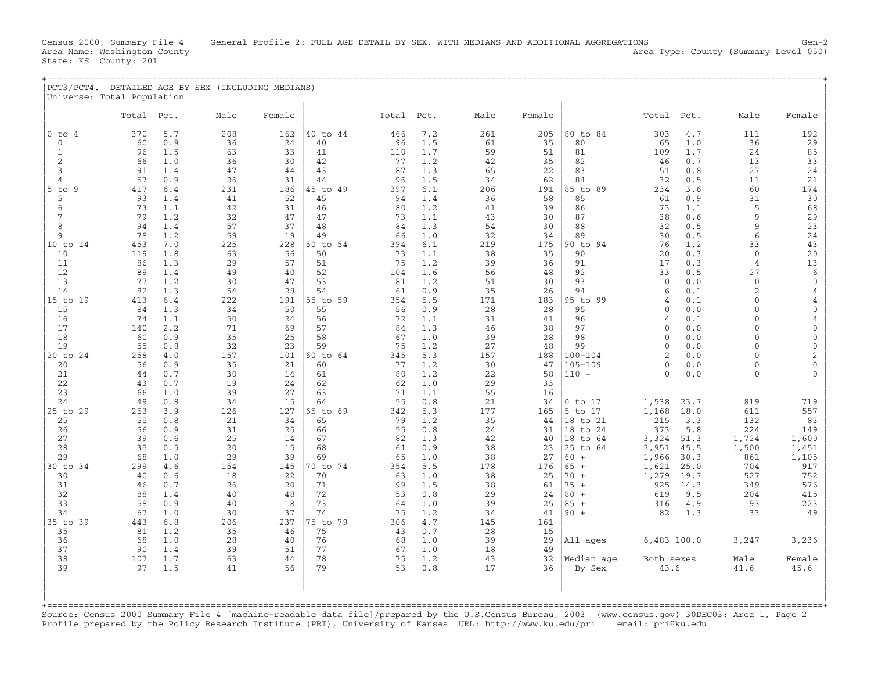| PCT3/PCT4. DETAILED AGE BY SEX (INCLUDING MEDIANS) |       |      |         |        |       |     |      |        |            |      |        |  |
|----------------------------------------------------|-------|------|---------|--------|-------|-----|------|--------|------------|------|--------|--|
| Universe: Total Population                         |       |      |         |        |       |     |      |        |            |      |        |  |
|                                                    |       |      |         |        |       |     |      |        |            |      |        |  |
|                                                    | Total | Pct. | $M = 1$ | Female | Total | Pct | Male | Female | Total Pct. | Mal≏ | Female |  |

|                          |           |            | rıa⊥e     | г ешате   |                |           |            | riatt     | r ema r e |                   | IULa                 |            |                      |                                |
|--------------------------|-----------|------------|-----------|-----------|----------------|-----------|------------|-----------|-----------|-------------------|----------------------|------------|----------------------|--------------------------------|
| $0$ to<br>$\overline{4}$ | 370       | 5.7        | 208       | 162       | 40 to 44       | 466       | 7.2        | 261       | 205       | 80 to 84          | 303                  | 4.7        | 111                  | 192                            |
| $\Omega$                 | 60        | 0.9        | 36        | 24        | 40             | 96        | 1.5        | 61        | 35        | 80                | 65                   | 1.0        | 36                   | 29                             |
|                          | 96        | 1.5        | 63        | 33        | 41             | 110       | 1.7        | 59        | 51        | 81                | 109                  | 1.7        | 24                   | 85                             |
| $\overline{2}$           | 66        | 1.0        | 36        | 30        | 42             | 77        | 1.2        | 42        | 35        | 82                | 46                   | 0.7        | 13                   | 33                             |
| 3                        | 91        | 1.4        | 47        | 44        | 43             | 87        | 1.3        | 65        | 22        | 83                | 51                   | 0.8        | 27                   | 24                             |
| 4                        | 57        | 0.9        | 26        | 31        | 44             | 96        | 1.5        | 34        | 62        | 84                | 32                   | 0.5        | 11                   | 21                             |
| $5$ to $9$               | 417       | 6.4        | 231       | 186       | 45 to 49       | 397       | 6.1        | 206       | 191       | 85 to 89          | 234                  | 3.6        | 60                   | 174                            |
| 5                        | 93        | 1.4        | 41        | 52        | 45             | 94        | 1.4        | 36        | 58        | 85                | 61                   | 0.9        | 31                   | 30                             |
| 6                        | 73        | 1.1        | 42        | 31        | 46             | 80        | 1.2        | 41        | 39        | 86                | 73                   | 1.1        | 5                    | 68                             |
| 7                        | 79        | 1.2        | 32        | 47        | 47             | 73        | 1.1        | 43        | 30        | 87                | 38                   | 0.6        | 9                    | 29                             |
| 8                        | 94        | 1.4        | 57        | 37        | 48             | 84        | 1.3        | 54        | 30        | 88                | 32                   | 0.5        | 9                    | 23                             |
| 9                        | 78        | 1.2        | 59        | 19        | 49             | 66        | 1.0        | 32        | 34        | 89                | 30                   | 0.5        | 6                    | 24                             |
| 10 to 14                 | 453       | 7.0        | 225       | 228       | 50 to 54       | 394       | 6.1        | 219       | 175       | 90 to 94          | 76                   | 1.2        | 33                   | 43                             |
| 10                       | 119       | 1.8        | 63        | 56        | 50             | 73        | 1.1        | 38        | 35        | 90                | 20                   | 0.3        | $\Omega$             | 20                             |
| 11                       | 86        | 1.3        | 29        | 57        | 51             | 75        | 1.2        | 39        | 36        | 91                | 17                   | 0.3        | $\overline{4}$       | 13                             |
| 12                       | 89        | 1.4        | 49        | 40        | 52             | 104       | 1.6        | 56        | 48        | 92                | 33                   | 0.5        | 27                   | 6                              |
| 13                       | 77        | 1.2        | 30        | 47        | 53             | 81        | 1.2        | 51        | 30        | 93                | $\mathbf{0}$         | 0.0        | $\Omega$             | $\mathbf 0$                    |
| 14                       | 82        | 1.3        | 54        | 28        | 54             | 61        | 0.9        | 35        | 26        | 94                | 6                    | 0.1        | $\overline{2}$       | $\overline{4}$                 |
| 15 to 19                 | 413       | 6.4        | 222       | 191       | 55 to 59       | 354       | 5.5        | 171       | 183       | 95 to 99          | 4                    | 0.1        | $\Omega$             | $\overline{4}$                 |
| 15                       | 84        | 1.3        | 34        | 50        | 55             | 56        | 0.9        | 28        | 28        | 95                | $\Omega$             | 0.0        | $\Omega$             | $\mathbf{0}$                   |
| 16                       | 74        | 1.1        | 50        | 24        | 56             | 72        | 1.1        | 31        | 41        | 96                | 4                    | 0.1        | $\Omega$             | $\overline{4}$                 |
| 17                       | 140       | 2.2        | 71        | 69        | 57             | 84        | 1.3        | 46        | 38        | 97                | $\Omega$             | 0.0        | $\Omega$             | $\mathbf{0}$                   |
| 18                       | 60        | 0.9        | 35        | 25        | 58             | 67        | 1.0        | 39        | 28        | 98                | $\Omega$<br>$\Omega$ | 0.0        | $\Omega$<br>$\Omega$ | $\mathbf{0}$                   |
| 19<br>20 to 24           | 55<br>258 | 0.8<br>4.0 | 32<br>157 | 23<br>101 | 59<br>60 to 64 | 75<br>345 | 1.2<br>5.3 | 27<br>157 | 48<br>188 | 99<br>$100 - 104$ | $\mathfrak{D}$       | 0.0<br>0.0 | $\Omega$             | $\mathbf{0}$<br>$\overline{2}$ |
| 20                       | 56        | 0.9        | 35        | 21        | 60             | 77        | 1.2        | 30        | 47        | $105 - 109$       | $\Omega$             | 0.0        | $\Omega$             | $\mathbf{0}$                   |
| 21                       | 44        | 0.7        | 30        | 14        | 61             | 80        | 1.2        | 22        | 58        | $110 +$           | $\Omega$             | 0.0        | $\Omega$             |                                |
| 22                       | 43        | 0.7        | 19        | 24        | 62             | 62        | 1.0        | 29        | 33        |                   |                      |            |                      |                                |
| 23                       | 66        | 1.0        | 39        | 27        | 63             | 71        | 1.1        | 55        | 16        |                   |                      |            |                      |                                |
| 24                       | 49        | 0.8        | 34        | 15        | 64             | 55        | 0.8        | 21        | 34        | $0$ to $17$       | 1,538                | 23.7       | 819                  | 719                            |
| $25$ to<br>29            | 253       | 3.9        | 126       | 127       | 65 to 69       | 342       | 5.3        | 177       | 165       | 5 to 17           | 1,168                | 18.0       | 611                  | 557                            |
| 25                       | 55        | 0.8        | 21        | 34        | 65             | 79        | 1.2        | 35        | 44        | 18 to 21          | 215                  | 3.3        | 132                  | 83                             |
| 26                       | 56        | 0.9        | 31        | 25        | 66             | 55        | 0.8        | 24        | 31        | 18 to 24          | 373                  | 5.8        | 224                  | 149                            |
| 27                       | 39        | 0.6        | 25        | 14        | 67             | 82        | 1.3        | 42        | 40        | 18 to 64          | 3,324                | 51.3       | 1,724                | 1,600                          |
| 28                       | 35        | 0.5        | 20        | 15        | 68             | 61        | 0.9        | 38        | 23        | 25 to 64          | 2,951                | 45.5       | 1,500                | 1,451                          |
| 29                       | 68        | 1.0        | 29        | 39        | 69             | 65        | 1.0        | 38        | 27        | 60<br>$+$         | 1,966                | 30.3       | 861                  | 1,105                          |
| 30 to 34                 | 299       | 4.6        | 154       | 145       | 70 to 74       | 354       | 5.5        | 178       | 176       | $65 +$            | 1,621                | 25.0       | 704                  | 917                            |
| 30                       | 40        | 0.6        | 18        | 22        | 70             | 63        | 1.0        | 38        | 25        | $70 +$            | 1,279                | 19.7       | 527                  | 752                            |
| 31                       | 46        | 0.7        | 26        | 20        | 71             | 99        | 1.5        | 38        | 61        | $75 +$            | 925                  | 14.3       | 349                  | 576                            |
| 32                       | 88        | 1.4        | 40        | 48        | 72             | 53        | 0.8        | 29        | 24        | $80 +$            | 619                  | 9.5        | 204                  | 415                            |
| 33                       | 58        | 0.9        | 40        | 18        | 73             | 64        | 1.0        | 39        | 25        | $85 +$            | 316                  | 4.9        | 93                   | 223                            |
| 34                       | 67        | 1.0        | 30        | 37        | 74             | 75        | 1.2        | 34        | 41        | $90 +$            | 82                   | 1.3        | 33                   | 49                             |
| $35$ to<br>39            | 443       | 6.8        | 206       | 237       | 75 to 79       | 306       | 4.7        | 145       | 161       |                   |                      |            |                      |                                |
| 35                       | 81        | 1.2        | 35        | 46        | 75             | 43        | 0.7        | 28        | 15        |                   |                      |            |                      |                                |
| 36                       | 68        | 1.0        | 28        | 40        | 76             | 68        | 1.0        | 39        | 29        | All ages          | $6,483$ 100.0        |            | 3,247                | 3,236                          |
| 37<br>38                 | 90<br>107 | 1.4<br>1.7 | 39<br>63  | 51<br>44  | 77<br>78       | 67<br>75  | 1.0<br>1.2 | 18<br>43  | 49<br>32  | Median age        |                      |            |                      |                                |
| 39                       | 97        | 1.5        | 41        | 56        | 79             | 53        | 0.8        | 17        | 36        | By Sex            | Both sexes<br>43.6   |            | Male<br>41.6         | Female<br>45.6                 |
|                          |           |            |           |           |                |           |            |           |           |                   |                      |            |                      |                                |
|                          |           |            |           |           |                |           |            |           |           |                   |                      |            |                      |                                |
|                          |           |            |           |           |                |           |            |           |           |                   |                      |            |                      |                                |
|                          |           |            |           |           |                |           |            |           |           |                   |                      |            |                      |                                |

Source: Census 2000 Summary File 4 [machine−readable data file]/prepared by the U.S.Census Bureau, 2003 (www.census.gov) 30DEC03: Area 1, Page 2 Profile prepared by the Policy Research Institute (PRI), University of Kansas URL: http://www.ku.edu/pri email: pri@ku.edu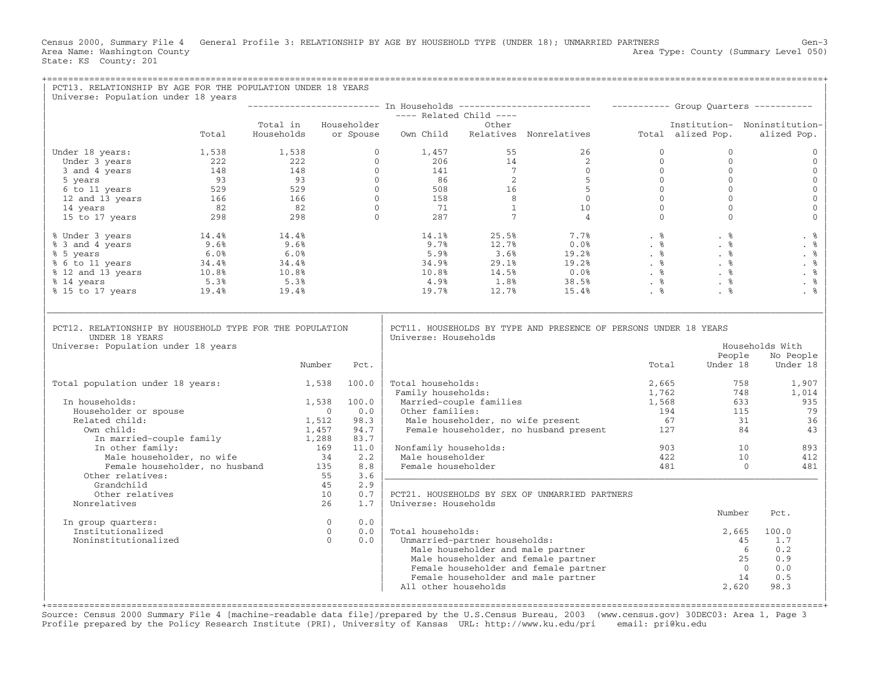Census 2000, Summary File 4 General Profile 3: RELATIONSHIP BY AGE BY HOUSEHOLD TYPE (UNDER 18); UNMARRIED PARTNERS Gen−3<br>Area Name: Washington County Level 050) Area Type: County (Summary Level 050) State: KS County: 201

| PCT13. RELATIONSHIP BY AGE FOR THE POPULATION UNDER 18 YEARS<br>Universe: Population under 18 years                                                                                                                                                                            |       |                                                                    |                       |                                  |                               |                                                                                                            |       |                      |                                     |
|--------------------------------------------------------------------------------------------------------------------------------------------------------------------------------------------------------------------------------------------------------------------------------|-------|--------------------------------------------------------------------|-----------------------|----------------------------------|-------------------------------|------------------------------------------------------------------------------------------------------------|-------|----------------------|-------------------------------------|
|                                                                                                                                                                                                                                                                                |       |                                                                    |                       |                                  |                               |                                                                                                            |       |                      |                                     |
|                                                                                                                                                                                                                                                                                |       |                                                                    |                       | ---- Related Child ----<br>Other |                               |                                                                                                            |       |                      |                                     |
|                                                                                                                                                                                                                                                                                |       | Total in Householder                                               |                       |                                  |                               |                                                                                                            |       |                      | Institution- Noninstitution-        |
|                                                                                                                                                                                                                                                                                | Total |                                                                    |                       |                                  |                               | Households or Spouse Own Child Relatives Nonrelatives Total alized Pop.                                    |       |                      | alized Pop.                         |
| nder 18 years:<br>0 1,457 55 26 0<br>0 1,457 55 26 0<br>19 3 years 222 22 0 206 14 2<br>3 and 4 years 148 148 0 141 7 0<br>5 years 93 93 0 86 2<br>5 14 years 93 93 0 86 2<br>16 5 0<br>12 and 13 years 166 166 0 508 16 5 0<br>14 years 82 82<br>Under 18 years:              |       |                                                                    |                       |                                  |                               |                                                                                                            |       | $\mathbf{0}$         | $\mathbf{0}$                        |
|                                                                                                                                                                                                                                                                                |       |                                                                    |                       |                                  |                               |                                                                                                            |       | $\mathbf{0}$         | $\mathbf{0}$                        |
|                                                                                                                                                                                                                                                                                |       |                                                                    |                       |                                  |                               |                                                                                                            |       | $\mathbf{0}$         | $\mathbf{0}$                        |
|                                                                                                                                                                                                                                                                                |       |                                                                    |                       |                                  |                               |                                                                                                            |       | $\mathbf{0}$         | $\mathbb O$                         |
|                                                                                                                                                                                                                                                                                |       |                                                                    |                       |                                  |                               |                                                                                                            |       | $\mathbf 0$          | $\mathbf 0$                         |
|                                                                                                                                                                                                                                                                                |       |                                                                    |                       |                                  |                               |                                                                                                            |       | $\mathbf{0}$         | $\mathsf{O}\xspace$                 |
|                                                                                                                                                                                                                                                                                |       |                                                                    |                       |                                  |                               |                                                                                                            |       | $\Omega$<br>$\Omega$ | $\mathsf{O}\xspace$<br>$\mathbf{O}$ |
|                                                                                                                                                                                                                                                                                |       |                                                                    |                       |                                  |                               |                                                                                                            |       |                      |                                     |
| % Under 3 years<br>% 3 and 4 years<br>% 3 and 4 years<br>% 5 years<br>% 6.0%<br>% 6.0%<br>% 6.0%<br>% 6.0%<br>% 6.0%<br>% 6.0%<br>% 6.0%<br>% 6.0%<br>% 6.0%<br>% 6.0%<br>% 9.6%<br>% 9.6%<br>% 9.6%<br>% 9.6%<br>% 9.6%<br>% 9.6%<br>% 9.8%<br>% 9.8%<br>% 9.8%<br>% 9.8%<br> |       |                                                                    |                       |                                  |                               |                                                                                                            |       |                      | . %                                 |
|                                                                                                                                                                                                                                                                                |       |                                                                    |                       |                                  |                               |                                                                                                            |       |                      | . $\frac{6}{6}$                     |
|                                                                                                                                                                                                                                                                                |       |                                                                    |                       |                                  |                               |                                                                                                            |       |                      | . %                                 |
|                                                                                                                                                                                                                                                                                |       |                                                                    |                       |                                  |                               |                                                                                                            |       |                      | . $\,$ 8                            |
|                                                                                                                                                                                                                                                                                |       |                                                                    |                       |                                  |                               |                                                                                                            |       |                      | . %                                 |
|                                                                                                                                                                                                                                                                                |       |                                                                    |                       |                                  |                               |                                                                                                            |       |                      | . $\frac{6}{6}$                     |
|                                                                                                                                                                                                                                                                                |       |                                                                    |                       |                                  |                               |                                                                                                            |       |                      | . %                                 |
| PCT12. RELATIONSHIP BY HOUSEHOLD TYPE FOR THE POPULATION<br>UNDER 18 YEARS<br>Universe: Population under 18 years                                                                                                                                                              |       |                                                                    |                       | Universe: Households             |                               | PCT11. HOUSEHOLDS BY TYPE AND PRESENCE OF PERSONS UNDER 18 YEARS                                           |       |                      | Households With                     |
|                                                                                                                                                                                                                                                                                |       |                                                                    |                       |                                  |                               |                                                                                                            |       | People               | No People                           |
|                                                                                                                                                                                                                                                                                |       | Number                                                             | Pct.                  |                                  |                               |                                                                                                            | Total | Under 18             | Under 18                            |
| Total population under 18 years: 1,538 100.0                                                                                                                                                                                                                                   |       |                                                                    |                       | Total households:                |                               |                                                                                                            | 2,665 | 758                  | 1,907                               |
|                                                                                                                                                                                                                                                                                |       |                                                                    |                       | Family households:               |                               |                                                                                                            | 1,762 | 748                  | 1,014                               |
| In households:                                                                                                                                                                                                                                                                 |       | 1,538                                                              | 100.0                 |                                  | Married-couple families       |                                                                                                            | 1,568 | 633                  | 935                                 |
| Householder or spouse                                                                                                                                                                                                                                                          |       | $\sim$ 0                                                           | 0.0                   | Other families:                  |                               | Other families: 194<br>Male householder, no wife present 194<br>Female householder, no husband present 127 | 194   | 115                  | 79                                  |
| Related child:                                                                                                                                                                                                                                                                 |       | 1,512                                                              | 98.3                  |                                  |                               |                                                                                                            |       | 31                   | 36                                  |
| Own child:                                                                                                                                                                                                                                                                     |       |                                                                    | 94.7                  |                                  |                               |                                                                                                            |       | 84                   | 43                                  |
|                                                                                                                                                                                                                                                                                |       |                                                                    | 83.7                  |                                  |                               |                                                                                                            |       |                      |                                     |
| 1,457<br>In married-couple family<br>In other family:<br>Male bound is                                                                                                                                                                                                         |       |                                                                    | 11.0                  | Nonfamily households:            |                               |                                                                                                            | 903   | 10                   | 893                                 |
| Male householder, no wife                                                                                                                                                                                                                                                      |       | Male householder, no wife 34<br>Female householder, no husband 135 | 2.2                   | Male householder                 |                               |                                                                                                            | 422   | 10                   | 412                                 |
|                                                                                                                                                                                                                                                                                |       |                                                                    | 8.8                   | Female householder               |                               |                                                                                                            | 481   | $\bigcirc$           | 481                                 |
| Other relatives:                                                                                                                                                                                                                                                               |       | 55                                                                 | 3.6<br>2.9<br>45      |                                  |                               |                                                                                                            |       |                      |                                     |
| Grandchild<br>Other relatives                                                                                                                                                                                                                                                  |       |                                                                    | 10<br>0.7             |                                  |                               | PCT21. HOUSEHOLDS BY SEX OF UNMARRIED PARTNERS                                                             |       |                      |                                     |
| Nonrelatives                                                                                                                                                                                                                                                                   |       |                                                                    | 26<br>1.7             | Universe: Households             |                               |                                                                                                            |       |                      |                                     |
|                                                                                                                                                                                                                                                                                |       |                                                                    |                       |                                  |                               |                                                                                                            |       | Number               | Pct.                                |
| In group quarters:                                                                                                                                                                                                                                                             |       |                                                                    | $\Omega$<br>0.0       |                                  |                               |                                                                                                            |       |                      |                                     |
| Institutionalized                                                                                                                                                                                                                                                              |       |                                                                    | 0.0<br>$\overline{0}$ | Total households:                |                               |                                                                                                            |       | 2,665                | 100.0                               |
| Noninstitutionalized                                                                                                                                                                                                                                                           |       |                                                                    | $\bigcap$<br>0.0      |                                  | Unmarried-partner households: |                                                                                                            |       |                      | 1.7<br>45                           |
|                                                                                                                                                                                                                                                                                |       |                                                                    |                       |                                  |                               | Male householder and male partner                                                                          |       |                      | 0.2<br>6                            |
|                                                                                                                                                                                                                                                                                |       |                                                                    |                       |                                  |                               | Male householder and female partner                                                                        |       |                      | 25<br>0.9                           |
|                                                                                                                                                                                                                                                                                |       |                                                                    |                       |                                  |                               | Female householder and female partner                                                                      |       |                      | $\overline{0}$<br>0.0               |
|                                                                                                                                                                                                                                                                                |       |                                                                    |                       | All other households             |                               | Female householder and male partner                                                                        |       | 14<br>2,620          | 0.5<br>98.3                         |
|                                                                                                                                                                                                                                                                                |       |                                                                    |                       |                                  |                               |                                                                                                            |       |                      |                                     |

+===================================================================================================================================================+ Source: Census 2000 Summary File 4 [machine−readable data file]/prepared by the U.S.Census Bureau, 2003 (www.census.gov) 30DEC03: Area 1, Page 3 Profile prepared by the Policy Research Institute (PRI), University of Kansas URL: http://www.ku.edu/pri email: pri@ku.edu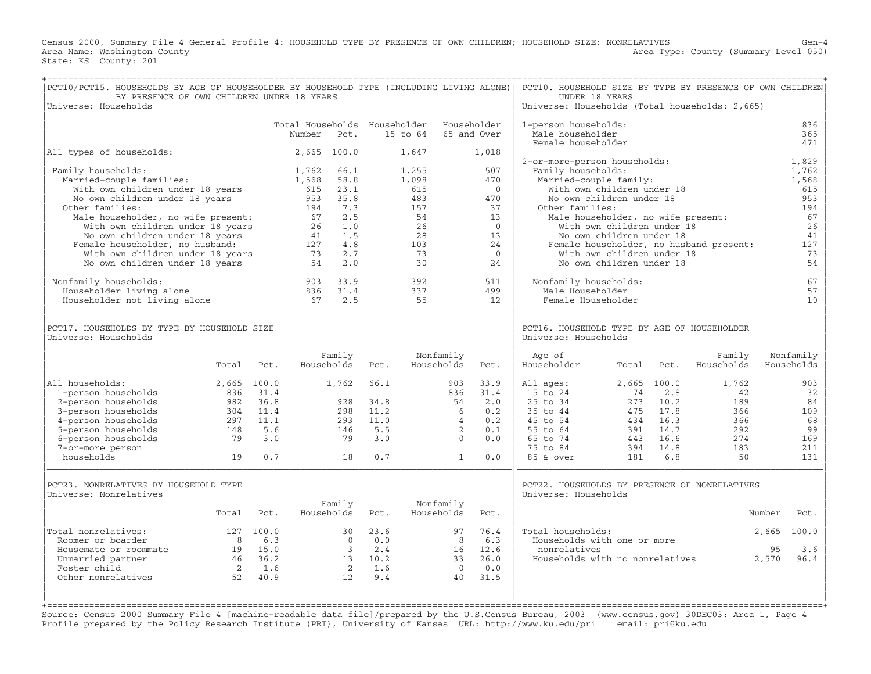Census 2000, Summary File 4 General Profile 4: HOUSEHOLD TYPE BY PRESENCE OF OWN CHILDREN; HOUSEHOLD SIZE; NONRELATIVES Gen-4<br>Area Name: Washington County Level 050) Area Type: County (Summary Level 050) State: KS County: 201

| PCT10/PCT15. HOUSEHOLDS BY AGE OF HOUSEHOLDER BY HOUSEHOLD TYPE (INCLUDING LIVING ALONE)<br>BY PRESENCE OF OWN CHILDREN UNDER 18 YEARS |                |            |                                        |                      |             |                |                         |                            | PCT10. HOUSEHOLD SIZE BY TYPE BY PRESENCE OF OWN CHILDREN<br>UNDER 18 YEARS |                                    |              |                                         |                         |                   |
|----------------------------------------------------------------------------------------------------------------------------------------|----------------|------------|----------------------------------------|----------------------|-------------|----------------|-------------------------|----------------------------|-----------------------------------------------------------------------------|------------------------------------|--------------|-----------------------------------------|-------------------------|-------------------|
| Universe: Households                                                                                                                   |                |            |                                        |                      |             |                |                         |                            | Universe: Households (Total households: 2,665)                              |                                    |              |                                         |                         |                   |
|                                                                                                                                        |                |            | Total Households Householder<br>Number | Pct.                 |             | 15 to 64       |                         | Householder<br>65 and Over | 1-person households:<br>Male householder<br>Female householder              |                                    |              |                                         |                         | 836<br>365<br>471 |
| All types of households:                                                                                                               |                |            |                                        | 2,665 100.0          |             | 1,647          |                         | 1,018                      | 2-or-more-person households:                                                |                                    |              |                                         |                         | 1,829             |
| Family households:<br>Married-couple families:                                                                                         |                |            | 1,762<br>1,568                         | 66.1<br>58.8         |             | 1,255<br>1,098 |                         | 507<br>470                 | Family households:<br>Married-couple family:                                |                                    |              |                                         |                         | 1,762<br>1,568    |
| With own children under 18 years                                                                                                       |                |            | 615                                    | 23.1                 |             | 615            |                         | $\Omega$                   |                                                                             | With own children under 18         |              |                                         |                         | 615               |
| No own children under 18 years<br>Other families:                                                                                      |                |            | 953<br>194                             | 35.8<br>7.3          |             | 483<br>157     |                         | 470<br>37                  | Other families:                                                             | No own children under 18           |              |                                         |                         | 953<br>194        |
| Male householder, no wife present:                                                                                                     |                |            | 67                                     | 2.5                  |             | 54             |                         | 13                         |                                                                             | Male householder, no wife present: |              |                                         |                         | 67                |
| With own children under 18 years                                                                                                       |                |            | 26                                     | 1.0                  |             | 26             |                         | $\Omega$                   |                                                                             | With own children under 18         |              |                                         |                         | 26                |
| No own children under 18 years                                                                                                         |                |            | 41                                     | 1.5                  |             | 28             |                         | 13                         |                                                                             | No own children under 18           |              |                                         |                         | 41                |
| Female householder, no husband:                                                                                                        |                |            | 127                                    | 4.8                  |             | 103            |                         | 24                         |                                                                             |                                    |              | Female householder, no husband present: |                         | 127               |
| With own children under 18 years                                                                                                       |                |            | 73                                     | 2.7                  |             | 73             |                         | $\overline{0}$             |                                                                             | With own children under 18         |              |                                         |                         | 73                |
| No own children under 18 years                                                                                                         |                |            | 54                                     | 2.0                  |             | 30             |                         | 2.4                        |                                                                             | No own children under 18           |              |                                         |                         | 54                |
| Nonfamily households:                                                                                                                  |                |            | 903                                    | 33.9                 |             | 392            |                         | 511                        | Nonfamily households:                                                       |                                    |              |                                         |                         | 67                |
| Householder living alone                                                                                                               |                |            | 836                                    | 31.4                 |             | 337            |                         | 499                        | Male Householder                                                            |                                    |              |                                         |                         | 57                |
| Householder not living alone                                                                                                           |                |            | 67                                     | 2.5                  |             | 55             |                         | 12.                        | Female Householder                                                          |                                    |              |                                         |                         | 10                |
| PCT17. HOUSEHOLDS BY TYPE BY HOUSEHOLD SIZE<br>Universe: Households                                                                    |                |            |                                        |                      |             |                |                         |                            | PCT16. HOUSEHOLD TYPE BY AGE OF HOUSEHOLDER<br>Universe: Households         |                                    |              |                                         |                         |                   |
|                                                                                                                                        | Total          | Pct.       |                                        | Family<br>Households | Pct.        |                | Nonfamily<br>Households | Pct.                       | Age of<br>Householder                                                       | Total                              | Pct.         | Family<br>Households                    | Nonfamily<br>Households |                   |
| All households:                                                                                                                        | $2.665$ 100.0  |            |                                        | 1,762                | 66.1        |                | 903                     | 33.9                       | All ages:                                                                   |                                    | 2,665 100.0  | 1,762                                   |                         | 903               |
| 1-person households                                                                                                                    | 836            | 31.4       |                                        |                      |             |                | 836                     | 31.4                       | 15 to 24                                                                    | 74                                 | 2.8          | 42                                      |                         | 32                |
| 2-person households                                                                                                                    | 982            | 36.8       |                                        | 928                  | 34.8        |                | 54                      | 2.0                        | 25 to 34                                                                    | 273                                | 10.2         | 189                                     |                         | 84                |
| 3-person households                                                                                                                    | 304            | 11.4       |                                        | 298                  | 11.2        |                | 6                       | 0.2                        | 35 to 44                                                                    | 475                                | 17.8         | 366                                     |                         | 109               |
| 4-person households                                                                                                                    | 297            | 11.1       |                                        | 293                  | 11.0<br>5.5 |                | $\overline{4}$          | 0.2                        | 45 to 54                                                                    | 434                                | 16.3         | 366                                     |                         | 68                |
| 5-person households<br>6-person households                                                                                             | 148<br>79      | 5.6<br>3.0 |                                        | 146<br>79            | 3.0         |                | 2<br>$\Omega$           | 0.1<br>0.0                 | 55 to 64<br>65 to 74                                                        | 391<br>443                         | 14.7<br>16.6 | 292<br>274                              |                         | 99<br>169         |
| 7-or-more person                                                                                                                       |                |            |                                        |                      |             |                |                         |                            | 75 to 84                                                                    | 394                                | 14.8         | 183                                     |                         | 211               |
| households                                                                                                                             | 19             | 0.7        |                                        | 18                   | 0.7         |                | $\mathbf{1}$            | 0.0                        | 85 & over                                                                   | 181                                | 6.8          | 50                                      |                         | 131               |
|                                                                                                                                        |                |            |                                        |                      |             |                |                         |                            |                                                                             |                                    |              |                                         |                         |                   |
| PCT23. NONRELATIVES BY HOUSEHOLD TYPE<br>Universe: Nonrelatives                                                                        |                |            |                                        |                      |             |                |                         |                            | PCT22. HOUSEHOLDS BY PRESENCE OF NONRELATIVES<br>Universe: Households       |                                    |              |                                         |                         |                   |
|                                                                                                                                        | Total          | Pct.       |                                        | Family<br>Households | Pct.        |                | Nonfamily<br>Households | Pct.                       |                                                                             |                                    |              |                                         | Number                  | Pct.              |
| Total nonrelatives:                                                                                                                    |                | 127 100.0  |                                        | 30                   | 23.6        |                | 97                      | 76.4                       | Total households:                                                           |                                    |              |                                         | 2,665                   | 100.0             |
| Roomer or boarder                                                                                                                      | 8 <sup>8</sup> | 6.3        |                                        | $\overline{0}$       | 0.0         |                | 8                       | 6.3                        | Households with one or more                                                 |                                    |              |                                         |                         |                   |
| Housemate or roommate                                                                                                                  | 19             | 15.0       |                                        | 3                    | 2.4         |                | 16                      | 12.6                       | nonrelatives                                                                |                                    |              |                                         | 95                      | 3.6               |
| Unmarried partner                                                                                                                      | 46             | 36.2       |                                        |                      | 13 10.2     |                | 33                      | 26.0                       | Households with no nonrelatives                                             |                                    |              |                                         | 2,570                   | 96.4              |
| Foster child                                                                                                                           | $\overline{2}$ | 1.6        |                                        | 2                    | 1.6         |                | $\overline{0}$          | 0.0                        |                                                                             |                                    |              |                                         |                         |                   |
| Other nonrelatives                                                                                                                     | 52             | 40.9       |                                        | 12                   | 9.4         |                | 40                      | 31.5                       |                                                                             |                                    |              |                                         |                         |                   |
|                                                                                                                                        |                |            |                                        |                      |             |                |                         |                            |                                                                             |                                    |              |                                         |                         |                   |

Source: Census 2000 Summary File 4 [machine−readable data file]/prepared by the U.S.Census Bureau, 2003 (www.census.gov) 30DEC03: Area 1, Page 4 Profile prepared by the Policy Research Institute (PRI), University of Kansas URL: http://www.ku.edu/pri email: pri@ku.edu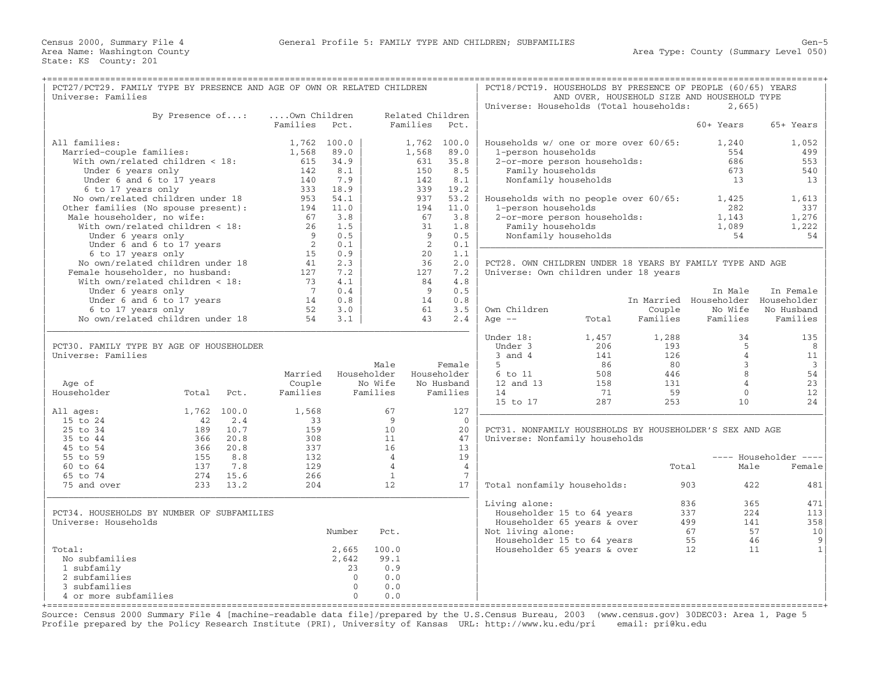| PCT27/PCT29. FAMILY TYPE BY PRESENCE AND AGE OF OWN OR RELATED CHILDREN<br>Universe: Families |                           |             |                |             |                |                  |                 | PCT18/PCT19. HOUSEHOLDS BY PRESENCE OF PEOPLE (60/65) YEARS |       |          | AND OVER, HOUSEHOLD SIZE AND HOUSEHOLD TYPE |                       |
|-----------------------------------------------------------------------------------------------|---------------------------|-------------|----------------|-------------|----------------|------------------|-----------------|-------------------------------------------------------------|-------|----------|---------------------------------------------|-----------------------|
|                                                                                               |                           |             |                |             |                |                  |                 | Universe: Households (Total households:                     |       |          | 2,665)                                      |                       |
|                                                                                               | By Presence of:           |             | Own Children   |             |                | Related Children |                 |                                                             |       |          |                                             |                       |
|                                                                                               |                           |             | Families       | Pct.        |                | Families         | Pct.            |                                                             |       |          | 60+ Years                                   | 65+ Years             |
|                                                                                               |                           |             |                |             |                |                  |                 |                                                             |       |          |                                             |                       |
| All families:                                                                                 |                           |             |                | 1,762 100.0 |                | 1,762 100.0      |                 | Households w/ one or more over 60/65:                       |       |          | 1,240                                       | 1,052                 |
| Married-couple families:                                                                      |                           |             | 1,568          | 89.0        |                | 1,568            | 89.0            | 1-person households                                         |       |          | 554                                         | 499                   |
| With own/related children < 18:                                                               |                           |             | 615            | 34.9        |                | 631              | 35.8            | 2-or-more person households:                                |       |          | 686                                         | 553                   |
| Under 6 years only                                                                            |                           |             | 142            | 8.1         |                | 150              | 8.5             | Family households                                           |       |          | 673                                         | 540                   |
|                                                                                               | Under 6 and 6 to 17 years |             | 140            | 7.9         |                | 142              | 8.1             | Nonfamily households                                        |       |          | 13                                          | 13                    |
| 6 to 17 years only                                                                            |                           |             | 333            | 18.9        |                | 339              | 19.2            |                                                             |       |          |                                             |                       |
| No own/related children under 18                                                              |                           |             | 953            | 54.1        |                | 937              | 53.2            | Households with no people over 60/65:                       |       |          | 1,425                                       | 1,613                 |
| Other families (No spouse present):                                                           |                           |             | 194            | 11.0        |                | 194              | 11.0            | 1-person households                                         |       |          | 282                                         | 337                   |
| Male householder, no wife:                                                                    |                           |             | 67             | 3.8         |                | 67               | 3.8             | 2-or-more person households:                                |       |          | 1,143                                       | 1,276                 |
| With $own/related children < 18$ :                                                            |                           |             | 26             | 1.5         |                | 31               | 1.8             | Family households                                           |       |          | 1,089                                       | 1,222                 |
| Under 6 years only                                                                            |                           |             | 9              | 0.5         |                | 9                | 0.5             | Nonfamily households                                        |       |          | 54                                          | 54                    |
|                                                                                               | Under 6 and 6 to 17 years |             | $\overline{2}$ | 0.1         |                | 2                | 0.1             |                                                             |       |          |                                             |                       |
| 6 to 17 years only                                                                            |                           |             | 15             | 0.9         |                | 20               | 1.1             |                                                             |       |          |                                             |                       |
| No own/related children under 18                                                              |                           |             | 41             | 2.3         |                | 36               | 2.0             | PCT28. OWN CHILDREN UNDER 18 YEARS BY FAMILY TYPE AND AGE   |       |          |                                             |                       |
| Female householder, no husband:                                                               |                           |             | 127            | 7.2         |                | 127              | 7.2             | Universe: Own children under 18 years                       |       |          |                                             |                       |
| With own/related children < 18:                                                               |                           |             | 73             | 4.1         |                | 84               | 4.8             |                                                             |       |          |                                             |                       |
| Under 6 years only                                                                            |                           |             | 7              | 0.4         |                | 9                | 0.5             |                                                             |       |          | In Male                                     | In Female             |
|                                                                                               | Under 6 and 6 to 17 years |             | 14             | 0.8         |                | 14               | 0.8             |                                                             |       |          | In Married Householder Householder          |                       |
| 6 to 17 years only                                                                            |                           |             | 52             | 3.0         |                | 61               | 3.5             | Own Children                                                |       | Couple   | No Wife                                     | No Husband            |
| No own/related children under 18                                                              |                           |             | 54             | 3.1         |                | 43               | 2.4             | Age $--$                                                    | Total | Families | Families                                    | Families              |
|                                                                                               |                           |             |                |             |                |                  |                 | Under 18:                                                   | 1,457 | 1,288    | 34                                          | 135                   |
| PCT30. FAMILY TYPE BY AGE OF HOUSEHOLDER                                                      |                           |             |                |             |                |                  |                 | Under 3                                                     | 206   | 193      | 5                                           | 8                     |
| Universe: Families                                                                            |                           |             |                |             |                |                  |                 | $3$ and $4$                                                 | 141   | 126      | $\overline{4}$                              | 11                    |
|                                                                                               |                           |             |                |             | Male           |                  | Female          | 5                                                           | 86    | 80       | 3                                           | $\overline{3}$        |
|                                                                                               |                           |             | Married        |             | Householder    |                  | Householder     | 6 to 11                                                     | 508   | 446      | 8                                           | 54                    |
| Age of                                                                                        |                           |             | Couple         |             | No Wife        |                  | No Husband      | 12 and 13                                                   | 158   | 131      | $\overline{4}$                              | 23                    |
| Householder                                                                                   | Total                     | Pct.        | Families       |             | Families       |                  | Families        | 14                                                          | 71    | 59       | $\mathbf{0}$                                | 12                    |
|                                                                                               |                           |             |                |             |                |                  |                 | 15 to 17                                                    | 287   | 253      | 10                                          | 24                    |
| All ages:                                                                                     |                           | 1,762 100.0 | 1,568          |             | 67             |                  | 127             |                                                             |       |          |                                             |                       |
| 15 to 24                                                                                      | 42                        | 2.4         | 33             |             | 9              |                  | $\Omega$        |                                                             |       |          |                                             |                       |
| 25 to 34                                                                                      | 189                       | 10.7        | 159            |             | 10             |                  | 20              | PCT31. NONFAMILY HOUSEHOLDS BY HOUSEHOLDER'S SEX AND AGE    |       |          |                                             |                       |
| 35 to 44                                                                                      | 366                       | 20.8        | 308            |             | 11             |                  | 47              | Universe: Nonfamily households                              |       |          |                                             |                       |
| 45 to 54                                                                                      | 366                       | 20.8        | 337            |             | 16             |                  | 13              |                                                             |       |          |                                             |                       |
| 55 to 59                                                                                      | 155                       | 8.8         | 132            |             | $\overline{4}$ |                  | 19              |                                                             |       |          |                                             | ---- Householder ---- |
| 60 to 64                                                                                      | 137                       | 7.8         | 129            |             | $\overline{4}$ |                  | $\overline{4}$  |                                                             |       | Total    | Male                                        | Female                |
| 65 to 74                                                                                      | 274                       | 15.6        | 266            |             | $\mathbf{1}$   |                  | $7\phantom{.0}$ |                                                             |       |          |                                             |                       |
| 75 and over                                                                                   | 233                       | 13.2        | 204            |             | 12             |                  | 17              | Total nonfamily households:                                 |       |          | 422<br>903                                  | 481                   |
|                                                                                               |                           |             |                |             |                |                  |                 | Living alone:                                               |       |          | 836<br>365                                  | 471                   |
| PCT34. HOUSEHOLDS BY NUMBER OF SUBFAMILIES                                                    |                           |             |                |             |                |                  |                 | Householder 15 to 64 years                                  |       |          | 224<br>337                                  | 113                   |
| Universe: Households                                                                          |                           |             |                |             |                |                  |                 | Householder 65 years & over                                 |       |          | 499<br>141                                  | 358                   |
|                                                                                               |                           |             |                | Number      | Pct.           |                  |                 | Not living alone:                                           |       |          | 67                                          | 57<br>10              |
|                                                                                               |                           |             |                |             |                |                  |                 |                                                             |       |          | 55                                          | 46<br>9               |
| Total:                                                                                        |                           |             |                | 2,665       | 100.0          |                  |                 | Householder 15 to 64 years                                  |       |          | 12                                          | $\mathbf{1}$<br>11    |
| No subfamilies                                                                                |                           |             |                |             | 99.1           |                  |                 | Householder 65 years & over                                 |       |          |                                             |                       |
| 1 subfamily                                                                                   |                           |             |                | 2,642<br>23 | 0.9            |                  |                 |                                                             |       |          |                                             |                       |
| 2 subfamilies                                                                                 |                           |             |                | $\Omega$    | 0.0            |                  |                 |                                                             |       |          |                                             |                       |
| 3 subfamilies                                                                                 |                           |             |                | $\Omega$    | 0.0            |                  |                 |                                                             |       |          |                                             |                       |
| 4 or more subfamilies                                                                         |                           |             |                | $\Omega$    | 0.0            |                  |                 |                                                             |       |          |                                             |                       |
|                                                                                               |                           |             |                |             |                |                  |                 |                                                             |       |          |                                             |                       |

+===================================================================================================================================================+ Source: Census 2000 Summary File 4 [machine−readable data file]/prepared by the U.S.Census Bureau, 2003 (www.census.gov) 30DEC03: Area 1, Page 5 Profile prepared by the Policy Research Institute (PRI), University of Kansas URL: http://www.ku.edu/pri email: pri@ku.edu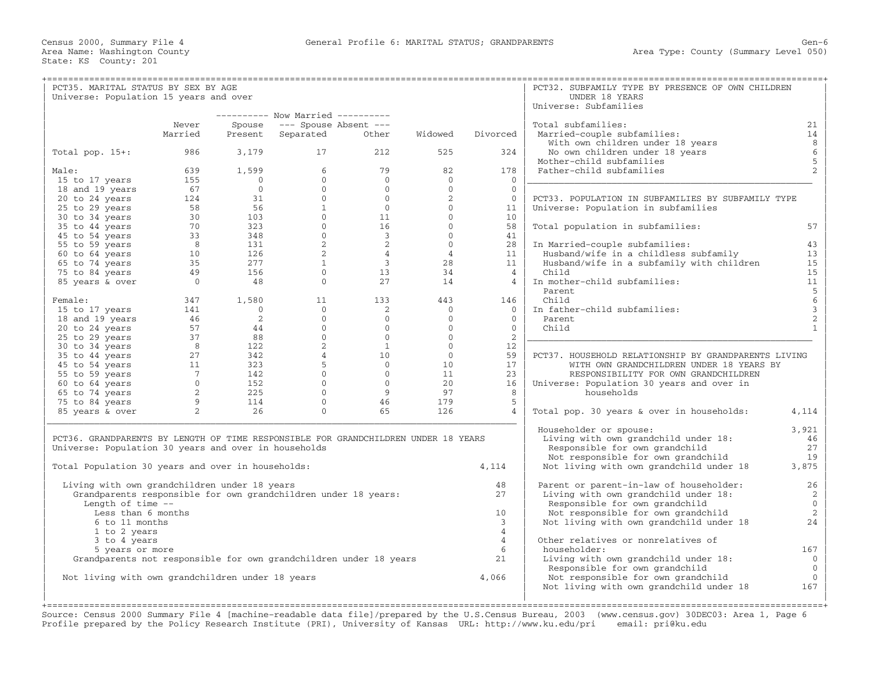| PCT35. MARITAL STATUS BY SEX BY AGE                                                |                |                                                      |                                                          |                         |                |                 | PCT32. SUBFAMILY TYPE BY PRESENCE OF OWN CHILDREN    |                                       |
|------------------------------------------------------------------------------------|----------------|------------------------------------------------------|----------------------------------------------------------|-------------------------|----------------|-----------------|------------------------------------------------------|---------------------------------------|
| Universe: Population 15 years and over                                             |                |                                                      |                                                          |                         |                |                 | UNDER 18 YEARS                                       |                                       |
|                                                                                    |                |                                                      |                                                          |                         |                |                 | Universe: Subfamilies                                |                                       |
|                                                                                    |                |                                                      | ---------- Now Married ----------                        |                         |                |                 |                                                      |                                       |
|                                                                                    | Never          | Spouse                                               | $---$ Spouse Absent $---$                                |                         |                |                 | Total subfamilies:                                   | 21                                    |
|                                                                                    | Married        | Present                                              | Separated                                                | Other                   | Widowed        | Divorced        | Married-couple subfamilies:                          | 14                                    |
|                                                                                    |                |                                                      |                                                          |                         |                |                 | With own children under 18 years                     | $8\phantom{1}$                        |
| Total pop. $15+:$                                                                  | 986            | 3,179                                                | 17                                                       | 212                     | 525            | 324             | No own children under 18 years                       | $\sqrt{6}$                            |
|                                                                                    |                |                                                      |                                                          |                         |                |                 | Mother-child subfamilies                             | $\mathsf S$                           |
| Male:                                                                              | 639            | 1,599                                                | 6                                                        | 79                      | 82             | 178             | Father-child subfamilies                             | $\overline{2}$                        |
| 15 to 17 years                                                                     | 155            | $\overline{0}$                                       | $\circ$                                                  | $\overline{0}$          | $\mathbf{0}$   | $\Omega$        |                                                      |                                       |
| 18 and 19 years                                                                    | 67             |                                                      | $\overline{0}$                                           | $\overline{0}$          | $\mathbf{0}$   | $\mathbf{0}$    |                                                      |                                       |
| 20 to 24 years                                                                     | 124            |                                                      | $\begin{array}{c} 0 \\ 31 \end{array}$<br>$\overline{0}$ | $\overline{0}$          | 2              | $\mathbf{0}$    | PCT33. POPULATION IN SUBFAMILIES BY SUBFAMILY TYPE   |                                       |
| 25 to 29 years                                                                     | 58             | 56                                                   | 1                                                        | $\overline{0}$          | $\Omega$       | 11              | Universe: Population in subfamilies                  |                                       |
| 30 to 34 years                                                                     | 30             | 103                                                  | $\overline{0}$                                           | 11                      | $\mathbf{0}$   | 10 <sup>°</sup> |                                                      |                                       |
| 35 to 44 years                                                                     | 70             | 323                                                  | $0 \qquad \qquad$                                        | 16                      | $\mathbf{0}$   | 58              | Total population in subfamilies:                     | 57                                    |
| 45 to 54 years                                                                     | 33             | 348                                                  | $\overline{0}$                                           | $\overline{\mathbf{3}}$ | $\Omega$       | 41              |                                                      |                                       |
| 55 to 59 years                                                                     | 8 <sup>8</sup> | 131                                                  | $\overline{a}$                                           | 2                       | $\Omega$       | 28              | In Married-couple subfamilies:                       | 43                                    |
|                                                                                    | 10             | 126                                                  | $\overline{a}$                                           | $\overline{4}$          | $\overline{4}$ | 11              | Husband/wife in a childless subfamily                | 13                                    |
| 60 to 64 years<br>65 to 74 years                                                   | 35             | 277                                                  | $\mathbf{1}$                                             | $\mathcal{E}$           | 28             | 11              |                                                      | 15                                    |
|                                                                                    |                |                                                      | $\Omega$                                                 |                         |                |                 | Husband/wife in a subfamily with children            |                                       |
| 75 to 84 years                                                                     | 49             | 156                                                  |                                                          | 13                      | 34             | $\overline{4}$  | Child                                                | 15                                    |
| 85 years & over                                                                    | $\overline{0}$ | 48                                                   | $\Omega$                                                 | 27                      | 14             | 4               | In mother-child subfamilies:                         | $11\,$                                |
|                                                                                    |                |                                                      |                                                          |                         |                |                 | Parent                                               | $\begin{array}{c} 5 \\ 6 \end{array}$ |
| Female:                                                                            | 347            | 1,580                                                | 11                                                       | 133                     | 443            | 146             | Child                                                |                                       |
| 15 to 17 years                                                                     | 141            | $\overline{0}$                                       | $\overline{0}$                                           | $\overline{2}$          | $\overline{0}$ | $\Omega$        | In father-child subfamilies:                         | $\mathsf 3$                           |
| 18 and 19 years                                                                    | 46             | 2                                                    | $\Omega$                                                 | $\Omega$                | $\Omega$       | $\Omega$        | Parent                                               | $\sqrt{2}$                            |
| 20 to 24 years                                                                     | 57             |                                                      | $\overline{0}$<br>$\frac{44}{88}$                        | $\overline{0}$          | $\overline{0}$ | $\overline{0}$  | Child                                                | $\mathbf{1}$                          |
| 25 to 29 years                                                                     | 37             |                                                      | $\overline{0}$                                           | $\overline{0}$          | $\mathbf{0}$   | 2               |                                                      |                                       |
| 30 to 34 years                                                                     | 8 <sup>8</sup> | $\frac{122}{342}$<br>$\frac{1}{7}$<br>$\frac{32}{1}$ | $\overline{a}$                                           | $\overline{1}$          | $\Omega$       | 12              |                                                      |                                       |
| 35 to 44 years                                                                     | 27             |                                                      | $\overline{4}$                                           | 10                      | $\overline{0}$ | 59              | PCT37. HOUSEHOLD RELATIONSHIP BY GRANDPARENTS LIVING |                                       |
| 45 to 54 years                                                                     | 11             |                                                      | 5                                                        | $\overline{0}$          | 10             | 17              | WITH OWN GRANDCHILDREN UNDER 18 YEARS BY             |                                       |
| 55 to 59 years                                                                     | $\overline{7}$ |                                                      | $\Omega$                                                 | $\bigcirc$              | 11             | 23              | RESPONSIBILITY FOR OWN GRANDCHILDREN                 |                                       |
| 60 to 64 years                                                                     |                |                                                      | $\Omega$                                                 | $\overline{0}$          | 2.0            | 16              | Universe: Population 30 years and over in            |                                       |
| 65 to 74 years                                                                     | $\overline{2}$ | 225                                                  | $\Omega$                                                 | -9                      | 97             | 8               | households                                           |                                       |
| 75 to 84 years                                                                     | 9              | 114                                                  | $\Omega$                                                 | 46                      | 179            | 5               |                                                      |                                       |
| 85 years & over                                                                    | 2              | 26                                                   | $\mathbf{0}$                                             | 65                      | 126            | $\overline{4}$  | Total pop. 30 years & over in households:            | 4,114                                 |
|                                                                                    |                |                                                      |                                                          |                         |                |                 |                                                      |                                       |
|                                                                                    |                |                                                      |                                                          |                         |                |                 | Householder or spouse:                               | 3,921                                 |
| PCT36. GRANDPARENTS BY LENGTH OF TIME RESPONSIBLE FOR GRANDCHILDREN UNDER 18 YEARS |                |                                                      |                                                          |                         |                |                 | Living with own grandchild under 18:                 | 46                                    |
| Universe: Population 30 years and over in households                               |                |                                                      |                                                          |                         |                |                 | Responsible for own grandchild                       | 27                                    |
|                                                                                    |                |                                                      |                                                          |                         |                |                 | Not responsible for own grandchild                   | 19                                    |
| Total Population 30 years and over in households:                                  |                |                                                      |                                                          |                         |                | 4,114           | Not living with own grandchild under 18              | 3,875                                 |
|                                                                                    |                |                                                      |                                                          |                         |                |                 |                                                      |                                       |
|                                                                                    |                |                                                      |                                                          |                         |                |                 |                                                      |                                       |
| Living with own grandchildren under 18 years                                       |                |                                                      |                                                          |                         |                | 48              | Parent or parent-in-law of householder:              | 26                                    |
| Grandparents responsible for own grandchildren under 18 years:                     |                |                                                      |                                                          |                         |                | 2.7             | Living with own grandchild under 18:                 | 2                                     |
| Length of time --                                                                  |                |                                                      |                                                          |                         |                |                 | Responsible for own grandchild                       | $\mathbf 0$                           |
| Less than 6 months                                                                 |                |                                                      |                                                          |                         |                | 10              | Not responsible for own grandchild                   | 2                                     |
| 6 to 11 months                                                                     |                |                                                      |                                                          |                         |                | $\overline{3}$  | Not living with own grandchild under 18              | 24                                    |
| 1 to 2 years                                                                       |                |                                                      |                                                          |                         |                | $\overline{4}$  |                                                      |                                       |
| 3 to 4 years                                                                       |                |                                                      |                                                          |                         |                | $\overline{4}$  | Other relatives or nonrelatives of                   |                                       |
| 5 years or more                                                                    |                |                                                      |                                                          |                         |                | 6               | householder:                                         | 167                                   |
| Grandparents not responsible for own grandchildren under 18 years                  |                |                                                      |                                                          |                         |                | 21              | Living with own grandchild under 18:                 | $\mathbf{0}$                          |
|                                                                                    |                |                                                      |                                                          |                         |                |                 | Responsible for own grandchild                       | $\mathbf 0$                           |
| Not living with own grandchildren under 18 years                                   |                |                                                      |                                                          |                         |                | 4,066           | Not responsible for own grandchild                   | $\mathbf 0$                           |
|                                                                                    |                |                                                      |                                                          |                         |                |                 | Not living with own grandchild under 18              | 167                                   |

+===================================================================================================================================================+ Source: Census 2000 Summary File 4 [machine−readable data file]/prepared by the U.S.Census Bureau, 2003 (www.census.gov) 30DEC03: Area 1, Page 6 Profile prepared by the Policy Research Institute (PRI), University of Kansas URL: http://www.ku.edu/pri email: pri@ku.edu

| | |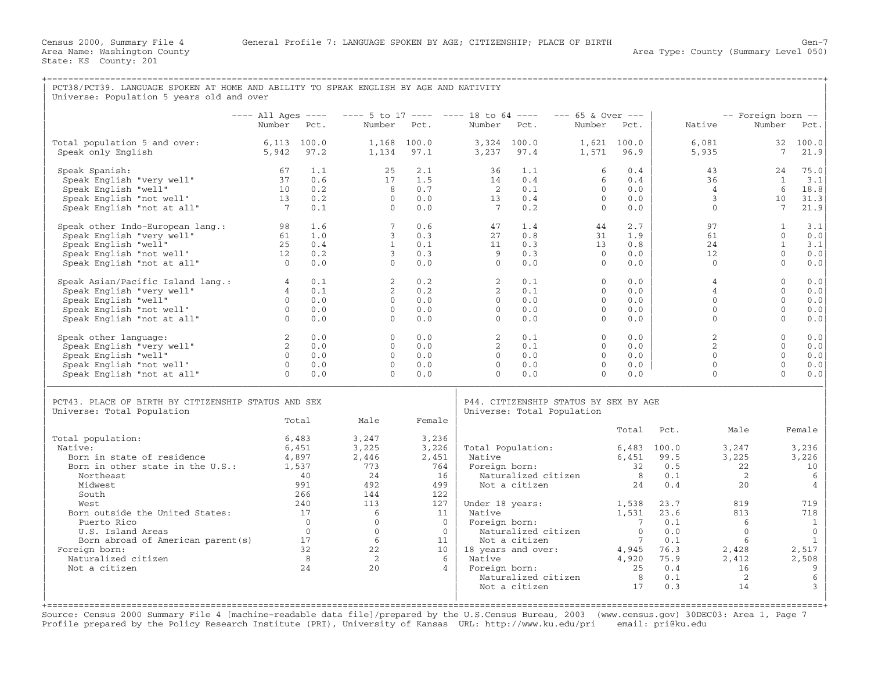| PCT38/PCT39. LANGUAGE SPOKEN AT HOME AND ABILITY TO SPEAK ENGLISH BY AGE AND NATIVITY<br>Universe: Population 5 years old and over                                                                                                                                                                               |                                                                                |                                                                                                                   |                                                                                                                                       |                                                                                                                                    |                                                                                |                                                                                                                                 |                                                                                                                    |                                                                                                                                                 |                                                                                         |                                                                                                                                     |                                                                                                                                           |
|------------------------------------------------------------------------------------------------------------------------------------------------------------------------------------------------------------------------------------------------------------------------------------------------------------------|--------------------------------------------------------------------------------|-------------------------------------------------------------------------------------------------------------------|---------------------------------------------------------------------------------------------------------------------------------------|------------------------------------------------------------------------------------------------------------------------------------|--------------------------------------------------------------------------------|---------------------------------------------------------------------------------------------------------------------------------|--------------------------------------------------------------------------------------------------------------------|-------------------------------------------------------------------------------------------------------------------------------------------------|-----------------------------------------------------------------------------------------|-------------------------------------------------------------------------------------------------------------------------------------|-------------------------------------------------------------------------------------------------------------------------------------------|
|                                                                                                                                                                                                                                                                                                                  | $---$ All Ages $---$                                                           |                                                                                                                   | $--- 5$ to 17 $--- 18$ to 64 $---$                                                                                                    |                                                                                                                                    |                                                                                |                                                                                                                                 | $--- 65$ & Over $---$                                                                                              |                                                                                                                                                 |                                                                                         | -- Foreign born --                                                                                                                  |                                                                                                                                           |
|                                                                                                                                                                                                                                                                                                                  | Number                                                                         | Pct.                                                                                                              | Number                                                                                                                                | Pct.                                                                                                                               | Number                                                                         | Pct.                                                                                                                            | Number Pct.                                                                                                        |                                                                                                                                                 | Native                                                                                  | Number                                                                                                                              | Pct.                                                                                                                                      |
| Total population 5 and over:<br>Speak only English                                                                                                                                                                                                                                                               | $6,113$ $100.0$<br>5,942                                                       | 97.2                                                                                                              | 1,134                                                                                                                                 | 1,168 100.0<br>97.1                                                                                                                | 3,237                                                                          | 3,324 100.0<br>97.4                                                                                                             | 1,571                                                                                                              | $1,621$ 100.0<br>96.9                                                                                                                           | 6,081<br>5,935                                                                          | 7                                                                                                                                   | 32 100.0<br>21.9                                                                                                                          |
| Speak Spanish:<br>Speak Spanish: 67 1.1<br>Speak English "very well" 37 0.6<br>Speak English "well" 10 0.2<br>Speak English "not well" 13 0.2<br>Speak English "not at all"                                                                                                                                      | $7\overline{ }$                                                                | 0.1                                                                                                               | 25<br>17<br>8 <sup>1</sup><br>$\bigcirc$<br>$\bigcap$                                                                                 | 2.1<br>1.5<br>0.7<br>0.0<br>0.0                                                                                                    | 36<br>14<br>$\overline{2}$<br>13<br>$\overline{7}$                             | 1.1<br>0.4<br>0.1<br>0.4<br>0.2                                                                                                 | 6<br>6<br>$\overline{0}$<br>$\Omega$<br>$\Omega$                                                                   | 0.4<br>0.4<br>0.0<br>0.0<br>0.0                                                                                                                 | 43<br>36<br>$\overline{4}$<br>3<br>$\Omega$                                             | 24<br>$\overline{1}$<br>6<br>10<br>7                                                                                                | 75.0<br>3.1<br>18.8<br>31.3<br>21.9                                                                                                       |
|                                                                                                                                                                                                                                                                                                                  |                                                                                |                                                                                                                   | $7^{\circ}$<br>$3^{\circ}$<br>$\overline{1}$<br>$\overline{3}$<br>$\Omega$                                                            | 0.6<br>0.3<br>0.1<br>0.3<br>0.0                                                                                                    | 47<br>27<br>11<br>9<br>$\Omega$                                                | 1.4<br>0.8<br>0.3<br>0.3<br>0.0                                                                                                 | 44<br>31<br>13<br>$\bigcirc$<br>$\Omega$                                                                           | 2.7<br>1.9<br>0.8<br>0.0<br>0.0                                                                                                                 | 97<br>61<br>24<br>12<br>$\mathbf{0}$                                                    | $\mathbf{1}$<br>$\Omega$<br>$\overline{1}$<br>$\Omega$<br>$\Omega$                                                                  | 3.1<br>0.0<br>3.1<br>0.0<br>0.0                                                                                                           |
| Speak Asian/Pacific Island lang.:<br>Speak English "very well"<br>Speak English "well"<br>O Speak English "not well"<br>O Speak English "not at all"<br>O                                                                                                                                                        |                                                                                | 0.1<br>0.1<br>0.0<br>0.0<br>0.0                                                                                   | $\overline{2}$<br>$2^{\circ}$<br>$\Omega$<br>$\Omega$<br>$\Omega$                                                                     | 0.2<br>0.2<br>0.0<br>0.0<br>0.0                                                                                                    | 2<br>$2^{\circ}$<br>$\bigcirc$<br>$\Omega$<br>$\Omega$                         | 0.1<br>0.1<br>0.0<br>0.0<br>0.0                                                                                                 | $\Omega$<br>$\overline{0}$<br>$\Omega$<br>$\Omega$<br>$\Omega$                                                     | 0.0<br>0.0<br>0.0<br>0.0<br>0.0                                                                                                                 | $\overline{4}$<br>$\overline{4}$<br>$\Omega$<br>$\Omega$<br>$\Omega$                    | $\Omega$<br>$\Omega$<br>$\Omega$<br>$\Omega$<br>$\Omega$                                                                            | 0.0<br>0.0<br>0.0<br>0.0<br>0.0                                                                                                           |
| Speak other language:<br>Speak English "very well"<br>Speak English "well"<br>Speak English "not well"<br>Speak English "not at all"                                                                                                                                                                             | $\begin{array}{c} 2 \\ 2 \\ 0 \end{array}$<br>$\overline{0}$<br>$\overline{0}$ | 0.0<br>0.0<br>0.0<br>0.0<br>0.0                                                                                   | $\overline{0}$<br>$\Omega$<br>$\overline{0}$<br>$\overline{0}$<br>$\Omega$                                                            | 0.0<br>0.0<br>0.0<br>0.0<br>0.0                                                                                                    | $\overline{\phantom{a}}$ 2<br>$\sim$ 2<br>$\overline{0}$<br>$\Omega$<br>$\cap$ | 0.1<br>0.1<br>0.0<br>0.0<br>0.0                                                                                                 | $\overline{0}$<br>$\Omega$<br>$\overline{0}$<br>$\Omega$<br>$\cap$                                                 | 0.0<br>0.0<br>0.0<br>0.0<br>0.0                                                                                                                 | $\overline{2}$<br>$\mathfrak{D}$<br>$\Omega$<br>$\Omega$<br>$\mathbf{0}$                | $\Omega$<br>$\Omega$<br>$\Omega$<br>$\Omega$<br>$\Omega$                                                                            | 0.0<br>0.0<br>0.0<br>0.0<br>0.0                                                                                                           |
| PCT43. PLACE OF BIRTH BY CITIZENSHIP STATUS AND SEX<br>Universe: Total Population                                                                                                                                                                                                                                |                                                                                | Total                                                                                                             | Male                                                                                                                                  | Female                                                                                                                             |                                                                                |                                                                                                                                 | P44. CITIZENSHIP STATUS BY SEX BY AGE<br>Universe: Total Population                                                |                                                                                                                                                 |                                                                                         |                                                                                                                                     |                                                                                                                                           |
| Total population:<br>Native:<br>Born in state of residence<br>Born in other state in the U.S.:<br>Northeast<br>Midwest<br>South<br>West<br>Born outside the United States:<br>Puerto Rico<br>U.S. Island Areas<br>Born abroad of American parent (s) 17<br>Foreign born:<br>Naturalized citizen<br>Not a citizen | 4,897<br>1,537                                                                 | 6,483<br>6,451<br>40<br>991<br>266<br>240<br>17<br>$\overline{0}$<br>$\overline{0}$<br>32<br>8 <sup>8</sup><br>24 | 3,247<br>3,225<br>2,446<br>773<br>24<br>492<br>144<br>113<br>6<br>$\overline{0}$<br>$\overline{0}$<br>6<br>22<br>$\overline{2}$<br>20 | 3,236<br>3,226<br>2,451<br>764<br>16<br>499<br>122<br>127<br>11<br>$\overline{0}$<br>$\overline{0}$  <br>11<br>6<br>$\overline{4}$ | Native<br>Native<br>$10\,$   18 years and over:<br>Native                      | Foreign born:<br>Naturalized citizen<br>Not a citizen<br>Foreign born:<br>Naturalized citizen<br>Not a citizen<br>Foreign born: | Total Population: 6,483 100.0<br>Under $18 \text{ years:}$ $1,538$<br>Naturalized citizen 1988<br>Not a citizen 11 | Total<br>6,451 99.5<br>8 <sup>1</sup><br>24<br>1,531<br>$\overline{7}$<br>$\overline{0}$<br>$\overline{7}$<br>4,945 76.3<br>4,920 75.9<br>250.4 | Pct.<br>32 0.5<br>0.1<br>0.4<br>23.7<br>23.6<br>0.1<br>0.0<br>0.1<br>75.9<br>0.1<br>0.3 | Male<br>3,247<br>3,225<br>22<br>$\overline{2}$<br>20<br>819<br>813<br>6<br>$\overline{0}$<br>6<br>2,428<br>$2, 42$<br>16<br>2<br>14 | Female<br>3,236<br>3,226<br>10<br>6<br>4<br>719<br>718<br>1<br>$\mathbf{0}$<br>$\mathbf{1}$<br>2,517<br>2,508<br>9<br>6<br>$\overline{3}$ |

+===================================================================================================================================================+ Source: Census 2000 Summary File 4 [machine−readable data file]/prepared by the U.S.Census Bureau, 2003 (www.census.gov) 30DEC03: Area 1, Page 7 Profile prepared by the Policy Research Institute (PRI), University of Kansas URL: http://www.ku.edu/pri email: pri@ku.edu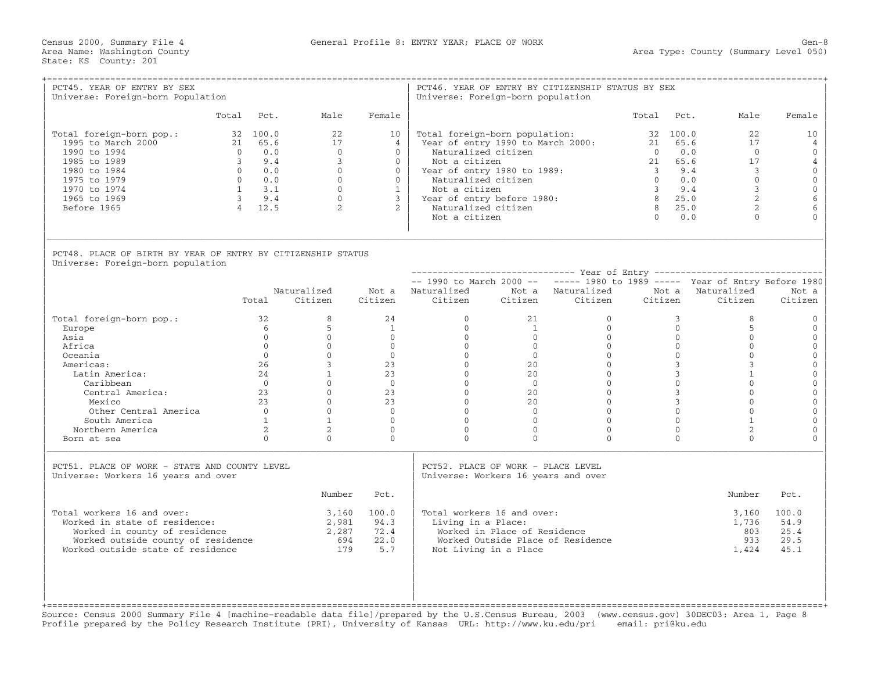| PCT45. YEAR OF ENTRY BY SEX<br>Universe: Foreign-born Population                                                                                                        |                                                   |                                                                                       | ====================================                                                                 |                                                                                                               | Universe: Foreign-born population                                                                                                                                                                                   |                                                       | PCT46. YEAR OF ENTRY BY CITIZENSHIP STATUS BY SEX                             |                                                           |                                                                                 |                                                                                                       |                                                                                                                                                    |
|-------------------------------------------------------------------------------------------------------------------------------------------------------------------------|---------------------------------------------------|---------------------------------------------------------------------------------------|------------------------------------------------------------------------------------------------------|---------------------------------------------------------------------------------------------------------------|---------------------------------------------------------------------------------------------------------------------------------------------------------------------------------------------------------------------|-------------------------------------------------------|-------------------------------------------------------------------------------|-----------------------------------------------------------|---------------------------------------------------------------------------------|-------------------------------------------------------------------------------------------------------|----------------------------------------------------------------------------------------------------------------------------------------------------|
|                                                                                                                                                                         | Total                                             | Pct.                                                                                  | Male                                                                                                 | Female                                                                                                        |                                                                                                                                                                                                                     |                                                       |                                                                               | Total                                                     | Pct.                                                                            | Male                                                                                                  | Female                                                                                                                                             |
| Total foreign-born pop.:<br>1995 to March 2000<br>1990 to 1994<br>1985 to 1989<br>1980 to 1984<br>1975 to 1979<br>1970 to 1974<br>1965 to 1969<br>Before 1965           | $\bigcap$<br>$\overline{\mathbf{3}}$<br>$\bigcap$ | 32 100.0<br>21 65.6<br>0.0<br>9.4<br>0.0<br>0.0<br>$1 \t 3.1$<br>$3 \t 9.4$<br>4 12.5 | 22<br>17<br>$\Omega$<br>$\mathbf{3}$<br>$\Omega$<br>$\Omega$<br>$\Omega$<br>$\cap$<br>$\overline{2}$ | 10<br>$\overline{4}$<br>$\Omega$<br>$\Omega$<br>$\Omega$<br>$\Omega$<br>$\overline{1}$<br>3<br>$\overline{a}$ | Total foreign-born population:<br>Naturalized citizen<br>Not a citizen<br>Year of entry 1980 to 1989:<br>Naturalized citizen<br>Not a citizen<br>Year of entry before 1980:<br>Naturalized citizen<br>Not a citizen |                                                       | Year of entry 1990 to March 2000:                                             | 21<br>$\cap$<br>$3 \t 9.4$<br>$\bigcirc$<br>8<br>$\Omega$ | 32 100.0<br>65.6<br>0.0<br>21 65.6<br>0.0<br>$3^{9.4}$<br>8 25.0<br>25.0<br>0.0 | 22<br>17<br>$\Omega$<br>17<br>$\mathcal{E}$<br>$\Omega$<br>$\overline{3}$<br>$2^{1}$<br>2<br>$\Omega$ | 10 <sup>°</sup><br>$\overline{4}$<br>$\Omega$<br>$\overline{4}$<br>$\mathbf{0}$<br>$\mathbf{O}$<br>$\mathbf 0$<br>$6\phantom{1}6$<br>6<br>$\Omega$ |
| PCT48. PLACE OF BIRTH BY YEAR OF ENTRY BY CITIZENSHIP STATUS<br>Universe: Foreign-born population                                                                       |                                                   |                                                                                       |                                                                                                      |                                                                                                               |                                                                                                                                                                                                                     |                                                       |                                                                               |                                                           |                                                                                 |                                                                                                       |                                                                                                                                                    |
|                                                                                                                                                                         |                                                   |                                                                                       |                                                                                                      |                                                                                                               |                                                                                                                                                                                                                     |                                                       | $--$ 1990 to March 2000 -- $---$ 1980 to 1989 ----- Year of Entry Before 1980 |                                                           |                                                                                 |                                                                                                       |                                                                                                                                                    |
|                                                                                                                                                                         |                                                   | Total                                                                                 | Naturalized<br>Citizen                                                                               | Citizen                                                                                                       | Not a Naturalized<br>Citizen                                                                                                                                                                                        |                                                       | Not a Naturalized<br>Citizen Citizen                                          | Not a<br>Citizen                                          |                                                                                 | Naturalized<br>Citizen                                                                                | Not a<br>Citizen                                                                                                                                   |
| Total foreign-born pop.:<br>Europe<br>Asia                                                                                                                              |                                                   | 32<br>6<br>$\Omega$                                                                   | 8<br>5<br>$\Omega$                                                                                   | 24<br>$\mathbf{1}$<br>$\overline{0}$                                                                          | $\Omega$<br>$\overline{0}$<br>$\overline{0}$                                                                                                                                                                        | 21<br>$\mathbf{1}$<br>$\overline{0}$                  | $\Omega$<br>$\Omega$<br>$\Omega$                                              |                                                           | 3<br>$\Omega$<br>$\overline{0}$                                                 | 8<br>5<br>$\mathbf{0}$                                                                                | $\Omega$<br>$\mathbf{0}$<br>$\mathbf{0}$                                                                                                           |
| Africa<br>Oceania                                                                                                                                                       |                                                   | $\Omega$<br>$\Omega$                                                                  | $\Omega$<br>$\Omega$                                                                                 | $\Omega$<br>$\overline{0}$                                                                                    | $\Omega$<br>$\Omega$                                                                                                                                                                                                | $\Omega$<br>$\Omega$                                  | $\Omega$<br>$\Omega$                                                          |                                                           | $\Omega$<br>$\overline{0}$                                                      | $\Omega$<br>$\Omega$                                                                                  | $\mathbf{0}$<br>$\mathbf{0}$                                                                                                                       |
| Americas:                                                                                                                                                               |                                                   | 26                                                                                    | $\mathcal{E}$                                                                                        | 23                                                                                                            | $\Omega$                                                                                                                                                                                                            | 20 <sup>2</sup>                                       | $\Omega$                                                                      |                                                           | $\overline{3}$                                                                  | 3                                                                                                     | $\mathbf{O}$                                                                                                                                       |
| Latin America:                                                                                                                                                          |                                                   | 24                                                                                    | $\mathbf{1}$                                                                                         | 23                                                                                                            | $\Omega$                                                                                                                                                                                                            | 20                                                    | $\Omega$                                                                      |                                                           | $3^{\circ}$                                                                     | $\mathbf{1}$                                                                                          | $\mathbf{O}$                                                                                                                                       |
| Caribbean<br>Central America:                                                                                                                                           |                                                   | $\bigcap$<br>23                                                                       | $\cap$<br>$\Omega$                                                                                   | $\Omega$<br>23                                                                                                | $\Omega$<br>$\overline{0}$                                                                                                                                                                                          | $\bigcap$<br>20                                       | $\cap$<br>$\Omega$                                                            |                                                           | $\Omega$<br>$\mathbf{3}$                                                        | $\cap$<br>$\Omega$                                                                                    | $\mathbf{O}$<br>$\mathbf{0}$                                                                                                                       |
| Mexico                                                                                                                                                                  |                                                   | $23 -$                                                                                | $\Omega$                                                                                             | 2.3                                                                                                           | $\Omega$                                                                                                                                                                                                            | $20^{\circ}$                                          | $\Omega$                                                                      |                                                           | 3 <sup>7</sup>                                                                  | $\Omega$                                                                                              | $\Omega$                                                                                                                                           |
| Other Central America                                                                                                                                                   |                                                   | $\Omega$                                                                              | $\Omega$                                                                                             | $\bigcap$                                                                                                     | $\Omega$                                                                                                                                                                                                            | $\Omega$                                              | $\Omega$                                                                      |                                                           | $\Omega$                                                                        | $\Omega$                                                                                              | $\mathbf{0}$                                                                                                                                       |
| South America                                                                                                                                                           |                                                   | $\mathbf{1}$                                                                          | $\mathbf{1}$                                                                                         | $\overline{0}$                                                                                                | $\mathbf{0}$                                                                                                                                                                                                        | $\mathbf{0}$                                          | $\Omega$                                                                      |                                                           | $\overline{0}$                                                                  | $\mathbf{1}$                                                                                          | $\mathbf{0}$                                                                                                                                       |
| Northern America                                                                                                                                                        |                                                   | 2                                                                                     | $\overline{2}$                                                                                       | $\Omega$                                                                                                      | $\Omega$                                                                                                                                                                                                            | $\Omega$                                              | $\Omega$                                                                      |                                                           | $\mathbf{0}$                                                                    | 2                                                                                                     | $\mathbf{0}$                                                                                                                                       |
| Born at sea                                                                                                                                                             |                                                   | $\Omega$                                                                              | $\Omega$                                                                                             | $\Omega$                                                                                                      | $\Omega$                                                                                                                                                                                                            | $\Omega$                                              | $\Omega$                                                                      |                                                           | $\Omega$                                                                        | $\Omega$                                                                                              | $\Omega$                                                                                                                                           |
| PCT51. PLACE OF WORK - STATE AND COUNTY LEVEL<br>Universe: Workers 16 years and over                                                                                    |                                                   |                                                                                       |                                                                                                      |                                                                                                               | PCT52. PLACE OF WORK - PLACE LEVEL<br>Universe: Workers 16 years and over                                                                                                                                           |                                                       |                                                                               |                                                           |                                                                                 |                                                                                                       |                                                                                                                                                    |
|                                                                                                                                                                         |                                                   |                                                                                       | Number                                                                                               | Pct.                                                                                                          |                                                                                                                                                                                                                     |                                                       |                                                                               |                                                           |                                                                                 | Number                                                                                                | Pct.                                                                                                                                               |
| Total workers 16 and over:<br>Worked in state of residence:<br>Worked in county of residence<br>Worked outside county of residence<br>Worked outside state of residence |                                                   |                                                                                       | 3,160<br>2,981<br>2,287<br>694<br>179                                                                | 100.0<br>94.3<br>72.4<br>22.0<br>5.7                                                                          | Total workers 16 and over:<br>Living in a Place:                                                                                                                                                                    | Worked in Place of Residence<br>Not Living in a Place | Worked Outside Place of Residence                                             |                                                           |                                                                                 | 3,160<br>1,736<br>803<br>933<br>1,424                                                                 | 100.0<br>54.9<br>25.4<br>29.5<br>45.1                                                                                                              |

+===================================================================================================================================================+ Source: Census 2000 Summary File 4 [machine−readable data file]/prepared by the U.S.Census Bureau, 2003 (www.census.gov) 30DEC03: Area 1, Page 8 Profile prepared by the Policy Research Institute (PRI), University of Kansas URL: http://www.ku.edu/pri email: pri@ku.edu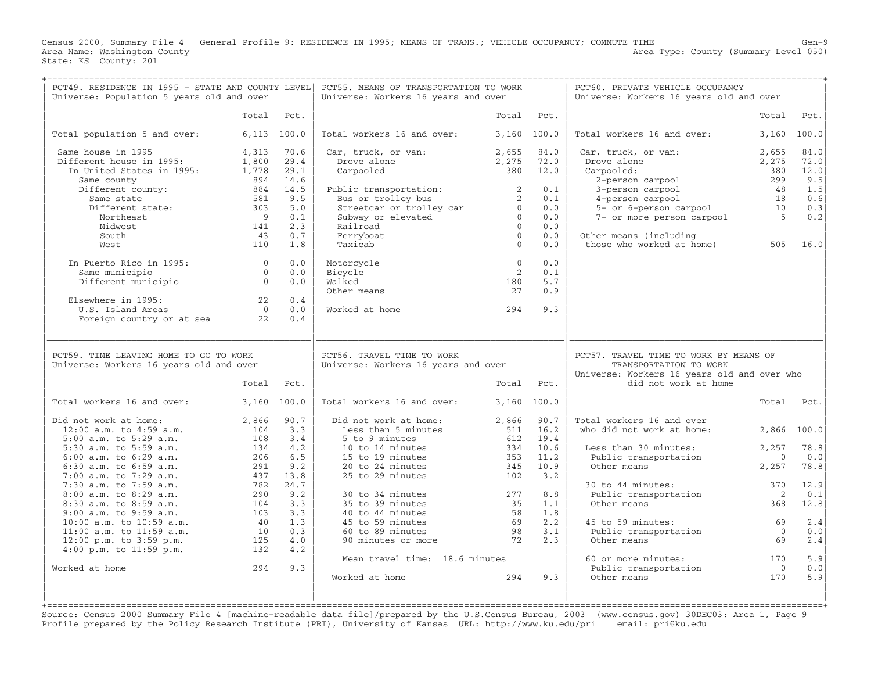Census 2000, Summary File 4 General Profile 9: RESIDENCE IN 1995; MEANS OF TRANS.; VEHICLE OCCUPANCY; COMMUTE TIME<br>Area Name: Washington County Level 050) Area Name: Washington County Area Type: County (Summary Level 050) State: KS County: 201

| PCT49. RESIDENCE IN 1995 - STATE AND COUNTY LEVEL <br>Universe: Population 5 years old and over |                |              | PCT55. MEANS OF TRANSPORTATION TO WORK<br>Universe: Workers 16 years and over                                                             |                             |              | PCT60. PRIVATE VEHICLE OCCUPANCY<br>Universe: Workers 16 years old and over                                                                                                    |                |              |
|-------------------------------------------------------------------------------------------------|----------------|--------------|-------------------------------------------------------------------------------------------------------------------------------------------|-----------------------------|--------------|--------------------------------------------------------------------------------------------------------------------------------------------------------------------------------|----------------|--------------|
|                                                                                                 | Total          | Pct.         |                                                                                                                                           | Total                       | Pct.         |                                                                                                                                                                                | Total          | Pct.         |
| Total population 5 and over:                                                                    | $6,113$ 100.0  |              | Total workers 16 and over:                                                                                                                | 3,160 100.0                 |              | Total workers 16 and over:                                                                                                                                                     | 3,160          | 100.0        |
| Same house in 1995<br>Different house in 1995:                                                  | 4,313<br>1,800 | 70.6<br>29.4 | Car, truck, or van:<br>Drove alone                                                                                                        | 2,655<br>2,275              | 84.0<br>72.0 | Car, truck, or van:<br>Drove alone                                                                                                                                             | 2,655<br>2,275 | 84.0<br>72.0 |
| In United States in 1995:<br>Same county                                                        | 1,778<br>894   | 29.1<br>14.6 | Carpooled                                                                                                                                 | 380 12.0                    |              | Carpooled:<br>arpooled:<br>2-person carpool 299 9.5<br>4-person carpool 299 9.5<br>4-person carpool 18 0.6<br>5- or 6-person carpool 10 0.3<br>7- or more person carpool 5 0.2 | 380            | 12.0         |
| Different county:                                                                               | 884            | 14.5         | Public transportation:<br>Bus or trolley bus<br>2 Streetcar or trolley car<br>Subway or elevated<br>Railroad<br>Perryboat<br>Taxicab<br>0 |                             | 0.1          |                                                                                                                                                                                |                |              |
| Same state<br>Different state:                                                                  | 581            | 9.5          |                                                                                                                                           |                             | 0.1          |                                                                                                                                                                                |                |              |
|                                                                                                 | 303            | 5.0          |                                                                                                                                           |                             | 0.0          |                                                                                                                                                                                |                |              |
| Northeast                                                                                       | 9              | 0.1          |                                                                                                                                           |                             | 0.0          |                                                                                                                                                                                |                |              |
| Midwest                                                                                         | 141            | 2.3          |                                                                                                                                           |                             | 0.0          |                                                                                                                                                                                |                |              |
| South                                                                                           | 43             | 0.7          |                                                                                                                                           |                             | 0.0          | Other means (including                                                                                                                                                         |                |              |
| West                                                                                            | 110            | 1.8          |                                                                                                                                           |                             | 0.0          | those who worked at home) 505 16.0                                                                                                                                             |                |              |
|                                                                                                 |                |              |                                                                                                                                           |                             |              |                                                                                                                                                                                |                |              |
| In Puerto Rico in 1995: 0                                                                       |                | 0.0          | Motorcycle                                                                                                                                | $\overline{0}$              | 0.0          |                                                                                                                                                                                |                |              |
| Same municipio                                                                                  | $\overline{0}$ | 0.0          | Bicycle                                                                                                                                   | $\overline{2}$              | 0.1          |                                                                                                                                                                                |                |              |
| Different municipio 0                                                                           |                | 0.0          | Walked                                                                                                                                    | 180                         | 5.7          |                                                                                                                                                                                |                |              |
|                                                                                                 |                |              | Other means                                                                                                                               | 27                          | 0.9          |                                                                                                                                                                                |                |              |
| Elsewhere in 1995:                                                                              | $22 \t 0.4$    |              |                                                                                                                                           |                             |              |                                                                                                                                                                                |                |              |
| U.S. Island Areas                                                                               |                | $0 \t 0.0$   | Worked at home                                                                                                                            | 294                         | 9.3          |                                                                                                                                                                                |                |              |
| Foreign country or at sea 22                                                                    |                | 0.4          |                                                                                                                                           |                             |              |                                                                                                                                                                                |                |              |
|                                                                                                 |                |              |                                                                                                                                           |                             |              |                                                                                                                                                                                |                |              |
| PCT59. TIME LEAVING HOME TO GO TO WORK<br>Universe: Workers 16 years old and over               |                |              | PCT56. TRAVEL TIME TO WORK<br>Universe: Workers 16 years and over                                                                         |                             |              | PCT57. TRAVEL TIME TO WORK BY MEANS OF<br>TRANSPORTATION TO WORK                                                                                                               |                |              |
|                                                                                                 | Total          | Pct.         |                                                                                                                                           |                             | Total Pct.   | Universe: Workers 16 years old and over who<br>did not work at home                                                                                                            |                |              |
| Total workers 16 and over:                                                                      | 3,160 100.0    |              | Total workers 16 and over:                                                                                                                |                             | 3,160 100.0  |                                                                                                                                                                                |                | Total Pct.   |
| Did not work at home:                                                                           | 2,866 90.7     |              | Did not work at home:                                                                                                                     |                             | 2,866 90.7   | Total workers 16 and over                                                                                                                                                      |                |              |
| $12:00$ a.m. to $4:59$ a.m.                                                                     | 104            | 3.3          | Less than 5 minutes                                                                                                                       |                             | 511 16.2     | who did not work at home:                                                                                                                                                      |                | 2,866 100.0  |
| 5:00 a.m. to 5:29 a.m.                                                                          | 108            | 3.4          | 5 to 9 minutes                                                                                                                            |                             | 612 19.4     |                                                                                                                                                                                |                |              |
| 5:30 a.m. to 5:59 a.m.                                                                          | 134            | 4.2          | 10 to 14 minutes                                                                                                                          | 334                         | 10.6         | Less than 30 minutes:                                                                                                                                                          | 2,257          | 78.8         |
| $6:00$ a.m. to $6:29$ a.m.                                                                      | 206            | 6.5          | 15 to 19 minutes                                                                                                                          | 353                         | 11.2         | Public transportation                                                                                                                                                          | $\overline{0}$ | 0.0          |
| $6:30$ a.m. to $6:59$ a.m.                                                                      | 291            | 9.2          | 20 to 24 minutes                                                                                                                          | 345                         | 10.9         | Other means                                                                                                                                                                    | 2,257          | 78.8         |
| $7:00$ a.m. to $7:29$ a.m.                                                                      |                | 437 13.8     | 25 to 29 minutes                                                                                                                          | 102                         | 3.2          |                                                                                                                                                                                |                |              |
| 7:30 a.m. to 7:59 a.m.                                                                          | 782            | 24.7         |                                                                                                                                           |                             |              | 30 to 44 minutes:                                                                                                                                                              | 370            | 12.9         |
| 8:00 a.m. to 8:29 a.m.                                                                          | 290            | 9.2          | 30 to 34 minutes                                                                                                                          | 277                         | 8.8          | Public transportation                                                                                                                                                          | $\overline{2}$ | 0.1          |
| 8:30 a.m. to 8:59 a.m.                                                                          | 104            | 3.3          | 35 to 39 minutes                                                                                                                          | 35                          | 1.1          | Other means                                                                                                                                                                    | 368            | 12.8         |
| $9:00$ a.m. to $9:59$ a.m.                                                                      | 103            | 3.3          | 40 to 44 minutes                                                                                                                          |                             | 1.8          |                                                                                                                                                                                |                |              |
| $10:00$ a.m. to $10:59$ a.m.                                                                    |                | 40 1.3       | 45 to 59 minutes                                                                                                                          |                             | 2.2          | 45 to 59 minutes:                                                                                                                                                              | 69             | 2.4          |
| $11:00$ a.m. to $11:59$ a.m.                                                                    | 10             | 0.3          | 60 to 89 minutes                                                                                                                          |                             | 3.1          | Public transportation                                                                                                                                                          | $\overline{0}$ | 0.0          |
| 12:00 p.m. to 3:59 p.m.                                                                         | 125            | 4.0          | 90 minutes or more 72                                                                                                                     | $\frac{58}{69}$<br>98<br>72 | 2.3          | Other means                                                                                                                                                                    | 69             | 2.4          |
| $4:00$ p.m. to $11:59$ p.m.                                                                     | 132            | 4.2          |                                                                                                                                           |                             |              |                                                                                                                                                                                |                |              |
|                                                                                                 |                |              | Mean travel time: 18.6 minutes                                                                                                            |                             |              | 60 or more minutes: 170                                                                                                                                                        |                | 5.9          |
| Worked at home                                                                                  | 294            | 9.3          |                                                                                                                                           |                             |              |                                                                                                                                                                                | $\overline{0}$ | 0.0          |
|                                                                                                 |                |              | Worked at home                                                                                                                            | 294                         | 9.3          | Public transportation<br>Other means                                                                                                                                           | 170            | 5.9          |

+===================================================================================================================================================+ Source: Census 2000 Summary File 4 [machine−readable data file]/prepared by the U.S.Census Bureau, 2003 (www.census.gov) 30DEC03: Area 1, Page 9 Profile prepared by the Policy Research Institute (PRI), University of Kansas URL: http://www.ku.edu/pri email: pri@ku.edu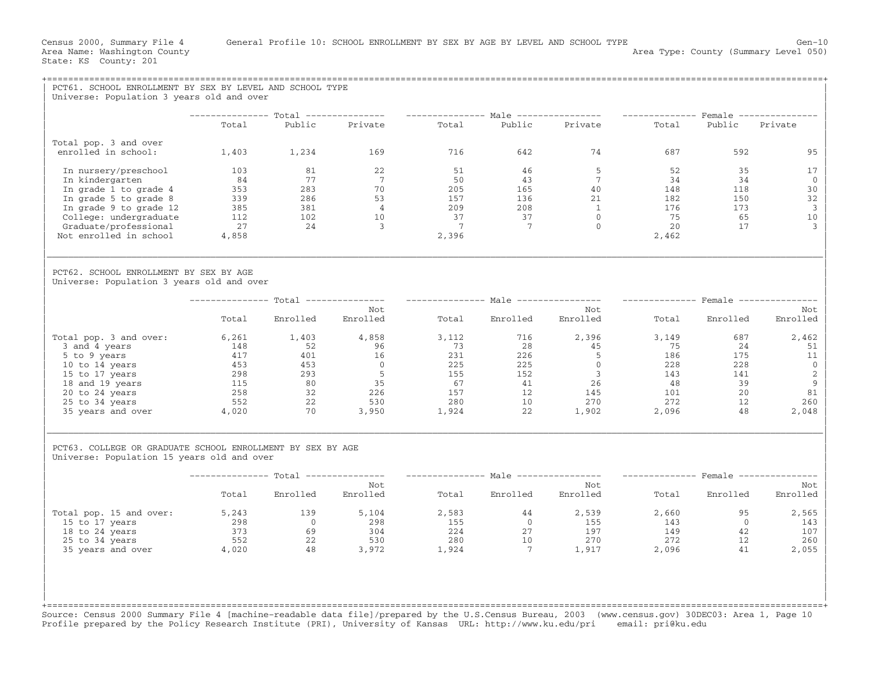|                                                                                                                                                                                                                                                                                                                                                                                                                                                  | Universe: Population 3 years old and over |                 |                                                                                                                                                                                                                                                                                                                                     |                |                                        |       |                  |                          |
|--------------------------------------------------------------------------------------------------------------------------------------------------------------------------------------------------------------------------------------------------------------------------------------------------------------------------------------------------------------------------------------------------------------------------------------------------|-------------------------------------------|-----------------|-------------------------------------------------------------------------------------------------------------------------------------------------------------------------------------------------------------------------------------------------------------------------------------------------------------------------------------|----------------|----------------------------------------|-------|------------------|--------------------------|
|                                                                                                                                                                                                                                                                                                                                                                                                                                                  | Total                                     |                 | -------------- Total --------------- --------------- Male --------------- -------------- Female ---------------<br>Public Private Total Public Private Total Public Private                                                                                                                                                         |                |                                        |       |                  |                          |
|                                                                                                                                                                                                                                                                                                                                                                                                                                                  |                                           |                 |                                                                                                                                                                                                                                                                                                                                     |                |                                        |       |                  |                          |
| Total pop. 3 and over                                                                                                                                                                                                                                                                                                                                                                                                                            |                                           |                 |                                                                                                                                                                                                                                                                                                                                     |                |                                        |       |                  |                          |
| enrolled in school:                                                                                                                                                                                                                                                                                                                                                                                                                              |                                           | 1,403 1,234 169 |                                                                                                                                                                                                                                                                                                                                     |                | 716 642 74                             |       | 687 — 100<br>592 | 95                       |
| In nursery/preschool                                                                                                                                                                                                                                                                                                                                                                                                                             |                                           |                 |                                                                                                                                                                                                                                                                                                                                     |                |                                        |       | 35               | 17                       |
| In kindergarten                                                                                                                                                                                                                                                                                                                                                                                                                                  |                                           |                 |                                                                                                                                                                                                                                                                                                                                     |                |                                        |       | 34               | $\Omega$                 |
| In grade 1 to grade 4                                                                                                                                                                                                                                                                                                                                                                                                                            |                                           |                 |                                                                                                                                                                                                                                                                                                                                     |                |                                        |       | 118              | 30                       |
| In grade 5 to grade 8                                                                                                                                                                                                                                                                                                                                                                                                                            |                                           |                 |                                                                                                                                                                                                                                                                                                                                     |                |                                        |       | 150              | 32                       |
| In grade 9 to grade 12                                                                                                                                                                                                                                                                                                                                                                                                                           |                                           |                 |                                                                                                                                                                                                                                                                                                                                     |                |                                        |       | 173              | $\overline{3}$           |
| College: undergraduate                                                                                                                                                                                                                                                                                                                                                                                                                           |                                           |                 |                                                                                                                                                                                                                                                                                                                                     |                |                                        |       | 65               | 10                       |
| Graduate/professional<br>Not enrolled in school                                                                                                                                                                                                                                                                                                                                                                                                  |                                           |                 |                                                                                                                                                                                                                                                                                                                                     |                |                                        |       | 17               | $\overline{3}$           |
|                                                                                                                                                                                                                                                                                                                                                                                                                                                  |                                           |                 | $\begin{array}{cccccccc} 1\cup 3 & & & 81 & & & 22 & & & 51 & & 46 & & 5 & & 52 \\ 84 & & & 77 & & & 7 & & 50 & & 43 & & 7 & & 34 \\ 353 & & 283 & & 70 & & & 205 & & 165 & & 7 & & 34 \\ 339 & & 286 & & 53 & & 157 & & 136 & & 21 & & 182 \\ 385 & & 381 & & 4 & & 209 & & 208 & & 1 & & 176 \\ 112 & & 102 & & 10 & & 37 & & 37$ |                |                                        |       |                  |                          |
| PCT62. SCHOOL ENROLLMENT BY SEX BY AGE<br>Universe: Population 3 years old and over                                                                                                                                                                                                                                                                                                                                                              |                                           |                 |                                                                                                                                                                                                                                                                                                                                     |                |                                        |       |                  |                          |
|                                                                                                                                                                                                                                                                                                                                                                                                                                                  |                                           |                 |                                                                                                                                                                                                                                                                                                                                     |                |                                        |       |                  |                          |
|                                                                                                                                                                                                                                                                                                                                                                                                                                                  |                                           |                 | Not                                                                                                                                                                                                                                                                                                                                 |                | Not                                    |       |                  | Not                      |
|                                                                                                                                                                                                                                                                                                                                                                                                                                                  | Total                                     | Enrolled        | Enrolled                                                                                                                                                                                                                                                                                                                            | Total Enrolled | Enrolled                               |       | Total Enrolled   | Enrolled                 |
|                                                                                                                                                                                                                                                                                                                                                                                                                                                  |                                           |                 |                                                                                                                                                                                                                                                                                                                                     |                |                                        |       |                  | 2,462                    |
|                                                                                                                                                                                                                                                                                                                                                                                                                                                  |                                           |                 |                                                                                                                                                                                                                                                                                                                                     |                |                                        |       |                  | 51                       |
|                                                                                                                                                                                                                                                                                                                                                                                                                                                  |                                           |                 |                                                                                                                                                                                                                                                                                                                                     |                |                                        |       |                  | 11                       |
|                                                                                                                                                                                                                                                                                                                                                                                                                                                  |                                           |                 |                                                                                                                                                                                                                                                                                                                                     |                |                                        |       |                  | $\overline{0}$           |
|                                                                                                                                                                                                                                                                                                                                                                                                                                                  |                                           |                 |                                                                                                                                                                                                                                                                                                                                     |                |                                        |       |                  | $\overline{\phantom{a}}$ |
|                                                                                                                                                                                                                                                                                                                                                                                                                                                  |                                           |                 |                                                                                                                                                                                                                                                                                                                                     |                |                                        |       |                  | $\overline{9}$           |
|                                                                                                                                                                                                                                                                                                                                                                                                                                                  |                                           |                 |                                                                                                                                                                                                                                                                                                                                     |                |                                        |       |                  | 81                       |
|                                                                                                                                                                                                                                                                                                                                                                                                                                                  |                                           |                 |                                                                                                                                                                                                                                                                                                                                     |                |                                        |       |                  | 260                      |
| $\begin{tabular}{l cccc} \hline \texttt{Total pop. 3 and over:} & \begin{tabular}{l cccc} \multicolumn{4}{c}{\texttt{Total pop. 3 and 4 years}} & \begin{tabular}{l cccc} \multicolumn{4}{c}{\texttt{6,261}} & \texttt{1,403} & \texttt{4,858} & \texttt{3,112} & \texttt{716} & \texttt{2,396} & \texttt{3,149} & \texttt{687} \\ \hline \multicolumn{4}{c}{3 and 4 years} & \texttt{148} & \texttt{52} & \texttt{96} & \texttt{73} & \texttt{$ |                                           |                 |                                                                                                                                                                                                                                                                                                                                     |                |                                        |       |                  | 2,048                    |
| PCT63. COLLEGE OR GRADUATE SCHOOL ENROLLMENT BY SEX BY AGE<br>Universe: Population 15 years old and over                                                                                                                                                                                                                                                                                                                                         |                                           |                 |                                                                                                                                                                                                                                                                                                                                     |                |                                        |       |                  |                          |
|                                                                                                                                                                                                                                                                                                                                                                                                                                                  |                                           |                 | --------------- Total --------------- --------------- Male ---------------- --------------- Female ---------------                                                                                                                                                                                                                  |                |                                        |       |                  |                          |
|                                                                                                                                                                                                                                                                                                                                                                                                                                                  |                                           |                 | Not                                                                                                                                                                                                                                                                                                                                 |                | Not                                    |       |                  | Not                      |
|                                                                                                                                                                                                                                                                                                                                                                                                                                                  |                                           |                 | Total Enrolled Enrolled                                                                                                                                                                                                                                                                                                             |                | Total Enrolled Enrolled Total Enrolled |       |                  | Enrolled                 |
| Total pop. 15 and over: 5,243 139 5,104                                                                                                                                                                                                                                                                                                                                                                                                          |                                           |                 |                                                                                                                                                                                                                                                                                                                                     |                | 2,583 44 2,539                         | 2,660 | 95               | 2,565                    |
|                                                                                                                                                                                                                                                                                                                                                                                                                                                  |                                           |                 |                                                                                                                                                                                                                                                                                                                                     |                |                                        |       | $\overline{0}$   | 143                      |
|                                                                                                                                                                                                                                                                                                                                                                                                                                                  |                                           |                 |                                                                                                                                                                                                                                                                                                                                     |                |                                        |       | 42               | 107                      |
|                                                                                                                                                                                                                                                                                                                                                                                                                                                  |                                           |                 |                                                                                                                                                                                                                                                                                                                                     |                |                                        |       | 12               | 260<br>12<br>41          |
| 15 to 17 years<br>18 to 24 years<br>298 18 to 24 years<br>25 to 34 years<br>373 52 22 530 280 10 270 272<br>35 years and over 4,020 48 3,972 1,924 7 1,917 2,096                                                                                                                                                                                                                                                                                 |                                           |                 |                                                                                                                                                                                                                                                                                                                                     |                |                                        |       |                  | 2,055                    |
|                                                                                                                                                                                                                                                                                                                                                                                                                                                  |                                           |                 |                                                                                                                                                                                                                                                                                                                                     |                |                                        |       |                  |                          |

+===================================================================================================================================================+ Source: Census 2000 Summary File 4 [machine−readable data file]/prepared by the U.S.Census Bureau, 2003 (www.census.gov) 30DEC03: Area 1, Page 10 Profile prepared by the Policy Research Institute (PRI), University of Kansas URL: http://www.ku.edu/pri email: pri@ku.edu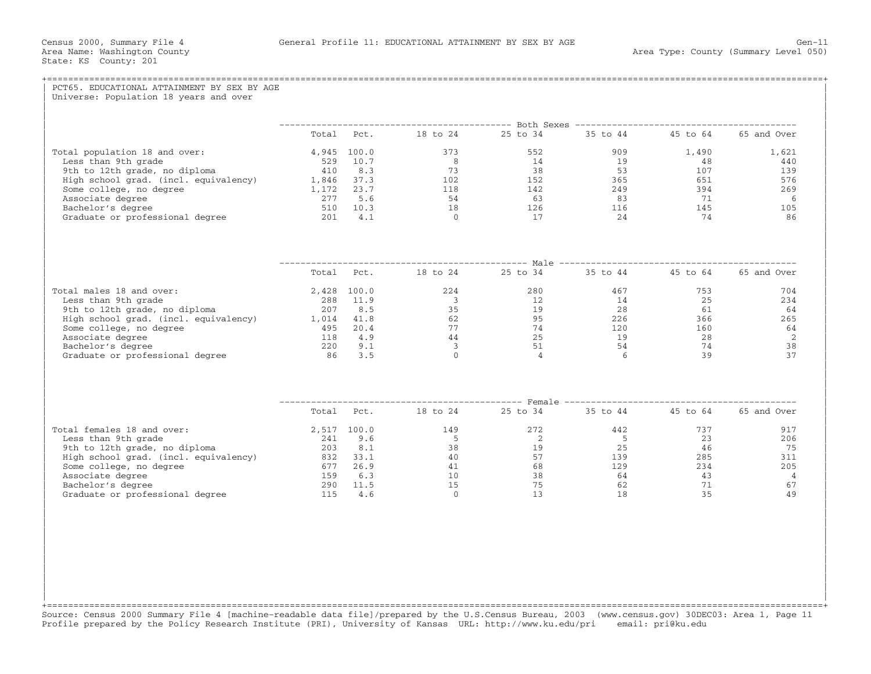| Total Pct. 18 to 24 25 to 34 35 to 44 45 to 64 65 and Over |
|------------------------------------------------------------|
| 1,621                                                      |
| 440                                                        |
| 139                                                        |
| 576                                                        |
| 269                                                        |
| -6                                                         |
| 105                                                        |
| 86                                                         |
|                                                            |
| Total Pct. 18 to 24 25 to 34 35 to 44 45 to 64 65 and Over |
|                                                            |
| $\frac{753}{25}$<br>704                                    |
| 234                                                        |
| - 64                                                       |
| 265                                                        |
| 64                                                         |
| $\overline{2}$                                             |
| 38                                                         |
| 37                                                         |
|                                                            |
| Total Pct. 18 to 24 25 to 34 35 to 44 45 to 64 65 and Over |
| 917                                                        |
| 206                                                        |
| 75                                                         |
| 311                                                        |
| 234<br>205                                                 |
| $\overline{4}$                                             |
| 67                                                         |
| 49                                                         |
|                                                            |

+===================================================================================================================================================+ Source: Census 2000 Summary File 4 [machine−readable data file]/prepared by the U.S.Census Bureau, 2003 (www.census.gov) 30DEC03: Area 1, Page 11 Profile prepared by the Policy Research Institute (PRI), University of Kansas URL: http://www.ku.edu/pri email: pri@ku.edu

| | | | | | | | | |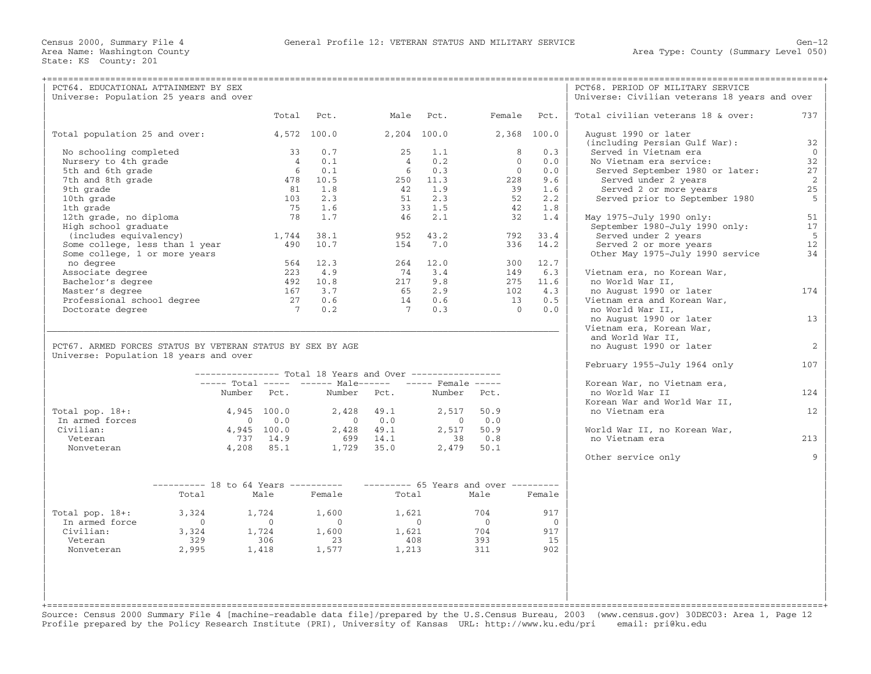| Total civilian veterans 18 & over:<br>737<br>Total<br>Pct.<br>Male Pct.<br>Female Pct.<br>Total population 25 and over:<br>4,572 100.0<br>2,204 100.0<br>2,368 100.0<br>August 1990 or later<br>(including Persian Gulf War):<br>32<br>0.7<br>25<br>1.1<br>8<br>0.3<br>Served in Vietnam era<br>$\overline{0}$<br>No schooling completed<br>33<br>32<br>Nursery to 4th grade<br>0.1<br>0.2<br>$\overline{0}$<br>0.0<br>No Vietnam era service:<br>$\overline{4}$<br>$\overline{4}$<br>0.1<br>0.3<br>$\overline{0}$<br>27<br>5th and 6th grade<br>6<br>0.0<br>- 6<br>Served September 1980 or later:<br>2<br>7th and 8th grade<br>10.5<br>250 11.3<br>Served under 2 years<br>478<br>228<br>9.6<br>25<br>9th grade<br>81<br>1.8<br>42<br>1.9<br>39<br>1.6<br>Served 2 or more years<br>2.3<br>2.3<br>52<br>5<br>10th grade<br>103<br>51<br>2.2<br>Served prior to September 1980<br>1th grade<br>75<br>1.6<br>33<br>1.5<br>42<br>1.8<br>12th grade, no diploma<br>1.7<br>51<br>78<br>46<br>2.1<br>32<br>1.4<br>May 1975-July 1990 only:<br>17<br>High school graduate<br>September 1980-July 1990 only:<br>43.2<br>38.1<br>33.4<br>Served under 2 years<br>5<br>(includes equivalency)<br>1,744<br>952<br>792<br>Some college, less than 1 year<br>10.7<br>7.0<br>Served 2 or more years<br>12<br>490<br>154<br>336<br>14.2<br>Some college, 1 or more years<br>Other May 1975-July 1990 service<br>34<br>564<br>12.3<br>264 12.0<br>300 12.7<br>no degree<br>2.2.3<br>4.9<br>74 3.4<br>6.3<br>Associate degree<br>149<br>Vietnam era, no Korean War,<br>Bachelor's degree<br>492 10.8<br>217 9.8<br>275 11.6<br>no World War II,<br>Master's degree<br>167 3.7<br>65 2.9<br>102<br>4.3<br>no August 1990 or later<br>174<br>Professional school degree<br>27<br>14 0.6<br>13<br>0.5<br>Vietnam era and Korean War,<br>0.6<br>Doctorate degree<br>$7\phantom{0}$<br>0.2<br>$7\overline{ }$<br>0.3<br>$\overline{0}$<br>0.0<br>no World War II,<br>no August 1990 or later<br>13<br>Vietnam era, Korean War,<br>and World War II,<br>PCT67. ARMED FORCES STATUS BY VETERAN STATUS BY SEX BY AGE<br>no August 1990 or later<br>2<br>Universe: Population 18 years and over<br>February 1955-July 1964 only<br>107<br>--------------- Total 18 Years and Over -----------------<br>----- Total ----- ------ Male------ ----- Female -----<br>Korean War, no Vietnam era,<br>Number Pct.<br>Number<br>Pct.<br>Number Pct.<br>no World War II<br>124<br>Korean War and World War II,<br>Total pop. $18+:$<br>4,945 100.0<br>2,428 49.1<br>2,517<br>50.9<br>no Vietnam era<br>12<br>In armed forces<br>0.0<br>0.0<br>0.0<br>$\overline{0}$<br>$\sim$ 0<br>$\overline{0}$<br>Civilian:<br>50.9<br>4,945 100.0<br>2,428 49.1<br>2,517<br>World War II, no Korean War,<br>737 14.9<br>699 14.1<br>0.8<br>no Vietnam era<br>213<br>Veteran<br>38<br>1,729 35.0<br>Nonveteran<br>4,208 85.1<br>2,479 50.1<br>Other service only<br>Q<br>$------ 65$ Years and over --------<br>$-------28 to 64 Years ------$<br>Female<br>Total<br>Female<br>Total<br>Male<br>Male<br>704<br>917<br>Total pop. $18+:$<br>3,324<br>1,724<br>1,600<br>1,621<br>In armed force<br>$\overline{0}$<br>$\bigcirc$<br>$\overline{0}$<br>$\overline{0}$<br>$\overline{0}$<br>$\bigcirc$<br>1,600<br>704<br>Civilian:<br>3,324<br>1,724<br>1,621<br>917<br>393<br>Veteran<br>329<br>306<br>23<br>408<br>15<br>2,995<br>1,418<br>1,577<br>1,213<br>311<br>902<br>Nonveteran | PCT64. EDUCATIONAL ATTAINMENT BY SEX<br>Universe: Population 25 years and over |  |  |  |  | PCT68. PERIOD OF MILITARY SERVICE<br>Universe: Civilian veterans 18 years and over |  |
|----------------------------------------------------------------------------------------------------------------------------------------------------------------------------------------------------------------------------------------------------------------------------------------------------------------------------------------------------------------------------------------------------------------------------------------------------------------------------------------------------------------------------------------------------------------------------------------------------------------------------------------------------------------------------------------------------------------------------------------------------------------------------------------------------------------------------------------------------------------------------------------------------------------------------------------------------------------------------------------------------------------------------------------------------------------------------------------------------------------------------------------------------------------------------------------------------------------------------------------------------------------------------------------------------------------------------------------------------------------------------------------------------------------------------------------------------------------------------------------------------------------------------------------------------------------------------------------------------------------------------------------------------------------------------------------------------------------------------------------------------------------------------------------------------------------------------------------------------------------------------------------------------------------------------------------------------------------------------------------------------------------------------------------------------------------------------------------------------------------------------------------------------------------------------------------------------------------------------------------------------------------------------------------------------------------------------------------------------------------------------------------------------------------------------------------------------------------------------------------------------------------------------------------------------------------------------------------------------------------------------------------------------------------------------------------------------------------------------------------------------------------------------------------------------------------------------------------------------------------------------------------------------------------------------------------------------------------------------------------------------------------------------------------------------------------------------------------------------------------------------------------------------------------------------------------------------------------------------------------------------------------------------------------------------------------------------------------------------------------------------------------------------------------------------------------|--------------------------------------------------------------------------------|--|--|--|--|------------------------------------------------------------------------------------|--|
|                                                                                                                                                                                                                                                                                                                                                                                                                                                                                                                                                                                                                                                                                                                                                                                                                                                                                                                                                                                                                                                                                                                                                                                                                                                                                                                                                                                                                                                                                                                                                                                                                                                                                                                                                                                                                                                                                                                                                                                                                                                                                                                                                                                                                                                                                                                                                                                                                                                                                                                                                                                                                                                                                                                                                                                                                                                                                                                                                                                                                                                                                                                                                                                                                                                                                                                                                                                                                                        |                                                                                |  |  |  |  |                                                                                    |  |
|                                                                                                                                                                                                                                                                                                                                                                                                                                                                                                                                                                                                                                                                                                                                                                                                                                                                                                                                                                                                                                                                                                                                                                                                                                                                                                                                                                                                                                                                                                                                                                                                                                                                                                                                                                                                                                                                                                                                                                                                                                                                                                                                                                                                                                                                                                                                                                                                                                                                                                                                                                                                                                                                                                                                                                                                                                                                                                                                                                                                                                                                                                                                                                                                                                                                                                                                                                                                                                        |                                                                                |  |  |  |  |                                                                                    |  |
|                                                                                                                                                                                                                                                                                                                                                                                                                                                                                                                                                                                                                                                                                                                                                                                                                                                                                                                                                                                                                                                                                                                                                                                                                                                                                                                                                                                                                                                                                                                                                                                                                                                                                                                                                                                                                                                                                                                                                                                                                                                                                                                                                                                                                                                                                                                                                                                                                                                                                                                                                                                                                                                                                                                                                                                                                                                                                                                                                                                                                                                                                                                                                                                                                                                                                                                                                                                                                                        |                                                                                |  |  |  |  |                                                                                    |  |
|                                                                                                                                                                                                                                                                                                                                                                                                                                                                                                                                                                                                                                                                                                                                                                                                                                                                                                                                                                                                                                                                                                                                                                                                                                                                                                                                                                                                                                                                                                                                                                                                                                                                                                                                                                                                                                                                                                                                                                                                                                                                                                                                                                                                                                                                                                                                                                                                                                                                                                                                                                                                                                                                                                                                                                                                                                                                                                                                                                                                                                                                                                                                                                                                                                                                                                                                                                                                                                        |                                                                                |  |  |  |  |                                                                                    |  |
|                                                                                                                                                                                                                                                                                                                                                                                                                                                                                                                                                                                                                                                                                                                                                                                                                                                                                                                                                                                                                                                                                                                                                                                                                                                                                                                                                                                                                                                                                                                                                                                                                                                                                                                                                                                                                                                                                                                                                                                                                                                                                                                                                                                                                                                                                                                                                                                                                                                                                                                                                                                                                                                                                                                                                                                                                                                                                                                                                                                                                                                                                                                                                                                                                                                                                                                                                                                                                                        |                                                                                |  |  |  |  |                                                                                    |  |
|                                                                                                                                                                                                                                                                                                                                                                                                                                                                                                                                                                                                                                                                                                                                                                                                                                                                                                                                                                                                                                                                                                                                                                                                                                                                                                                                                                                                                                                                                                                                                                                                                                                                                                                                                                                                                                                                                                                                                                                                                                                                                                                                                                                                                                                                                                                                                                                                                                                                                                                                                                                                                                                                                                                                                                                                                                                                                                                                                                                                                                                                                                                                                                                                                                                                                                                                                                                                                                        |                                                                                |  |  |  |  |                                                                                    |  |
|                                                                                                                                                                                                                                                                                                                                                                                                                                                                                                                                                                                                                                                                                                                                                                                                                                                                                                                                                                                                                                                                                                                                                                                                                                                                                                                                                                                                                                                                                                                                                                                                                                                                                                                                                                                                                                                                                                                                                                                                                                                                                                                                                                                                                                                                                                                                                                                                                                                                                                                                                                                                                                                                                                                                                                                                                                                                                                                                                                                                                                                                                                                                                                                                                                                                                                                                                                                                                                        |                                                                                |  |  |  |  |                                                                                    |  |
|                                                                                                                                                                                                                                                                                                                                                                                                                                                                                                                                                                                                                                                                                                                                                                                                                                                                                                                                                                                                                                                                                                                                                                                                                                                                                                                                                                                                                                                                                                                                                                                                                                                                                                                                                                                                                                                                                                                                                                                                                                                                                                                                                                                                                                                                                                                                                                                                                                                                                                                                                                                                                                                                                                                                                                                                                                                                                                                                                                                                                                                                                                                                                                                                                                                                                                                                                                                                                                        |                                                                                |  |  |  |  |                                                                                    |  |
|                                                                                                                                                                                                                                                                                                                                                                                                                                                                                                                                                                                                                                                                                                                                                                                                                                                                                                                                                                                                                                                                                                                                                                                                                                                                                                                                                                                                                                                                                                                                                                                                                                                                                                                                                                                                                                                                                                                                                                                                                                                                                                                                                                                                                                                                                                                                                                                                                                                                                                                                                                                                                                                                                                                                                                                                                                                                                                                                                                                                                                                                                                                                                                                                                                                                                                                                                                                                                                        |                                                                                |  |  |  |  |                                                                                    |  |
|                                                                                                                                                                                                                                                                                                                                                                                                                                                                                                                                                                                                                                                                                                                                                                                                                                                                                                                                                                                                                                                                                                                                                                                                                                                                                                                                                                                                                                                                                                                                                                                                                                                                                                                                                                                                                                                                                                                                                                                                                                                                                                                                                                                                                                                                                                                                                                                                                                                                                                                                                                                                                                                                                                                                                                                                                                                                                                                                                                                                                                                                                                                                                                                                                                                                                                                                                                                                                                        |                                                                                |  |  |  |  |                                                                                    |  |
|                                                                                                                                                                                                                                                                                                                                                                                                                                                                                                                                                                                                                                                                                                                                                                                                                                                                                                                                                                                                                                                                                                                                                                                                                                                                                                                                                                                                                                                                                                                                                                                                                                                                                                                                                                                                                                                                                                                                                                                                                                                                                                                                                                                                                                                                                                                                                                                                                                                                                                                                                                                                                                                                                                                                                                                                                                                                                                                                                                                                                                                                                                                                                                                                                                                                                                                                                                                                                                        |                                                                                |  |  |  |  |                                                                                    |  |
|                                                                                                                                                                                                                                                                                                                                                                                                                                                                                                                                                                                                                                                                                                                                                                                                                                                                                                                                                                                                                                                                                                                                                                                                                                                                                                                                                                                                                                                                                                                                                                                                                                                                                                                                                                                                                                                                                                                                                                                                                                                                                                                                                                                                                                                                                                                                                                                                                                                                                                                                                                                                                                                                                                                                                                                                                                                                                                                                                                                                                                                                                                                                                                                                                                                                                                                                                                                                                                        |                                                                                |  |  |  |  |                                                                                    |  |
|                                                                                                                                                                                                                                                                                                                                                                                                                                                                                                                                                                                                                                                                                                                                                                                                                                                                                                                                                                                                                                                                                                                                                                                                                                                                                                                                                                                                                                                                                                                                                                                                                                                                                                                                                                                                                                                                                                                                                                                                                                                                                                                                                                                                                                                                                                                                                                                                                                                                                                                                                                                                                                                                                                                                                                                                                                                                                                                                                                                                                                                                                                                                                                                                                                                                                                                                                                                                                                        |                                                                                |  |  |  |  |                                                                                    |  |
|                                                                                                                                                                                                                                                                                                                                                                                                                                                                                                                                                                                                                                                                                                                                                                                                                                                                                                                                                                                                                                                                                                                                                                                                                                                                                                                                                                                                                                                                                                                                                                                                                                                                                                                                                                                                                                                                                                                                                                                                                                                                                                                                                                                                                                                                                                                                                                                                                                                                                                                                                                                                                                                                                                                                                                                                                                                                                                                                                                                                                                                                                                                                                                                                                                                                                                                                                                                                                                        |                                                                                |  |  |  |  |                                                                                    |  |
|                                                                                                                                                                                                                                                                                                                                                                                                                                                                                                                                                                                                                                                                                                                                                                                                                                                                                                                                                                                                                                                                                                                                                                                                                                                                                                                                                                                                                                                                                                                                                                                                                                                                                                                                                                                                                                                                                                                                                                                                                                                                                                                                                                                                                                                                                                                                                                                                                                                                                                                                                                                                                                                                                                                                                                                                                                                                                                                                                                                                                                                                                                                                                                                                                                                                                                                                                                                                                                        |                                                                                |  |  |  |  |                                                                                    |  |
|                                                                                                                                                                                                                                                                                                                                                                                                                                                                                                                                                                                                                                                                                                                                                                                                                                                                                                                                                                                                                                                                                                                                                                                                                                                                                                                                                                                                                                                                                                                                                                                                                                                                                                                                                                                                                                                                                                                                                                                                                                                                                                                                                                                                                                                                                                                                                                                                                                                                                                                                                                                                                                                                                                                                                                                                                                                                                                                                                                                                                                                                                                                                                                                                                                                                                                                                                                                                                                        |                                                                                |  |  |  |  |                                                                                    |  |
|                                                                                                                                                                                                                                                                                                                                                                                                                                                                                                                                                                                                                                                                                                                                                                                                                                                                                                                                                                                                                                                                                                                                                                                                                                                                                                                                                                                                                                                                                                                                                                                                                                                                                                                                                                                                                                                                                                                                                                                                                                                                                                                                                                                                                                                                                                                                                                                                                                                                                                                                                                                                                                                                                                                                                                                                                                                                                                                                                                                                                                                                                                                                                                                                                                                                                                                                                                                                                                        |                                                                                |  |  |  |  |                                                                                    |  |
|                                                                                                                                                                                                                                                                                                                                                                                                                                                                                                                                                                                                                                                                                                                                                                                                                                                                                                                                                                                                                                                                                                                                                                                                                                                                                                                                                                                                                                                                                                                                                                                                                                                                                                                                                                                                                                                                                                                                                                                                                                                                                                                                                                                                                                                                                                                                                                                                                                                                                                                                                                                                                                                                                                                                                                                                                                                                                                                                                                                                                                                                                                                                                                                                                                                                                                                                                                                                                                        |                                                                                |  |  |  |  |                                                                                    |  |
|                                                                                                                                                                                                                                                                                                                                                                                                                                                                                                                                                                                                                                                                                                                                                                                                                                                                                                                                                                                                                                                                                                                                                                                                                                                                                                                                                                                                                                                                                                                                                                                                                                                                                                                                                                                                                                                                                                                                                                                                                                                                                                                                                                                                                                                                                                                                                                                                                                                                                                                                                                                                                                                                                                                                                                                                                                                                                                                                                                                                                                                                                                                                                                                                                                                                                                                                                                                                                                        |                                                                                |  |  |  |  |                                                                                    |  |
|                                                                                                                                                                                                                                                                                                                                                                                                                                                                                                                                                                                                                                                                                                                                                                                                                                                                                                                                                                                                                                                                                                                                                                                                                                                                                                                                                                                                                                                                                                                                                                                                                                                                                                                                                                                                                                                                                                                                                                                                                                                                                                                                                                                                                                                                                                                                                                                                                                                                                                                                                                                                                                                                                                                                                                                                                                                                                                                                                                                                                                                                                                                                                                                                                                                                                                                                                                                                                                        |                                                                                |  |  |  |  |                                                                                    |  |
|                                                                                                                                                                                                                                                                                                                                                                                                                                                                                                                                                                                                                                                                                                                                                                                                                                                                                                                                                                                                                                                                                                                                                                                                                                                                                                                                                                                                                                                                                                                                                                                                                                                                                                                                                                                                                                                                                                                                                                                                                                                                                                                                                                                                                                                                                                                                                                                                                                                                                                                                                                                                                                                                                                                                                                                                                                                                                                                                                                                                                                                                                                                                                                                                                                                                                                                                                                                                                                        |                                                                                |  |  |  |  |                                                                                    |  |
|                                                                                                                                                                                                                                                                                                                                                                                                                                                                                                                                                                                                                                                                                                                                                                                                                                                                                                                                                                                                                                                                                                                                                                                                                                                                                                                                                                                                                                                                                                                                                                                                                                                                                                                                                                                                                                                                                                                                                                                                                                                                                                                                                                                                                                                                                                                                                                                                                                                                                                                                                                                                                                                                                                                                                                                                                                                                                                                                                                                                                                                                                                                                                                                                                                                                                                                                                                                                                                        |                                                                                |  |  |  |  |                                                                                    |  |
|                                                                                                                                                                                                                                                                                                                                                                                                                                                                                                                                                                                                                                                                                                                                                                                                                                                                                                                                                                                                                                                                                                                                                                                                                                                                                                                                                                                                                                                                                                                                                                                                                                                                                                                                                                                                                                                                                                                                                                                                                                                                                                                                                                                                                                                                                                                                                                                                                                                                                                                                                                                                                                                                                                                                                                                                                                                                                                                                                                                                                                                                                                                                                                                                                                                                                                                                                                                                                                        |                                                                                |  |  |  |  |                                                                                    |  |
|                                                                                                                                                                                                                                                                                                                                                                                                                                                                                                                                                                                                                                                                                                                                                                                                                                                                                                                                                                                                                                                                                                                                                                                                                                                                                                                                                                                                                                                                                                                                                                                                                                                                                                                                                                                                                                                                                                                                                                                                                                                                                                                                                                                                                                                                                                                                                                                                                                                                                                                                                                                                                                                                                                                                                                                                                                                                                                                                                                                                                                                                                                                                                                                                                                                                                                                                                                                                                                        |                                                                                |  |  |  |  |                                                                                    |  |
|                                                                                                                                                                                                                                                                                                                                                                                                                                                                                                                                                                                                                                                                                                                                                                                                                                                                                                                                                                                                                                                                                                                                                                                                                                                                                                                                                                                                                                                                                                                                                                                                                                                                                                                                                                                                                                                                                                                                                                                                                                                                                                                                                                                                                                                                                                                                                                                                                                                                                                                                                                                                                                                                                                                                                                                                                                                                                                                                                                                                                                                                                                                                                                                                                                                                                                                                                                                                                                        |                                                                                |  |  |  |  |                                                                                    |  |
|                                                                                                                                                                                                                                                                                                                                                                                                                                                                                                                                                                                                                                                                                                                                                                                                                                                                                                                                                                                                                                                                                                                                                                                                                                                                                                                                                                                                                                                                                                                                                                                                                                                                                                                                                                                                                                                                                                                                                                                                                                                                                                                                                                                                                                                                                                                                                                                                                                                                                                                                                                                                                                                                                                                                                                                                                                                                                                                                                                                                                                                                                                                                                                                                                                                                                                                                                                                                                                        |                                                                                |  |  |  |  |                                                                                    |  |
|                                                                                                                                                                                                                                                                                                                                                                                                                                                                                                                                                                                                                                                                                                                                                                                                                                                                                                                                                                                                                                                                                                                                                                                                                                                                                                                                                                                                                                                                                                                                                                                                                                                                                                                                                                                                                                                                                                                                                                                                                                                                                                                                                                                                                                                                                                                                                                                                                                                                                                                                                                                                                                                                                                                                                                                                                                                                                                                                                                                                                                                                                                                                                                                                                                                                                                                                                                                                                                        |                                                                                |  |  |  |  |                                                                                    |  |
|                                                                                                                                                                                                                                                                                                                                                                                                                                                                                                                                                                                                                                                                                                                                                                                                                                                                                                                                                                                                                                                                                                                                                                                                                                                                                                                                                                                                                                                                                                                                                                                                                                                                                                                                                                                                                                                                                                                                                                                                                                                                                                                                                                                                                                                                                                                                                                                                                                                                                                                                                                                                                                                                                                                                                                                                                                                                                                                                                                                                                                                                                                                                                                                                                                                                                                                                                                                                                                        |                                                                                |  |  |  |  |                                                                                    |  |
|                                                                                                                                                                                                                                                                                                                                                                                                                                                                                                                                                                                                                                                                                                                                                                                                                                                                                                                                                                                                                                                                                                                                                                                                                                                                                                                                                                                                                                                                                                                                                                                                                                                                                                                                                                                                                                                                                                                                                                                                                                                                                                                                                                                                                                                                                                                                                                                                                                                                                                                                                                                                                                                                                                                                                                                                                                                                                                                                                                                                                                                                                                                                                                                                                                                                                                                                                                                                                                        |                                                                                |  |  |  |  |                                                                                    |  |
|                                                                                                                                                                                                                                                                                                                                                                                                                                                                                                                                                                                                                                                                                                                                                                                                                                                                                                                                                                                                                                                                                                                                                                                                                                                                                                                                                                                                                                                                                                                                                                                                                                                                                                                                                                                                                                                                                                                                                                                                                                                                                                                                                                                                                                                                                                                                                                                                                                                                                                                                                                                                                                                                                                                                                                                                                                                                                                                                                                                                                                                                                                                                                                                                                                                                                                                                                                                                                                        |                                                                                |  |  |  |  |                                                                                    |  |
|                                                                                                                                                                                                                                                                                                                                                                                                                                                                                                                                                                                                                                                                                                                                                                                                                                                                                                                                                                                                                                                                                                                                                                                                                                                                                                                                                                                                                                                                                                                                                                                                                                                                                                                                                                                                                                                                                                                                                                                                                                                                                                                                                                                                                                                                                                                                                                                                                                                                                                                                                                                                                                                                                                                                                                                                                                                                                                                                                                                                                                                                                                                                                                                                                                                                                                                                                                                                                                        |                                                                                |  |  |  |  |                                                                                    |  |
|                                                                                                                                                                                                                                                                                                                                                                                                                                                                                                                                                                                                                                                                                                                                                                                                                                                                                                                                                                                                                                                                                                                                                                                                                                                                                                                                                                                                                                                                                                                                                                                                                                                                                                                                                                                                                                                                                                                                                                                                                                                                                                                                                                                                                                                                                                                                                                                                                                                                                                                                                                                                                                                                                                                                                                                                                                                                                                                                                                                                                                                                                                                                                                                                                                                                                                                                                                                                                                        |                                                                                |  |  |  |  |                                                                                    |  |
|                                                                                                                                                                                                                                                                                                                                                                                                                                                                                                                                                                                                                                                                                                                                                                                                                                                                                                                                                                                                                                                                                                                                                                                                                                                                                                                                                                                                                                                                                                                                                                                                                                                                                                                                                                                                                                                                                                                                                                                                                                                                                                                                                                                                                                                                                                                                                                                                                                                                                                                                                                                                                                                                                                                                                                                                                                                                                                                                                                                                                                                                                                                                                                                                                                                                                                                                                                                                                                        |                                                                                |  |  |  |  |                                                                                    |  |
|                                                                                                                                                                                                                                                                                                                                                                                                                                                                                                                                                                                                                                                                                                                                                                                                                                                                                                                                                                                                                                                                                                                                                                                                                                                                                                                                                                                                                                                                                                                                                                                                                                                                                                                                                                                                                                                                                                                                                                                                                                                                                                                                                                                                                                                                                                                                                                                                                                                                                                                                                                                                                                                                                                                                                                                                                                                                                                                                                                                                                                                                                                                                                                                                                                                                                                                                                                                                                                        |                                                                                |  |  |  |  |                                                                                    |  |
|                                                                                                                                                                                                                                                                                                                                                                                                                                                                                                                                                                                                                                                                                                                                                                                                                                                                                                                                                                                                                                                                                                                                                                                                                                                                                                                                                                                                                                                                                                                                                                                                                                                                                                                                                                                                                                                                                                                                                                                                                                                                                                                                                                                                                                                                                                                                                                                                                                                                                                                                                                                                                                                                                                                                                                                                                                                                                                                                                                                                                                                                                                                                                                                                                                                                                                                                                                                                                                        |                                                                                |  |  |  |  |                                                                                    |  |
|                                                                                                                                                                                                                                                                                                                                                                                                                                                                                                                                                                                                                                                                                                                                                                                                                                                                                                                                                                                                                                                                                                                                                                                                                                                                                                                                                                                                                                                                                                                                                                                                                                                                                                                                                                                                                                                                                                                                                                                                                                                                                                                                                                                                                                                                                                                                                                                                                                                                                                                                                                                                                                                                                                                                                                                                                                                                                                                                                                                                                                                                                                                                                                                                                                                                                                                                                                                                                                        |                                                                                |  |  |  |  |                                                                                    |  |
|                                                                                                                                                                                                                                                                                                                                                                                                                                                                                                                                                                                                                                                                                                                                                                                                                                                                                                                                                                                                                                                                                                                                                                                                                                                                                                                                                                                                                                                                                                                                                                                                                                                                                                                                                                                                                                                                                                                                                                                                                                                                                                                                                                                                                                                                                                                                                                                                                                                                                                                                                                                                                                                                                                                                                                                                                                                                                                                                                                                                                                                                                                                                                                                                                                                                                                                                                                                                                                        |                                                                                |  |  |  |  |                                                                                    |  |
|                                                                                                                                                                                                                                                                                                                                                                                                                                                                                                                                                                                                                                                                                                                                                                                                                                                                                                                                                                                                                                                                                                                                                                                                                                                                                                                                                                                                                                                                                                                                                                                                                                                                                                                                                                                                                                                                                                                                                                                                                                                                                                                                                                                                                                                                                                                                                                                                                                                                                                                                                                                                                                                                                                                                                                                                                                                                                                                                                                                                                                                                                                                                                                                                                                                                                                                                                                                                                                        |                                                                                |  |  |  |  |                                                                                    |  |
|                                                                                                                                                                                                                                                                                                                                                                                                                                                                                                                                                                                                                                                                                                                                                                                                                                                                                                                                                                                                                                                                                                                                                                                                                                                                                                                                                                                                                                                                                                                                                                                                                                                                                                                                                                                                                                                                                                                                                                                                                                                                                                                                                                                                                                                                                                                                                                                                                                                                                                                                                                                                                                                                                                                                                                                                                                                                                                                                                                                                                                                                                                                                                                                                                                                                                                                                                                                                                                        |                                                                                |  |  |  |  |                                                                                    |  |
|                                                                                                                                                                                                                                                                                                                                                                                                                                                                                                                                                                                                                                                                                                                                                                                                                                                                                                                                                                                                                                                                                                                                                                                                                                                                                                                                                                                                                                                                                                                                                                                                                                                                                                                                                                                                                                                                                                                                                                                                                                                                                                                                                                                                                                                                                                                                                                                                                                                                                                                                                                                                                                                                                                                                                                                                                                                                                                                                                                                                                                                                                                                                                                                                                                                                                                                                                                                                                                        |                                                                                |  |  |  |  |                                                                                    |  |
|                                                                                                                                                                                                                                                                                                                                                                                                                                                                                                                                                                                                                                                                                                                                                                                                                                                                                                                                                                                                                                                                                                                                                                                                                                                                                                                                                                                                                                                                                                                                                                                                                                                                                                                                                                                                                                                                                                                                                                                                                                                                                                                                                                                                                                                                                                                                                                                                                                                                                                                                                                                                                                                                                                                                                                                                                                                                                                                                                                                                                                                                                                                                                                                                                                                                                                                                                                                                                                        |                                                                                |  |  |  |  |                                                                                    |  |
|                                                                                                                                                                                                                                                                                                                                                                                                                                                                                                                                                                                                                                                                                                                                                                                                                                                                                                                                                                                                                                                                                                                                                                                                                                                                                                                                                                                                                                                                                                                                                                                                                                                                                                                                                                                                                                                                                                                                                                                                                                                                                                                                                                                                                                                                                                                                                                                                                                                                                                                                                                                                                                                                                                                                                                                                                                                                                                                                                                                                                                                                                                                                                                                                                                                                                                                                                                                                                                        |                                                                                |  |  |  |  |                                                                                    |  |
|                                                                                                                                                                                                                                                                                                                                                                                                                                                                                                                                                                                                                                                                                                                                                                                                                                                                                                                                                                                                                                                                                                                                                                                                                                                                                                                                                                                                                                                                                                                                                                                                                                                                                                                                                                                                                                                                                                                                                                                                                                                                                                                                                                                                                                                                                                                                                                                                                                                                                                                                                                                                                                                                                                                                                                                                                                                                                                                                                                                                                                                                                                                                                                                                                                                                                                                                                                                                                                        |                                                                                |  |  |  |  |                                                                                    |  |
|                                                                                                                                                                                                                                                                                                                                                                                                                                                                                                                                                                                                                                                                                                                                                                                                                                                                                                                                                                                                                                                                                                                                                                                                                                                                                                                                                                                                                                                                                                                                                                                                                                                                                                                                                                                                                                                                                                                                                                                                                                                                                                                                                                                                                                                                                                                                                                                                                                                                                                                                                                                                                                                                                                                                                                                                                                                                                                                                                                                                                                                                                                                                                                                                                                                                                                                                                                                                                                        |                                                                                |  |  |  |  |                                                                                    |  |
|                                                                                                                                                                                                                                                                                                                                                                                                                                                                                                                                                                                                                                                                                                                                                                                                                                                                                                                                                                                                                                                                                                                                                                                                                                                                                                                                                                                                                                                                                                                                                                                                                                                                                                                                                                                                                                                                                                                                                                                                                                                                                                                                                                                                                                                                                                                                                                                                                                                                                                                                                                                                                                                                                                                                                                                                                                                                                                                                                                                                                                                                                                                                                                                                                                                                                                                                                                                                                                        |                                                                                |  |  |  |  |                                                                                    |  |
|                                                                                                                                                                                                                                                                                                                                                                                                                                                                                                                                                                                                                                                                                                                                                                                                                                                                                                                                                                                                                                                                                                                                                                                                                                                                                                                                                                                                                                                                                                                                                                                                                                                                                                                                                                                                                                                                                                                                                                                                                                                                                                                                                                                                                                                                                                                                                                                                                                                                                                                                                                                                                                                                                                                                                                                                                                                                                                                                                                                                                                                                                                                                                                                                                                                                                                                                                                                                                                        |                                                                                |  |  |  |  |                                                                                    |  |
|                                                                                                                                                                                                                                                                                                                                                                                                                                                                                                                                                                                                                                                                                                                                                                                                                                                                                                                                                                                                                                                                                                                                                                                                                                                                                                                                                                                                                                                                                                                                                                                                                                                                                                                                                                                                                                                                                                                                                                                                                                                                                                                                                                                                                                                                                                                                                                                                                                                                                                                                                                                                                                                                                                                                                                                                                                                                                                                                                                                                                                                                                                                                                                                                                                                                                                                                                                                                                                        |                                                                                |  |  |  |  |                                                                                    |  |

Source: Census 2000 Summary File 4 [machine−readable data file]/prepared by the U.S.Census Bureau, 2003 (www.census.gov) 30DEC03: Area 1, Page 12 Profile prepared by the Policy Research Institute (PRI), University of Kansas URL: http://www.ku.edu/pri email: pri@ku.edu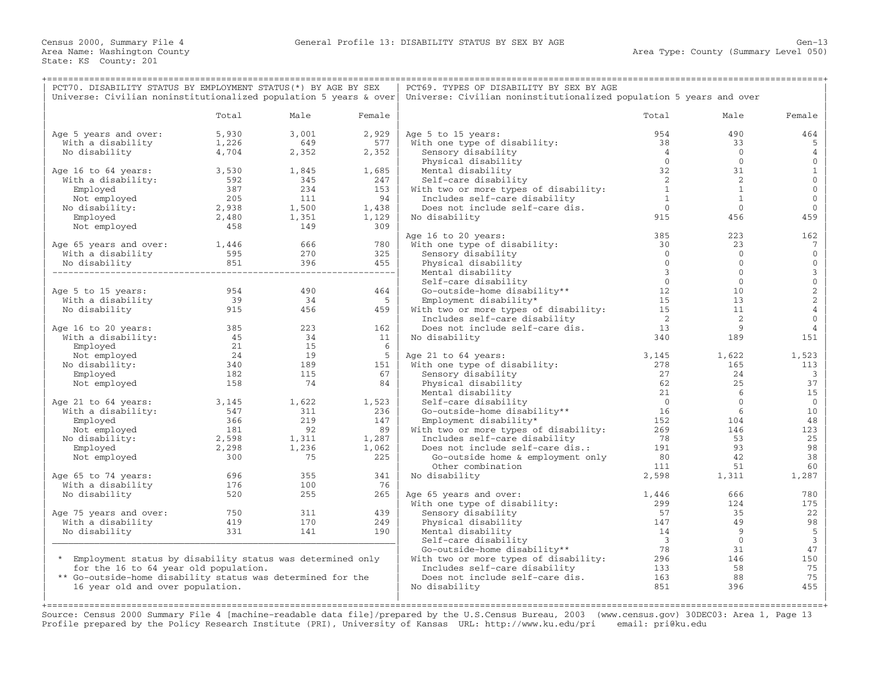| PCT70. DISABILITY STATUS BY EMPLOYMENT STATUS(*) BY AGE BY SEX                                                                                                                                                                                                                                   |                                                                    |                 |                 | PCT69. TYPES OF DISABILITY BY SEX BY AGE                                                                           |                            |                          |                         |  |
|--------------------------------------------------------------------------------------------------------------------------------------------------------------------------------------------------------------------------------------------------------------------------------------------------|--------------------------------------------------------------------|-----------------|-----------------|--------------------------------------------------------------------------------------------------------------------|----------------------------|--------------------------|-------------------------|--|
| Universe: Civilian noninstitutionalized population 5 years & over                                                                                                                                                                                                                                |                                                                    |                 |                 | Universe: Civilian noninstitutionalized population 5 years and over                                                |                            |                          |                         |  |
|                                                                                                                                                                                                                                                                                                  |                                                                    |                 |                 |                                                                                                                    |                            |                          |                         |  |
|                                                                                                                                                                                                                                                                                                  | Total                                                              | Male            | Female          |                                                                                                                    | Total                      | Male                     | Female                  |  |
| Age 5 years and over:                                                                                                                                                                                                                                                                            |                                                                    | 3,001           | 2,929           | Age 5 to 15 years:                                                                                                 | 954                        | 490                      | 464                     |  |
| With a disability                                                                                                                                                                                                                                                                                | 5,930<br>1,226                                                     | 649             | 577             | With one type of disability:                                                                                       | 38                         | 33                       | 5                       |  |
| No disability                                                                                                                                                                                                                                                                                    | 4,704                                                              | 2,352           | 2,352           | Sensory disability                                                                                                 | $\overline{4}$             | $\overline{0}$           | 4                       |  |
|                                                                                                                                                                                                                                                                                                  |                                                                    |                 |                 | Physical disability                                                                                                | $\bigcirc$                 | $\overline{0}$           | $\mathbf{0}$            |  |
| Age 16 to 64 years:                                                                                                                                                                                                                                                                              | 3,530                                                              | $1,845$ $1,685$ |                 | Mental disability                                                                                                  | 32                         | 31                       | $\mathbf{1}$            |  |
| With a disability:                                                                                                                                                                                                                                                                               |                                                                    |                 |                 | Self-care disability                                                                                               | $\overline{\phantom{0}}$ 2 | 2                        | $\mathsf{O}\xspace$     |  |
| Employed                                                                                                                                                                                                                                                                                         |                                                                    |                 |                 | With two or more types of disability:                                                                              | $\overline{1}$             | $\mathbf{1}$             | $\mathbf 0$             |  |
| Not employed                                                                                                                                                                                                                                                                                     |                                                                    |                 |                 | Includes self-care disability                                                                                      | $\overline{1}$             | 1                        | $\mathbf{0}$            |  |
| No disability:                                                                                                                                                                                                                                                                                   |                                                                    |                 |                 | Does not include self-care dis.                                                                                    | $\overline{0}$             | $\overline{0}$           | $\mathbf 0$             |  |
| Employed                                                                                                                                                                                                                                                                                         |                                                                    |                 |                 | No disability                                                                                                      | 915                        | 456                      | 459                     |  |
| Not employed                                                                                                                                                                                                                                                                                     |                                                                    |                 |                 |                                                                                                                    |                            |                          |                         |  |
|                                                                                                                                                                                                                                                                                                  |                                                                    |                 |                 | Age 16 to 20 years:                                                                                                | 385                        | 223                      | 162                     |  |
| Age 65 years and over:<br>With a disability distribution of the Modisability of the Modisability of the Modisability of the Modis<br>Modisability distribution and Modisability and Modisability and Modisability and Modisabilit                                                                |                                                                    |                 |                 | With one type of disability:                                                                                       | 30                         | 23                       | $7\phantom{.0}$         |  |
|                                                                                                                                                                                                                                                                                                  |                                                                    |                 |                 | Sensory disability                                                                                                 | $\overline{0}$             | $\overline{0}$           | $\mathbf 0$             |  |
|                                                                                                                                                                                                                                                                                                  |                                                                    |                 |                 | Physical disability                                                                                                | $\bigcirc$                 | $\overline{0}$           | $\mathbf 0$             |  |
|                                                                                                                                                                                                                                                                                                  |                                                                    |                 |                 | Mental disability                                                                                                  | $\overline{\mathbf{3}}$    | $\circ$                  | $_0^3$                  |  |
|                                                                                                                                                                                                                                                                                                  |                                                                    |                 |                 | Self-care disability                                                                                               |                            | $\mathbf 0$              |                         |  |
| Age 5 to 15 years:                                                                                                                                                                                                                                                                               | 954<br>39<br>915                                                   | 490             | 464             | $ity**$ 12<br>Go-outside-home disability**                                                                         |                            | 10                       | $\frac{2}{2}$           |  |
| With a disability                                                                                                                                                                                                                                                                                |                                                                    | 34              | $5^{\circ}$     | Employment disability*                                                                                             |                            | 13                       |                         |  |
| No disability                                                                                                                                                                                                                                                                                    |                                                                    | 456             | 459             | With two or more types of disability: 15                                                                           |                            | 11                       | $\overline{4}$          |  |
|                                                                                                                                                                                                                                                                                                  |                                                                    |                 |                 | Includes self-care disability                                                                                      | $\overline{2}$             | $\overline{\phantom{0}}$ | $\mathbf 0$             |  |
| Age 16 to 20 years:                                                                                                                                                                                                                                                                              | 385                                                                | 223             | 162             | Does not include self-care dis.                                                                                    | 13                         | 9                        | 4                       |  |
|                                                                                                                                                                                                                                                                                                  |                                                                    |                 | 11              | No disability                                                                                                      | 340                        | 189                      | 151                     |  |
| With a disability:<br>Employed 21 15<br>Not employed 24 19<br>No disability: 340 189<br>Employed 182 115                                                                                                                                                                                         |                                                                    |                 | $6\overline{6}$ |                                                                                                                    |                            |                          |                         |  |
|                                                                                                                                                                                                                                                                                                  |                                                                    |                 | 5 <sub>1</sub>  | Age 21 to 64 years:                                                                                                | 3,145                      | 1,622                    | 1,523                   |  |
|                                                                                                                                                                                                                                                                                                  |                                                                    |                 | 151             | With one type of disability:                                                                                       | 278                        | 165                      | 113                     |  |
|                                                                                                                                                                                                                                                                                                  |                                                                    |                 | 67              | Sensory disability                                                                                                 | 27                         | 24                       | $\overline{\mathbf{3}}$ |  |
| Not employed                                                                                                                                                                                                                                                                                     | 158                                                                | 74              | 84              | Physical disability                                                                                                | 62                         | 25                       | 37                      |  |
|                                                                                                                                                                                                                                                                                                  |                                                                    |                 |                 | Mental disability<br>Self-care disability<br>Go-outside-home disability**<br>Aisability*                           | 21<br>$\overline{0}$       | 6<br>$\circ$             | 15<br>$\overline{0}$    |  |
| Age 21 to 64 years:                                                                                                                                                                                                                                                                              |                                                                    |                 |                 |                                                                                                                    | 16                         | 6                        | 10                      |  |
|                                                                                                                                                                                                                                                                                                  |                                                                    |                 |                 | Go-outside-home disability** 16<br>Employment disability* 152 104<br>With two or more types of disability: 269 146 |                            |                          | 48                      |  |
|                                                                                                                                                                                                                                                                                                  |                                                                    |                 |                 |                                                                                                                    |                            |                          | 123                     |  |
|                                                                                                                                                                                                                                                                                                  |                                                                    |                 |                 |                                                                                                                    | 78                         | 53                       | 25                      |  |
|                                                                                                                                                                                                                                                                                                  |                                                                    |                 |                 |                                                                                                                    |                            | 93                       | 98                      |  |
| 9 21 to 64 years:<br>with a disability:<br>Employed<br>147<br>No disability:<br>No disability:<br>1,236<br>1,236<br>1,236<br>1,236<br>1,236<br>1,287<br>1,287<br>1,287<br>1,287<br>1,289<br>1,287<br>1,289<br>1,287<br>1,287<br>1,287<br>1,287<br>1,287<br>1,287<br>1,287<br>1,2<br>Not employed | $\begin{array}{r} 300 \\ 181 \\ 2,598 \\ 2,298 \\ 300 \end{array}$ | 75              | 225             | Includes self-care disability 78<br>Does not include self-care dis.: 191<br>Go-outside home & employment only 80   |                            | 42                       | 38                      |  |
|                                                                                                                                                                                                                                                                                                  |                                                                    |                 |                 | Other combination                                                                                                  | 111                        | 51                       | 60                      |  |
| Age 65 to 74 years:                                                                                                                                                                                                                                                                              |                                                                    | 355             | 341             | No disability                                                                                                      | 2,598                      | 1,311                    | 1,287                   |  |
| With a disability                                                                                                                                                                                                                                                                                | $696$<br>$176$                                                     | 100             | 76              |                                                                                                                    |                            |                          |                         |  |
| No disability                                                                                                                                                                                                                                                                                    | 520                                                                | 255             | 265             | Age 65 years and over:                                                                                             | 1,446                      | 666                      | 780                     |  |
|                                                                                                                                                                                                                                                                                                  |                                                                    |                 |                 | With one type of disability:                                                                                       | 299                        | 124                      | 175                     |  |
| Age 75 years and over:                                                                                                                                                                                                                                                                           | $\frac{750}{331}$                                                  | 311             | 439             | Sensory disability                                                                                                 | 57                         | 35                       | 22                      |  |
| With a disability                                                                                                                                                                                                                                                                                |                                                                    | 170             | 249             |                                                                                                                    | 147                        | 49                       | 98                      |  |
| No disability                                                                                                                                                                                                                                                                                    | 331                                                                | 141             | 190             |                                                                                                                    | 14                         | 9                        | $\overline{5}$          |  |
|                                                                                                                                                                                                                                                                                                  |                                                                    |                 |                 |                                                                                                                    | $\overline{\mathbf{3}}$    | $\overline{0}$           | $\overline{3}$          |  |
|                                                                                                                                                                                                                                                                                                  |                                                                    |                 |                 |                                                                                                                    | 78                         | 31                       | 47                      |  |
| * Employment status by disability status was determined only                                                                                                                                                                                                                                     |                                                                    |                 |                 | With two or more types of disability: $296$                                                                        |                            | 146                      | 150                     |  |
| for the 16 to 64 year old population.                                                                                                                                                                                                                                                            |                                                                    |                 |                 | Includes self-care disability                                                                                      | 133                        | 58                       | 75                      |  |
| ** Go-outside-home disability status was determined for the                                                                                                                                                                                                                                      |                                                                    |                 |                 | Does not include self-care dis.                                                                                    | 163                        | 88                       | 75                      |  |
| 16 year old and over population.                                                                                                                                                                                                                                                                 |                                                                    |                 |                 | No disability                                                                                                      | 851                        | 396                      | 455                     |  |
|                                                                                                                                                                                                                                                                                                  |                                                                    |                 |                 |                                                                                                                    |                            |                          |                         |  |

+===================================================================================================================================================+ Source: Census 2000 Summary File 4 [machine−readable data file]/prepared by the U.S.Census Bureau, 2003 (www.census.gov) 30DEC03: Area 1, Page 13 Profile prepared by the Policy Research Institute (PRI), University of Kansas URL: http://www.ku.edu/pri email: pri@ku.edu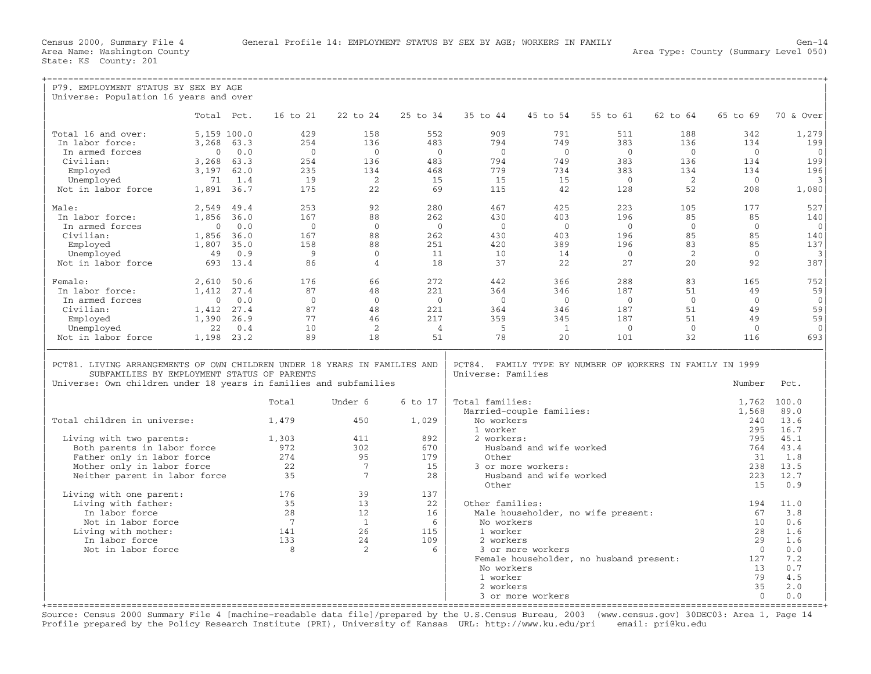| P79. EMPLOYMENT STATUS BY SEX BY AGE                                                                                                                                                          |                |          |                |                 |                |                    |                                                           |                |                            |                |                |
|-----------------------------------------------------------------------------------------------------------------------------------------------------------------------------------------------|----------------|----------|----------------|-----------------|----------------|--------------------|-----------------------------------------------------------|----------------|----------------------------|----------------|----------------|
| Universe: Population 16 years and over                                                                                                                                                        |                |          |                |                 |                |                    |                                                           |                |                            |                |                |
|                                                                                                                                                                                               | Total Pct.     |          | 16 to 21       | 22 to 24        | 25 to 34       | 35 to 44           | 45 to 54                                                  | 55 to 61       | 62 to 64                   | 65 to 69       | 70 & Over      |
| Total 16 and over:                                                                                                                                                                            | 5,159 100.0    |          | 429            | 158             | 552            | 909                | 791                                                       | 511            | 188                        | 342            | 1,279          |
| In labor force:                                                                                                                                                                               | 3,268          | 63.3     | 254            | 136             | 483            | 794                | 749                                                       | 383            | 136                        | 134            | 199            |
| In armed forces                                                                                                                                                                               | $\Omega$       | 0.0      | $\overline{0}$ | $\overline{0}$  | $\overline{0}$ | $\bigcirc$         | $\bigcirc$                                                | $\bigcirc$     | $\bigcirc$                 | $\bigcirc$     | $\mathbf{0}$   |
| Civilian:                                                                                                                                                                                     | 3,268          | 63.3     | 254            | 136             | 483            | 794                | 749                                                       | 383            | 136                        | 134            | 199            |
| Employed                                                                                                                                                                                      | 3,197          | 62.0     | 235            | 134             | 468            | 779                | 734                                                       | 383            | 134                        | 134            | 196            |
| Unemployed                                                                                                                                                                                    | 71             | 1.4      | 19             | <sup>2</sup>    | 15             | 15                 | 15                                                        | $\bigcirc$     | $\overline{\phantom{0}}^2$ | $\Omega$       | 3              |
| Not in labor force                                                                                                                                                                            | 1,891 36.7     |          | 175            | 22              | 69             | 115                | 42                                                        | 128            | 52                         | 208            | 1,080          |
| Male:                                                                                                                                                                                         | 2,549          | 49.4     | 253            | 92              | 280            | 467                | 425                                                       | 223            | 105                        | 177            | 527            |
| In labor force:                                                                                                                                                                               | 1,856          | 36.0     | 167            | 88              | 262            | 430                | 403                                                       | 196            | 85                         | 85             | 140            |
| In armed forces                                                                                                                                                                               | $\overline{0}$ | 0.0      | $\overline{0}$ | $\Omega$        | $\bigcirc$     | $\Omega$           | $\bigcirc$                                                | $\bigcirc$     | $\overline{0}$             | $\overline{0}$ | $\mathbf{0}$   |
| Civilian:                                                                                                                                                                                     | 1,856 36.0     |          | 167            | 88              | 262            | 430                | 403                                                       | 196            | 85                         | 85             | 140            |
| Employed                                                                                                                                                                                      | 1,807          | 35.0     | 158            | 88              | 2.51           | 420                | 389                                                       | 196            | 83                         | 85             | 137            |
| Unemployed                                                                                                                                                                                    | 49             | 0.9      | - 9            | $\Omega$        | 11             | 10                 | 14                                                        | $\bigcirc$     | 2                          | $\Omega$       | 3              |
| Not in labor force                                                                                                                                                                            |                | 693 13.4 | 86             | $\overline{4}$  | 18             | 37                 | 22                                                        | 27             | 20                         | 92             | 387            |
| Female:                                                                                                                                                                                       | 2,610 50.6     |          | 176            | 66              | 2.72           | 442                | 366                                                       | 288            | 83                         | 165            | 752            |
| In labor force:                                                                                                                                                                               | 1,412          | 27.4     | 87             | 48              | 221            | 364                | 346                                                       | 187            | 51                         | 49             | 59             |
| In armed forces                                                                                                                                                                               | $\overline{0}$ | 0.0      | $\Omega$       | $\Omega$        | $\overline{0}$ | $\Omega$           | $\overline{0}$                                            | $\overline{0}$ | $\overline{0}$             | $\overline{0}$ | $\overline{0}$ |
| Civilian:                                                                                                                                                                                     | 1,412          | 27.4     | 87             | 48              | 221            | 364                | 346                                                       | 187            | 51                         | 49             | 59             |
| Employed                                                                                                                                                                                      | 1,390          | 26.9     | 77             | 46              | 217            | 359                | 345                                                       | 187            | 51                         | 49             | 59             |
| Unemployed                                                                                                                                                                                    | 22             | 0.4      | 10             | 2               | $\overline{4}$ | - 5                | $\mathbf{1}$                                              | $\bigcirc$     | $\overline{0}$             | $\Omega$       | $\Omega$       |
| Not in labor force                                                                                                                                                                            | 1,198 23.2     |          | 89             | 18              | 51             | 78                 | 20                                                        | 101            | 32                         | 116            | 693            |
| PCT81. LIVING ARRANGEMENTS OF OWN CHILDREN UNDER 18 YEARS IN FAMILIES AND<br>SUBFAMILIES BY EMPLOYMENT STATUS OF PARENTS<br>Universe: Own children under 18 years in families and subfamilies |                |          |                |                 |                | Universe: Families | PCT84. FAMILY TYPE BY NUMBER OF WORKERS IN FAMILY IN 1999 |                |                            | Number         | Pct.           |
|                                                                                                                                                                                               |                |          | Total          | Under 6         | 6 to 17        | Total families:    |                                                           |                |                            | 1,762          | 100.0          |
|                                                                                                                                                                                               |                |          |                |                 |                |                    | Married-couple families:                                  |                |                            | 1,568          | 89.0           |
| Total children in universe:                                                                                                                                                                   |                |          | 1,479          | 450             | 1,029          | No workers         |                                                           |                |                            | 240            | 13.6           |
|                                                                                                                                                                                               |                |          |                |                 |                | 1 worker           |                                                           |                |                            | 295            | 16.7           |
| Living with two parents:                                                                                                                                                                      |                |          | 1,303          | 411             | 892            | 2 workers:         |                                                           |                |                            | 795            | 45.1           |
| Both parents in labor force                                                                                                                                                                   |                |          | 972            | 302             | 670            |                    | Husband and wife worked                                   |                |                            | 764            | 43.4           |
| Father only in labor force                                                                                                                                                                    |                |          | 274            | 95              | 179            | Other              |                                                           |                |                            | 31             | 1.8            |
| Mother only in labor force                                                                                                                                                                    |                |          | 22             | $7\overline{ }$ | 15             |                    | 3 or more workers:                                        |                |                            | 238            | 13.5           |
| Neither parent in labor force                                                                                                                                                                 |                |          | 35             | $7\phantom{.0}$ | 28             |                    | Husband and wife worked                                   |                |                            | 223            | 12.7           |
| Living with one parent:                                                                                                                                                                       |                |          | 176            | 39              | 137            | Other              |                                                           |                |                            | 15             | 0.9            |
| Living with father:                                                                                                                                                                           |                |          | 35             | 13              | 22             | Other families:    |                                                           |                |                            | 194            | 11.0           |
| In labor force                                                                                                                                                                                |                |          | 2.8            | 12.             | 16             |                    | Male householder, no wife present:                        |                |                            | 67             | 3.8            |
| Not in labor force                                                                                                                                                                            |                |          | $\overline{7}$ | $\overline{1}$  | 6              | No workers         |                                                           |                |                            | 10             | 0.6            |
| Living with mother:                                                                                                                                                                           |                |          | 141            | 26              | 115            | 1 worker           |                                                           |                |                            | 28             | 1.6            |
| In labor force                                                                                                                                                                                |                |          | 133            | 24              | 109            | 2 workers          |                                                           |                |                            | 2.9            | 1.6            |
| Not in labor force                                                                                                                                                                            |                |          | 8              | 2               | 6              |                    | 3 or more workers                                         |                |                            | $\Omega$       | 0.0            |
|                                                                                                                                                                                               |                |          |                |                 |                |                    | Female householder, no husband present:                   |                |                            | 127            | 7.2            |
|                                                                                                                                                                                               |                |          |                |                 |                | No workers         |                                                           |                |                            | 13             | 0.7            |
|                                                                                                                                                                                               |                |          |                |                 |                | 1 worker           |                                                           |                |                            | 79             | 4.5            |
|                                                                                                                                                                                               |                |          |                |                 |                | 2 workers          |                                                           |                |                            | 35             | 2.0            |
|                                                                                                                                                                                               |                |          |                |                 |                |                    | 3 or more workers                                         |                |                            | $\Omega$       | 0.0            |

+===================================================================================================================================================+ Source: Census 2000 Summary File 4 [machine−readable data file]/prepared by the U.S.Census Bureau, 2003 (www.census.gov) 30DEC03: Area 1, Page 14 Profile prepared by the Policy Research Institute (PRI), University of Kansas URL: http://www.ku.edu/pri email: pri@ku.edu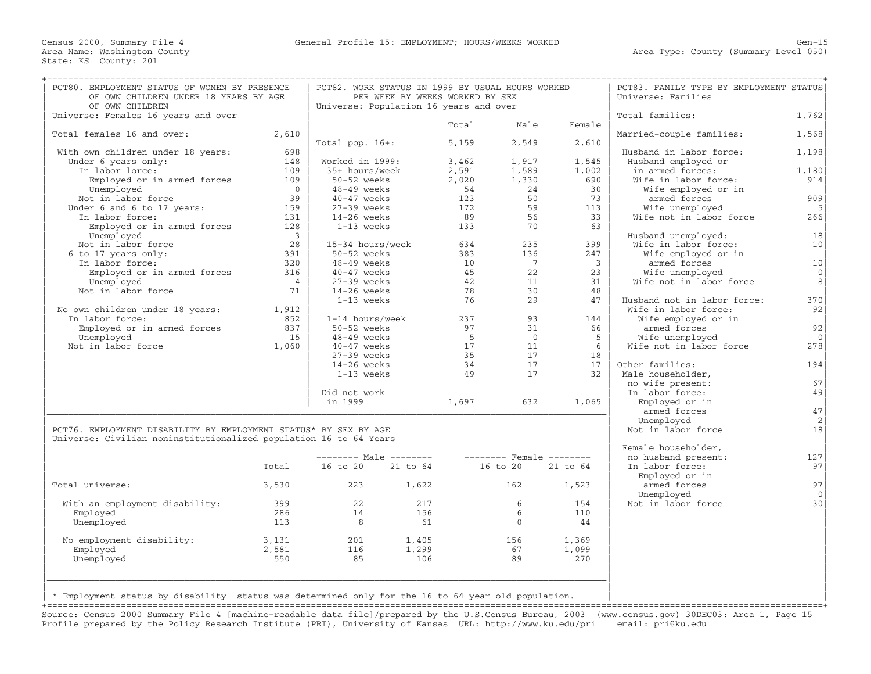| PCT80. EMPLOYMENT STATUS OF WOMEN BY PRESENCE<br>OF OWN CHILDREN UNDER 18 YEARS BY AGE                                                |                                |                                        | PCT82. WORK STATUS IN 1999 BY USUAL HOURS WORKED<br>PER WEEK BY WEEKS WORKED BY SEX |       |                          |                | PCT83. FAMILY TYPE BY EMPLOYMENT STATUS<br>Universe: Families |                 |
|---------------------------------------------------------------------------------------------------------------------------------------|--------------------------------|----------------------------------------|-------------------------------------------------------------------------------------|-------|--------------------------|----------------|---------------------------------------------------------------|-----------------|
| OF OWN CHILDREN                                                                                                                       |                                | Universe: Population 16 years and over |                                                                                     |       |                          |                |                                                               |                 |
| Universe: Females 16 years and over                                                                                                   |                                |                                        |                                                                                     |       |                          |                | Total families:                                               | 1,762           |
|                                                                                                                                       |                                |                                        |                                                                                     | Total | Male                     | Female         |                                                               |                 |
| Total females 16 and over:                                                                                                            | 2,610                          |                                        |                                                                                     |       |                          |                | Married-couple families:                                      | 1,568           |
|                                                                                                                                       |                                | Total pop. $16+:$                      |                                                                                     | 5,159 | 2,549                    | 2,610          |                                                               |                 |
| With own children under 18 years:                                                                                                     | 698                            |                                        |                                                                                     |       |                          |                | Husband in labor force:                                       | 1,198           |
| Under 6 years only:                                                                                                                   | 148                            | Worked in 1999:                        |                                                                                     | 3,462 | 1,917                    | 1,545          | Husband employed or                                           |                 |
| In labor lorce:                                                                                                                       | 109                            | 35+ hours/week                         |                                                                                     | 2,591 | 1,589                    | 1,002          | in armed forces:                                              | 1,180           |
| Employed or in armed forces                                                                                                           | 109                            | 50-52 weeks                            |                                                                                     | 2,020 | 1,330                    | 690            | Wife in labor force:                                          | 914             |
| Unemployed                                                                                                                            | $\overline{0}$                 | 48-49 weeks                            |                                                                                     | 54    | 24                       | 30             | Wife employed or in                                           |                 |
| Not in labor force                                                                                                                    | 39                             | $40-47$ weeks                          |                                                                                     | 123   | 50                       | 73             | armed forces                                                  | 909             |
| Under 6 and 6 to 17 years:                                                                                                            | 159                            | $27-39$ weeks                          |                                                                                     | 172   | 59                       | 113            | Wife unemployed                                               | 5               |
| In labor force:                                                                                                                       | 131                            | $14-26$ weeks                          |                                                                                     | 89    | 56                       | 33             | Wife not in labor force                                       | 266             |
| Employed or in armed forces<br>Unemployed                                                                                             | 128<br>$\overline{\mathbf{3}}$ | $1-13$ weeks                           |                                                                                     | 133   | 70                       | 63             | Husband unemployed:                                           | 18              |
| Not in labor force                                                                                                                    | 28                             | 15-34 hours/week                       |                                                                                     | 634   | 235                      | 399            | Wife in labor force:                                          | 10 <sup>1</sup> |
| 6 to 17 years only:                                                                                                                   | 391                            | $50-52$ weeks                          |                                                                                     | 383   | 136                      | 247            | Wife employed or in                                           |                 |
| In labor force:                                                                                                                       | 320                            | 48-49 weeks                            |                                                                                     | 10    | 7                        | $\overline{3}$ | armed forces                                                  | 10              |
| Employed or in armed forces                                                                                                           | 316                            | $40-47$ weeks                          |                                                                                     | 45    | 22                       | 23             | Wife unemployed                                               | $\mathbf{0}$    |
| Unemployed                                                                                                                            | $\overline{4}$                 | $27-39$ weeks                          |                                                                                     | 42    | 11                       | 31             | Wife not in labor force                                       | 8               |
| Not in labor force                                                                                                                    | 71                             | $14-26$ weeks                          |                                                                                     | 78    | 30                       | 48             |                                                               |                 |
|                                                                                                                                       |                                | 1-13 weeks                             |                                                                                     | 76    | 29                       | 47             | Husband not in labor force:                                   | 370             |
| No own children under 18 years:                                                                                                       | 1,912                          |                                        |                                                                                     |       |                          |                | Wife in labor force:                                          | 92              |
| In labor force:                                                                                                                       | 852                            | 1-14 hours/week                        |                                                                                     | 237   | 93                       | 144            | Wife employed or in                                           |                 |
| Employed or in armed forces                                                                                                           | 837                            | 50-52 weeks                            |                                                                                     | 97    | 31                       | 66             | armed forces                                                  | 92              |
| Unemployed                                                                                                                            | 1.5                            | $48-49$ weeks                          |                                                                                     | 5     | $\overline{0}$           | -5             | Wife unemployed                                               | $\Omega$        |
| Not in labor force                                                                                                                    | 1,060                          | $40-47$ weeks                          |                                                                                     | 17    | 11                       | 6              | Wife not in labor force                                       | 278             |
|                                                                                                                                       |                                | $27-39$ weeks                          |                                                                                     | 35    | 17                       | 18             |                                                               |                 |
|                                                                                                                                       |                                | $14-26$ weeks                          |                                                                                     | 34    | 17                       | 17             | Other families:                                               | 194             |
|                                                                                                                                       |                                | 1-13 weeks                             |                                                                                     | 49    | 17                       | 32             | Male householder,                                             |                 |
|                                                                                                                                       |                                |                                        |                                                                                     |       |                          |                | no wife present:                                              | 67              |
|                                                                                                                                       |                                | Did not work                           |                                                                                     |       |                          |                | In labor force:                                               | 49              |
|                                                                                                                                       |                                | in 1999                                |                                                                                     | 1,697 | 632                      | 1,065          | Employed or in                                                |                 |
|                                                                                                                                       |                                |                                        |                                                                                     |       |                          |                | armed forces                                                  | 47              |
|                                                                                                                                       |                                |                                        |                                                                                     |       |                          |                | Unemployed                                                    | 2               |
| PCT76. EMPLOYMENT DISABILITY BY EMPLOYMENT STATUS* BY SEX BY AGE<br>Universe: Civilian noninstitutionalized population 16 to 64 Years |                                |                                        |                                                                                     |       |                          |                | Not in labor force                                            | 18              |
|                                                                                                                                       |                                |                                        |                                                                                     |       |                          |                | Female householder,                                           |                 |
|                                                                                                                                       |                                |                                        | $------$ Male $------$                                                              |       | $------$ Female $------$ |                | no husband present:                                           | 127             |
|                                                                                                                                       | Total                          | 16 to 20                               | 21 to 64                                                                            |       | 16 to 20                 | 21 to 64       | In labor force:<br>Employed or in                             | 97              |
| Total universe:                                                                                                                       | 3,530                          | 223                                    | 1,622                                                                               |       | 162                      | 1,523          | armed forces                                                  | 97<br>$\Omega$  |
|                                                                                                                                       | 399                            | 22                                     | 217                                                                                 |       | 6                        | 154            | Unemployed<br>Not in labor force                              | 30              |
| With an employment disability:<br>Employed                                                                                            | 286                            | 14                                     | 156                                                                                 |       | 6                        | 110            |                                                               |                 |
|                                                                                                                                       | 113                            | 8                                      | 61                                                                                  |       | $\Omega$                 | 44             |                                                               |                 |
| Unemployed                                                                                                                            |                                |                                        |                                                                                     |       |                          |                |                                                               |                 |
| No employment disability:                                                                                                             | 3,131                          | 201                                    | 1,405                                                                               |       | 156                      | 1,369          |                                                               |                 |
| Employed                                                                                                                              | 2,581                          | 116                                    | 1,299                                                                               |       | 67                       | 1,099          |                                                               |                 |
| Unemployed                                                                                                                            | 550                            | 85                                     | 106                                                                                 |       | 89                       | 270            |                                                               |                 |
|                                                                                                                                       |                                |                                        |                                                                                     |       |                          |                |                                                               |                 |
|                                                                                                                                       |                                |                                        |                                                                                     |       |                          |                |                                                               |                 |
|                                                                                                                                       |                                |                                        |                                                                                     |       |                          |                |                                                               |                 |

| \* Employment status by disability status was determined only for the 16 to 64 year old population. | |

+===================================================================================================================================================+ Source: Census 2000 Summary File 4 [machine−readable data file]/prepared by the U.S.Census Bureau, 2003 (www.census.gov) 30DEC03: Area 1, Page 15 Profile prepared by the Policy Research Institute (PRI), University of Kansas URL: http://www.ku.edu/pri email: pri@ku.edu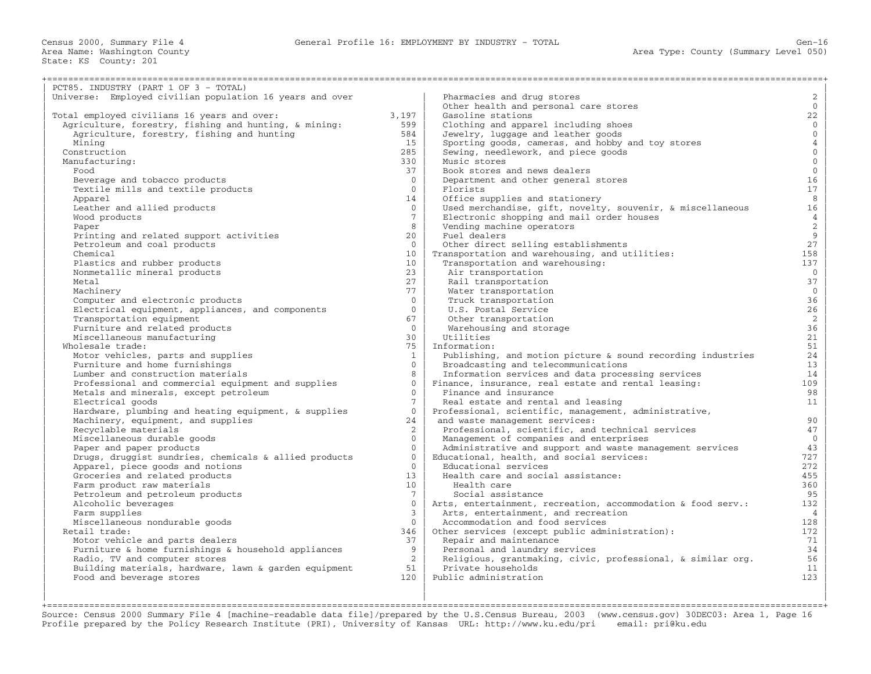Census 2000, Summary File 4 General Profile 16: EMPLOYMENT BY INDUSTRY − TOTAL Gen−16

+===================================================================================================================================================+

State: KS County: 201

| PCT85. INDUSTRY (PART 1 OF 3 - TOTAL)                    |                          |                                                              |                     |
|----------------------------------------------------------|--------------------------|--------------------------------------------------------------|---------------------|
| Universe: Employed civilian population 16 years and over |                          | Pharmacies and drug stores                                   | $\overline{2}$      |
|                                                          |                          | Other health and personal care stores                        | $\overline{0}$      |
| Total employed civilians 16 years and over:              | 3,197                    | Gasoline stations                                            | 22                  |
| Agriculture, forestry, fishing and hunting, & mining:    | 599                      | Clothing and apparel including shoes                         | $\overline{0}$      |
| Agriculture, forestry, fishing and hunting               | 584                      | Jewelry, luggage and leather goods                           | $\mathbf{0}$        |
| Mining                                                   | 15                       | Sporting goods, cameras, and hobby and toy stores            | $\overline{4}$      |
| Construction                                             | 285                      | Sewing, needlework, and piece goods                          | $\mathsf{O}\xspace$ |
| Manufacturing:                                           | 330                      | Music stores                                                 | $\mathsf{O}\xspace$ |
| Food                                                     | 37                       | Book stores and news dealers                                 | $\mathbb O$         |
| Beverage and tobacco products                            | $\Omega$                 | Department and other general stores                          | 16                  |
| Textile mills and textile products                       | $\Omega$                 | Florists                                                     | 17                  |
| Apparel                                                  | 14                       | Office supplies and stationery                               | 8                   |
| Leather and allied products                              | $\Omega$                 | Used merchandise, gift, novelty, souvenir, & miscellaneous   | 16                  |
| Wood products                                            | $7^{\circ}$              | Electronic shopping and mail order houses                    | $\overline{4}$      |
| Paper                                                    | 8                        | Vending machine operators                                    | $\overline{c}$      |
| Printing and related support activities                  | 20                       | Fuel dealers                                                 | $\overline{9}$      |
| Petroleum and coal products                              | $\Omega$                 | Other direct selling establishments                          | 27                  |
| Chemical                                                 | 10 <sup>°</sup>          | Transportation and warehousing, and utilities:               | 158                 |
| Plastics and rubber products                             | 10                       | Transportation and warehousing:                              | 137                 |
| Nonmetallic mineral products                             | 23                       | Air transportation                                           | $\overline{0}$      |
| Metal                                                    | 27                       | Rail transportation                                          | 37                  |
| Machinery                                                | 77                       | Water transportation                                         | $\overline{0}$      |
| Computer and electronic products                         | $\Omega$                 | Truck transportation                                         | 36                  |
| Electrical equipment, appliances, and components         | $\overline{0}$           | U.S. Postal Service                                          | 26                  |
|                                                          |                          |                                                              | 2                   |
| Transportation equipment                                 | 67<br>$\Omega$           | Other transportation                                         | 36                  |
| Furniture and related products                           |                          | Warehousing and storage                                      |                     |
| Miscellaneous manufacturing                              | 30                       | Utilities                                                    | 21                  |
| Wholesale trade:                                         | 75                       | Information:                                                 | 51                  |
| Motor vehicles, parts and supplies                       | $\mathbf{1}$<br>$\Omega$ | Publishing, and motion picture & sound recording industries  | 24                  |
| Furniture and home furnishings                           |                          | Broadcasting and telecommunications                          | 13                  |
| Lumber and construction materials                        | 8                        | Information services and data processing services            | 14                  |
| Professional and commercial equipment and supplies       | $\mathbf{0}$             | Finance, insurance, real estate and rental leasing:          | 109                 |
| Metals and minerals, except petroleum                    | $\Omega$                 | Finance and insurance                                        | 98                  |
| Electrical goods                                         | $7^{\circ}$              | Real estate and rental and leasing                           | 11                  |
| Hardware, plumbing and heating equipment, & supplies     | $\Omega$                 | Professional, scientific, management, administrative,        |                     |
| Machinery, equipment, and supplies                       | 24                       | and waste management services:                               | 90                  |
| Recyclable materials                                     | 2                        | Professional, scientific, and technical services             | 47                  |
| Miscellaneous durable goods                              | $\Omega$                 | Management of companies and enterprises                      | $\overline{0}$      |
| Paper and paper products                                 | $\mathbf{0}$             | Administrative and support and waste management services     | 43                  |
| Drugs, druggist sundries, chemicals & allied products    | $\Omega$                 | Educational, health, and social services:                    | 727                 |
| Apparel, piece goods and notions                         | $\Omega$                 | Educational services                                         | 272                 |
| Groceries and related products                           | 13                       | Health care and social assistance:                           | 455                 |
| Farm product raw materials                               | 10                       | Health care                                                  | 360                 |
| Petroleum and petroleum products                         | $7\phantom{.0}$          | Social assistance                                            | 95                  |
| Alcoholic beverages                                      | $\Omega$                 | Arts, entertainment, recreation, accommodation & food serv.: | 132                 |
| Farm supplies                                            | $\mathbf{3}$             | Arts, entertainment, and recreation                          | $\overline{4}$      |
| Miscellaneous nondurable goods                           | $\Omega$                 | Accommodation and food services                              | 128                 |
| Retail trade:                                            | 346                      | Other services (except public administration):               | 172                 |
| Motor vehicle and parts dealers                          | 37                       | Repair and maintenance                                       | 71                  |
| Furniture & home furnishings & household appliances      | 9                        | Personal and laundry services                                | 34                  |
| Radio, TV and computer stores                            | 2                        | Religious, grantmaking, civic, professional, & similar org.  | 56                  |
| Building materials, hardware, lawn & garden equipment    | 51                       | Private households                                           | 11                  |
| Food and beverage stores                                 | 120                      | Public administration                                        | 123                 |
|                                                          |                          |                                                              |                     |

+===================================================================================================================================================+ Source: Census 2000 Summary File 4 [machine−readable data file]/prepared by the U.S.Census Bureau, 2003 (www.census.gov) 30DEC03: Area 1, Page 16 Profile prepared by the Policy Research Institute (PRI), University of Kansas URL: http://www.ku.edu/pri email: pri@ku.edu

| | |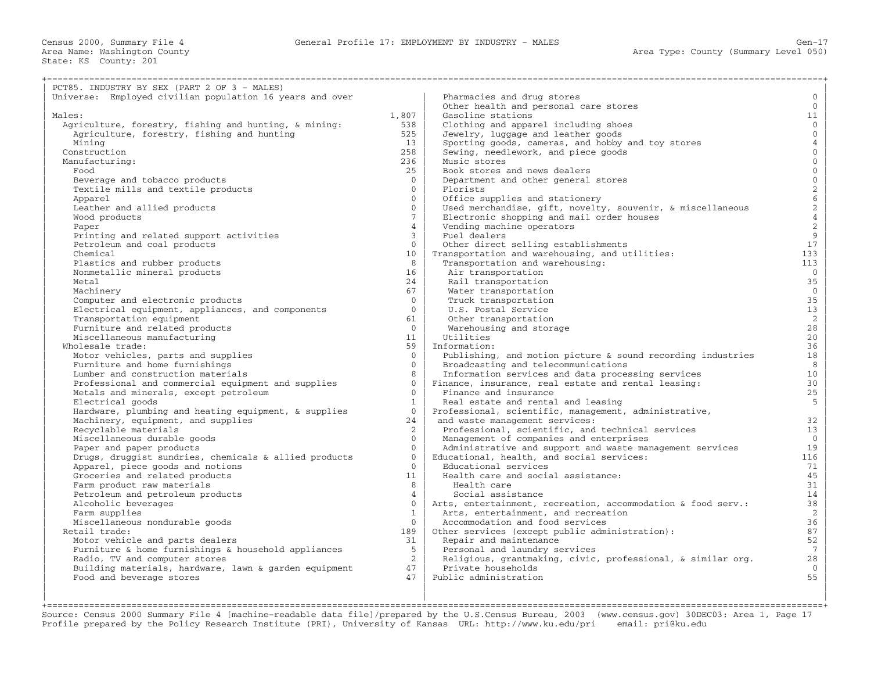| PCT85. INDUSTRY BY SEX (PART 2 OF 3 - MALES)                        |                 |                                                              |                                                 |
|---------------------------------------------------------------------|-----------------|--------------------------------------------------------------|-------------------------------------------------|
| Universe: Employed civilian population 16 years and over            |                 | Pharmacies and drug stores                                   | $\mathbf{0}$                                    |
|                                                                     |                 | Other health and personal care stores                        | $\overline{0}$                                  |
| Males:                                                              | 1,807           | Gasoline stations                                            | 11                                              |
| Agriculture, forestry, fishing and hunting, & mining:               | 538             | Clothing and apparel including shoes                         | $\overline{0}$                                  |
| Agriculture, forestry, fishing and hunting                          | 525             | Jewelry, luggage and leather goods                           | $\overline{0}$                                  |
| Mining                                                              | 13              | Sporting goods, cameras, and hobby and toy stores            | $\overline{4}$                                  |
| Construction                                                        | 258             | Sewing, needlework, and piece goods                          | $\overline{0}$                                  |
| Manufacturing:                                                      | 236             | Music stores                                                 | $\overline{0}$                                  |
| Food                                                                | 25              | Book stores and news dealers                                 | $\overline{0}$                                  |
|                                                                     | $\Omega$        | Department and other general stores                          | $\mathsf{O}\xspace$                             |
| Beverage and tobacco products<br>Textile mills and textile products | $\mathbf{0}$    | Florists                                                     |                                                 |
|                                                                     | $\mathbf{0}$    |                                                              | $\begin{array}{c} 2 \\ 6 \\ 2 \\ 4 \end{array}$ |
| Apparel                                                             | $\Omega$        | Office supplies and stationery                               |                                                 |
| Leather and allied products                                         | $7^{\circ}$     | Used merchandise, gift, novelty, souvenir, & miscellaneous   |                                                 |
| Wood products                                                       |                 | Electronic shopping and mail order houses                    |                                                 |
| Paper                                                               | $\overline{4}$  | Vending machine operators                                    | $\sqrt{2}$                                      |
| Printing and related support activities                             | $\mathbf{3}$    | Fuel dealers                                                 | $\mathsf 9$                                     |
| Petroleum and coal products                                         | $\Omega$        | Other direct selling establishments                          | 17                                              |
| Chemical                                                            | 10 <sup>°</sup> | Transportation and warehousing, and utilities:               | 133                                             |
| Plastics and rubber products                                        | 8               | Transportation and warehousing:                              | 113                                             |
| Nonmetallic mineral products                                        | 16              | Air transportation                                           | $\overline{0}$                                  |
| Metal                                                               | 24              | Rail transportation                                          | 35                                              |
| Machinery                                                           | 67              | Water transportation                                         | $\mathbf{0}$                                    |
| Computer and electronic products                                    | $\Omega$        | Truck transportation                                         | 35                                              |
| Electrical equipment, appliances, and components                    | $\Omega$        | U.S. Postal Service                                          | 13                                              |
| Transportation equipment                                            | 61              | Other transportation                                         | $\overline{c}$                                  |
| Furniture and related products                                      | $\overline{0}$  | Warehousing and storage                                      | 28                                              |
| Miscellaneous manufacturing                                         | 11              | Utilities                                                    | 20                                              |
| Wholesale trade:                                                    | 59              | Information:                                                 | 36                                              |
| Motor vehicles, parts and supplies                                  | $\overline{0}$  | Publishing, and motion picture & sound recording industries  | 18                                              |
| Furniture and home furnishings                                      | $\Omega$        | Broadcasting and telecommunications                          | 8                                               |
| Lumber and construction materials                                   | 8               | Information services and data processing services            | 10 <sup>°</sup>                                 |
| Professional and commercial equipment and supplies                  | $\Omega$        | Finance, insurance, real estate and rental leasing:          | 30                                              |
| Metals and minerals, except petroleum                               | $\Omega$        | Finance and insurance                                        | 25                                              |
| Electrical goods                                                    | 1               | Real estate and rental and leasing                           | 5                                               |
| Hardware, plumbing and heating equipment, & supplies                | $\overline{0}$  | Professional, scientific, management, administrative,        |                                                 |
| Machinery, equipment, and supplies                                  | 24              | and waste management services:                               | 32                                              |
| Recyclable materials                                                | $\overline{2}$  | Professional, scientific, and technical services             | 13                                              |
| Miscellaneous durable goods                                         | $\Omega$        | Management of companies and enterprises                      | $\mathbf 0$                                     |
| Paper and paper products                                            | $\Omega$        | Administrative and support and waste management services     | 19                                              |
| Drugs, druggist sundries, chemicals & allied products               | $\Omega$        | Educational, health, and social services:                    | 116                                             |
| Apparel, piece goods and notions                                    | $\Omega$        | Educational services                                         | 71                                              |
| Groceries and related products                                      | 11              | Health care and social assistance:                           | 45                                              |
| Farm product raw materials                                          | 8               | Health care                                                  | 31                                              |
| Petroleum and petroleum products                                    | $\overline{4}$  | Social assistance                                            | 14                                              |
| Alcoholic beverages                                                 | $\Omega$        | Arts, entertainment, recreation, accommodation & food serv.: | 38                                              |
| Farm supplies                                                       | $\mathbf{1}$    | Arts, entertainment, and recreation                          | 2                                               |
| Miscellaneous nondurable goods                                      | $\Omega$        | Accommodation and food services                              | 36                                              |
| Retail trade:                                                       | 189             | Other services (except public administration):               | 87                                              |
| Motor vehicle and parts dealers                                     | 31              | Repair and maintenance                                       | 52                                              |
| Furniture & home furnishings & household appliances                 | 5 <sup>1</sup>  | Personal and laundry services                                | $7\overline{ }$                                 |
| Radio, TV and computer stores                                       | $\overline{2}$  | Religious, grantmaking, civic, professional, & similar org.  | 28                                              |
| Building materials, hardware, lawn & garden equipment               | 47              | Private households                                           | $\mathbf{0}$                                    |
| Food and beverage stores                                            | 47              | Public administration                                        | 55                                              |
|                                                                     |                 |                                                              |                                                 |
|                                                                     |                 |                                                              |                                                 |
|                                                                     |                 |                                                              |                                                 |

+===================================================================================================================================================+ Source: Census 2000 Summary File 4 [machine−readable data file]/prepared by the U.S.Census Bureau, 2003 (www.census.gov) 30DEC03: Area 1, Page 17 Profile prepared by the Policy Research Institute (PRI), University of Kansas URL: http://www.ku.edu/pri email: pri@ku.edu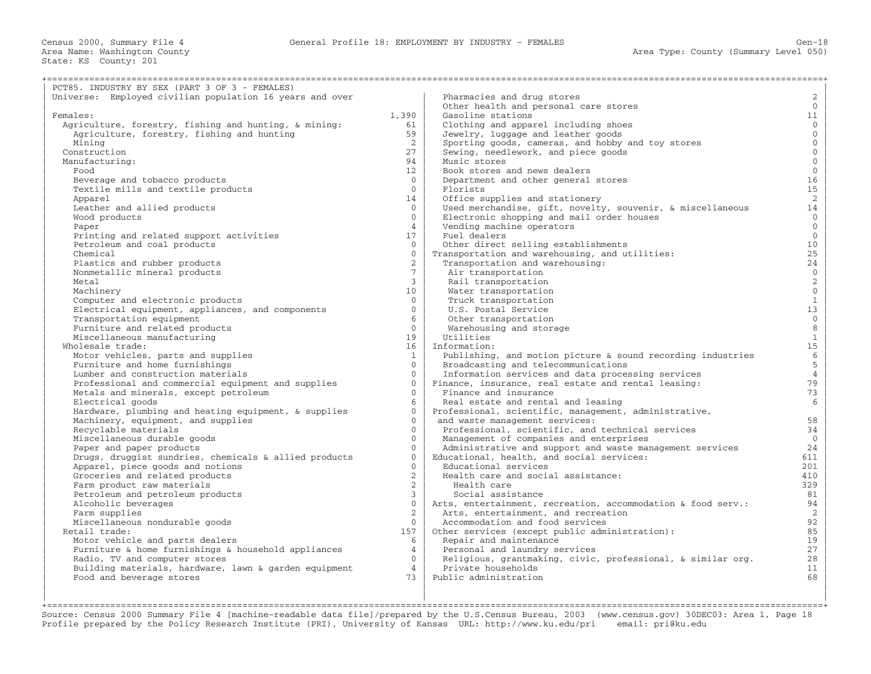| PCT85. INDUSTRY BY SEX (PART 3 OF 3 - FEMALES)                                             |                                |                                                                                                     |                     |
|--------------------------------------------------------------------------------------------|--------------------------------|-----------------------------------------------------------------------------------------------------|---------------------|
| Universe: Employed civilian population 16 years and over                                   |                                | Pharmacies and drug stores                                                                          | $\overline{a}$      |
|                                                                                            |                                | Other health and personal care stores                                                               | $\overline{0}$      |
| Females:                                                                                   | 1,390                          | Gasoline stations                                                                                   | 11                  |
| Agriculture, forestry, fishing and hunting, & mining:                                      | 61                             | Clothing and apparel including shoes                                                                | $\overline{0}$      |
| Agriculture, forestry, fishing and hunting                                                 | 59                             | Jewelry, luggage and leather goods                                                                  | $\overline{0}$      |
| Mining                                                                                     | 2                              | Sporting goods, cameras, and hobby and toy stores                                                   | $\overline{0}$      |
| Construction                                                                               | 27                             | Sewing, needlework, and piece goods                                                                 | $\mathbf 0$         |
| Manufacturing:                                                                             | 94                             | Music stores                                                                                        | $\overline{0}$      |
| Food                                                                                       | 12 <sup>°</sup>                | Book stores and news dealers                                                                        | $\mathsf{O}\xspace$ |
| Beverage and tobacco products                                                              | $\Omega$                       | Department and other general stores                                                                 | 16                  |
| Textile mills and textile products                                                         | $\overline{0}$                 | Florists                                                                                            | 15                  |
| Apparel                                                                                    | 14                             | Office supplies and stationery                                                                      | 2                   |
| Leather and allied products                                                                | $\Omega$                       | Used merchandise, gift, novelty, souvenir, & miscellaneous                                          | 14                  |
| Wood products                                                                              | $\Omega$                       | Electronic shopping and mail order houses                                                           | $\overline{0}$      |
| Paper                                                                                      | $\overline{4}$                 | Vending machine operators                                                                           | $\overline{0}$      |
| Printing and related support activities                                                    | 17                             | Fuel dealers                                                                                        | $\overline{0}$      |
| Petroleum and coal products                                                                | $\Omega$                       | Other direct selling establishments                                                                 | 10                  |
| Chemical                                                                                   | $\Omega$                       | Transportation and warehousing, and utilities:                                                      | 25                  |
| Plastics and rubber products                                                               | $\overline{2}$                 | Transportation and warehousing:                                                                     | 24                  |
| Nonmetallic mineral products                                                               | $7^{\circ}$                    | Air transportation                                                                                  | $\mathsf{O}\xspace$ |
| Metal                                                                                      | $\mathbf{3}$                   | Rail transportation                                                                                 | $\sqrt{2}$          |
| Machinery                                                                                  | 10 <sup>°</sup>                | Water transportation                                                                                | $\mathsf{O}\xspace$ |
| Computer and electronic products                                                           | $\Omega$                       | Truck transportation                                                                                | $\mathbf{1}$        |
| Electrical equipment, appliances, and components                                           | $\Omega$                       | U.S. Postal Service                                                                                 | 13                  |
| Transportation equipment                                                                   | 6                              | Other transportation                                                                                | $\mathsf{O}$        |
| Furniture and related products                                                             | $\overline{0}$                 | Warehousing and storage                                                                             | $\,8\,$             |
| Miscellaneous manufacturing                                                                | 19                             | Utilities                                                                                           | $\mathbf{1}$        |
| Wholesale trade:                                                                           | 16                             | Information:                                                                                        | 15 <sub>1</sub>     |
| Motor vehicles, parts and supplies                                                         | $\mathbf{1}$                   | Publishing, and motion picture & sound recording industries                                         | $6\,$               |
| Furniture and home furnishings                                                             | $\Omega$                       | Broadcasting and telecommunications                                                                 | $\overline{5}$      |
| Lumber and construction materials                                                          | $\Omega$                       | Information services and data processing services                                                   | $\overline{4}$      |
| Professional and commercial equipment and supplies                                         | $\Omega$                       | Finance, insurance, real estate and rental leasing:                                                 | 79                  |
|                                                                                            | $\Omega$                       | Finance and insurance                                                                               | 73                  |
| Metals and minerals, except petroleum<br>Electrical goods                                  | 6                              | Real estate and rental and leasing                                                                  | 6                   |
|                                                                                            | $\Omega$                       | Professional, scientific, management, administrative,                                               |                     |
| Hardware, plumbing and heating equipment, & supplies<br>Machinery, equipment, and supplies | $\Omega$                       | and waste management services:                                                                      | 58                  |
| Recyclable materials                                                                       | $\Omega$                       |                                                                                                     | 34                  |
|                                                                                            | $\Omega$                       | Professional, scientific, and technical services                                                    | $\mathbf 0$         |
| Miscellaneous durable goods                                                                | $\Omega$                       | Management of companies and enterprises<br>Administrative and support and waste management services | 24                  |
| Paper and paper products                                                                   | $\Omega$                       | Educational, health, and social services:                                                           | 611                 |
| Drugs, druggist sundries, chemicals & allied products                                      | $\Omega$                       | Educational services                                                                                | 201                 |
| Apparel, piece goods and notions                                                           | $\overline{2}$                 |                                                                                                     |                     |
| Groceries and related products                                                             |                                | Health care and social assistance:                                                                  | 410                 |
| Farm product raw materials                                                                 | $\overline{a}$<br>$\mathbf{3}$ | Health care                                                                                         | 329                 |
| Petroleum and petroleum products                                                           | $\Omega$                       | Social assistance                                                                                   | 81                  |
| Alcoholic beverages                                                                        |                                | Arts, entertainment, recreation, accommodation & food serv.:                                        | 94                  |
| Farm supplies                                                                              | $\overline{2}$                 | Arts, entertainment, and recreation                                                                 | 2                   |
| Miscellaneous nondurable goods                                                             | $\Omega$                       | Accommodation and food services                                                                     | 92                  |
| Retail trade:                                                                              | 157                            | Other services (except public administration):                                                      | 85<br>19            |
| Motor vehicle and parts dealers                                                            | 6                              | Repair and maintenance                                                                              |                     |
| Furniture & home furnishings & household appliances                                        | $\overline{4}$                 | Personal and laundry services                                                                       | 27                  |
| Radio, TV and computer stores                                                              | $\Omega$                       | Religious, grantmaking, civic, professional, & similar org.                                         | 28                  |
| Building materials, hardware, lawn & garden equipment                                      | $\overline{4}$                 | Private households                                                                                  | 11                  |
| Food and beverage stores                                                                   | 73                             | Public administration                                                                               | 68                  |
|                                                                                            |                                |                                                                                                     |                     |
|                                                                                            |                                |                                                                                                     |                     |

+===================================================================================================================================================+ Source: Census 2000 Summary File 4 [machine−readable data file]/prepared by the U.S.Census Bureau, 2003 (www.census.gov) 30DEC03: Area 1, Page 18 Profile prepared by the Policy Research Institute (PRI), University of Kansas URL: http://www.ku.edu/pri email: pri@ku.edu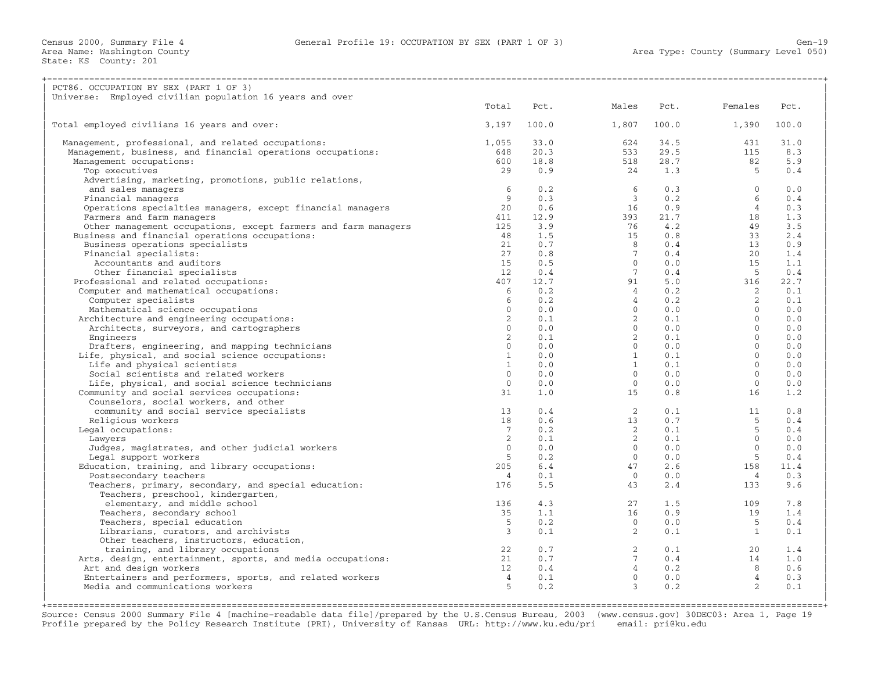| PCT86. OCCUPATION BY SEX (PART 1 OF 3)                         |                 |       |                |       |                       |
|----------------------------------------------------------------|-----------------|-------|----------------|-------|-----------------------|
| Universe: Employed civilian population 16 years and over       |                 |       |                |       |                       |
|                                                                | Total           | Pct.  | Males          | Pct.  | Females<br>Pct.       |
| Total employed civilians 16 years and over:                    | 3,197           | 100.0 | 1,807          | 100.0 | 1,390<br>100.0        |
| Management, professional, and related occupations:             | 1,055           | 33.0  | 624            | 34.5  | 31.0<br>431           |
| Management, business, and financial operations occupations:    | 648             | 20.3  | 533            | 29.5  | 8.3<br>115            |
| Management occupations:                                        | 600             | 18.8  | 518            | 28.7  | 82<br>5.9             |
| Top executives                                                 | 29              | 0.9   | 24             | 1.3   | 5<br>0.4              |
| Advertising, marketing, promotions, public relations,          |                 |       |                |       |                       |
| and sales managers                                             | 6               | 0.2   | 6              | 0.3   | $\Omega$<br>0.0       |
| Financial managers                                             | 9               | 0.3   | $\overline{3}$ | 0.2   | 6<br>0.4              |
| Operations specialties managers, except financial managers     | 20              | 0.6   | 16             | 0.9   | $\overline{4}$<br>0.3 |
| Farmers and farm managers                                      | 411             | 12.9  | 393            | 21.7  | 1.3<br>18             |
| Other management occupations, except farmers and farm managers | 125             | 3.9   | 76             | 4.2   | 49<br>3.5             |
| Business and financial operations occupations:                 | 48              | 1.5   | 15             | 0.8   | 33<br>2.4             |
| Business operations specialists                                | 21              | 0.7   | 8              | 0.4   | 0.9<br>13             |
| Financial specialists:                                         | 27              | 0.8   | $7^{\circ}$    | 0.4   | 20<br>1.4             |
| Accountants and auditors                                       | 15              | 0.5   | $\Omega$       | 0.0   | 15<br>1.1             |
| Other financial specialists                                    | 12              | 0.4   | $7^{\circ}$    | 0.4   | 0.4<br>$-5$           |
| Professional and related occupations:                          | 407             | 12.7  | 91             | 5.0   | 316<br>22.7           |
| Computer and mathematical occupations:                         | 6               | 0.2   | $\overline{4}$ | 0.2   | $\overline{2}$<br>0.1 |
| Computer specialists                                           | 6               | 0.2   | $\overline{4}$ | 0.2   | $\overline{2}$<br>0.1 |
| Mathematical science occupations                               | $\Omega$        | 0.0   | $\Omega$       | 0.0   | $\Omega$<br>0.0       |
| Architecture and engineering occupations:                      | 2               | 0.1   | $\overline{2}$ | 0.1   | $\Omega$<br>0.0       |
| Architects, surveyors, and cartographers                       | $\Omega$        | 0.0   | $\circ$        | 0.0   | $\Omega$<br>0.0       |
| Engineers                                                      | $\overline{2}$  | 0.1   | $\overline{a}$ | 0.1   | $\Omega$<br>0.0       |
| Drafters, engineering, and mapping technicians                 | $\Omega$        | 0.0   | $\Omega$       | 0.0   | $\Omega$<br>0.0       |
| Life, physical, and social science occupations:                | $\mathbf{1}$    | 0.0   | 1              | 0.1   | $\mathbf{0}$<br>0.0   |
| Life and physical scientists                                   | $\mathbf{1}$    | 0.0   | 1              | 0.1   | $\Omega$<br>0.0       |
| Social scientists and related workers                          | $\Omega$        | 0.0   | $\Omega$       | 0.0   | $\Omega$<br>0.0       |
| Life, physical, and social science technicians                 | $\Omega$        | 0.0   | $\circ$        | 0.0   | $\Omega$<br>0.0       |
| Community and social services occupations:                     | 31              | 1.0   | 1.5            | 0.8   | 1.2<br>16             |
| Counselors, social workers, and other                          |                 |       |                |       |                       |
| community and social service specialists                       | 13              | 0.4   | 2              | 0.1   | 0.8<br>11             |
| Religious workers                                              | 18              | 0.6   | 13             | 0.7   | 5<br>0.4              |
| Legal occupations:                                             | $7\overline{ }$ | 0.2   | $\overline{2}$ | 0.1   | 5<br>0.4              |
| Lawyers                                                        | 2               | 0.1   | $\overline{2}$ | 0.1   | $\mathbf{0}$<br>0.0   |
| Judges, magistrates, and other judicial workers                | $\Omega$        | 0.0   | $\circ$        | 0.0   | $\Omega$<br>0.0       |
| Legal support workers                                          | 5 <sup>5</sup>  | 0.2   | $\Omega$       | 0.0   | 5<br>0.4              |
| Education, training, and library occupations:                  | 205             | 6.4   | 47             | 2.6   | 158<br>11.4           |
| Postsecondary teachers                                         | $\overline{4}$  | 0.1   | $\Omega$       | 0.0   | 0.3<br>$\overline{4}$ |
| Teachers, primary, secondary, and special education:           | 176             | 5.5   | 43             | 2.4   | 133<br>9.6            |
| Teachers, preschool, kindergarten,                             |                 |       |                |       |                       |
| elementary, and middle school                                  | 136             | 4.3   | 27             | 1.5   | 7.8<br>109            |
| Teachers, secondary school                                     | 35              | 1.1   | 16             | 0.9   | 1.4<br>19             |
| Teachers, special education                                    | .5              | 0.2   | $\Omega$       | 0.0   | -5<br>0.4             |
| Librarians, curators, and archivists                           | 3               | 0.1   | $\overline{2}$ | 0.1   | 1<br>0.1              |
| Other teachers, instructors, education,                        |                 |       |                |       |                       |
| training, and library occupations                              | 22              | 0.7   | $\overline{2}$ | 0.1   | 20<br>1.4             |
| Arts, design, entertainment, sports, and media occupations:    | 21              | 0.7   | $7^{\circ}$    | 0.4   | 1.0<br>14             |
| Art and design workers                                         | 12              | 0.4   | 4              | 0.2   | 0.6<br>8              |
| Entertainers and performers, sports, and related workers       | $\overline{4}$  | 0.1   | $\circ$        | 0.0   | 4<br>0.3              |
| Media and communications workers                               | 5               | 0.2   | $\mathcal{E}$  | 0.2   | $\overline{2}$<br>0.1 |
|                                                                |                 |       |                |       |                       |

+===================================================================================================================================================+ Source: Census 2000 Summary File 4 [machine−readable data file]/prepared by the U.S.Census Bureau, 2003 (www.census.gov) 30DEC03: Area 1, Page 19 Profile prepared by the Policy Research Institute (PRI), University of Kansas URL: http://www.ku.edu/pri email: pri@ku.edu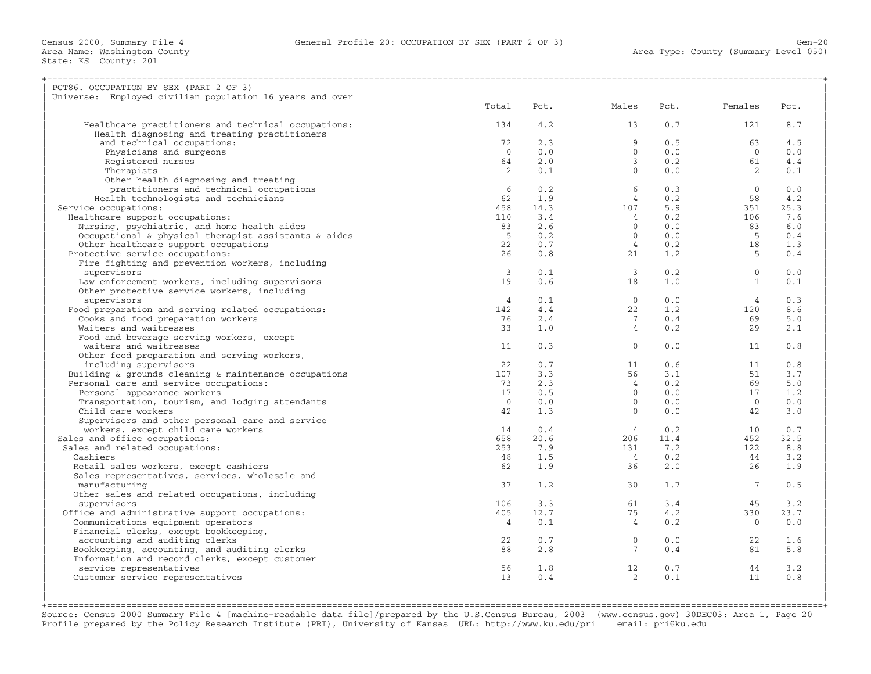| PCT86. OCCUPATION BY SEX (PART 2 OF 3)                   |                |      |                |      |                 |      |
|----------------------------------------------------------|----------------|------|----------------|------|-----------------|------|
| Universe: Employed civilian population 16 years and over |                |      |                |      |                 |      |
|                                                          | Total          | Pct. | Males          | Pct. | Females         | Pct. |
|                                                          |                |      |                |      |                 |      |
| Healthcare practitioners and technical occupations:      | 134            | 4.2  | 13             | 0.7  | 121             | 8.7  |
| Health diagnosing and treating practitioners             |                |      |                |      |                 |      |
| and technical occupations:                               | 72             | 2.3  | 9              | 0.5  | 63              | 4.5  |
| Physicians and surgeons                                  | $\Omega$       | 0.0  | $\Omega$       | 0.0  | $\Omega$        | 0.0  |
| Registered nurses                                        | 64             | 2.0  | $\overline{3}$ | 0.2  | 61              | 4.4  |
| Therapists                                               | 2              | 0.1  | $\Omega$       | 0.0  | 2               | 0.1  |
| Other health diagnosing and treating                     |                |      |                |      |                 |      |
| practitioners and technical occupations                  | 6              | 0.2  | 6              | 0.3  | $\bigcirc$      | 0.0  |
| Health technologists and technicians                     | 62             | 1.9  | $\overline{4}$ | 0.2  | 58              | 4.2  |
| Service occupations:                                     | 458            | 14.3 | 107            | 5.9  | 351             | 25.3 |
| Healthcare support occupations:                          | 110            | 3.4  | $\overline{4}$ | 0.2  | 106             | 7.6  |
| Nursing, psychiatric, and home health aides              | 83             | 2.6  | $\overline{0}$ | 0.0  | 83              | 6.0  |
| Occupational & physical therapist assistants & aides     | $-5$           | 0.2  | $\Omega$       | 0.0  | $-5$            | 0.4  |
| Other healthcare support occupations                     | 22             | 0.7  | $\overline{4}$ | 0.2  | 18              | 1.3  |
| Protective service occupations:                          | 26             | 0.8  | 21             | 1.2  | - 5             | 0.4  |
| Fire fighting and prevention workers, including          |                |      |                |      |                 |      |
| supervisors                                              | $\mathbf{3}$   | 0.1  | $\overline{3}$ | 0.2  | $\overline{0}$  | 0.0  |
| Law enforcement workers, including supervisors           | 19             | 0.6  | 18             | 1.0  | $\mathbf{1}$    | 0.1  |
| Other protective service workers, including              |                |      |                |      |                 |      |
| supervisors                                              | $\overline{4}$ | 0.1  | $\Omega$       | 0.0  | $\overline{4}$  | 0.3  |
| Food preparation and serving related occupations:        | 142            | 4.4  | 22             | 1.2  | 120             | 8.6  |
| Cooks and food preparation workers                       | 76             | 2.4  | 7              | 0.4  | 69              | 5.0  |
| Waiters and waitresses                                   | 33             | 1.0  | $\overline{4}$ | 0.2  | 29              | 2.1  |
| Food and beverage serving workers, except                |                |      |                |      |                 |      |
| waiters and waitresses                                   | 11             | 0.3  | $\circ$        | 0.0  | 11              | 0.8  |
| Other food preparation and serving workers,              |                |      |                |      |                 |      |
| including supervisors                                    | 22             | 0.7  | 11             | 0.6  | 11              | 0.8  |
| Building & grounds cleaning & maintenance occupations    | 107            | 3.3  | 56             | 3.1  | 51              | 3.7  |
| Personal care and service occupations:                   | 73             | 2.3  | $\overline{4}$ | 0.2  | 69              | 5.0  |
| Personal appearance workers                              | 17             | 0.5  | $\Omega$       | 0.0  | 17              | 1.2  |
| Transportation, tourism, and lodging attendants          | $\overline{0}$ | 0.0  | $\Omega$       | 0.0  | $\bigcirc$      | 0.0  |
| Child care workers                                       | 42             | 1.3  | $\circ$        | 0.0  | 42              | 3.0  |
|                                                          |                |      |                |      |                 |      |
| Supervisors and other personal care and service          |                |      |                |      |                 |      |
| workers, except child care workers                       | 14             | 0.4  | $\overline{4}$ | 0.2  | 10              | 0.7  |
| Sales and office occupations:                            | 658            | 20.6 | 206            | 11.4 | 452             | 32.5 |
| Sales and related occupations:                           | 253            | 7.9  | 131            | 7.2  | 122             | 8.8  |
| Cashiers                                                 | 48             | 1.5  | $\overline{4}$ | 0.2  | 44              | 3.2  |
| Retail sales workers, except cashiers                    | 62             | 1.9  | 36             | 2.0  | 26              | 1.9  |
| Sales representatives, services, wholesale and           |                |      |                |      |                 |      |
| manufacturing                                            | 37             | 1.2  | 30             | 1.7  | $7\phantom{.0}$ | 0.5  |
| Other sales and related occupations, including           |                |      |                |      |                 |      |
| supervisors                                              | 106            | 3.3  | 61             | 3.4  | 45              | 3.2  |
| Office and administrative support occupations:           | 405            | 12.7 | 75             | 4.2  | 330             | 23.7 |
| Communications equipment operators                       | $\overline{4}$ | 0.1  | $\overline{4}$ | 0.2  | $\bigcirc$      | 0.0  |
| Financial clerks, except bookkeeping,                    |                |      |                |      |                 |      |
| accounting and auditing clerks                           | 22             | 0.7  | $\overline{0}$ | 0.0  | 22              | 1.6  |
| Bookkeeping, accounting, and auditing clerks             | 88             | 2.8  | 7              | 0.4  | 81              | 5.8  |
| Information and record clerks, except customer           |                |      |                |      |                 |      |
| service representatives                                  | 56             | 1.8  | 12             | 0.7  | 44              | 3.2  |
| Customer service representatives                         | 13             | 0.4  | 2              | 0.1  | 11              | 0.8  |
|                                                          |                |      |                |      |                 |      |
|                                                          |                |      |                |      |                 |      |

+===================================================================================================================================================+ Source: Census 2000 Summary File 4 [machine−readable data file]/prepared by the U.S.Census Bureau, 2003 (www.census.gov) 30DEC03: Area 1, Page 20 Profile prepared by the Policy Research Institute (PRI), University of Kansas URL: http://www.ku.edu/pri email: pri@ku.edu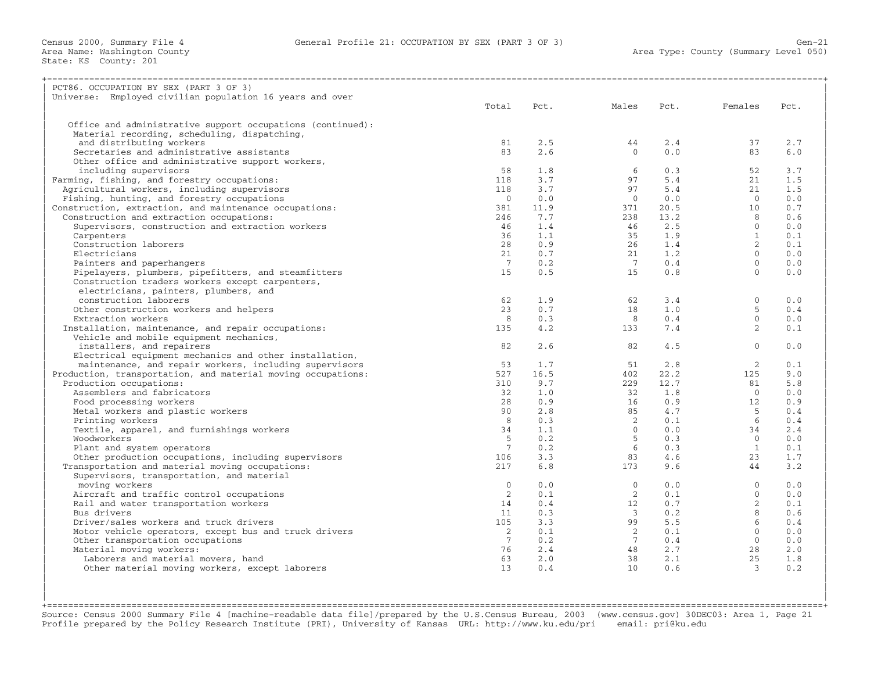| PCT86. OCCUPATION BY SEX (PART 3 OF 3)                       |                 |      |                 |      |                 |      |
|--------------------------------------------------------------|-----------------|------|-----------------|------|-----------------|------|
| Universe: Employed civilian population 16 years and over     |                 |      |                 |      |                 |      |
|                                                              | Total           | Pct. | Males           | Pct. | Females         | Pct. |
|                                                              |                 |      |                 |      |                 |      |
| Office and administrative support occupations (continued):   |                 |      |                 |      |                 |      |
| Material recording, scheduling, dispatching,                 |                 |      |                 |      |                 |      |
| and distributing workers                                     | 81              | 2.5  | 44              | 2.4  | 37              | 2.7  |
| Secretaries and administrative assistants                    | 83              | 2.6  | $\Omega$        | 0.0  | 83              | 6.0  |
| Other office and administrative support workers,             |                 |      |                 |      |                 |      |
| including supervisors                                        | 58              | 1.8  | 6               | 0.3  | 52              | 3.7  |
| Farming, fishing, and forestry occupations:                  | 118             | 3.7  | 97              | 5.4  | 21              | 1.5  |
| Agricultural workers, including supervisors                  | 118             | 3.7  | 97              | 5.4  | 21              | 1.5  |
|                                                              | $\overline{0}$  | 0.0  | $\bigcirc$      | 0.0  | $\Omega$        | 0.0  |
| Fishing, hunting, and forestry occupations                   |                 |      |                 |      |                 |      |
| Construction, extraction, and maintenance occupations:       | 381             | 11.9 | 371             | 20.5 | 10              | 0.7  |
| Construction and extraction occupations:                     | 246             | 7.7  | 238             | 13.2 | 8               | 0.6  |
| Supervisors, construction and extraction workers             | 46              | 1.4  | 46              | 2.5  | $\Omega$        | 0.0  |
| Carpenters                                                   | 36              | 1.1  | 35              | 1.9  | $\overline{1}$  | 0.1  |
| Construction laborers                                        | 28              | 0.9  | 26              | 1.4  | $2^{1}$         | 0.1  |
| Electricians                                                 | 21              | 0.7  | 21              | 1.2  | $\Omega$        | 0.0  |
| Painters and paperhangers                                    | 7               | 0.2  | $7\overline{ }$ | 0.4  | $\Omega$        | 0.0  |
| Pipelayers, plumbers, pipefitters, and steamfitters          | 15              | 0.5  | 15              | 0.8  | $\Omega$        | 0.0  |
| Construction traders workers except carpenters,              |                 |      |                 |      |                 |      |
| electricians, painters, plumbers, and                        |                 |      |                 |      |                 |      |
| construction laborers                                        | 62              | 1.9  | 62              | 3.4  | $\mathbf{0}$    | 0.0  |
| Other construction workers and helpers                       | 23              | 0.7  | 18              | 1.0  | 5               | 0.4  |
| Extraction workers                                           | 8               | 0.3  | 8               | 0.4  | $\Omega$        | 0.0  |
| Installation, maintenance, and repair occupations:           | 135             | 4.2  | 133             | 7.4  | 2               | 0.1  |
| Vehicle and mobile equipment mechanics,                      |                 |      |                 |      |                 |      |
| installers, and repairers                                    | 82              | 2.6  | 82              | 4.5  | $\Omega$        | 0.0  |
| Electrical equipment mechanics and other installation,       |                 |      |                 |      |                 |      |
| maintenance, and repair workers, including supervisors       | 53              | 1.7  | 51              | 2.8  | 2               | 0.1  |
| Production, transportation, and material moving occupations: | 527             | 16.5 | 402             | 22.2 | 125             | 9.0  |
| Production occupations:                                      | 310             | 9.7  | 229             | 12.7 | 81              | 5.8  |
| Assemblers and fabricators                                   | 32              | 1.0  | 32              | 1.8  | $\Omega$        | 0.0  |
| Food processing workers                                      | 28              | 0.9  | 16              | 0.9  | 12 <sup>°</sup> | 0.9  |
| Metal workers and plastic workers                            | 90              | 2.8  | 85              | 4.7  | $-5$            | 0.4  |
| Printing workers                                             | 8               | 0.3  | 2               | 0.1  | - 6             | 0.4  |
| Textile, apparel, and furnishings workers                    | 34              | 1.1  | $\Omega$        | 0.0  | 34              | 2.4  |
| Woodworkers                                                  | -5              | 0.2  | $5 -$           | 0.3  | $\overline{0}$  | 0.0  |
| Plant and system operators                                   | $7\overline{ }$ | 0.2  | 6               | 0.3  | $\mathbf{1}$    | 0.1  |
| Other production occupations, including supervisors          | 106             | 3.3  | 83              | 4.6  | 23              | 1.7  |
|                                                              | 217             |      |                 |      | 44              |      |
| Transportation and material moving occupations:              |                 | 6.8  | 173             | 9.6  |                 | 3.2  |
| Supervisors, transportation, and material                    |                 |      |                 |      |                 |      |
| moving workers                                               | $\Omega$        | 0.0  | $\Omega$        | 0.0  | $\Omega$        | 0.0  |
| Aircraft and traffic control occupations                     | 2               | 0.1  | 2               | 0.1  | $\Omega$        | 0.0  |
| Rail and water transportation workers                        | 14              | 0.4  | 12              | 0.7  | $\overline{2}$  | 0.1  |
| Bus drivers                                                  | 11              | 0.3  | $\overline{3}$  | 0.2  | 8               | 0.6  |
| Driver/sales workers and truck drivers                       | 105             | 3.3  | 99              | 5.5  | 6               | 0.4  |
| Motor vehicle operators, except bus and truck drivers        | 2               | 0.1  | $\overline{2}$  | 0.1  | $\Omega$        | 0.0  |
| Other transportation occupations                             | 7               | 0.2  | 7               | 0.4  | $\overline{0}$  | 0.0  |
| Material moving workers:                                     | 76              | 2.4  | 48              | 2.7  | 28              | 2.0  |
| Laborers and material movers, hand                           | 63              | 2.0  | 38              | 2.1  | 25              | 1.8  |
| Other material moving workers, except laborers               | 13              | 0.4  | 10              | 0.6  | $\overline{3}$  | 0.2  |
|                                                              |                 |      |                 |      |                 |      |
|                                                              |                 |      |                 |      |                 |      |

+===================================================================================================================================================+ Source: Census 2000 Summary File 4 [machine−readable data file]/prepared by the U.S.Census Bureau, 2003 (www.census.gov) 30DEC03: Area 1, Page 21 Profile prepared by the Policy Research Institute (PRI), University of Kansas URL: http://www.ku.edu/pri email: pri@ku.edu

| |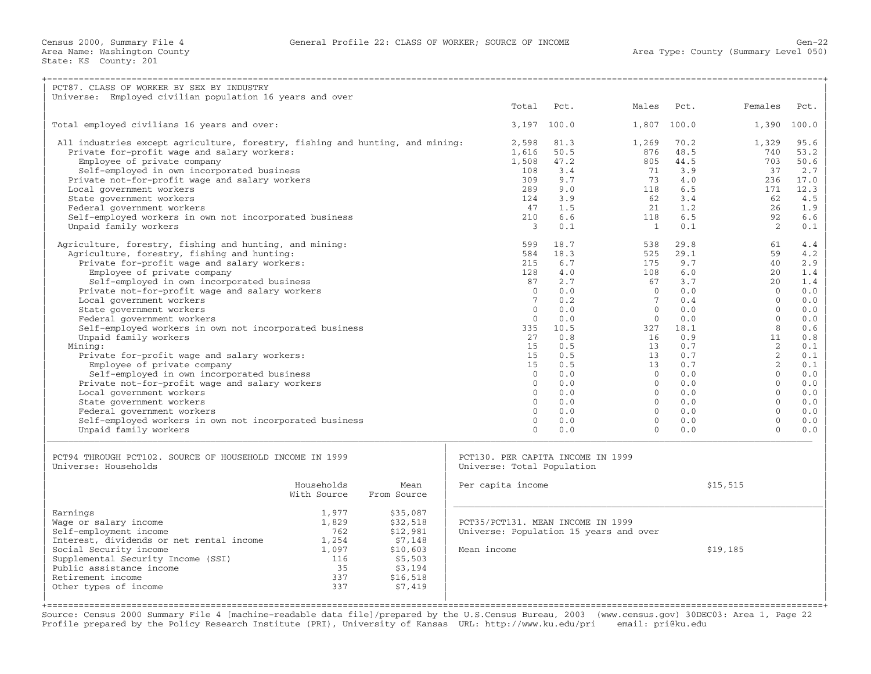| PCT87. CLASS OF WORKER BY SEX BY INDUSTRY                                     |                      |                                                                             |             |                 |            |                     |            |
|-------------------------------------------------------------------------------|----------------------|-----------------------------------------------------------------------------|-------------|-----------------|------------|---------------------|------------|
| Universe: Employed civilian population 16 years and over                      |                      | Total                                                                       | Pct.        | Males           | Pct.       | Females             | Pct.       |
|                                                                               |                      |                                                                             |             |                 |            |                     |            |
| Total employed civilians 16 years and over:                                   |                      |                                                                             | 3,197 100.0 | 1,807           | 100.0      | 1,390               | 100.0      |
| All industries except agriculture, forestry, fishing and hunting, and mining: |                      | 2,598                                                                       | 81.3        | 1,269           | 70.2       | 1,329               | 95.6       |
| Private for-profit wage and salary workers:                                   |                      | 1,616                                                                       | 50.5        | 876             | 48.5       | 740                 | 53.2       |
| Employee of private company                                                   |                      | 1,508                                                                       | 47.2        | 805             | 44.5       | 703                 | 50.6       |
| Self-employed in own incorporated business                                    |                      | 108                                                                         | 3.4         | 71              | 3.9        | 37                  | 2.7        |
| Private not-for-profit wage and salary workers                                |                      | 309                                                                         | 9.7         | 73              | 4.0        | 236                 | 17.0       |
| Local government workers                                                      |                      | 289<br>124                                                                  | 9.0<br>3.9  | 118<br>62       | 6.5<br>3.4 | 171<br>62           | 12.3       |
| State government workers<br>Federal government workers                        |                      | 47                                                                          | 1.5         | 21              | 1.2        | 26                  | 4.5<br>1.9 |
| Self-employed workers in own not incorporated business                        |                      | 210                                                                         | 6.6         | 118             | 6.5        | 92                  | 6.6        |
| Unpaid family workers                                                         |                      | $\mathcal{E}$                                                               | 0.1         | $\overline{1}$  | 0.1        | $\overline{2}$      | 0.1        |
|                                                                               |                      |                                                                             |             |                 |            |                     |            |
| Agriculture, forestry, fishing and hunting, and mining:                       |                      | 599                                                                         | 18.7        | 538             | 29.8       | 61                  | 4.4        |
| Agriculture, forestry, fishing and hunting:                                   |                      | 584                                                                         | 18.3        | 525             | 29.1       | 59                  | 4.2        |
| Private for-profit wage and salary workers:                                   |                      | 215                                                                         | 6.7         | 175             | 9.7        | 40                  | 2.9        |
| Employee of private company<br>Self-employed in own incorporated business     |                      | 128<br>87                                                                   | 4.0<br>2.7  | 108<br>67       | 6.0<br>3.7 | 20<br>2.0           | 1.4<br>1.4 |
| Private not-for-profit wage and salary workers                                |                      | $\Omega$                                                                    | 0.0         | $\Omega$        | 0.0        | $\Omega$            | 0.0        |
| Local government workers                                                      |                      | $7\phantom{.0}$                                                             | 0.2         | $7\phantom{.0}$ | 0.4        | $\cap$              | 0.0        |
| State government workers                                                      |                      | $\Omega$                                                                    | 0.0         | $\Omega$        | 0.0        | $\Omega$            | 0.0        |
| Federal government workers                                                    |                      | $\Omega$                                                                    | 0.0         | $\Omega$        | 0.0        | $\Omega$            | 0.0        |
| Self-employed workers in own not incorporated business                        |                      | 335                                                                         | 10.5        | 327             | 18.1       | $\mathsf{R}$        | 0.6        |
| Unpaid family workers                                                         |                      | 27                                                                          | 0.8         | 16              | 0.9        | 11                  | 0.8        |
| Mining:                                                                       |                      | 15                                                                          | 0.5         | 13              | 0.7        | 2                   | 0.1        |
| Private for-profit wage and salary workers:                                   |                      | 15<br>15                                                                    | 0.5<br>0.5  | 13<br>13        | 0.7<br>0.7 | 2<br>$\overline{2}$ | 0.1<br>0.1 |
| Employee of private company<br>Self-employed in own incorporated business     |                      | $\Omega$                                                                    | 0.0         | $\Omega$        | 0.0        | $\Omega$            | 0.0        |
| Private not-for-profit wage and salary workers                                |                      | $\Omega$                                                                    | 0.0         | $\Omega$        | 0.0        | $\Omega$            | 0.0        |
| Local government workers                                                      |                      | $\Omega$                                                                    | 0.0         | $\Omega$        | 0.0        | $\Omega$            | 0.0        |
| State government workers                                                      |                      | $\Omega$                                                                    | 0.0         | $\circ$         | 0.0        | $\Omega$            | 0.0        |
| Federal government workers                                                    |                      | $\Omega$                                                                    | 0.0         | $\Omega$        | 0.0        | $\Omega$            | 0.0        |
| Self-employed workers in own not incorporated business                        |                      | $\Omega$                                                                    | 0.0         | $\Omega$        | 0.0        | $\Omega$            | 0.0        |
| Unpaid family workers                                                         |                      | $\Omega$                                                                    | 0.0         | $\Omega$        | 0.0        | $\Omega$            | 0.0        |
|                                                                               |                      |                                                                             |             |                 |            |                     |            |
| PCT94 THROUGH PCT102. SOURCE OF HOUSEHOLD INCOME IN 1999                      |                      | PCT130. PER CAPITA INCOME IN 1999                                           |             |                 |            |                     |            |
| Universe: Households                                                          |                      | Universe: Total Population                                                  |             |                 |            |                     |            |
| Households                                                                    | Mean                 | Per capita income                                                           |             |                 |            | \$15,515            |            |
| With Source                                                                   | From Source          |                                                                             |             |                 |            |                     |            |
|                                                                               |                      |                                                                             |             |                 |            |                     |            |
| Earnings<br>1,977                                                             | \$35,087             |                                                                             |             |                 |            |                     |            |
| 1,829<br>Wage or salary income<br>Self-employment income<br>762               | \$32,518<br>\$12,981 | PCT35/PCT131. MEAN INCOME IN 1999<br>Universe: Population 15 years and over |             |                 |            |                     |            |
| Interest, dividends or net rental income<br>1,254                             | \$7,148              |                                                                             |             |                 |            |                     |            |
| Social Security income<br>1,097                                               | \$10,603             | Mean income                                                                 |             |                 |            | \$19,185            |            |
| Supplemental Security Income (SSI)<br>116                                     | \$5,503              |                                                                             |             |                 |            |                     |            |
| Public assistance income<br>35                                                | \$3,194              |                                                                             |             |                 |            |                     |            |
| Retirement income<br>337                                                      | \$16,518             |                                                                             |             |                 |            |                     |            |
| 337<br>Other types of income                                                  | \$7,419              |                                                                             |             |                 |            |                     |            |
|                                                                               |                      |                                                                             |             |                 |            |                     |            |

Source: Census 2000 Summary File 4 [machine−readable data file]/prepared by the U.S.Census Bureau, 2003 (www.census.gov) 30DEC03: Area 1, Page 22 Profile prepared by the Policy Research Institute (PRI), University of Kansas URL: http://www.ku.edu/pri email: pri@ku.edu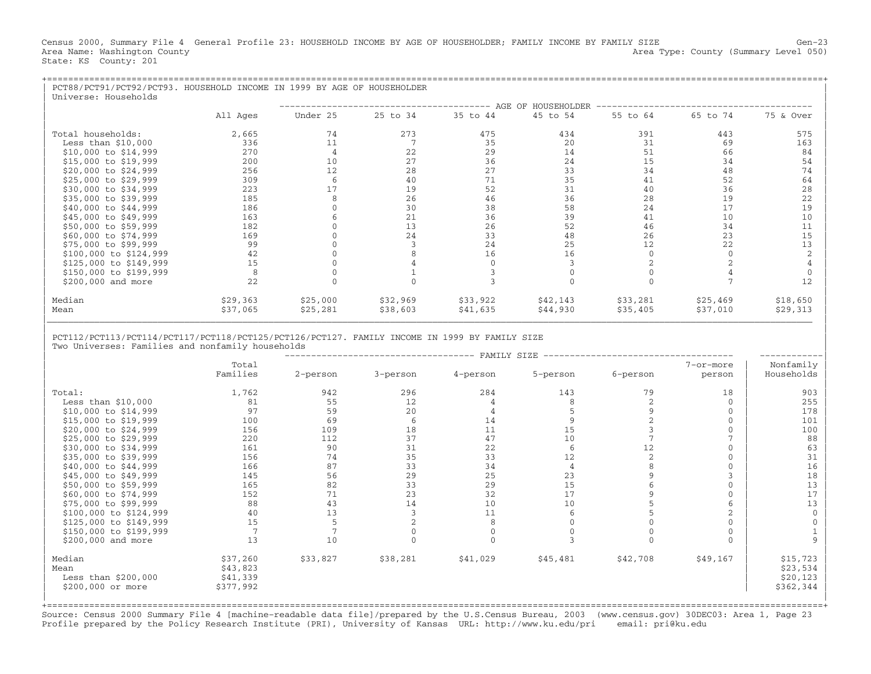Census 2000, Summary File 4 General Profile 23: HOUSEHOLD INCOME BY AGE OF HOUSEHOLDER; FAMILY INCOME BY FAMILY SIZE Gen-23<br>Area Name: Washington County Level 050) Area Type: County (Summary Level 050) State: KS County: 201

| PCT88/PCT91/PCT92/PCT93. HOUSEHOLD INCOME IN 1999 BY AGE OF HOUSEHOLDER<br>Universe: Households |          |          |          |          |                    |          |          |           |
|-------------------------------------------------------------------------------------------------|----------|----------|----------|----------|--------------------|----------|----------|-----------|
|                                                                                                 |          |          |          |          | AGE OF HOUSEHOLDER |          |          |           |
|                                                                                                 | All Ages | Under 25 | 25 to 34 | 35 to 44 | 45 to 54           | 55 to 64 | 65 to 74 | 75 & Over |
| Total households:                                                                               | 2,665    | 74       | 273      | 475      | 434                | 391      | 443      | 575       |
| Less than $$10,000$                                                                             | 336      | 11       |          | 35       | 20                 | 31       | 69       | 163       |
| \$10,000 to \$14,999                                                                            | 270      |          | 22       | 29       | 14                 | 51       | 66       | 84        |
| \$15,000 to \$19,999                                                                            | 200      | 10       | 27       | 36       | 24                 | 15       | 34       | 54        |
| \$20,000 to \$24,999                                                                            | 256      | 12       | 28       | 27       | 33                 | 34       | 48       | 74        |
| \$25,000 to \$29,999                                                                            | 309      |          | 40       | 71       | 35                 | 41       | 52       | 64        |
| \$30,000 to \$34,999                                                                            | 223      | 17       | 19       | 52       | 31                 | 40       | 36       | 28        |
| \$35,000 to \$39,999                                                                            | 185      |          | 26       | 46       | 36                 | 28       | 19       | 22        |
| \$40,000 to \$44,999                                                                            | 186      |          | 30       | 38       | 58                 | 24       | 17       | 19        |
| \$45,000 to \$49,999                                                                            | 163      |          | 21       | 36       | 39                 | 41       | 10       | 10        |
| \$50,000 to \$59,999                                                                            | 182      |          | 13       | 26       | 52                 | 46       | 34       |           |
| \$60,000 to \$74,999                                                                            | 169      |          | 24       | 33       | 48                 | 26       | 23       | 15        |
| \$75,000 to \$99,999                                                                            | 99       |          |          | 24       | 25                 | 12       | 22       | 13        |
| \$100,000 to \$124,999                                                                          | 42       |          |          | 16       | 16                 |          |          |           |
| \$125,000 to \$149,999                                                                          | 15       |          |          |          |                    |          |          |           |
| \$150,000 to \$199,999                                                                          | 8        |          |          |          |                    |          |          |           |
| \$200,000 and more                                                                              | 22       |          |          |          |                    |          |          | 12        |
| Median                                                                                          | \$29,363 | \$25,000 | \$32,969 | \$33,922 | \$42,143           | \$33,281 | \$25,469 | \$18,650  |
| Mean                                                                                            | \$37,065 | \$25,281 | \$38,603 | \$41,635 | \$44,930           | \$35,405 | \$37,010 | \$29,313  |

## | | | PCT112/PCT113/PCT114/PCT117/PCT118/PCT125/PCT126/PCT127. FAMILY INCOME IN 1999 BY FAMILY SIZE | Two Universes: Families and nonfamily households

|                        |           |          |          | FAMILY SIZE |                |          |                |             |
|------------------------|-----------|----------|----------|-------------|----------------|----------|----------------|-------------|
|                        | Total     |          |          |             |                |          | 7-or-more      | Nonfamily   |
|                        | Families  | 2-person | 3-person | 4-person    | 5-person       | 6-person | person         | Households  |
|                        |           |          |          |             |                |          |                |             |
| Total:                 | 1,762     | 942      | 296      | 284         | 143            | 79       | 18             | 903         |
| Less than $$10,000$    | 81        | 55       | 12       |             |                |          | $\Omega$       | 255         |
| \$10,000 to \$14,999   | 97        | 59       | 20       |             |                |          | $\Omega$       | 178         |
| \$15,000 to \$19,999   | 100       | 69       | 6        | 14          |                |          | $\mathbf{0}$   | 101         |
| \$20,000 to \$24,999   | 156       | 109      | 18       | 11          | 15             |          | $\Omega$       | 100         |
| \$25,000 to \$29,999   | 220       | 112      | 37       | 47          | 10             |          |                | 88          |
| \$30,000 to \$34,999   | 161       | 90       | 31       | 22          | 6              | 12       | $\Omega$       | 63          |
| \$35,000 to \$39,999   | 156       | 74       | 35       | 33          | 12             |          | $\mathbf{0}$   | 31          |
| \$40,000 to \$44,999   | 166       | 87       | 33       | 34          | $\overline{4}$ |          | $\Omega$       | 16          |
| \$45,000 to \$49,999   | 145       | 56       | 29       | 25          | 23             |          |                | 18          |
| \$50,000 to \$59,999   | 165       | 82       | 33       | 29          | 15             |          | $\Omega$       | 13          |
| \$60,000 to \$74,999   | 152       | 71       | 23       | 32          | 17             |          | $\Omega$       | 17          |
| \$75,000 to \$99,999   | 88        | 43       | 14       | 10          | 10             |          | 6              | 13          |
| \$100,000 to \$124,999 | 40        | 13       |          | 11          |                |          | $\overline{a}$ | $\mathbf 0$ |
| \$125,000 to \$149,999 | 15        |          |          |             |                |          | $\Omega$       |             |
| \$150,000 to \$199,999 |           |          |          |             |                |          |                |             |
| \$200,000 and more     | 13        | 10       |          |             |                |          | $\Omega$       |             |
| Median                 | \$37,260  | \$33,827 | \$38,281 | \$41,029    | \$45,481       | \$42,708 | \$49,167       | \$15,723    |
| Mean                   | \$43,823  |          |          |             |                |          |                | \$23,534    |
| Less than $$200,000$   | \$41,339  |          |          |             |                |          |                | \$20, 123   |
| \$200,000 or more      | \$377,992 |          |          |             |                |          |                | \$362,344   |
|                        |           |          |          |             |                |          |                |             |

+===================================================================================================================================================+ Source: Census 2000 Summary File 4 [machine−readable data file]/prepared by the U.S.Census Bureau, 2003 (www.census.gov) 30DEC03: Area 1, Page 23 Profile prepared by the Policy Research Institute (PRI), University of Kansas URL: http://www.ku.edu/pri email: pri@ku.edu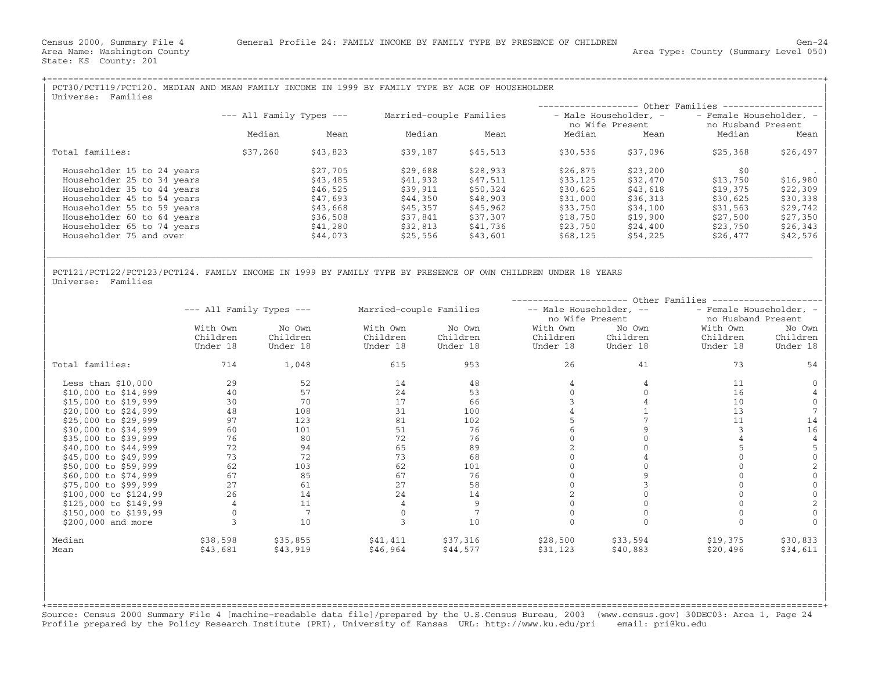| PCT30/PCT119/PCT120. MEDIAN AND MEAN FAMILY INCOME IN 1999 BY FAMILY TYPE BY AGE OF HOUSEHOLDER<br>Families<br>Universe: |                              |          |                         |          |                                          |          |                                               |          |  |
|--------------------------------------------------------------------------------------------------------------------------|------------------------------|----------|-------------------------|----------|------------------------------------------|----------|-----------------------------------------------|----------|--|
|                                                                                                                          |                              |          |                         |          |                                          |          | - Other Families -------                      |          |  |
|                                                                                                                          | $---$ All Family Types $---$ |          | Married-couple Families |          | - Male Householder, -<br>no Wife Present |          | - Female Householder, -<br>no Husband Present |          |  |
|                                                                                                                          | Median                       | Mean     | Median                  | Mean     | Median                                   | Mean     | Median                                        | Mean     |  |
| Total families:                                                                                                          | \$37,260                     | \$43,823 | \$39,187                | \$45,513 | \$30,536                                 | \$37,096 | \$25,368                                      | \$26,497 |  |
| Householder 15 to 24 years                                                                                               |                              | \$27,705 | \$29,688                | \$28,933 | \$26,875                                 | \$23,200 | \$0                                           |          |  |
| Householder 25 to 34 years                                                                                               |                              | \$43,485 | \$41,932                | \$47,511 | \$33,125                                 | \$32,470 | \$13,750                                      | \$16,980 |  |
| Householder 35 to 44 years                                                                                               |                              | \$46,525 | \$39,911                | \$50,324 | \$30,625                                 | \$43,618 | \$19,375                                      | \$22,309 |  |
| Householder 45 to 54 years                                                                                               |                              | \$47,693 | \$44,350                | \$48,903 | \$31,000                                 | \$36,313 | \$30,625                                      | \$30,338 |  |
| Householder 55 to 59 years                                                                                               |                              | \$43,668 | \$45,357                | \$45,962 | \$33,750                                 | \$34,100 | \$31,563                                      | \$29,742 |  |
| Householder 60 to 64 years                                                                                               |                              | \$36,508 | \$37,841                | \$37,307 | \$18,750                                 | \$19,900 | \$27,500                                      | \$27,350 |  |
| Householder 65 to 74 years                                                                                               |                              | \$41,280 | \$32,813                | \$41,736 | \$23,750                                 | \$24,400 | \$23,750                                      | \$26,343 |  |
| Householder 75 and over                                                                                                  |                              | \$44,073 | \$25,556                | \$43,601 | \$68,125                                 | \$54,225 | \$26,477                                      | \$42,576 |  |
|                                                                                                                          |                              |          |                         |          |                                          |          |                                               |          |  |

| |

| |

| PCT121/PCT122/PCT123/PCT124. FAMILY INCOME IN 1999 BY FAMILY TYPE BY PRESENCE OF OWN CHILDREN UNDER 18 YEARS | Universe: Families

|                         |                              | Other Families |                         |          |                         |          |                         |          |  |  |
|-------------------------|------------------------------|----------------|-------------------------|----------|-------------------------|----------|-------------------------|----------|--|--|
|                         | $---$ All Family Types $---$ |                | Married-couple Families |          | -- Male Householder, -- |          | - Female Householder, - |          |  |  |
|                         |                              |                |                         |          | no Wife Present         |          | no Husband Present      |          |  |  |
|                         | With Own                     | No Own         | With Own                | No Own   | With Own                | No Own   | With Own                | No Own   |  |  |
|                         | Children                     | Children       | Children                | Children | Children                | Children | Children                | Children |  |  |
|                         | Under 18                     | Under 18       | Under 18                | Under 18 | Under 18                | Under 18 | Under 18                | Under 18 |  |  |
| Total families:         | 714                          | 1,048          | 615                     | 953      | 26                      | 41       | 73                      | 54       |  |  |
| Less than $$10,000$     | 29                           | 52             | 14                      | 48       |                         |          | 11                      |          |  |  |
| $$10,000$ to $$14,999$  | 40                           | 57             | 24                      | 53       |                         |          | 16                      |          |  |  |
| \$15,000 to \$19,999    | 30                           | 70             | 17                      | 66       |                         |          | 10                      |          |  |  |
| \$20,000 to \$24,999    | 48                           | 108            | 31                      | 100      |                         |          | 13                      |          |  |  |
| \$25,000 to \$29,999    | 97                           | 123            | 81                      | 102      |                         |          | 11                      | 14       |  |  |
| \$30,000 to \$34,999    | 60                           | 101            | 51                      | 76       |                         |          |                         | 16       |  |  |
| \$35,000 to \$39,999    | 76                           | 80             | 72                      | 76       |                         |          |                         |          |  |  |
| \$40,000 to \$44,999    | 72                           | 94             | 65                      | 89       |                         |          |                         |          |  |  |
| \$45,000 to \$49,999    | 73                           | 72             | 73                      | 68       |                         |          |                         |          |  |  |
| \$50,000 to \$59,999    | 62                           | 103            | 62                      | 101      |                         |          |                         |          |  |  |
| \$60,000 to \$74,999    | 67                           | 85             | 67                      | 76       |                         |          |                         |          |  |  |
| \$75,000 to \$99,999    | 27                           | 61             | 27                      | 58       |                         |          |                         |          |  |  |
| $$100,000$ to $$124,99$ | 26                           | 14             | 24                      | 14       |                         |          |                         |          |  |  |
| \$125,000 to \$149,99   |                              | 11             |                         |          |                         |          |                         |          |  |  |
| \$150,000 to \$199,99   |                              |                |                         |          |                         |          |                         |          |  |  |
| \$200,000 and more      |                              | 10             |                         | 10       |                         |          |                         |          |  |  |
| Median                  | \$38,598                     | \$35,855       | \$41,411                | \$37,316 | \$28,500                | \$33,594 | \$19,375                | \$30,833 |  |  |
| Mean                    | \$43,681                     | \$43,919       | \$46,964                | \$44,577 | \$31,123                | \$40,883 | \$20,496                | \$34,611 |  |  |

+===================================================================================================================================================+ Source: Census 2000 Summary File 4 [machine−readable data file]/prepared by the U.S.Census Bureau, 2003 (www.census.gov) 30DEC03: Area 1, Page 24 Profile prepared by the Policy Research Institute (PRI), University of Kansas URL: http://www.ku.edu/pri email: pri@ku.edu

| | | | | | | |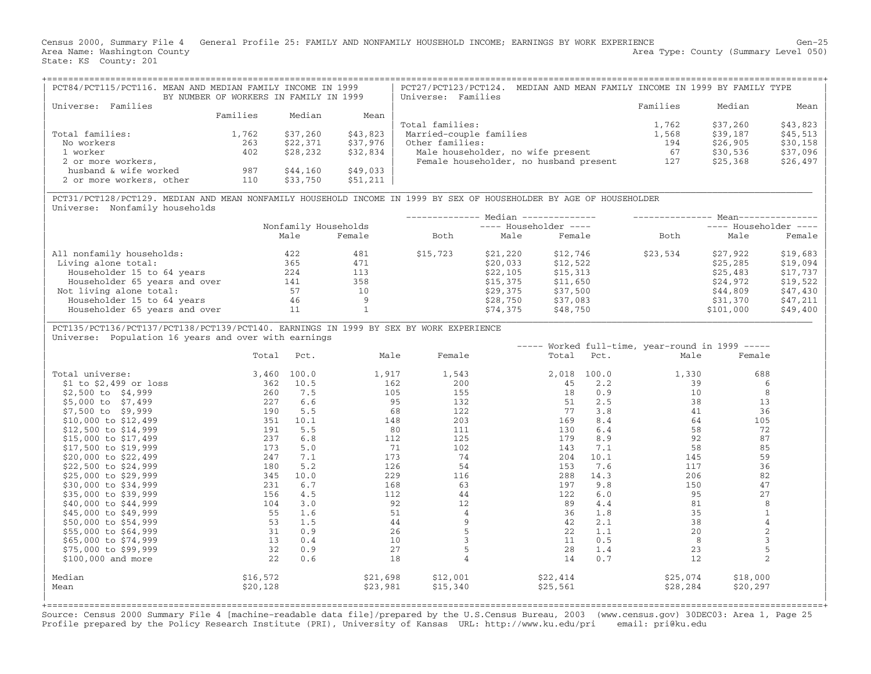Census 2000, Summary File 4 General Profile 25: FAMILY AND NONFAMILY HOUSEHOLD INCOME; EARNINGS BY WORK EXPERIENCE Gen−25 Area Name: Washington County (Summary Level 050) (Area Type: County (Summary Level 050) State: KS County: 201

| PCT84/PCT115/PCT116. MEAN AND MEDIAN FAMILY INCOME IN 1999 | BY NUMBER OF WORKERS IN FAMILY IN 1999 |          |          | MEDIAN AND MEAN FAMILY INCOME IN 1999 BY FAMILY TYPE<br>PCT27/PCT123/PCT124.<br>Universe: Families |          |          |           |
|------------------------------------------------------------|----------------------------------------|----------|----------|----------------------------------------------------------------------------------------------------|----------|----------|-----------|
| Families<br>Universe:                                      |                                        |          |          |                                                                                                    | Families | Median   | Mean      |
|                                                            | Families                               | Median   | Mean     |                                                                                                    |          |          |           |
|                                                            |                                        |          |          | Total families:                                                                                    | 1,762    | \$37,260 | $$43,823$ |
| Total families:                                            | 1,762                                  | \$37,260 | \$43,823 | Married-couple families                                                                            | 1,568    | \$39,187 | $$45,513$ |
| No workers                                                 | 263                                    | \$22,371 | \$37,976 | Other families:                                                                                    | 194      | \$26,905 | $$30,158$ |
| 1 worker                                                   | 402                                    | \$28,232 | \$32,834 | Male householder, no wife present                                                                  | 67       | \$30,536 | $$37,096$ |
| 2 or more workers,                                         |                                        |          |          | Female householder, no husband present                                                             | 127      | \$25,368 | $$26,497$ |
| husband & wife worked                                      | 987                                    | \$44,160 | \$49,033 |                                                                                                    |          |          |           |
| 2 or more workers, other                                   | 110                                    | \$33,750 | \$51,211 |                                                                                                    |          |          |           |

|\_\_\_\_\_\_\_\_\_\_\_\_\_\_\_\_\_\_\_\_\_\_\_\_\_\_\_\_\_\_\_\_\_\_\_\_\_\_\_\_\_\_\_\_\_\_\_\_\_\_\_\_\_\_\_\_\_\_\_\_\_\_\_\_\_\_\_\_\_\_\_\_\_\_\_\_\_\_\_\_\_\_\_\_\_\_\_\_\_\_\_\_\_\_\_\_\_\_\_\_\_\_\_\_\_\_\_\_\_\_\_\_\_\_\_\_\_\_\_\_\_\_\_\_\_\_\_\_\_\_\_\_\_\_\_\_\_\_\_\_\_\_\_\_\_ |

| PCT31/PCT128/PCT129. MEDIAN AND MEAN NONFAMILY HOUSEHOLD INCOME IN 1999 BY SEX OF HOUSEHOLDER BY AGE OF HOUSEHOLDER | Universe: Nonfamily households

|      |        |                      |          |          | ---- Householder ----                            |           |          |  |  |
|------|--------|----------------------|----------|----------|--------------------------------------------------|-----------|----------|--|--|
| Male | Female | Both                 | Male     | Female   | Both                                             | Male      | Female   |  |  |
| 422  | 481    | \$15,723             | \$21,220 | \$12,746 | \$23,534                                         | \$27,922  | \$19,683 |  |  |
| 365  | 471    |                      | \$20,033 | \$12,522 |                                                  | \$25,285  | \$19,094 |  |  |
| 224  | 113    |                      | \$22,105 | \$15,313 |                                                  | \$25,483  | \$17,737 |  |  |
| 141  | 358    |                      | \$15,375 | \$11,650 |                                                  | \$24,972  | \$19,522 |  |  |
| 57   | 10     |                      | \$29,375 | \$37,500 |                                                  | \$44,809  | \$47,430 |  |  |
| 46   |        |                      | \$28,750 | \$37,083 |                                                  | \$31,370  | \$47,211 |  |  |
| 11   |        |                      | \$74,375 | \$48,750 |                                                  | \$101,000 | \$49,400 |  |  |
|      |        | Nonfamily Households |          |          | Median --------------<br>$---$ Householder $---$ |           | $Mean--$ |  |  |

| PCT135/PCT136/PCT137/PCT138/PCT139/PCT140. EARNINGS IN 1999 BY SEX BY WORK EXPERIENCE | Universe: Population 16 years and over with earnings

|                          |          |       |          |          |          |       | ----- Worked full-time, year-round in 1999 ----- |                |  |
|--------------------------|----------|-------|----------|----------|----------|-------|--------------------------------------------------|----------------|--|
|                          | Total    | Pct.  | Male     | Female   | Total    | Pct.  | Male                                             | Female         |  |
| Total universe:          | 3,460    | 100.0 | 1,917    | 1,543    | 2,018    | 100.0 | 1,330                                            | 688            |  |
| $$1$ to $$2,499$ or loss | 362      | 10.5  | 162      | 200      | 45       | 2.2   | 39                                               | 6              |  |
| $$2,500$ to $$4,999$     | 260      | 7.5   | 105      | 155      | 18       | 0.9   | 10                                               | 8              |  |
| \$5,000 to \$7,499       | 227      | 6.6   | 95       | 132      | 51       | 2.5   | 38                                               | 13             |  |
| \$7,500 to \$9,999       | 190      | 5.5   | 68       | 122      | 77       | 3.8   | 41                                               | 36             |  |
| \$10,000 to \$12,499     | 351      | 10.1  | 148      | 203      | 169      | 8.4   | 64                                               | 105            |  |
| \$12,500 to \$14,999     | 191      | 5.5   | 80       | 111      | 130      | 6.4   | 58                                               | 72             |  |
| \$15,000 to \$17,499     | 237      | 6.8   | 112      | 125      | 179      | 8.9   | 92                                               | 87             |  |
| \$17,500 to \$19,999     | 173      | 5.0   | 71       | 102      | 143      | 7.1   | 58                                               | 85             |  |
| \$20,000 to \$22,499     | 247      | 7.1   | 173      | 74       | 204      | 10.1  | 145                                              | 59             |  |
| \$22,500 to \$24,999     | 180      | 5.2   | 126      | 54       | 153      | 7.6   | 117                                              | 36             |  |
| \$25,000 to \$29,999     | 345      | 10.0  | 229      | 116      | 288      | 14.3  | 206                                              | 82             |  |
| \$30,000 to \$34,999     | 231      | 6.7   | 168      | 63       | 197      | 9.8   | 150                                              | 47             |  |
| \$35,000 to \$39,999     | 156      | 4.5   | 112      | 44       | 122      | 6.0   | 95                                               | 27             |  |
| \$40,000 to \$44,999     | 104      | 3.0   | 92       | 12       | 89       | 4.4   | 81                                               | 8              |  |
| \$45,000 to \$49,999     | 55       | 1.6   | 51       | 4        | 36       | 1.8   | 35                                               |                |  |
| \$50,000 to \$54,999     | 53       | 1.5   | 44       | 9        | 42       | 2.1   | 38                                               |                |  |
| \$55,000 to \$64,999     | 31       | 0.9   | 26       |          | 22       | 1.1   | 20                                               | $\overline{c}$ |  |
| \$65,000 to \$74,999     | 13       | 0.4   | 10       |          | 11       | 0.5   | 8                                                |                |  |
| \$75,000 to \$99,999     | 32       | 0.9   | 27       |          | 28       | 1.4   | 23                                               |                |  |
| $$100,000$ and more      | 22       | 0.6   | 18       |          | 14       | 0.7   | 12                                               | $\overline{c}$ |  |
| Median                   | \$16,572 |       | \$21,698 | \$12,001 | \$22,414 |       | \$25,074                                         | \$18,000       |  |
| Mean                     | \$20,128 |       | \$23,981 | \$15,340 | \$25,561 |       | \$28,284                                         | \$20,297       |  |
|                          |          |       |          |          |          |       |                                                  |                |  |

+===================================================================================================================================================+ Source: Census 2000 Summary File 4 [machine−readable data file]/prepared by the U.S.Census Bureau, 2003 (www.census.gov) 30DEC03: Area 1, Page 25 Profile prepared by the Policy Research Institute (PRI), University of Kansas URL: http://www.ku.edu/pri email: pri@ku.edu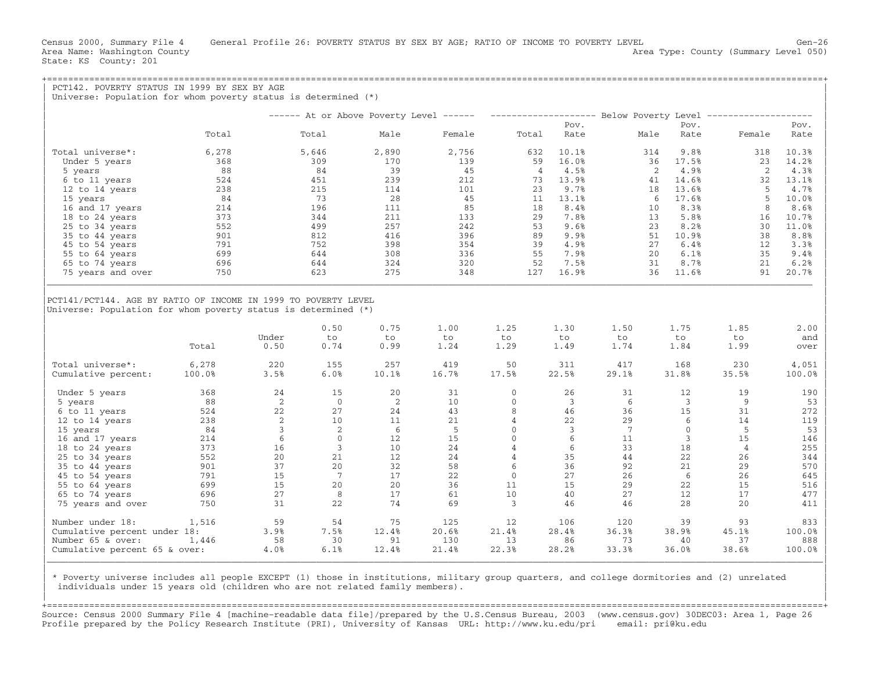| PCT142. POVERTY STATUS IN 1999 BY SEX BY AGE                     |        |                |                 |       |        |                |                        |                 |              |                                                                                                 |        |
|------------------------------------------------------------------|--------|----------------|-----------------|-------|--------|----------------|------------------------|-----------------|--------------|-------------------------------------------------------------------------------------------------|--------|
| Universe: Population for whom poverty status is determined $(*)$ |        |                |                 |       |        |                |                        |                 |              |                                                                                                 |        |
|                                                                  |        |                |                 |       |        |                |                        |                 |              | ------ At or Above Poverty Level ------ -------------------- Below Poverty Level -------------- |        |
|                                                                  |        |                |                 |       |        |                | Pov.                   |                 | Pov.         |                                                                                                 | Pov.   |
|                                                                  | Total  |                | Total           | Male  | Female | Total          | Rate                   | Male            | Rate         | Female                                                                                          | Rate   |
| Total universe*:                                                 | 6,278  |                | 5,646           | 2,890 | 2,756  | 632            | 10.1%                  | 314             | 9.8%         | 318                                                                                             | 10.3%  |
| Under 5 years                                                    | 368    |                | 309             | 170   | 139    | 59             | 16.0%                  | 36              | 17.5%        | 23                                                                                              | 14.2%  |
| 5 years                                                          | 88     |                | 84              | 39    | 45     |                | $\overline{4}$<br>4.5% |                 | 4.9%<br>2    | 2                                                                                               | 4.3%   |
| 6 to 11 years                                                    | 524    |                | 451             | 239   | 212    | 73             | 13.9%                  | 41              | 14.6%        | 32                                                                                              | 13.1%  |
| 12 to 14 years                                                   | 238    |                | 215             | 114   | 101    | 23             | 9.7%                   | 18              | 13.6%        | -5                                                                                              | 4.7%   |
| 15 years                                                         | 84     |                | 73              | 28    | 45     | 11             | 13.1%                  |                 | 17.6%<br>-6  | 5                                                                                               | 10.0%  |
| 16 and 17 years                                                  | 214    |                | 196             | 111   | 85     | 18             | 8.4%                   | 10              | 8.3%         | 8                                                                                               | 8.6%   |
| 18 to 24 years                                                   | 373    |                | 344             | 211   | 133    | 29             | 7.8%                   | 13              | 5.8%         | 16                                                                                              | 10.7%  |
| 25 to 34 years                                                   | 552    |                | 499             | 257   | 242    | 53             | 9.6%                   | 23              | 8.2%         | 30                                                                                              | 11.0%  |
| 35 to 44 years                                                   | 901    |                | 812             | 416   | 396    | 89             | 9.9%                   |                 | 10.9%<br>51  | 38                                                                                              | 8.8%   |
| 45 to 54 years                                                   | 791    |                | 752             | 398   | 354    | 39             | 4.9%                   |                 | 6.4%<br>27   | 12                                                                                              | 3.3%   |
| 55 to 64 years                                                   | 699    |                | 644             | 308   | 336    | 55             | 7.9%                   | 20              | 6.1%         | 35                                                                                              | 9.4%   |
| 65 to 74 years                                                   | 696    |                | 644             | 324   | 320    | 52             | 7.5%                   |                 | 8.7%<br>31   | 21                                                                                              | 6.2%   |
| 75 years and over                                                | 750    |                | 623             | 275   | 348    | 127            | 16.9%                  |                 | 36<br>11.6%  | 91                                                                                              | 20.7%  |
| Universe: Population for whom poverty status is determined (*)   |        |                |                 |       |        |                |                        |                 |              |                                                                                                 |        |
|                                                                  |        |                | 0.50            | 0.75  | 1.00   | 1.25           | 1.30                   | 1.50            | 1.75         | 1.85                                                                                            | 2.00   |
|                                                                  |        | Under          | to              | to.   | to     | to             | to                     | to              | to           | to                                                                                              | and    |
|                                                                  | Total  | 0.50           | 0.74            | 0.99  | 1.24   | 1.29           | 1.49                   | 1.74            | 1.84         | 1.99                                                                                            | over   |
| Total universe*:                                                 | 6,278  | 220            | 155             | 257   | 419    | 50             | 311                    | 417             | 168          | 230                                                                                             | 4,051  |
| Cumulative percent:                                              | 100.0% | 3.5%           | 6.0%            | 10.1% | 16.7%  | 17.5%          | 22.5%                  | 29.1%           | 31.8%        | 35.5%                                                                                           | 100.0% |
| Under 5 years                                                    | 368    | 24             | 15              | 20    | 31     | $\mathbf{0}$   | 26                     | 31              | 12           | 19                                                                                              | 190    |
| 5 years                                                          | 88     | 2              | $\overline{0}$  | 2     | 10     | $\mathbf{0}$   | 3                      | 6               | 3            | 9                                                                                               | 53     |
| 6 to 11 years                                                    | 524    | 22             | 27              | 24    | 43     | 8              | 46                     | 36              | 15           | 31                                                                                              | 272    |
| 12 to 14 years                                                   | 238    | 2              | 10              | 11    | 21     | $\overline{4}$ | 22                     | 29              | 6            | 14                                                                                              | 119    |
| 15 years                                                         | 84     | $\overline{3}$ | 2               | 6     | -5     | $\mathbf{0}$   | $\overline{3}$         | $7\phantom{.0}$ | $\mathbf{0}$ | - 5                                                                                             | 53     |
| 16 and 17 years                                                  | 214    | 6              | $\mathbf{0}$    | 12    | 15     | $\mathbf{0}$   | 6                      | 11              | 3            | 15                                                                                              | 146    |
| 18 to 24 years                                                   | 373    | 16             | 3               | 10    | 24     | $\overline{4}$ | 6                      | 33              | 18           | 4                                                                                               | 255    |
| 25 to 34 years                                                   | 552    | 20             | 21              | 12    | 24     | $\overline{4}$ | 35                     | 44              | 22           | 26                                                                                              | 344    |
| 35 to 44 years                                                   | 901    | 37             | 20              | 32    | 58     | 6              | 36                     | 92              | 21           | 29                                                                                              | 570    |
| 45 to 54 years                                                   | 791    | 15             | $7\phantom{.0}$ | 17    | 22     | $\mathbf{0}$   | 27                     | 26              | 6            | 26                                                                                              | 645    |
| 55 to 64 years                                                   | 699    | 15             | 20              | 20    | 36     | 11             | 15                     | 29              | 22           | 15                                                                                              | 516    |
| 65 to 74 years                                                   | 696    | 27             | 8               | 17    | 61     | 10             | 40                     | 27              | 12           | 17                                                                                              | 477    |
| 75 years and over                                                | 750    | 31             | 22              | 74    | 69     | $\overline{3}$ | 46                     | 46              | 28           | 20                                                                                              | 411    |
| Number under 18:                                                 | 1,516  | 59             | 54              | 75    | 125    | 12             | 106                    | 120             | 39           | 93                                                                                              | 833    |
| Cumulative percent under 18:                                     |        | 3.9%           | 7.5%            | 12.4% | 20.6%  | 21.4%          | 28.4%                  | 36.3%           | 38.9%        | 45.1%                                                                                           | 100.0% |
| Number 65 & over:                                                | 1,446  | 58             | 30              | 91    | 130    | 13             | 86                     | 73              | 40           | 37                                                                                              | 888    |
| Cumulative percent 65 & over:                                    |        | 4.0%           | 6.1%            | 12.4% | 21.4%  | 22.3%          | 28.2%                  | 33.3%           | 36.0%        | 38.6%                                                                                           | 100.0% |

| \* Poverty universe includes all people EXCEPT (1) those in institutions, military group quarters, and college dormitories and (2) unrelated | individuals under 15 years old (children who are not related family members).

| | +===================================================================================================================================================+ Source: Census 2000 Summary File 4 [machine−readable data file]/prepared by the U.S.Census Bureau, 2003 (www.census.gov) 30DEC03: Area 1, Page 26 Profile prepared by the Policy Research Institute (PRI), University of Kansas URL: http://www.ku.edu/pri email: pri@ku.edu

|\_\_\_\_\_\_\_\_\_\_\_\_\_\_\_\_\_\_\_\_\_\_\_\_\_\_\_\_\_\_\_\_\_\_\_\_\_\_\_\_\_\_\_\_\_\_\_\_\_\_\_\_\_\_\_\_\_\_\_\_\_\_\_\_\_\_\_\_\_\_\_\_\_\_\_\_\_\_\_\_\_\_\_\_\_\_\_\_\_\_\_\_\_\_\_\_\_\_\_\_\_\_\_\_\_\_\_\_\_\_\_\_\_\_\_\_\_\_\_\_\_\_\_\_\_\_\_\_\_\_\_\_\_\_\_\_\_\_\_\_\_\_\_\_\_\_\_| | |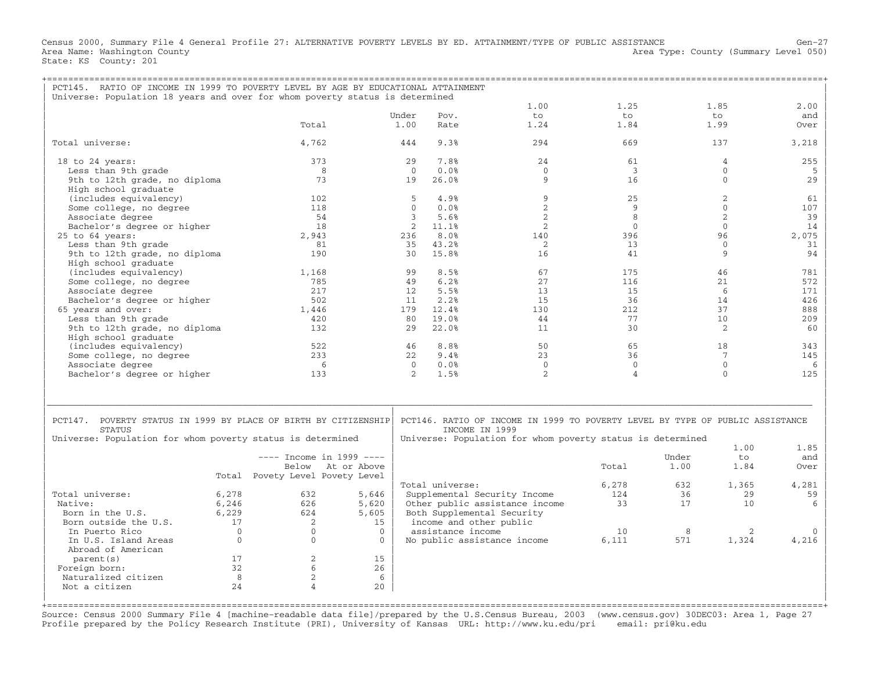Census 2000, Summary File 4 General Profile 27: ALTERNATIVE POVERTY LEVELS BY ED. ATTAINMENT/TYPE OF PUBLIC ASSISTANCE Gen−27 Area Name: Washington County (Summary Level 050) (Area Type: County (Summary Level 050) State: KS County: 201

| PCT145. RATIO OF INCOME IN 1999 TO POVERTY LEVEL BY AGE BY EDUCATIONAL ATTAINMENT<br>Universe: Population 18 years and over for whom poverty status is determined |              |                                 |              |                |                   |                                                                                                                                                               |                |       |                 |          |
|-------------------------------------------------------------------------------------------------------------------------------------------------------------------|--------------|---------------------------------|--------------|----------------|-------------------|---------------------------------------------------------------------------------------------------------------------------------------------------------------|----------------|-------|-----------------|----------|
|                                                                                                                                                                   |              |                                 |              |                |                   | 1.00                                                                                                                                                          | 1.25           |       | 1.85            | 2.00     |
|                                                                                                                                                                   |              |                                 | Under        |                | Pov.              | to                                                                                                                                                            | to             |       | to              | and      |
|                                                                                                                                                                   |              | Total                           |              | 1.00           | Rate              | 1.24                                                                                                                                                          | 1.84           |       | 1.99            | Over     |
| Total universe:                                                                                                                                                   |              | 4,762                           |              | 444            | 9.3%              | 294                                                                                                                                                           | 669            |       | 137             | 3,218    |
| 18 to 24 years:                                                                                                                                                   |              | 373                             |              | 29             | 7.8%              | 24                                                                                                                                                            | 61             |       | 4               | 255      |
| Less than 9th grade                                                                                                                                               |              | 8                               |              | $\Omega$       | 0.0%              | $\Omega$                                                                                                                                                      | $\overline{3}$ |       | $\Omega$        | 5        |
| 9th to 12th grade, no diploma<br>High school graduate                                                                                                             |              | 73                              |              | 19             | 26.0%             | 9                                                                                                                                                             | 16             |       | $\mathbf{0}$    | 29       |
| (includes equivalency)                                                                                                                                            |              | 102                             |              | 5              | 4.9%              | 9                                                                                                                                                             | 25             |       | $\overline{2}$  | 61       |
| Some college, no degree                                                                                                                                           |              | 118                             |              | $\mathbf{0}$   | 0.0%              | 2                                                                                                                                                             | 9              |       | $\mathbf{0}$    | 107      |
| Associate degree                                                                                                                                                  |              | 54                              |              | 3              | 5.6%              | 2                                                                                                                                                             | 8              |       | 2               | 39       |
| Bachelor's degree or higher                                                                                                                                       |              | 18                              |              | $\overline{2}$ | 11.1%             | 2                                                                                                                                                             | $\mathbf{0}$   |       | $\Omega$        | 14       |
| 25 to 64 years:                                                                                                                                                   |              | 2,943                           |              | 236            | 8.0%              | 140                                                                                                                                                           | 396            |       | 96              | 2,075    |
| Less than 9th grade                                                                                                                                               |              | 81                              |              | 35             | 43.2%             | 2                                                                                                                                                             | 13             |       | $\Omega$        | 31       |
|                                                                                                                                                                   |              | 190                             |              | 30             |                   | 16                                                                                                                                                            | 41             |       | 9               |          |
| 9th to 12th grade, no diploma                                                                                                                                     |              |                                 |              |                | 15.8%             |                                                                                                                                                               |                |       |                 | 94       |
| High school graduate                                                                                                                                              |              |                                 |              |                |                   |                                                                                                                                                               |                |       |                 |          |
| (includes equivalency)                                                                                                                                            |              | 1,168                           |              | 99             | 8.5%              | 67                                                                                                                                                            | 175            |       | 46              | 781      |
| Some college, no degree                                                                                                                                           |              | 785                             |              | 49             | 6.2%              | 27                                                                                                                                                            | 116            |       | 21              | 572      |
| Associate degree                                                                                                                                                  |              | 2.17                            |              | 12.            | 5.5%              | 13                                                                                                                                                            | 1.5            |       | 6               | 171      |
| Bachelor's degree or higher                                                                                                                                       |              | 502                             |              | 11             | 2.2%              | 15                                                                                                                                                            | 36             |       | 14              | 426      |
| 65 years and over:                                                                                                                                                |              | 1,446                           |              | 179            | 12.4%             | 130                                                                                                                                                           | 212            |       | 37              | 888      |
| Less than 9th grade                                                                                                                                               |              | 420                             |              | 80             | 19.0%             | 44                                                                                                                                                            | 77             |       | 10              | 209      |
| 9th to 12th grade, no diploma                                                                                                                                     |              | 132                             |              | 29             | 22.0%             | 11                                                                                                                                                            | 30             |       | 2               | 60       |
| High school graduate                                                                                                                                              |              |                                 |              |                |                   |                                                                                                                                                               |                |       |                 |          |
| (includes equivalency)                                                                                                                                            |              | 522                             |              | 46             | 8.8%              | 50                                                                                                                                                            | 65             |       | 18              | 343      |
| Some college, no degree                                                                                                                                           |              | 233                             |              | 22             | 9.4%              | 23                                                                                                                                                            | 36             |       | $7\phantom{.0}$ | 145      |
| Associate degree                                                                                                                                                  |              | - 6                             |              | $\Omega$       | 0.0%              | $\Omega$                                                                                                                                                      | $\mathbf{0}$   |       | $\mathbf{0}$    | 6        |
| Bachelor's degree or higher                                                                                                                                       |              | 133                             |              | $\mathcal{L}$  | 1.5%              | $\mathfrak{D}$                                                                                                                                                | $\overline{4}$ |       | $\Omega$        | 125      |
| PCT147. POVERTY STATUS IN 1999 BY PLACE OF BIRTH BY CITIZENSHIP<br><b>STATUS</b><br>Universe: Population for whom poverty status is determined                    |              |                                 |              |                |                   | PCT146. RATIO OF INCOME IN 1999 TO POVERTY LEVEL BY TYPE OF PUBLIC ASSISTANCE<br>INCOME IN 1999<br>Universe: Population for whom poverty status is determined |                |       |                 |          |
|                                                                                                                                                                   |              |                                 |              |                |                   |                                                                                                                                                               |                |       | 1.00            | 1.85     |
|                                                                                                                                                                   |              | ---- Income in 1999 ----        |              |                |                   |                                                                                                                                                               |                | Under | to              | and      |
|                                                                                                                                                                   |              | Below At or Above               |              |                |                   |                                                                                                                                                               | Total          | 1.00  | 1.84            | Over     |
|                                                                                                                                                                   |              | Total Povety Level Povety Level |              |                |                   |                                                                                                                                                               |                |       |                 |          |
|                                                                                                                                                                   |              |                                 |              |                | Total universe:   |                                                                                                                                                               | 6,278          | 632   | 1,365           | 4,281    |
| Total universe:                                                                                                                                                   | 6,278        | 632                             | 5,646        |                |                   | Supplemental Security Income                                                                                                                                  | 124            | 36    | 29              | 59       |
| Native:                                                                                                                                                           | 6,246        | 626                             | 5,620        |                |                   | Other public assistance income                                                                                                                                | 33             | 17    | 10              | 6        |
| Born in the U.S.                                                                                                                                                  | 6,229        | 624                             | 5,605        |                |                   | Both Supplemental Security                                                                                                                                    |                |       |                 |          |
| Born outside the U.S.                                                                                                                                             | 17           | 2                               | 1.5          |                |                   | income and other public                                                                                                                                       |                |       |                 |          |
| In Puerto Rico                                                                                                                                                    | $\Omega$     | $\Omega$                        | $\Omega$     |                | assistance income |                                                                                                                                                               | 10             | 8     | 2               | $\Omega$ |
| In U.S. Island Areas                                                                                                                                              | $\mathbf{0}$ | $\mathbf{0}$                    | $\mathbf{0}$ |                |                   | No public assistance income                                                                                                                                   | 6,111          | 571   | 1,324           | 4,216    |
| Abroad of American                                                                                                                                                |              |                                 |              |                |                   |                                                                                                                                                               |                |       |                 |          |
| parent (s)                                                                                                                                                        | 17           | $\overline{2}$                  | 15           |                |                   |                                                                                                                                                               |                |       |                 |          |
| Foreign born:                                                                                                                                                     | 32           | 6                               | 26           |                |                   |                                                                                                                                                               |                |       |                 |          |
| Naturalized citizen                                                                                                                                               | 8            | 2                               | 6            |                |                   |                                                                                                                                                               |                |       |                 |          |
| Not a citizen                                                                                                                                                     | 2.4          | Δ                               | 20           |                |                   |                                                                                                                                                               |                |       |                 |          |
|                                                                                                                                                                   |              |                                 |              |                |                   |                                                                                                                                                               |                |       |                 |          |

+===================================================================================================================================================+ Source: Census 2000 Summary File 4 [machine−readable data file]/prepared by the U.S.Census Bureau, 2003 (www.census.gov) 30DEC03: Area 1, Page 27 Profile prepared by the Policy Research Institute (PRI), University of Kansas URL: http://www.ku.edu/pri email: pri@ku.edu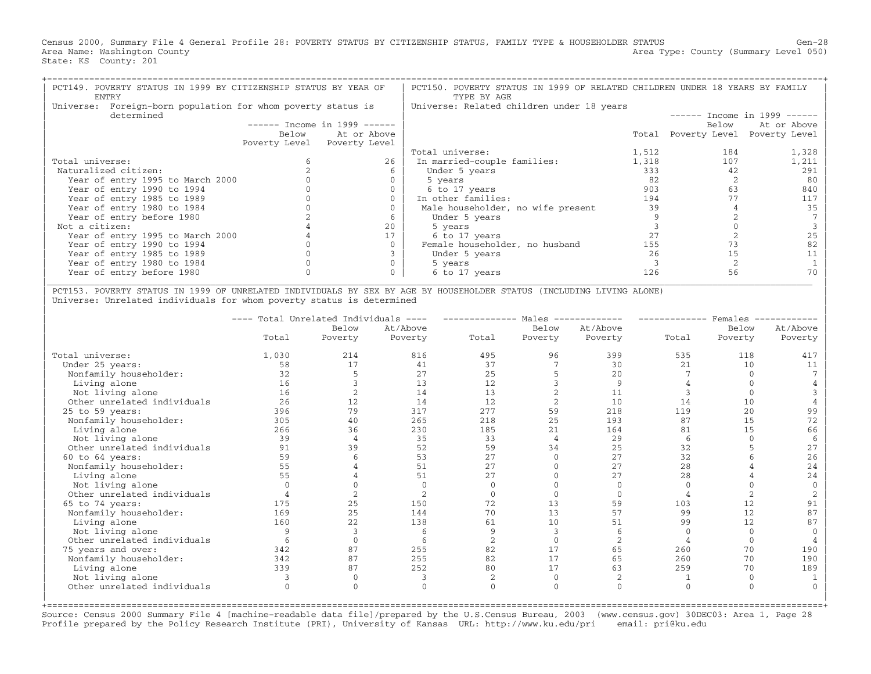Census 2000, Summary File 4 General Profile 28: POVERTY STATUS BY CITIZENSHIP STATUS, FAMILY TYPE & HOUSEHOLDER STATUS Gen−28 Area Name: Washington County (Summary Level 050) (Area Type: County (Summary Level 050) State: KS County: 201

| PCT149. POVERTY STATUS IN 1999 BY CITIZENSHIP STATUS BY YEAR OF<br>ENTRY |       |                               | PCT150. POVERTY STATUS IN 1999 OF RELATED CHILDREN UNDER 18 YEARS BY FAMILY<br>TYPE BY AGE |       |                                   |                               |  |  |  |
|--------------------------------------------------------------------------|-------|-------------------------------|--------------------------------------------------------------------------------------------|-------|-----------------------------------|-------------------------------|--|--|--|
| Foreign-born population for whom poverty status is<br>Universe:          |       |                               | Universe: Related children under 18 years                                                  |       |                                   |                               |  |  |  |
| determined                                                               |       |                               |                                                                                            |       |                                   | $-----$ Income in 1999 ------ |  |  |  |
|                                                                          |       | $-----$ Income in 1999 $----$ |                                                                                            |       | Below                             | At or Above                   |  |  |  |
|                                                                          | Below | At or Above                   |                                                                                            |       | Total Poverty Level Poverty Level |                               |  |  |  |
|                                                                          |       | Poverty Level Poverty Level   |                                                                                            |       |                                   |                               |  |  |  |
|                                                                          |       |                               | Total universe:                                                                            | 1,512 | 184                               | 1,328                         |  |  |  |
| Total universe:                                                          |       | 26                            | In married-couple families:                                                                | 1,318 | 107                               | 1,211                         |  |  |  |
| Naturalized citizen:                                                     |       |                               | Under 5 years                                                                              | 333   | 42                                | 291                           |  |  |  |
| Year of entry 1995 to March 2000                                         |       |                               | 5 years                                                                                    | 82    |                                   | 80                            |  |  |  |
| Year of entry 1990 to 1994                                               |       |                               | 6 to 17 years                                                                              | 903   | 63                                | 840                           |  |  |  |
| Year of entry 1985 to 1989                                               |       |                               | In other families:                                                                         | 194   |                                   | 117                           |  |  |  |
| Year of entry 1980 to 1984                                               |       |                               | Male householder, no wife present                                                          | 39    |                                   | 35                            |  |  |  |
| Year of entry before 1980                                                |       |                               | Under 5 years                                                                              |       |                                   |                               |  |  |  |
| Not a citizen:                                                           |       | 20                            | 5 years                                                                                    |       |                                   |                               |  |  |  |
| Year of entry 1995 to March 2000                                         |       |                               | 6 to 17 years                                                                              | 2.7   |                                   |                               |  |  |  |
| Year of entry 1990 to 1994                                               |       |                               | Female householder, no husband                                                             | 155   |                                   |                               |  |  |  |
| Year of entry 1985 to 1989                                               |       |                               | Under 5 years                                                                              | 26    | 15                                |                               |  |  |  |
| Year of entry 1980 to 1984                                               |       |                               | 5 years                                                                                    |       |                                   |                               |  |  |  |
| Year of entry before 1980                                                |       |                               | 6 to 17 years                                                                              | 126   | 56                                |                               |  |  |  |

| PCT153. POVERTY STATUS IN 1999 OF UNRELATED INDIVIDUALS BY SEX BY AGE BY HOUSEHOLDER STATUS (INCLUDING LIVING ALONE) | Universe: Unrelated individuals for whom poverty status is determined

|                             | Total Unrelated Individuals<br>$\qquad \qquad - - - -$ |              |                |                | Males          |                | Females |          |          |  |
|-----------------------------|--------------------------------------------------------|--------------|----------------|----------------|----------------|----------------|---------|----------|----------|--|
|                             |                                                        | Below        | At/Above       |                | Below          | At/Above       |         | Below    | At/Above |  |
|                             | Total                                                  | Poverty      | Poverty        | Total          | Poverty        | Poverty        | Total   | Poverty  | Poverty  |  |
| Total universe:             | 1,030                                                  | 214          | 816            | 495            | 96             | 399            | 535     | 118      | 417      |  |
| Under 25 years:             | 58                                                     | 17           | 41             | 37             |                | 30             | 21      | 10       | 11       |  |
| Nonfamily householder:      | 32                                                     |              | 27             | 25             |                | 20             |         |          |          |  |
| Living alone                | 16                                                     |              | 13             | 12             |                | 9              |         |          |          |  |
| Not living alone            | 16                                                     |              | 14             | 13             |                | 11             |         |          |          |  |
| Other unrelated individuals | 26                                                     | 12           | 14             | 12             | $\overline{2}$ | 10             | 14      | 10       |          |  |
| 25 to 59 years:             | 396                                                    | 79           | 317            | 277            | 59             | 218            | 119     | 20       | 99       |  |
| Nonfamily householder:      | 305                                                    | 40           | 265            | 218            | 25             | 193            | 87      | 15       | 72       |  |
| Living alone                | 266                                                    | 36           | 230            | 185            | 21             | 164            | 81      | 15       | 66       |  |
| Not living alone            | 39                                                     | $\Delta$     | 35             | 33             | $\overline{4}$ | 29             |         |          | -6       |  |
| Other unrelated individuals | 91                                                     | 39           | 52             | 59             | 34             | 25             | 32      |          | 27       |  |
| 60 to 64 years:             | 59                                                     |              | 53             | 27             | $\Omega$       | 27             | 32      |          | 26       |  |
| Nonfamily householder:      | 55                                                     |              | 51             | 2.7            |                | 2.7            | 28      |          | 24       |  |
| Living alone                | 55                                                     |              | 51             | 2.7            |                | 2.7            | 28      |          | 24       |  |
| Not living alone            |                                                        |              | $\Omega$       |                |                |                |         |          | $\Omega$ |  |
| Other unrelated individuals |                                                        |              | $\overline{2}$ |                |                | $\Omega$       |         |          |          |  |
| 65 to 74 years:             | 175                                                    | 25           | 150            | 72             | 13             | 59             | 103     | 12       | 91       |  |
| Nonfamily householder:      | 169                                                    | 25           | 144            | 70             | 13             | 57             | 99      | 12       | 87       |  |
| Living alone                | 160                                                    | 22           | 138            | 61             | 10             | 51             | 99      | 12       | 87       |  |
| Not living alone            |                                                        |              | 6              |                | $\mathcal{R}$  | 6              |         | $\Omega$ | $\Omega$ |  |
| Other unrelated individuals |                                                        |              |                | $\mathfrak{D}$ |                | $\mathfrak{D}$ |         |          |          |  |
| 75 years and over:          | 342                                                    | 87           | 255            | 82             | 17             | 65             | 260     | 70       | 190      |  |
| Nonfamily householder:      | 342                                                    | 87           | 255            | 82             | 17             | 65             | 260     | 70       | 190      |  |
| Living alone                | 339                                                    | 87           | 252            | 80             | 17             | 63             | 259     | 70       | 189      |  |
| Not living alone            |                                                        | $\mathbf{0}$ |                | 2              | $\Omega$       | 2              |         | $\Omega$ |          |  |
| Other unrelated individuals |                                                        | $\Omega$     | $\Omega$       |                | $\Omega$       | $\Omega$       |         | $\Omega$ |          |  |
|                             |                                                        |              |                |                |                |                |         |          |          |  |

+===================================================================================================================================================+Source: Census 2000 Summary File 4 [machine−readable data file]/prepared by the U.S.Census Bureau, 2003 (www.census.gov) 30DEC03: Area 1, Page 28 Profile prepared by the Policy Research Institute (PRI), University of Kansas URL: http://www.ku.edu/pri email: pri@ku.edu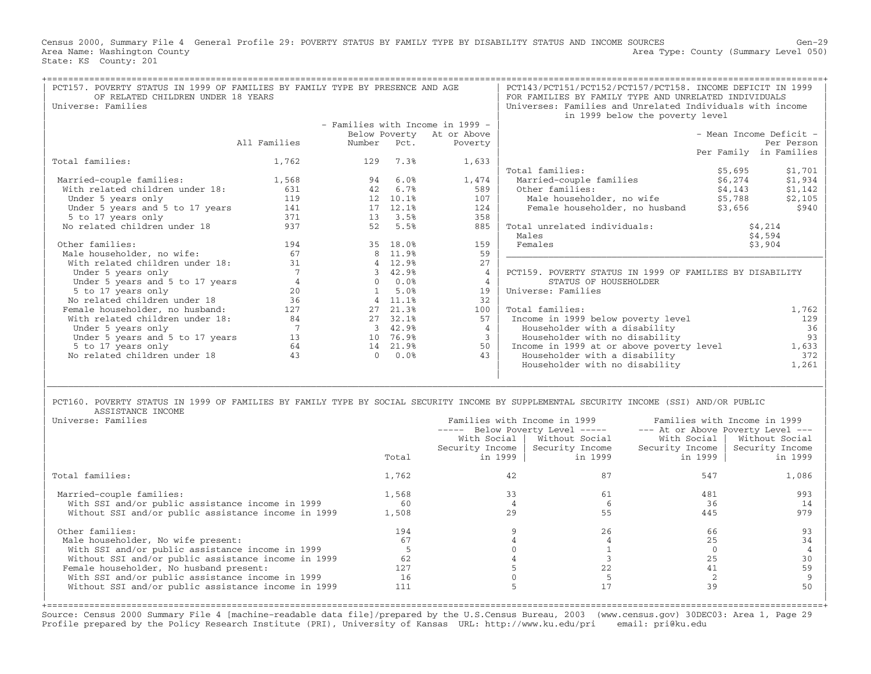Census 2000, Summary File 4 General Profile 29: POVERTY STATUS BY FAMILY TYPE BY DISABILITY STATUS AND INCOME SOURCES Gen−29 Area Name: Washington County (Summary Level 050) (Area Type: County (Summary Level 050) State: KS County: 201

| PCT157. POVERTY STATUS IN 1999 OF FAMILIES BY FAMILY TYPE BY PRESENCE AND AGE<br>OF RELATED CHILDREN UNDER 18 YEARS<br>Universe: Families |                 |              |            |                                  | PCT143/PCT151/PCT152/PCT157/PCT158. INCOME DEFICIT IN 1999<br>FOR FAMILIES BY FAMILY TYPE AND UNRELATED INDIVIDUALS<br>Universes: Families and Unrelated Individuals with income<br>in 1999 below the poverty level |                                                          |                |                                   |  |
|-------------------------------------------------------------------------------------------------------------------------------------------|-----------------|--------------|------------|----------------------------------|---------------------------------------------------------------------------------------------------------------------------------------------------------------------------------------------------------------------|----------------------------------------------------------|----------------|-----------------------------------|--|
|                                                                                                                                           |                 |              |            | - Families with Income in 1999 - |                                                                                                                                                                                                                     |                                                          |                |                                   |  |
|                                                                                                                                           |                 |              |            | Below Poverty At or Above        |                                                                                                                                                                                                                     |                                                          |                | - Mean Income Deficit -           |  |
|                                                                                                                                           | All Families    | Number       | Pct.       | Poverty                          |                                                                                                                                                                                                                     |                                                          |                | Per Person                        |  |
|                                                                                                                                           |                 |              |            |                                  |                                                                                                                                                                                                                     |                                                          |                | Per Family in Families            |  |
| Total families:                                                                                                                           | 1,762           | 129          | 7.3%       | 1,633                            |                                                                                                                                                                                                                     |                                                          |                |                                   |  |
|                                                                                                                                           |                 |              |            |                                  |                                                                                                                                                                                                                     | Total families:                                          | \$5,695        | \$1,701                           |  |
| Married-couple families:                                                                                                                  | 1,568           | 94           | 6.0%       | 1,474                            |                                                                                                                                                                                                                     | Married-couple families                                  | \$6,274        | \$1,934                           |  |
| With related children under 18:                                                                                                           | 631             | 42           | 6.7%       | 589                              |                                                                                                                                                                                                                     | Other families:                                          | \$4,143        | \$1,142                           |  |
| Under 5 years only                                                                                                                        | 119             |              | 12 10.1%   | 107                              |                                                                                                                                                                                                                     | Male householder, no wife                                | \$5,788        | \$2,105                           |  |
| Under 5 years and 5 to 17 years                                                                                                           | 141             |              | 17 12.1%   | 124                              |                                                                                                                                                                                                                     | Female householder, no husband                           | \$3,656        | \$940                             |  |
| 5 to 17 years only                                                                                                                        | 371             |              | 13 3.5%    | 358                              |                                                                                                                                                                                                                     |                                                          |                |                                   |  |
| No related children under 18                                                                                                              | 937             | 52           | 5.5%       | 885                              |                                                                                                                                                                                                                     | Total unrelated individuals:                             |                | \$4,214                           |  |
|                                                                                                                                           |                 |              |            |                                  |                                                                                                                                                                                                                     | Males                                                    |                | \$4,594                           |  |
| Other families:                                                                                                                           | 194             |              | 35 18.0%   | 159                              |                                                                                                                                                                                                                     | Females                                                  |                | \$3,904                           |  |
| Male householder, no wife:                                                                                                                | 67              |              | 8 11.9%    | 59                               |                                                                                                                                                                                                                     |                                                          |                |                                   |  |
| With related children under 18:                                                                                                           | 31              |              | 4 12.9%    | 27                               |                                                                                                                                                                                                                     |                                                          |                |                                   |  |
| Under 5 years only                                                                                                                        | $7\phantom{.0}$ |              | 3 42.9%    | $\overline{4}$                   |                                                                                                                                                                                                                     | PCT159. POVERTY STATUS IN 1999 OF FAMILIES BY DISABILITY |                |                                   |  |
| Under 5 years and 5 to 17 years                                                                                                           | $\overline{4}$  | $\Omega$     | 0.0%       | $\overline{4}$                   |                                                                                                                                                                                                                     | STATUS OF HOUSEHOLDER                                    |                |                                   |  |
| 5 to 17 years only                                                                                                                        | 2.0             | $\mathbf{1}$ | 5.0%       | 19                               |                                                                                                                                                                                                                     | Universe: Families                                       |                |                                   |  |
| No related children under 18                                                                                                              | 36              |              | 4 11.1%    | 32                               |                                                                                                                                                                                                                     |                                                          |                |                                   |  |
| Female householder, no husband:                                                                                                           | 127             |              | 27 21.3%   | 100                              |                                                                                                                                                                                                                     | Total families:                                          |                | 1,762                             |  |
| With related children under 18:                                                                                                           | 84              |              | 27 32.1%   | 57                               |                                                                                                                                                                                                                     | Income in 1999 below poverty level                       |                | 129                               |  |
| Under 5 years only                                                                                                                        | 7               |              | 3 42.9%    | $\overline{4}$                   |                                                                                                                                                                                                                     | Householder with a disability                            |                | 36                                |  |
| Under 5 years and 5 to 17 years                                                                                                           | 13              |              | 10 76.9%   | $\overline{3}$                   |                                                                                                                                                                                                                     | Householder with no disability                           |                | 93                                |  |
| 5 to 17 years only                                                                                                                        | 64              |              | 14 21.9%   | 50                               |                                                                                                                                                                                                                     | Income in 1999 at or above poverty level                 |                | 1,633                             |  |
| No related children under 18                                                                                                              | 43              |              | 0.0%       | 43                               |                                                                                                                                                                                                                     | Householder with a disability                            |                | 372                               |  |
|                                                                                                                                           |                 |              |            |                                  |                                                                                                                                                                                                                     | Householder with no disability                           |                | 1,261                             |  |
|                                                                                                                                           |                 |              |            |                                  |                                                                                                                                                                                                                     |                                                          |                |                                   |  |
| PCT160. POVERTY STATUS IN 1999 OF FAMILIES BY FAMILY TYPE BY SOCIAL SECURITY INCOME BY SUPPLEMENTAL SECURITY INCOME (SSI) AND/OR PUBLIC   |                 |              |            |                                  |                                                                                                                                                                                                                     |                                                          |                |                                   |  |
| ASSISTANCE INCOME                                                                                                                         |                 |              |            |                                  |                                                                                                                                                                                                                     |                                                          |                |                                   |  |
| Universe: Families                                                                                                                        |                 |              |            |                                  |                                                                                                                                                                                                                     | Families with Income in 1999                             |                | Families with Income in 1999      |  |
|                                                                                                                                           |                 |              |            |                                  |                                                                                                                                                                                                                     | ----- Below Poverty Level -----                          |                | --- At or Above Poverty Level --- |  |
|                                                                                                                                           |                 |              |            | With Social                      |                                                                                                                                                                                                                     | Without Social                                           | With Social    | Without Social                    |  |
|                                                                                                                                           |                 |              |            |                                  |                                                                                                                                                                                                                     | Security Income   Security Income<br>Security Income     |                | Security Income                   |  |
|                                                                                                                                           |                 |              | Total      |                                  | in 1999                                                                                                                                                                                                             | in 1999                                                  | in 1999        | in 1999                           |  |
| Total families:                                                                                                                           |                 |              | 1,762      |                                  | 42                                                                                                                                                                                                                  | 87                                                       | 547            | 1,086                             |  |
| Married-couple families:                                                                                                                  |                 |              | 1,568      |                                  | 33                                                                                                                                                                                                                  | 61                                                       | 481            | 993                               |  |
| With SSI and/or public assistance income in 1999                                                                                          |                 |              | 60         |                                  | $\overline{4}$                                                                                                                                                                                                      | 6                                                        | 36             | 14                                |  |
| Without SSI and/or public assistance income in 1999                                                                                       |                 |              | 1,508      |                                  | 2.9                                                                                                                                                                                                                 | 55                                                       | 445            | 979                               |  |
|                                                                                                                                           |                 |              |            |                                  |                                                                                                                                                                                                                     |                                                          |                |                                   |  |
| Other families:                                                                                                                           |                 |              | 194        |                                  | 9                                                                                                                                                                                                                   | 26                                                       | 66             | 93                                |  |
| Male householder, No wife present:                                                                                                        |                 |              | 67         |                                  | 4                                                                                                                                                                                                                   | 4                                                        | 25             | 34                                |  |
| With SSI and/or public assistance income in 1999                                                                                          |                 |              | 5          |                                  | $\Omega$                                                                                                                                                                                                            | $\mathbf{1}$                                             | $\overline{0}$ | $\overline{4}$                    |  |
| Without SSI and/or public assistance income in 1999                                                                                       |                 |              | 62         |                                  | 4                                                                                                                                                                                                                   | 3                                                        | 25             | 30                                |  |
| Female householder, No husband present:                                                                                                   |                 |              | 127        |                                  | 5                                                                                                                                                                                                                   | 22                                                       | 41             | 59                                |  |
| 1000 al- 1000 anil (an initial and al-sense disponse dis 1000                                                                             |                 |              | $\sim$ 1.6 |                                  | $\cap$                                                                                                                                                                                                              | <b>C</b>                                                 | $\sim$         | $\sim$                            |  |

Source: Census 2000 Summary File 4 [machine−readable data file]/prepared by the U.S.Census Bureau, 2003 (www.census.gov) 30DEC03: Area 1, Page 29 Profile prepared by the Policy Research Institute (PRI), University of Kansas URL: http://www.ku.edu/pri email: pri@ku.edu

Mithout SSI and/or public assistance income in 1999 62 4 3 3 25 30 30<br>Female householder. No husband present: 127 3 5 30 30 22 41 59 39 | Female householder, No husband present: 127 5 22 41 59 |  $\vert$  With SSI and/or public assistance income in 1999 16  $\vert$  0  $\vert$  5  $\vert$  2  $\vert$  9  $\vert$  $\frac{1}{10}$   $\frac{1}{10}$   $\frac{1}{10}$   $\frac{1}{10}$   $\frac{1}{10}$   $\frac{1}{10}$   $\frac{1}{10}$   $\frac{1}{10}$   $\frac{1}{10}$   $\frac{1}{10}$   $\frac{1}{10}$   $\frac{1}{10}$   $\frac{1}{10}$   $\frac{1}{10}$   $\frac{1}{10}$   $\frac{1}{10}$   $\frac{1}{10}$   $\frac{1}{10}$   $\frac{1}{10}$   $\frac{1}{10}$  | | +===================================================================================================================================================+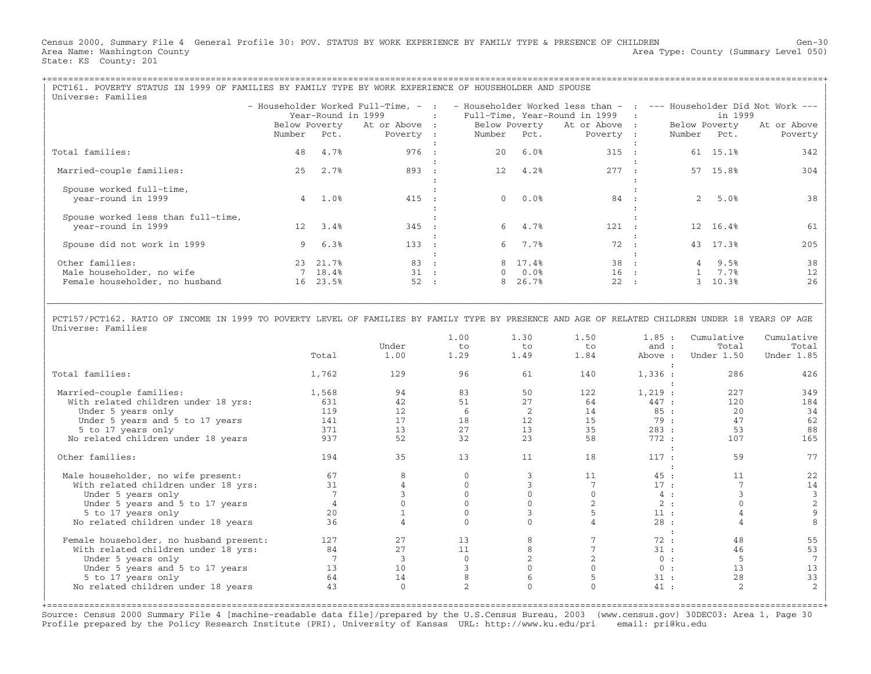Census 2000, Summary File 4 General Profile 30: POV. STATUS BY WORK EXPERIENCE BY FAMILY TYPE & PRESENCE OF CHILDREN Gen−30 Area Name: Washington County (Summary Level 050) (Area Type: County (Summary Level 050) State: KS County: 201

| PCT161. POVERTY STATUS IN 1999 OF FAMILIES BY FAMILY TYPE BY WORK EXPERIENCE OF HOUSEHOLDER AND SPOUSE<br>Universe: Families                                                                                                                              |  |                     |                                   |                |  |                  |                |  |             |                       |                        |
|-----------------------------------------------------------------------------------------------------------------------------------------------------------------------------------------------------------------------------------------------------------|--|---------------------|-----------------------------------|----------------|--|------------------|----------------|--|-------------|-----------------------|------------------------|
| - Householder Worked Full-Time, - : - Householder Worked less than - : --- Householder Did Not Work ---<br>Year-Round in 1999<br>: Full-Time, Year-Round in 1999 :<br>in 1999<br>Below Poverty At or Above : Below Poverty At or Above :<br>Below Poverty |  |                     |                                   |                |  |                  |                |  |             |                       |                        |
|                                                                                                                                                                                                                                                           |  |                     | Number Pct. Poverty : Number Pct. |                |  |                  | Poverty :      |  | Number Pct. |                       | At or Above<br>Poverty |
| Total families:                                                                                                                                                                                                                                           |  | 48 4.7%             | 976 :                             |                |  | 20 6.0%          | 315 :          |  |             | 61 15.1%              | 342                    |
| Married-couple families:                                                                                                                                                                                                                                  |  | 25 2.7%             | 893 :                             |                |  | 12 4.2%          | 277 :          |  |             | 57 15.8%              | 304                    |
| Spouse worked full-time,<br>year-round in 1999                                                                                                                                                                                                            |  | $4 \quad 1.08$      | 415 :                             |                |  | 0.0%             | 84 :           |  |             | $2, 5.0$ <sup>8</sup> | 38                     |
| Spouse worked less than full-time,<br>year-round in 1999                                                                                                                                                                                                  |  | 12 3.4%             | 345 :                             |                |  | 6 4.7%           | 121 :          |  |             | 12 16.4%              |                        |
| Spouse did not work in 1999                                                                                                                                                                                                                               |  | 96.3%               | 133 :                             |                |  | 6 7.7%           | 72 :           |  |             | 43 17.3%              | 205                    |
| Other families:                                                                                                                                                                                                                                           |  | 23 21.7%<br>7 18.4% | 83 :<br>$31 \cdot$ :              |                |  | 8 17.4%          | 38 :<br>$16$ : |  |             | 4 9.5%<br>1, 7.7      | 38<br>12               |
| Male householder, no wife<br>Female householder, no husband                                                                                                                                                                                               |  | 16 23.5%            | 52                                | $\mathbb{R}^2$ |  | $0.0$ %<br>26.7% | 22 :           |  |             | 10.3%                 | 2.6                    |

| | | PCT157/PCT162. RATIO OF INCOME IN 1999 TO POVERTY LEVEL OF FAMILIES BY FAMILY TYPE BY PRESENCE AND AGE OF RELATED CHILDREN UNDER 18 YEARS OF AGE | Universe: Families

|\_\_\_\_\_\_\_\_\_\_\_\_\_\_\_\_\_\_\_\_\_\_\_\_\_\_\_\_\_\_\_\_\_\_\_\_\_\_\_\_\_\_\_\_\_\_\_\_\_\_\_\_\_\_\_\_\_\_\_\_\_\_\_\_\_\_\_\_\_\_\_\_\_\_\_\_\_\_\_\_\_\_\_\_\_\_\_\_\_\_\_\_\_\_\_\_\_\_\_\_\_\_\_\_\_\_\_\_\_\_\_\_\_\_\_\_\_\_\_\_\_\_\_\_\_\_\_\_\_\_\_\_\_\_\_\_\_\_\_\_\_\_\_\_\_\_\_|

|                                         |       |               | 1.00 | 1.30 | 1.50 | 1.85:   | Cumulative | Cumulative     |
|-----------------------------------------|-------|---------------|------|------|------|---------|------------|----------------|
|                                         |       | Under         | to   | to   | to   | and :   | Total      | Total          |
|                                         | Total | 1.00          | 1.29 | 1.49 | 1.84 | Above : | Under 1.50 | Under 1.85     |
| Total families:                         | 1,762 | 129           | 96   | 61   | 140  | 1,336:  | 286        | 426            |
| Married-couple families:                | 1,568 | 94            | 83   | 50   | 122  | 1,219:  | 227        | 349            |
| With related children under 18 yrs:     | 631   | 42            | 51   | 27   | 64   | 447 :   | 120        | 184            |
| Under 5 years only                      | 119   | 12            | 6    | 2    | 14   | 85:     | 20         | 34             |
| Under 5 years and 5 to 17 years         | 141   | 17            | 18   | 12   | 15   | 79:     | 47         | 62             |
| 5 to 17 years only                      | 371   | 13            | 27   | 13   | 35   | 283:    | 53         | 88             |
| No related children under 18 years      | 937   | 52            | 32   | 23   | 58   | 772:    | 107        | 165            |
|                                         |       |               |      |      |      |         |            |                |
| Other families:                         | 194   | 35            | 13   | 11   | 18   | 117:    | 59         | 77             |
| Male householder, no wife present:      | 67    | 8             |      |      | 11   | 45:     | 11         | 22             |
| With related children under 18 yrs:     | 31    |               |      |      |      | 17:     |            | 14             |
| Under 5 years only                      |       |               |      |      |      | 4:      |            | 3              |
| Under 5 years and 5 to 17 years         |       |               |      |      |      | 2:      |            | $\overline{2}$ |
| 5 to 17 years only                      | 20    |               |      |      |      | 11:     |            |                |
| No related children under 18 years      | 36    |               |      |      |      | 28:     |            |                |
|                                         |       |               |      |      |      |         |            |                |
| Female householder, no husband present: | 127   | 27            | 13   |      |      | 72:     | 48         | 55             |
| With related children under 18 yrs:     | 84    | 27            | 11   |      |      | 31:     | 46         | 53             |
| Under 5 years only                      |       | $\mathcal{R}$ |      |      |      | 0:      | 5          |                |
| Under 5 years and 5 to 17 years         | 13    | 10            |      |      |      | 0:      | 13         | 13             |
| 5 to 17 years only                      | 64    | 14            |      |      |      | 31:     | 28         | 33             |
| No related children under 18 years      | 43    | $\Omega$      |      |      |      | 41:     |            |                |
|                                         |       |               |      |      |      |         |            |                |

+===================================================================================================================================================+ Source: Census 2000 Summary File 4 [machine−readable data file]/prepared by the U.S.Census Bureau, 2003 (www.census.gov) 30DEC03: Area 1, Page 30 Profile prepared by the Policy Research Institute (PRI), University of Kansas URL: http://www.ku.edu/pri email: pri@ku.edu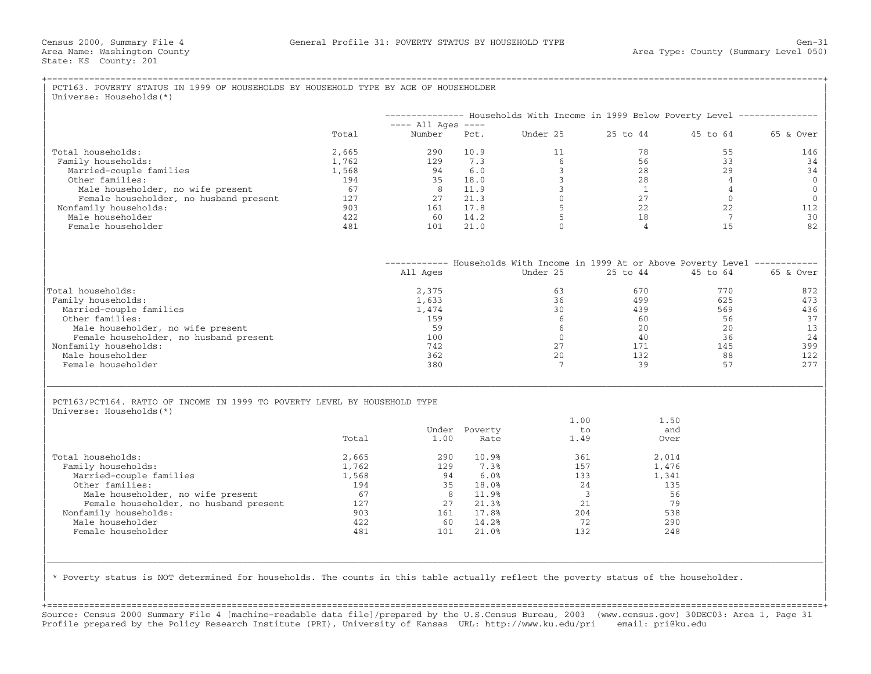|                                                                           |       |                                |               | -------------- Households With Income in 1999 Below Poverty Level --------------  |                |                |           |
|---------------------------------------------------------------------------|-------|--------------------------------|---------------|-----------------------------------------------------------------------------------|----------------|----------------|-----------|
|                                                                           | Total | $---$ All Ages $---$<br>Number | Pct.          | Under 25                                                                          | 25 to 44       | 45 to 64       | 65 & Over |
| Total households:                                                         | 2,665 | 290                            | 10.9          | 11                                                                                | 78             | 55             | 146       |
| Family households:                                                        | 1,762 | 129                            | 7.3           | 6                                                                                 | 56             | 33             | 34        |
| Married-couple families                                                   | 1,568 | 94                             | 6.0           | $\overline{3}$                                                                    | 28             | 29             | 34        |
| Other families:                                                           | 194   | 35                             | 18.0          | $\overline{3}$                                                                    | 28             | $\overline{4}$ |           |
| Male householder, no wife present                                         | 67    | 8                              | 11.9          | $\mathbf{3}$                                                                      | $\overline{1}$ | $\overline{4}$ |           |
| Female householder, no husband present                                    | 127   | 27                             | 21.3          | $\overline{0}$                                                                    | 27             | $\overline{0}$ |           |
| Nonfamily households:                                                     | 903   | 161                            | 17.8          | 5                                                                                 | 22             | 22             | 112<br>30 |
| Male householder                                                          | 422   | 60                             | 14.2          | 5                                                                                 | 18             | $\overline{7}$ |           |
| Female householder                                                        | 481   | 101                            | 21.0          | $\Omega$                                                                          | $\overline{4}$ | 15             | 82        |
|                                                                           |       |                                |               | ----------- Households With Income in 1999 At or Above Poverty Level ------------ |                |                |           |
|                                                                           |       | All Ages                       |               | Under 25                                                                          | 25 to 44       | 45 to 64       | 65 & Over |
| Total households:                                                         |       | 2,375                          |               | 63                                                                                | 670            | 770            | 872       |
| Family households:                                                        |       | 1,633                          |               | 36                                                                                | 499            | 625            | 473       |
| Married-couple families                                                   |       | 1,474                          |               | 30                                                                                | 439            | 569            | 436       |
| Other families:                                                           |       | 159                            |               | 6                                                                                 | 60             | 56             |           |
| Male householder, no wife present                                         |       | 59                             |               | 6                                                                                 | 20             | 20             |           |
| Female householder, no husband present                                    |       | 100                            |               | $\Omega$                                                                          | 40             | 36             |           |
| Nonfamily households:                                                     |       | 742                            |               | 2.7                                                                               | 171            | 145            | 399       |
| Male householder<br>Female householder                                    |       | 362<br>380                     |               | 20<br>$7\phantom{.0}$                                                             | 132<br>39      | 88<br>57       | 122       |
|                                                                           |       |                                |               |                                                                                   |                |                | 277       |
| PCT163/PCT164. RATIO OF INCOME IN 1999 TO POVERTY LEVEL BY HOUSEHOLD TYPE |       |                                |               |                                                                                   |                |                |           |
| Universe: Households (*)                                                  |       |                                |               | 1.00                                                                              | 1.50           |                |           |
|                                                                           |       |                                | Under Poverty | to                                                                                | and            |                |           |
|                                                                           | Total | 1.00                           | Rate          | 1.49                                                                              | Over           |                |           |
| Total households:                                                         | 2,665 | 290                            | 10.9%         | 361                                                                               | 2,014          |                |           |
| Family households:                                                        | 1,762 | 129                            | 7.3%          | 157                                                                               | 1,476          |                |           |
| Married-couple families                                                   | 1,568 | 94                             | 6.0%          | 133                                                                               | 1,341          |                |           |
| Other families:                                                           | 194   | 35                             | 18.0%         | 24                                                                                | 135            |                |           |
| Male householder, no wife present                                         | 67    | 8 <sup>1</sup>                 | 11.9%         | $\overline{\mathbf{3}}$                                                           | 56             |                |           |
| Female householder, no husband present                                    | 127   | 2.7                            | 21.3%         | 21                                                                                | 79             |                |           |
| Nonfamily households:                                                     | 903   |                                | 161 17.8%     | 204                                                                               | 538            |                |           |
| Male householder                                                          | 422   | 60                             | 14.2%         | 72                                                                                | 290            |                |           |
| Female householder                                                        | 481   | 101                            | 21.0%         | 132                                                                               | 248            |                |           |
|                                                                           |       |                                |               |                                                                                   |                |                |           |

| | +===================================================================================================================================================+ Source: Census 2000 Summary File 4 [machine−readable data file]/prepared by the U.S.Census Bureau, 2003 (www.census.gov) 30DEC03: Area 1, Page 31 Profile prepared by the Policy Research Institute (PRI), University of Kansas URL: http://www.ku.edu/pri email: pri@ku.edu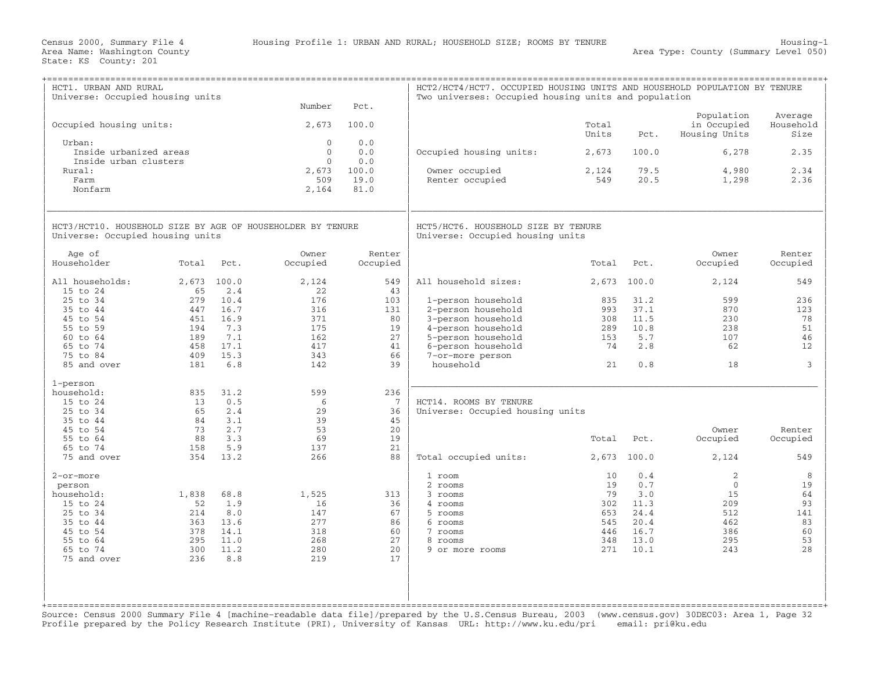| HCT1. URBAN AND RURAL<br>Universe: Occupied housing units                                      |             |              | Number                   |                      | HCT2/HCT4/HCT7. OCCUPIED HOUSING UNITS AND HOUSEHOLD POPULATION BY TENURE<br>Two universes: Occupied housing units and population |                |              |                                            |                              |
|------------------------------------------------------------------------------------------------|-------------|--------------|--------------------------|----------------------|-----------------------------------------------------------------------------------------------------------------------------------|----------------|--------------|--------------------------------------------|------------------------------|
| Occupied housing units:                                                                        |             |              | 2,673                    | Pct.<br>100.0        |                                                                                                                                   | Total<br>Units | Pct.         | Population<br>in Occupied<br>Housing Units | Average<br>Household<br>Size |
| Urban:<br>Inside urbanized areas                                                               |             |              | $\Omega$<br>$\mathbf{0}$ | 0.0<br>0.0           | Occupied housing units:                                                                                                           | 2,673          | 100.0        | 6,278                                      | 2.35                         |
| Inside urban clusters<br>Rural:<br>Farm                                                        |             |              | $\Omega$<br>2,673<br>509 | 0.0<br>100.0<br>19.0 | Owner occupied<br>Renter occupied                                                                                                 | 2,124<br>549   | 79.5<br>20.5 | 4,980<br>1,298                             | 2.34<br>2.36                 |
| Nonfarm                                                                                        |             |              | 2,164                    | 81.0                 |                                                                                                                                   |                |              |                                            |                              |
| HCT3/HCT10. HOUSEHOLD SIZE BY AGE OF HOUSEHOLDER BY TENURE<br>Universe: Occupied housing units |             |              |                          |                      | HCT5/HCT6. HOUSEHOLD SIZE BY TENURE<br>Universe: Occupied housing units                                                           |                |              |                                            |                              |
| Age of<br>Householder                                                                          | Total       | Pct.         | Owner<br>Occupied        | Renter<br>Occupied   |                                                                                                                                   | Total          | Pct.         | Owner<br>Occupied                          | Renter<br>Occupied           |
| All households:<br>15 to 24                                                                    | 2,673<br>65 | 100.0<br>2.4 | 2,124<br>22              | 549<br>43            | All household sizes:                                                                                                              | 2,673          | 100.0        | 2,124                                      | 549                          |
| 25 to 34                                                                                       | 279         | 10.4         | 176                      | 103                  | 1-person household                                                                                                                | 835            | 31.2         | 599                                        | 236                          |
| 35 to 44                                                                                       | 447         | 16.7         | 316                      | 131                  | 2-person household                                                                                                                | 993            | 37.1         | 870                                        | 123                          |
| 45 to 54                                                                                       | 451         | 16.9         | 371                      | 80                   | 3-person household                                                                                                                | 308            | 11.5         | 230                                        | 78                           |
| 55 to 59                                                                                       | 194         | 7.3          | 175                      | 19                   | 4-person household                                                                                                                | 289            | 10.8         | 238                                        | 51                           |
| 60 to 64                                                                                       | 189         | 7.1          | 162                      | 27                   | 5-person household                                                                                                                | 153            | 5.7          | 107                                        | 46                           |
| 65 to 74                                                                                       | 458         | 17.1         | 417                      | 41                   | 6-person household                                                                                                                | 74             | 2.8          | 62                                         | 12                           |
| 75 to 84                                                                                       | 409         | 15.3         | 343                      | 66                   | 7-or-more person                                                                                                                  |                |              |                                            |                              |
| 85 and over                                                                                    | 181         | 6.8          | 142                      | 39                   | household                                                                                                                         | 21             | 0.8          | 18                                         | 3                            |
| 1-person                                                                                       |             |              |                          |                      |                                                                                                                                   |                |              |                                            |                              |
| household:                                                                                     | 835         | 31.2         | 599                      | 236                  |                                                                                                                                   |                |              |                                            |                              |
| 15 to 24                                                                                       | 13          | 0.5          | 6                        | 7                    | HCT14. ROOMS BY TENURE                                                                                                            |                |              |                                            |                              |
| 25 to 34                                                                                       | 65          | 2.4          | 2.9                      | 36                   | Universe: Occupied housing units                                                                                                  |                |              |                                            |                              |
| 35 to 44                                                                                       | 84          | 3.1          | 39                       | 45                   |                                                                                                                                   |                |              |                                            |                              |
| 45 to 54                                                                                       | 73          | 2.7          | 53                       | 20                   |                                                                                                                                   |                |              | Owner                                      | Renter                       |
| 55 to 64                                                                                       | 88          | 3.3          | 69                       | 19                   |                                                                                                                                   | Total          | Pct.         | Occupied                                   | Occupied                     |
| 65 to 74                                                                                       | 158         | 5.9          | 137                      | 21                   |                                                                                                                                   |                |              |                                            |                              |
| 75 and over                                                                                    | 354         | 13.2         | 266                      | 88                   | Total occupied units:                                                                                                             | 2,673          | 100.0        | 2,124                                      | 549                          |
| 2-or-more                                                                                      |             |              |                          |                      | 1 room                                                                                                                            | 10             | 0.4          | 2                                          | 8                            |
| person                                                                                         |             |              |                          |                      | 2 rooms                                                                                                                           | 19             | 0.7          | $\Omega$                                   | 19                           |
| household:                                                                                     | 1,838       | 68.8         | 1,525                    | 313                  | 3 rooms                                                                                                                           | 79             | 3.0          | 15                                         | 64                           |
| $15$ to $24$                                                                                   | 52          | 1.9          | 16                       | 36                   | 4 rooms                                                                                                                           | 302            | 11.3         | 209                                        | 93                           |
| 25 to 34                                                                                       | 214         | 8.0          | 147                      | 67                   | 5 rooms                                                                                                                           | 653            | 24.4         | 512                                        | 141                          |
| 35 to 44                                                                                       | 363         | 13.6         | 277                      | 86                   | 6 rooms                                                                                                                           | 545            | 20.4         | 462                                        | 83                           |
| 45 to 54                                                                                       | 378         | 14.1         | 318                      | 60                   | 7 rooms                                                                                                                           | 446            | 16.7         | 386                                        | 60                           |
| 55 to 64                                                                                       | 295         | 11.0         | 268                      | 27                   | 8 rooms                                                                                                                           | 348            | 13.0         | 295                                        | 53                           |
| 65 to 74                                                                                       | 300         | 11.2         | 280                      | 20                   | 9 or more rooms                                                                                                                   | 271            | 10.1         | 243                                        | 28                           |
| 75 and over                                                                                    | 236         | 8.8          | 219                      | 17                   |                                                                                                                                   |                |              |                                            |                              |
|                                                                                                |             |              |                          |                      |                                                                                                                                   |                |              |                                            |                              |
|                                                                                                |             |              |                          |                      |                                                                                                                                   |                |              |                                            |                              |

Source: Census 2000 Summary File 4 [machine−readable data file]/prepared by the U.S.Census Bureau, 2003 (www.census.gov) 30DEC03: Area 1, Page 32 Profile prepared by the Policy Research Institute (PRI), University of Kansas URL: http://www.ku.edu/pri email: pri@ku.edu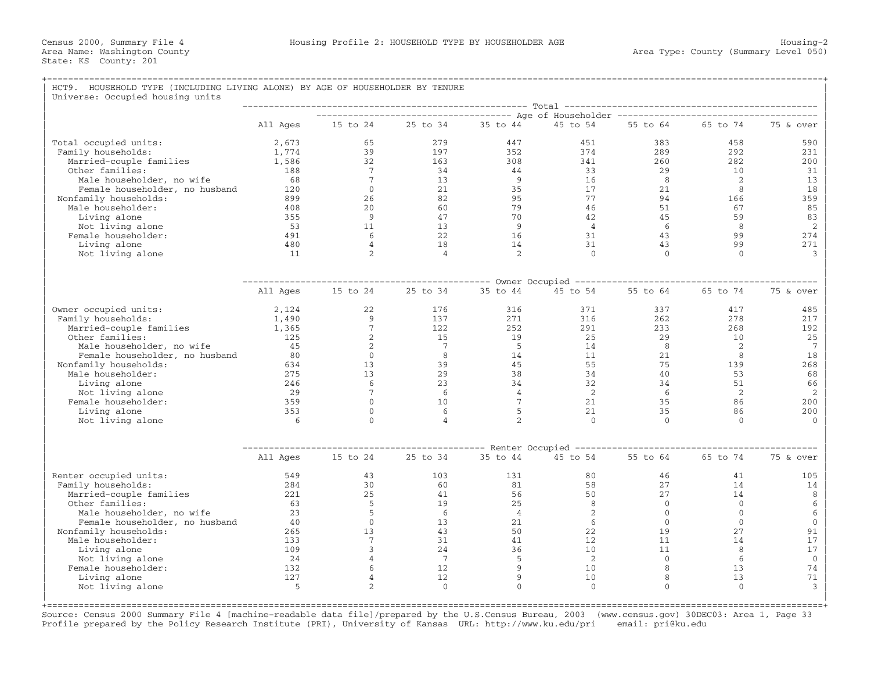| HCT9. HOUSEHOLD TYPE (INCLUDING LIVING ALONE) BY AGE OF HOUSEHOLDER BY TENURE<br>Universe: Occupied housing units |            |                 |                |                 |                |                      |              |                   |
|-------------------------------------------------------------------------------------------------------------------|------------|-----------------|----------------|-----------------|----------------|----------------------|--------------|-------------------|
|                                                                                                                   |            |                 |                |                 |                |                      |              |                   |
|                                                                                                                   | All Ages   | 15 to 24        | 25 to 34       | 35 to 44        | 45 to 54       | 55 to 64             | 65 to 74     | 75 & over         |
| Total occupied units:                                                                                             | 2,673      | 65              | 279            | 447             | 451            | 383                  | 458          | 590               |
| Family households:                                                                                                | 1,774      | 39              | 197            | 352             | 374            | 289                  | 292          | 231               |
| Married-couple families                                                                                           | 1,586      | 32              | 163            | 308             | 341            | 260                  | 282          | 200               |
| Other families:                                                                                                   | 188        | $7\phantom{.0}$ | 34             | 44              | 33             | 29                   | 10           | 31                |
| Male householder, no wife                                                                                         | 68         | $7\phantom{.0}$ | 13             | -9              | 16             | 8                    | 2            | 13                |
| Female householder, no husband                                                                                    | 120        | $\mathbf 0$     | 21             | 35              | 17             | 21                   | 8            | 18                |
| Nonfamily households:                                                                                             | 899        | 26              | 82             | 95              | 77             | 94                   | 166          | 359               |
| Male householder:                                                                                                 | 408        | 20              | 60             | 79              | 46             | 51                   | 67           | 85                |
| Living alone                                                                                                      | 355        | 9               | 47             | 70              | 42             | 45                   | 59           | 83                |
| Not living alone                                                                                                  | 53         | 11              | 13             | $\overline{9}$  | $\overline{4}$ | -6                   | 8            | 2                 |
| Female householder:                                                                                               | 491        | 6               | 22             | 16              | 31             | 43                   | 99           | 274               |
| Living alone                                                                                                      | 480        | $\overline{4}$  | 18             | 14              | 31             | 43                   | 99           | 271               |
| Not living alone                                                                                                  | 11         | $\overline{2}$  | $\overline{4}$ | 2               | $\Omega$       | $\Omega$             | $\Omega$     | 3                 |
|                                                                                                                   |            |                 |                |                 |                |                      |              |                   |
|                                                                                                                   | All Ages   | 15 to 24        | 25 to 34       | 35 to 44        | 45 to 54       | 55 to 64             | 65 to 74     | 75 & over         |
| Owner occupied units:                                                                                             | 2,124      | 22              | 176            | 316             | 371            | 337                  | 417          | 485               |
| Family households:                                                                                                | 1,490      | 9               | 137            | 271             | 316            | 262                  | 278          | 217               |
| Married-couple families                                                                                           | 1,365      | $7\phantom{.0}$ | 122            | 252             | 291            | 233                  | 268          | 192               |
| Other families:                                                                                                   | 125        | 2               | 15             | 19              | 25             | 29                   | 10           | 25                |
| Male householder, no wife                                                                                         | 45         | 2               | 7              | $-5$            | 14             | 8                    | 2            | 7                 |
| Female householder, no husband                                                                                    | 80         | $\Omega$        | 8              | 14              | 11             | 21                   | 8            | 18                |
| Nonfamily households:                                                                                             | 634<br>275 | 13<br>13        | 39<br>29       | 45<br>38        | 55<br>34       | 75<br>40             | 139<br>53    | 268               |
| Male householder:<br>Living alone                                                                                 | 246        | 6               | 23             | 34              | 32             | 34                   | 51           | 68<br>66          |
| Not living alone                                                                                                  | 29         | $7\phantom{.0}$ | 6              | $\overline{4}$  | 2              | - 6                  | 2            | $\overline{c}$    |
| Female householder:                                                                                               | 359        | $\Omega$        | 10             | $7\phantom{.0}$ | 21             | 35                   | 86           | 200               |
| Living alone                                                                                                      | 353        | $\Omega$        | 6              | 5               | 21             | 35                   | 86           | 200               |
| Not living alone                                                                                                  | -6         | $\Omega$        | 4              | $\overline{2}$  | $\Omega$       | $\Omega$             | $\Omega$     | $\Omega$          |
|                                                                                                                   |            |                 |                |                 |                |                      |              |                   |
|                                                                                                                   | All Ages   | 15 to 24        | 25 to 34       | 35 to 44        | 45 to 54       | 55 to 64             | 65 to 74     | 75 & over         |
| Renter occupied units:                                                                                            | 549        | 43              | 103            | 131             | 80             | 46                   | 41           | 105               |
| Family households:                                                                                                | 284        | 30              | 60             | 81              | 58             | 27                   | 14           | 14                |
| Married-couple families                                                                                           | 221        | 25              | 41             | 56              | 50             | 27                   | 14           | 8                 |
| Other families:                                                                                                   | 63         | 5               | 19             | 25              | 8              | $\overline{0}$       | $\mathbf{0}$ | 6                 |
| Male householder, no wife                                                                                         | 23         | 5               | 6              | $\overline{4}$  | 2              | $\overline{0}$       | $\mathbf{0}$ | 6                 |
| Female householder, no husband                                                                                    | 40         | $\Omega$        | 13             | 21              | 6              | $\overline{0}$       | $\mathbf{0}$ | $\mathbf{0}$      |
| Nonfamily households:                                                                                             | 265        | 13              | 43             | 50              | 22             | 19                   | 27           | 91                |
| Male householder:                                                                                                 | 133        | $7\phantom{.0}$ | 31             | 41              | 12             | 11                   | 14           | 17                |
| Living alone                                                                                                      | 109<br>24  | 3               | 24<br>7        | 36              | 10<br>2        | 11<br>$\overline{0}$ | 8<br>6       | 17                |
| Not living alone<br>Female householder:                                                                           | 132        |                 | 12             | 5<br>9          | 10             | 8                    | 13           | $\mathbf 0$<br>74 |
| Living alone                                                                                                      | 127        | 4               | 12             | 9               | 10             | 8                    | 13           | 71                |
| Not living alone                                                                                                  | 5          | $\mathfrak{D}$  | $\Omega$       | $\Omega$        | $\Omega$       | $\Omega$             | $\Omega$     | 3                 |

+===================================================================================================================================================+ Source: Census 2000 Summary File 4 [machine−readable data file]/prepared by the U.S.Census Bureau, 2003 (www.census.gov) 30DEC03: Area 1, Page 33 Profile prepared by the Policy Research Institute (PRI), University of Kansas URL: http://www.ku.edu/pri email: pri@ku.edu

| |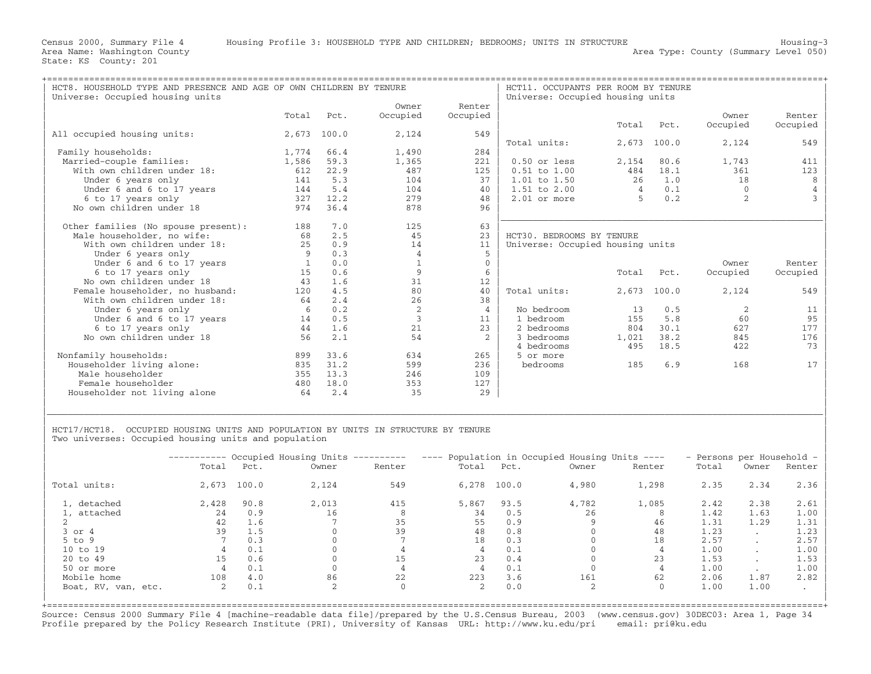| HCT8. HOUSEHOLD TYPE AND PRESENCE AND AGE OF OWN CHILDREN BY TENURE<br>Universe: Occupied housing units |              |       |                |                | HCT11. OCCUPANTS PER ROOM BY TENURE<br>Universe: Occupied housing units |                |       |                |          |
|---------------------------------------------------------------------------------------------------------|--------------|-------|----------------|----------------|-------------------------------------------------------------------------|----------------|-------|----------------|----------|
|                                                                                                         |              |       | Owner          | Renter         |                                                                         |                |       |                |          |
|                                                                                                         | Total        | Pct.  | Occupied       | Occupied       |                                                                         |                |       | Owner          | Renter   |
|                                                                                                         |              |       |                |                |                                                                         | Total          | Pct.  | Occupied       | Occupied |
| All occupied housing units:                                                                             | 2,673        | 100.0 | 2,124          | 549            |                                                                         |                |       |                |          |
|                                                                                                         |              |       |                |                | Total units:                                                            | 2,673          | 100.0 | 2,124          | 549      |
| Family households:                                                                                      | 1,774        | 66.4  | 1,490          | 284            |                                                                         |                |       |                |          |
| Married-couple families:                                                                                | 1,586        | 59.3  | 1,365          | 221            | 0.50 or less                                                            | 2,154          | 80.6  | 1,743          | 411      |
| With own children under 18:                                                                             | 612          | 22.9  | 487            | 125            | $0.51$ to $1.00$                                                        | 484            | 18.1  | 361            | 123      |
| Under 6 years only                                                                                      | 141          | 5.3   | 104            | 37             | 1.01 to 1.50                                                            | 26             | 1.0   | 18             | 8        |
| Under 6 and 6 to 17 years                                                                               | 144          | 5.4   | 104            | 40             | $1.51$ to $2.00$                                                        | $\overline{4}$ | 0.1   | $\Omega$       |          |
| 6 to 17 years only                                                                                      | 327          | 12.2  | 279            | 48             | $2.01$ or more                                                          | $\overline{5}$ | 0.2   | $\overline{2}$ |          |
| No own children under 18                                                                                | 974          | 36.4  | 878            | 96             |                                                                         |                |       |                |          |
|                                                                                                         |              |       |                |                |                                                                         |                |       |                |          |
| Other families (No spouse present):                                                                     | 188          | 7.0   | 125            | 63             |                                                                         |                |       |                |          |
| Male householder, no wife:                                                                              | 68           | 2.5   | 45             | 23             | HCT30. BEDROOMS BY TENURE                                               |                |       |                |          |
| With own children under 18:                                                                             | 25           | 0.9   | 14             | 11             | Universe: Occupied housing units                                        |                |       |                |          |
| Under 6 years only                                                                                      | 9            | 0.3   | $\overline{4}$ | 5              |                                                                         |                |       |                |          |
| Under 6 and 6 to 17 years                                                                               | $\mathbf{1}$ | 0.0   | $\mathbf{1}$   | $\mathbf 0$    |                                                                         |                |       | Owner          | Renter   |
| 6 to 17 years only                                                                                      | 15           | 0.6   | 9              | 6              |                                                                         | Total          | Pct.  | Occupied       | Occupied |
| No own children under 18                                                                                | 43           | 1.6   | 31             | 12             |                                                                         |                |       |                |          |
| Female householder, no husband:                                                                         | 120          | 4.5   | 80             | 40             | Total units:                                                            | 2,673          | 100.0 | 2,124          | 549      |
| With own children under 18:                                                                             | 64           | 2.4   | 26             | 38             |                                                                         |                |       |                |          |
| Under 6 years only                                                                                      | 6            | 0.2   |                | 4              | No bedroom                                                              | 13             | 0.5   | 2              | 11       |
| Under 6 and 6 to 17 years                                                                               | 14           | 0.5   | 3              | 11             | 1 bedroom                                                               | 155            | 5.8   | 60             | 95       |
| 6 to 17 years only                                                                                      | 44           | 1.6   | 21             | 23             | 2 bedrooms                                                              | 804            | 30.1  | 627            | 177      |
| No own children under 18                                                                                | 56           | 2.1   | 54             | 2 <sup>0</sup> | 3 bedrooms                                                              | 1,021          | 38.2  | 845            | 176      |
|                                                                                                         |              |       |                |                | 4 bedrooms                                                              | 495            | 18.5  | 422            | 73       |
| Nonfamily households:                                                                                   | 899          | 33.6  | 634            | 265            | 5 or more                                                               |                |       |                |          |
| Householder living alone:                                                                               | 835          | 31.2  | 599            | 236            | bedrooms                                                                | 185            | 6.9   | 168            | 17       |
| Male householder                                                                                        | 355          | 13.3  | 246            | 109            |                                                                         |                |       |                |          |
| Female householder                                                                                      | 480          | 18.0  | 353            | 127            |                                                                         |                |       |                |          |
| Householder not living alone                                                                            | 64           | 2.4   | 35             | 29             |                                                                         |                |       |                |          |
|                                                                                                         |              |       |                |                |                                                                         |                |       |                |          |

| | HCT17/HCT18. OCCUPIED HOUSING UNITS AND POPULATION BY UNITS IN STRUCTURE BY TENURE Two universes: Occupied housing units and population

|                     | ------------ |             | Occupied Housing Units ---------- |              | $\qquad \qquad - - - -$ |             | Population in Occupied Housing Units ---- |        | - Persons per Household - |                |        |
|---------------------|--------------|-------------|-----------------------------------|--------------|-------------------------|-------------|-------------------------------------------|--------|---------------------------|----------------|--------|
|                     | Total        | Pct.        | Owner                             | Renter       | Total                   | Pct.        | Owner                                     | Renter | Total                     | Owner          | Renter |
| Total units:        |              | 2,673 100.0 | 2,124                             | 549          |                         | 6,278 100.0 | 4,980                                     | 1,298  | 2.35                      | 2.34           | 2.36   |
| 1, detached         | 2,428        | 90.8        | 2,013                             | 415          | 5,867                   | 93.5        | 4,782                                     | 1,085  | 2.42                      | 2.38           | 2.61   |
| 1, attached         | 24           | 0.9         | 16                                | 8            | 34                      | 0.5         | 26                                        |        | 1.42                      | 1.63           | 1.00   |
|                     | 42           | 1.6         |                                   | 35           | 55                      | 0.9         |                                           | 46     | 1.31                      | 1.29           | 1.31   |
| $3$ or $4$          | 39           | 1.5         |                                   | 39           | 48                      | 0.8         |                                           | 48     | 1.23                      | $\cdot$        | 1.23   |
| $5$ to $9$          |              | 0.3         |                                   |              | 18                      | 0.3         |                                           | 18     | 2.57                      | $\cdot$        | 2.57   |
| 10 to 19            |              | 0.1         |                                   |              |                         | 0.1         |                                           |        | 1.00                      |                | 1.00   |
| 20 to 49            | 15           | 0.6         |                                   | 15           | 23                      | 0.4         |                                           | 23     | 1.53                      | $\cdot$        | 1.53   |
| 50 or more          |              | 0.1         |                                   |              |                         | 0.1         |                                           |        | 1.00                      | $\overline{a}$ | 1.00   |
| Mobile home         | 108          | 4.0         | 86                                | 22           | 223                     | 3.6         | 161                                       | 62     | 2.06                      | 1.87           | 2.82   |
| Boat, RV, van, etc. |              | 0.1         |                                   | $\mathbf{0}$ |                         | 0.0         | 2                                         |        | 1.00                      | 1.00           |        |

|\_\_\_\_\_\_\_\_\_\_\_\_\_\_\_\_\_\_\_\_\_\_\_\_\_\_\_\_\_\_\_\_\_\_\_\_\_\_\_\_\_\_\_\_\_\_\_\_\_\_\_\_\_\_\_\_\_\_\_\_\_\_\_\_\_\_\_\_\_\_\_\_\_\_\_\_\_\_\_\_\_\_\_\_\_\_\_\_\_\_\_\_\_\_\_\_\_\_\_\_\_\_\_\_\_\_\_\_\_\_\_\_\_\_\_\_\_\_\_\_\_\_\_\_\_\_\_\_\_\_\_\_\_\_\_\_\_\_\_\_\_\_\_\_\_\_\_|

+===================================================================================================================================================+ Source: Census 2000 Summary File 4 [machine−readable data file]/prepared by the U.S.Census Bureau, 2003 (www.census.gov) 30DEC03: Area 1, Page 34 Profile prepared by the Policy Research Institute (PRI), University of Kansas URL: http://www.ku.edu/pri email: pri@ku.edu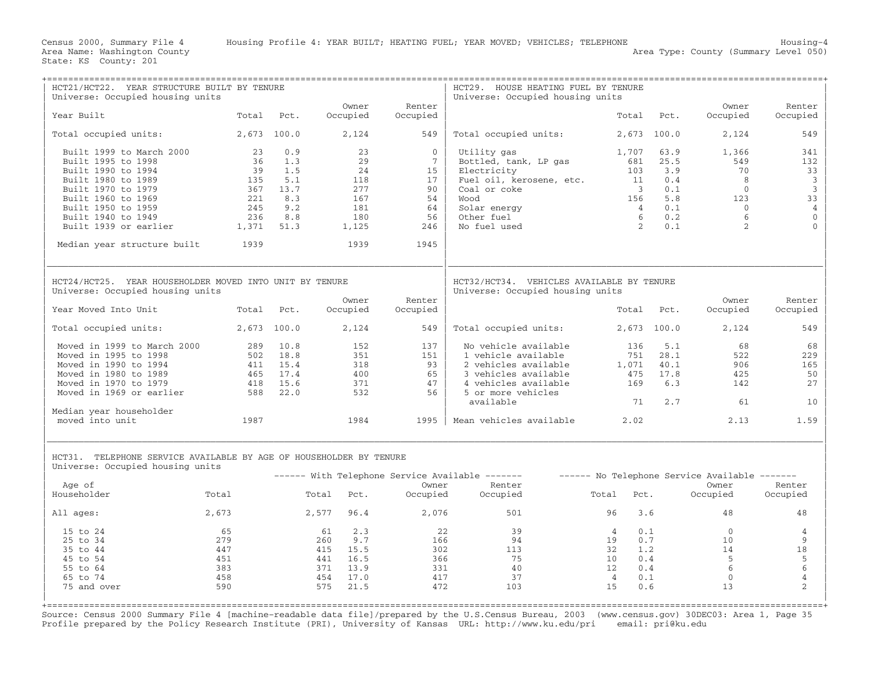| Universe: Occupied housing units<br>Owner<br>Renter<br>Owner<br>Renter<br>Year Built<br>Total<br>Occupied<br>Occupied<br>Occupied<br>Pct.<br>Total<br>Pct.<br>Occupied<br>2,673 100.0<br>Total occupied units:<br>2,673 100.0<br>Total occupied units:<br>2,124<br>549<br>2,124<br>549<br>0.9<br>Built 1999 to March 2000<br>23<br>23<br>$\overline{0}$<br>Utility gas<br>1,707<br>63.9<br>1,366<br>341<br>29<br>Built 1995 to 1998<br>36<br>1.3<br>$7\overline{ }$<br>Bottled, tank, LP gas<br>681<br>25.5<br>549<br>132<br>Built 1990 to 1994<br>39<br>1.5<br>24<br>103<br>3.9<br>70<br>33<br>15<br>Electricity<br>0.4<br>$\overline{\mathbf{3}}$<br>Built 1980 to 1989<br>135<br>5.1<br>118<br>Fuel oil, kerosene, etc.<br>8<br>17<br>11<br>$\overline{3}$<br>277<br>90<br>$\overline{0}$<br>Built 1970 to 1979<br>367 13.7<br>Coal or coke<br>$\overline{\mathbf{3}}$<br>0.1<br>Built 1960 to 1969<br>8.3<br>167<br>33<br>221<br>54<br>booW<br>156<br>5.8<br>123<br>$\overline{4}$<br>Built 1950 to 1959<br>245<br>9.2<br>181<br>64<br>Solar energy<br>0.1<br>$\bigcirc$<br>$\overline{4}$<br>$\mathbb O$<br>6<br>Built 1940 to 1949<br>236<br>8.8<br>180<br>56<br>Other fuel<br>6<br>0.2<br>$\overline{2}$<br>2<br>Built 1939 or earlier<br>1,371<br>51.3<br>1,125<br>246<br>No fuel used<br>0.1<br>$\Omega$<br>1939<br>Median year structure built<br>1939<br>1945<br>HCT24/HCT25. YEAR HOUSEHOLDER MOVED INTO UNIT BY TENURE<br>HCT32/HCT34. VEHICLES AVAILABLE BY TENURE<br>Universe: Occupied housing units<br>Universe: Occupied housing units<br>Owner<br>Renter<br>Owner<br>Renter<br>Year Moved Into Unit<br>Total<br>Occupied<br>Total Pct.<br>Occupied<br>Pct.<br>Occupied<br>Occupied<br>2,673 100.0<br>2,673 100.0<br>2,124<br>Total occupied units:<br>2,124<br>549<br>Total occupied units:<br>549<br>Moved in 1999 to March 2000<br>289<br>10.8<br>152<br>137<br>No vehicle available<br>68<br>136<br>5.1<br>68<br>Moved in 1995 to 1998<br>502 18.8<br>351<br>1 vehicle available<br>751<br>522<br>229<br>151<br>28.1<br>Moved in 1990 to 1994<br>411 15.4<br>318<br>93<br>2 vehicles available<br>40.1<br>906<br>165<br>1,071<br>Moved in 1980 to 1989<br>465 17.4<br>400<br>65<br>3 vehicles available<br>17.8<br>425<br>50<br>475<br>4 vehicles available<br>Moved in 1970 to 1979<br>15.6<br>371<br>47<br>6.3<br>418<br>169<br>142<br>27<br>Moved in 1969 or earlier<br>22.0<br>532<br>5 or more vehicles<br>588<br>56<br>71<br>2.7<br>61<br>10<br>available<br>Median year householder<br>1987<br>1984<br>2.02<br>2.13<br>moved into unit<br>1995   Mean vehicles available<br>1.59<br>HCT31. TELEPHONE SERVICE AVAILABLE BY AGE OF HOUSEHOLDER BY TENURE<br>Universe: Occupied housing units<br>------ With Telephone Service Available -------<br>------ No Telephone Service Available -------<br>Age of<br>Owner<br>Renter<br>Owner<br>Renter<br>Householder<br>Total<br>Total Pct.<br>Occupied<br>Occupied<br>Pct.<br>Occupied<br>Total<br>Occupied<br>2,673<br>2,577 96.4<br>2,076<br>501<br>48<br>48<br>All ages:<br>96<br>3.6<br>22<br>0.1<br>$\Omega$<br>15 to 24<br>65<br>61<br>2.3<br>39<br>$\overline{4}$<br>4<br>25 to 34<br>279<br>260<br>9.7<br>166<br>94<br>19<br>0.7<br>10<br>9<br>18<br>35 to 44<br>447<br>415 15.5<br>302<br>113<br>32<br>1.2<br>14<br>45 to 54<br>451<br>441<br>16.5<br>366<br>75<br>10<br>0.4<br>5<br>5<br>6<br>383<br>13.9<br>6<br>55 to 64<br>371<br>331<br>40<br>12<br>0.4<br>$\sqrt{4}$<br>458<br>454 17.0<br>37<br>0.1<br>$\overline{0}$<br>65 to 74<br>417<br>$\overline{4}$<br>$\mathfrak{D}$<br>590<br>575<br>21.5<br>472<br>75 and over<br>103<br>0.6<br>13<br>15 | HCT21/HCT22. YEAR STRUCTURE BUILT BY TENURE<br>Universe: Occupied housing units |  |  | HCT29. HOUSE HEATING FUEL BY TENURE |  |  |
|-------------------------------------------------------------------------------------------------------------------------------------------------------------------------------------------------------------------------------------------------------------------------------------------------------------------------------------------------------------------------------------------------------------------------------------------------------------------------------------------------------------------------------------------------------------------------------------------------------------------------------------------------------------------------------------------------------------------------------------------------------------------------------------------------------------------------------------------------------------------------------------------------------------------------------------------------------------------------------------------------------------------------------------------------------------------------------------------------------------------------------------------------------------------------------------------------------------------------------------------------------------------------------------------------------------------------------------------------------------------------------------------------------------------------------------------------------------------------------------------------------------------------------------------------------------------------------------------------------------------------------------------------------------------------------------------------------------------------------------------------------------------------------------------------------------------------------------------------------------------------------------------------------------------------------------------------------------------------------------------------------------------------------------------------------------------------------------------------------------------------------------------------------------------------------------------------------------------------------------------------------------------------------------------------------------------------------------------------------------------------------------------------------------------------------------------------------------------------------------------------------------------------------------------------------------------------------------------------------------------------------------------------------------------------------------------------------------------------------------------------------------------------------------------------------------------------------------------------------------------------------------------------------------------------------------------------------------------------------------------------------------------------------------------------------------------------------------------------------------------------------------------------------------------------------------------------------------------------------------------------------------------------------------------------------------------------------------------------------------------------------------------------------------------------------------------------------------------------------------------------------------------------------------------------------------------------------------------------------------------------------------------|---------------------------------------------------------------------------------|--|--|-------------------------------------|--|--|
|                                                                                                                                                                                                                                                                                                                                                                                                                                                                                                                                                                                                                                                                                                                                                                                                                                                                                                                                                                                                                                                                                                                                                                                                                                                                                                                                                                                                                                                                                                                                                                                                                                                                                                                                                                                                                                                                                                                                                                                                                                                                                                                                                                                                                                                                                                                                                                                                                                                                                                                                                                                                                                                                                                                                                                                                                                                                                                                                                                                                                                                                                                                                                                                                                                                                                                                                                                                                                                                                                                                                                                                                                                           |                                                                                 |  |  |                                     |  |  |
|                                                                                                                                                                                                                                                                                                                                                                                                                                                                                                                                                                                                                                                                                                                                                                                                                                                                                                                                                                                                                                                                                                                                                                                                                                                                                                                                                                                                                                                                                                                                                                                                                                                                                                                                                                                                                                                                                                                                                                                                                                                                                                                                                                                                                                                                                                                                                                                                                                                                                                                                                                                                                                                                                                                                                                                                                                                                                                                                                                                                                                                                                                                                                                                                                                                                                                                                                                                                                                                                                                                                                                                                                                           |                                                                                 |  |  |                                     |  |  |
|                                                                                                                                                                                                                                                                                                                                                                                                                                                                                                                                                                                                                                                                                                                                                                                                                                                                                                                                                                                                                                                                                                                                                                                                                                                                                                                                                                                                                                                                                                                                                                                                                                                                                                                                                                                                                                                                                                                                                                                                                                                                                                                                                                                                                                                                                                                                                                                                                                                                                                                                                                                                                                                                                                                                                                                                                                                                                                                                                                                                                                                                                                                                                                                                                                                                                                                                                                                                                                                                                                                                                                                                                                           |                                                                                 |  |  |                                     |  |  |
|                                                                                                                                                                                                                                                                                                                                                                                                                                                                                                                                                                                                                                                                                                                                                                                                                                                                                                                                                                                                                                                                                                                                                                                                                                                                                                                                                                                                                                                                                                                                                                                                                                                                                                                                                                                                                                                                                                                                                                                                                                                                                                                                                                                                                                                                                                                                                                                                                                                                                                                                                                                                                                                                                                                                                                                                                                                                                                                                                                                                                                                                                                                                                                                                                                                                                                                                                                                                                                                                                                                                                                                                                                           |                                                                                 |  |  |                                     |  |  |
|                                                                                                                                                                                                                                                                                                                                                                                                                                                                                                                                                                                                                                                                                                                                                                                                                                                                                                                                                                                                                                                                                                                                                                                                                                                                                                                                                                                                                                                                                                                                                                                                                                                                                                                                                                                                                                                                                                                                                                                                                                                                                                                                                                                                                                                                                                                                                                                                                                                                                                                                                                                                                                                                                                                                                                                                                                                                                                                                                                                                                                                                                                                                                                                                                                                                                                                                                                                                                                                                                                                                                                                                                                           |                                                                                 |  |  |                                     |  |  |
|                                                                                                                                                                                                                                                                                                                                                                                                                                                                                                                                                                                                                                                                                                                                                                                                                                                                                                                                                                                                                                                                                                                                                                                                                                                                                                                                                                                                                                                                                                                                                                                                                                                                                                                                                                                                                                                                                                                                                                                                                                                                                                                                                                                                                                                                                                                                                                                                                                                                                                                                                                                                                                                                                                                                                                                                                                                                                                                                                                                                                                                                                                                                                                                                                                                                                                                                                                                                                                                                                                                                                                                                                                           |                                                                                 |  |  |                                     |  |  |
|                                                                                                                                                                                                                                                                                                                                                                                                                                                                                                                                                                                                                                                                                                                                                                                                                                                                                                                                                                                                                                                                                                                                                                                                                                                                                                                                                                                                                                                                                                                                                                                                                                                                                                                                                                                                                                                                                                                                                                                                                                                                                                                                                                                                                                                                                                                                                                                                                                                                                                                                                                                                                                                                                                                                                                                                                                                                                                                                                                                                                                                                                                                                                                                                                                                                                                                                                                                                                                                                                                                                                                                                                                           |                                                                                 |  |  |                                     |  |  |
|                                                                                                                                                                                                                                                                                                                                                                                                                                                                                                                                                                                                                                                                                                                                                                                                                                                                                                                                                                                                                                                                                                                                                                                                                                                                                                                                                                                                                                                                                                                                                                                                                                                                                                                                                                                                                                                                                                                                                                                                                                                                                                                                                                                                                                                                                                                                                                                                                                                                                                                                                                                                                                                                                                                                                                                                                                                                                                                                                                                                                                                                                                                                                                                                                                                                                                                                                                                                                                                                                                                                                                                                                                           |                                                                                 |  |  |                                     |  |  |
|                                                                                                                                                                                                                                                                                                                                                                                                                                                                                                                                                                                                                                                                                                                                                                                                                                                                                                                                                                                                                                                                                                                                                                                                                                                                                                                                                                                                                                                                                                                                                                                                                                                                                                                                                                                                                                                                                                                                                                                                                                                                                                                                                                                                                                                                                                                                                                                                                                                                                                                                                                                                                                                                                                                                                                                                                                                                                                                                                                                                                                                                                                                                                                                                                                                                                                                                                                                                                                                                                                                                                                                                                                           |                                                                                 |  |  |                                     |  |  |
|                                                                                                                                                                                                                                                                                                                                                                                                                                                                                                                                                                                                                                                                                                                                                                                                                                                                                                                                                                                                                                                                                                                                                                                                                                                                                                                                                                                                                                                                                                                                                                                                                                                                                                                                                                                                                                                                                                                                                                                                                                                                                                                                                                                                                                                                                                                                                                                                                                                                                                                                                                                                                                                                                                                                                                                                                                                                                                                                                                                                                                                                                                                                                                                                                                                                                                                                                                                                                                                                                                                                                                                                                                           |                                                                                 |  |  |                                     |  |  |
|                                                                                                                                                                                                                                                                                                                                                                                                                                                                                                                                                                                                                                                                                                                                                                                                                                                                                                                                                                                                                                                                                                                                                                                                                                                                                                                                                                                                                                                                                                                                                                                                                                                                                                                                                                                                                                                                                                                                                                                                                                                                                                                                                                                                                                                                                                                                                                                                                                                                                                                                                                                                                                                                                                                                                                                                                                                                                                                                                                                                                                                                                                                                                                                                                                                                                                                                                                                                                                                                                                                                                                                                                                           |                                                                                 |  |  |                                     |  |  |
|                                                                                                                                                                                                                                                                                                                                                                                                                                                                                                                                                                                                                                                                                                                                                                                                                                                                                                                                                                                                                                                                                                                                                                                                                                                                                                                                                                                                                                                                                                                                                                                                                                                                                                                                                                                                                                                                                                                                                                                                                                                                                                                                                                                                                                                                                                                                                                                                                                                                                                                                                                                                                                                                                                                                                                                                                                                                                                                                                                                                                                                                                                                                                                                                                                                                                                                                                                                                                                                                                                                                                                                                                                           |                                                                                 |  |  |                                     |  |  |
|                                                                                                                                                                                                                                                                                                                                                                                                                                                                                                                                                                                                                                                                                                                                                                                                                                                                                                                                                                                                                                                                                                                                                                                                                                                                                                                                                                                                                                                                                                                                                                                                                                                                                                                                                                                                                                                                                                                                                                                                                                                                                                                                                                                                                                                                                                                                                                                                                                                                                                                                                                                                                                                                                                                                                                                                                                                                                                                                                                                                                                                                                                                                                                                                                                                                                                                                                                                                                                                                                                                                                                                                                                           |                                                                                 |  |  |                                     |  |  |
|                                                                                                                                                                                                                                                                                                                                                                                                                                                                                                                                                                                                                                                                                                                                                                                                                                                                                                                                                                                                                                                                                                                                                                                                                                                                                                                                                                                                                                                                                                                                                                                                                                                                                                                                                                                                                                                                                                                                                                                                                                                                                                                                                                                                                                                                                                                                                                                                                                                                                                                                                                                                                                                                                                                                                                                                                                                                                                                                                                                                                                                                                                                                                                                                                                                                                                                                                                                                                                                                                                                                                                                                                                           |                                                                                 |  |  |                                     |  |  |
|                                                                                                                                                                                                                                                                                                                                                                                                                                                                                                                                                                                                                                                                                                                                                                                                                                                                                                                                                                                                                                                                                                                                                                                                                                                                                                                                                                                                                                                                                                                                                                                                                                                                                                                                                                                                                                                                                                                                                                                                                                                                                                                                                                                                                                                                                                                                                                                                                                                                                                                                                                                                                                                                                                                                                                                                                                                                                                                                                                                                                                                                                                                                                                                                                                                                                                                                                                                                                                                                                                                                                                                                                                           |                                                                                 |  |  |                                     |  |  |
|                                                                                                                                                                                                                                                                                                                                                                                                                                                                                                                                                                                                                                                                                                                                                                                                                                                                                                                                                                                                                                                                                                                                                                                                                                                                                                                                                                                                                                                                                                                                                                                                                                                                                                                                                                                                                                                                                                                                                                                                                                                                                                                                                                                                                                                                                                                                                                                                                                                                                                                                                                                                                                                                                                                                                                                                                                                                                                                                                                                                                                                                                                                                                                                                                                                                                                                                                                                                                                                                                                                                                                                                                                           |                                                                                 |  |  |                                     |  |  |
|                                                                                                                                                                                                                                                                                                                                                                                                                                                                                                                                                                                                                                                                                                                                                                                                                                                                                                                                                                                                                                                                                                                                                                                                                                                                                                                                                                                                                                                                                                                                                                                                                                                                                                                                                                                                                                                                                                                                                                                                                                                                                                                                                                                                                                                                                                                                                                                                                                                                                                                                                                                                                                                                                                                                                                                                                                                                                                                                                                                                                                                                                                                                                                                                                                                                                                                                                                                                                                                                                                                                                                                                                                           |                                                                                 |  |  |                                     |  |  |
|                                                                                                                                                                                                                                                                                                                                                                                                                                                                                                                                                                                                                                                                                                                                                                                                                                                                                                                                                                                                                                                                                                                                                                                                                                                                                                                                                                                                                                                                                                                                                                                                                                                                                                                                                                                                                                                                                                                                                                                                                                                                                                                                                                                                                                                                                                                                                                                                                                                                                                                                                                                                                                                                                                                                                                                                                                                                                                                                                                                                                                                                                                                                                                                                                                                                                                                                                                                                                                                                                                                                                                                                                                           |                                                                                 |  |  |                                     |  |  |
|                                                                                                                                                                                                                                                                                                                                                                                                                                                                                                                                                                                                                                                                                                                                                                                                                                                                                                                                                                                                                                                                                                                                                                                                                                                                                                                                                                                                                                                                                                                                                                                                                                                                                                                                                                                                                                                                                                                                                                                                                                                                                                                                                                                                                                                                                                                                                                                                                                                                                                                                                                                                                                                                                                                                                                                                                                                                                                                                                                                                                                                                                                                                                                                                                                                                                                                                                                                                                                                                                                                                                                                                                                           |                                                                                 |  |  |                                     |  |  |
|                                                                                                                                                                                                                                                                                                                                                                                                                                                                                                                                                                                                                                                                                                                                                                                                                                                                                                                                                                                                                                                                                                                                                                                                                                                                                                                                                                                                                                                                                                                                                                                                                                                                                                                                                                                                                                                                                                                                                                                                                                                                                                                                                                                                                                                                                                                                                                                                                                                                                                                                                                                                                                                                                                                                                                                                                                                                                                                                                                                                                                                                                                                                                                                                                                                                                                                                                                                                                                                                                                                                                                                                                                           |                                                                                 |  |  |                                     |  |  |
|                                                                                                                                                                                                                                                                                                                                                                                                                                                                                                                                                                                                                                                                                                                                                                                                                                                                                                                                                                                                                                                                                                                                                                                                                                                                                                                                                                                                                                                                                                                                                                                                                                                                                                                                                                                                                                                                                                                                                                                                                                                                                                                                                                                                                                                                                                                                                                                                                                                                                                                                                                                                                                                                                                                                                                                                                                                                                                                                                                                                                                                                                                                                                                                                                                                                                                                                                                                                                                                                                                                                                                                                                                           |                                                                                 |  |  |                                     |  |  |
|                                                                                                                                                                                                                                                                                                                                                                                                                                                                                                                                                                                                                                                                                                                                                                                                                                                                                                                                                                                                                                                                                                                                                                                                                                                                                                                                                                                                                                                                                                                                                                                                                                                                                                                                                                                                                                                                                                                                                                                                                                                                                                                                                                                                                                                                                                                                                                                                                                                                                                                                                                                                                                                                                                                                                                                                                                                                                                                                                                                                                                                                                                                                                                                                                                                                                                                                                                                                                                                                                                                                                                                                                                           |                                                                                 |  |  |                                     |  |  |
|                                                                                                                                                                                                                                                                                                                                                                                                                                                                                                                                                                                                                                                                                                                                                                                                                                                                                                                                                                                                                                                                                                                                                                                                                                                                                                                                                                                                                                                                                                                                                                                                                                                                                                                                                                                                                                                                                                                                                                                                                                                                                                                                                                                                                                                                                                                                                                                                                                                                                                                                                                                                                                                                                                                                                                                                                                                                                                                                                                                                                                                                                                                                                                                                                                                                                                                                                                                                                                                                                                                                                                                                                                           |                                                                                 |  |  |                                     |  |  |
|                                                                                                                                                                                                                                                                                                                                                                                                                                                                                                                                                                                                                                                                                                                                                                                                                                                                                                                                                                                                                                                                                                                                                                                                                                                                                                                                                                                                                                                                                                                                                                                                                                                                                                                                                                                                                                                                                                                                                                                                                                                                                                                                                                                                                                                                                                                                                                                                                                                                                                                                                                                                                                                                                                                                                                                                                                                                                                                                                                                                                                                                                                                                                                                                                                                                                                                                                                                                                                                                                                                                                                                                                                           |                                                                                 |  |  |                                     |  |  |
|                                                                                                                                                                                                                                                                                                                                                                                                                                                                                                                                                                                                                                                                                                                                                                                                                                                                                                                                                                                                                                                                                                                                                                                                                                                                                                                                                                                                                                                                                                                                                                                                                                                                                                                                                                                                                                                                                                                                                                                                                                                                                                                                                                                                                                                                                                                                                                                                                                                                                                                                                                                                                                                                                                                                                                                                                                                                                                                                                                                                                                                                                                                                                                                                                                                                                                                                                                                                                                                                                                                                                                                                                                           |                                                                                 |  |  |                                     |  |  |
|                                                                                                                                                                                                                                                                                                                                                                                                                                                                                                                                                                                                                                                                                                                                                                                                                                                                                                                                                                                                                                                                                                                                                                                                                                                                                                                                                                                                                                                                                                                                                                                                                                                                                                                                                                                                                                                                                                                                                                                                                                                                                                                                                                                                                                                                                                                                                                                                                                                                                                                                                                                                                                                                                                                                                                                                                                                                                                                                                                                                                                                                                                                                                                                                                                                                                                                                                                                                                                                                                                                                                                                                                                           |                                                                                 |  |  |                                     |  |  |
|                                                                                                                                                                                                                                                                                                                                                                                                                                                                                                                                                                                                                                                                                                                                                                                                                                                                                                                                                                                                                                                                                                                                                                                                                                                                                                                                                                                                                                                                                                                                                                                                                                                                                                                                                                                                                                                                                                                                                                                                                                                                                                                                                                                                                                                                                                                                                                                                                                                                                                                                                                                                                                                                                                                                                                                                                                                                                                                                                                                                                                                                                                                                                                                                                                                                                                                                                                                                                                                                                                                                                                                                                                           |                                                                                 |  |  |                                     |  |  |
|                                                                                                                                                                                                                                                                                                                                                                                                                                                                                                                                                                                                                                                                                                                                                                                                                                                                                                                                                                                                                                                                                                                                                                                                                                                                                                                                                                                                                                                                                                                                                                                                                                                                                                                                                                                                                                                                                                                                                                                                                                                                                                                                                                                                                                                                                                                                                                                                                                                                                                                                                                                                                                                                                                                                                                                                                                                                                                                                                                                                                                                                                                                                                                                                                                                                                                                                                                                                                                                                                                                                                                                                                                           |                                                                                 |  |  |                                     |  |  |
|                                                                                                                                                                                                                                                                                                                                                                                                                                                                                                                                                                                                                                                                                                                                                                                                                                                                                                                                                                                                                                                                                                                                                                                                                                                                                                                                                                                                                                                                                                                                                                                                                                                                                                                                                                                                                                                                                                                                                                                                                                                                                                                                                                                                                                                                                                                                                                                                                                                                                                                                                                                                                                                                                                                                                                                                                                                                                                                                                                                                                                                                                                                                                                                                                                                                                                                                                                                                                                                                                                                                                                                                                                           |                                                                                 |  |  |                                     |  |  |
|                                                                                                                                                                                                                                                                                                                                                                                                                                                                                                                                                                                                                                                                                                                                                                                                                                                                                                                                                                                                                                                                                                                                                                                                                                                                                                                                                                                                                                                                                                                                                                                                                                                                                                                                                                                                                                                                                                                                                                                                                                                                                                                                                                                                                                                                                                                                                                                                                                                                                                                                                                                                                                                                                                                                                                                                                                                                                                                                                                                                                                                                                                                                                                                                                                                                                                                                                                                                                                                                                                                                                                                                                                           |                                                                                 |  |  |                                     |  |  |
|                                                                                                                                                                                                                                                                                                                                                                                                                                                                                                                                                                                                                                                                                                                                                                                                                                                                                                                                                                                                                                                                                                                                                                                                                                                                                                                                                                                                                                                                                                                                                                                                                                                                                                                                                                                                                                                                                                                                                                                                                                                                                                                                                                                                                                                                                                                                                                                                                                                                                                                                                                                                                                                                                                                                                                                                                                                                                                                                                                                                                                                                                                                                                                                                                                                                                                                                                                                                                                                                                                                                                                                                                                           |                                                                                 |  |  |                                     |  |  |
|                                                                                                                                                                                                                                                                                                                                                                                                                                                                                                                                                                                                                                                                                                                                                                                                                                                                                                                                                                                                                                                                                                                                                                                                                                                                                                                                                                                                                                                                                                                                                                                                                                                                                                                                                                                                                                                                                                                                                                                                                                                                                                                                                                                                                                                                                                                                                                                                                                                                                                                                                                                                                                                                                                                                                                                                                                                                                                                                                                                                                                                                                                                                                                                                                                                                                                                                                                                                                                                                                                                                                                                                                                           |                                                                                 |  |  |                                     |  |  |
|                                                                                                                                                                                                                                                                                                                                                                                                                                                                                                                                                                                                                                                                                                                                                                                                                                                                                                                                                                                                                                                                                                                                                                                                                                                                                                                                                                                                                                                                                                                                                                                                                                                                                                                                                                                                                                                                                                                                                                                                                                                                                                                                                                                                                                                                                                                                                                                                                                                                                                                                                                                                                                                                                                                                                                                                                                                                                                                                                                                                                                                                                                                                                                                                                                                                                                                                                                                                                                                                                                                                                                                                                                           |                                                                                 |  |  |                                     |  |  |
|                                                                                                                                                                                                                                                                                                                                                                                                                                                                                                                                                                                                                                                                                                                                                                                                                                                                                                                                                                                                                                                                                                                                                                                                                                                                                                                                                                                                                                                                                                                                                                                                                                                                                                                                                                                                                                                                                                                                                                                                                                                                                                                                                                                                                                                                                                                                                                                                                                                                                                                                                                                                                                                                                                                                                                                                                                                                                                                                                                                                                                                                                                                                                                                                                                                                                                                                                                                                                                                                                                                                                                                                                                           |                                                                                 |  |  |                                     |  |  |
|                                                                                                                                                                                                                                                                                                                                                                                                                                                                                                                                                                                                                                                                                                                                                                                                                                                                                                                                                                                                                                                                                                                                                                                                                                                                                                                                                                                                                                                                                                                                                                                                                                                                                                                                                                                                                                                                                                                                                                                                                                                                                                                                                                                                                                                                                                                                                                                                                                                                                                                                                                                                                                                                                                                                                                                                                                                                                                                                                                                                                                                                                                                                                                                                                                                                                                                                                                                                                                                                                                                                                                                                                                           |                                                                                 |  |  |                                     |  |  |
|                                                                                                                                                                                                                                                                                                                                                                                                                                                                                                                                                                                                                                                                                                                                                                                                                                                                                                                                                                                                                                                                                                                                                                                                                                                                                                                                                                                                                                                                                                                                                                                                                                                                                                                                                                                                                                                                                                                                                                                                                                                                                                                                                                                                                                                                                                                                                                                                                                                                                                                                                                                                                                                                                                                                                                                                                                                                                                                                                                                                                                                                                                                                                                                                                                                                                                                                                                                                                                                                                                                                                                                                                                           |                                                                                 |  |  |                                     |  |  |

Source: Census 2000 Summary File 4 [machine−readable data file]/prepared by the U.S.Census Bureau, 2003 (www.census.gov) 30DEC03: Area 1, Page 35 Profile prepared by the Policy Research Institute (PRI), University of Kansas URL: http://www.ku.edu/pri email: pri@ku.edu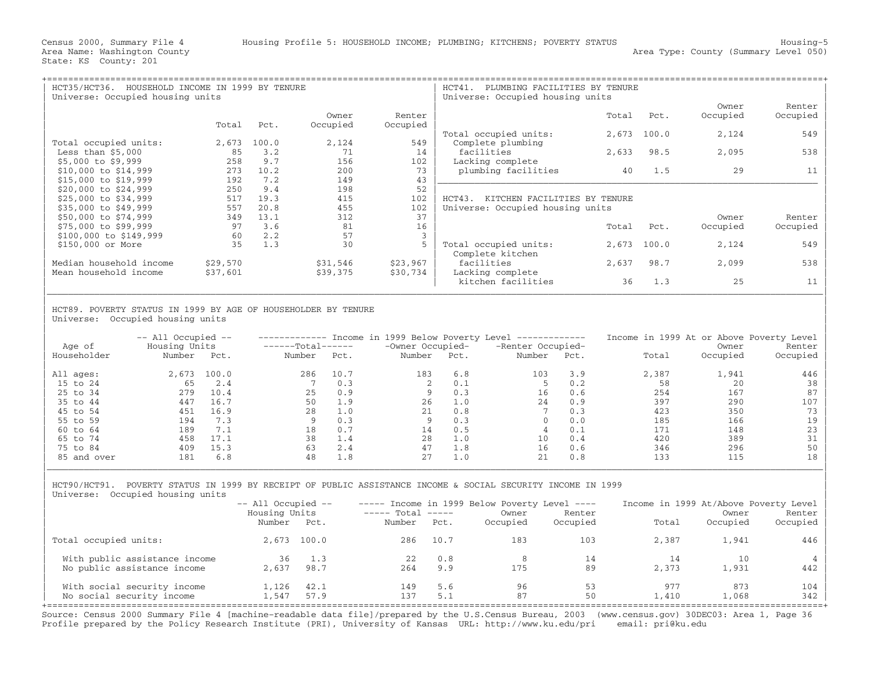|                                                                                                                 |                                                                                                                                                              | HCT41.<br>PLUMBING FACILITIES BY TENURE<br>Universe: Occupied housing units |                                                                                                                                       |                                                                                                            |                                      |                                           |  |
|-----------------------------------------------------------------------------------------------------------------|--------------------------------------------------------------------------------------------------------------------------------------------------------------|-----------------------------------------------------------------------------|---------------------------------------------------------------------------------------------------------------------------------------|------------------------------------------------------------------------------------------------------------|--------------------------------------|-------------------------------------------|--|
|                                                                                                                 |                                                                                                                                                              |                                                                             |                                                                                                                                       |                                                                                                            | Owner                                | Renter                                    |  |
|                                                                                                                 |                                                                                                                                                              |                                                                             |                                                                                                                                       |                                                                                                            |                                      | Occupied                                  |  |
|                                                                                                                 |                                                                                                                                                              |                                                                             |                                                                                                                                       |                                                                                                            |                                      |                                           |  |
|                                                                                                                 |                                                                                                                                                              |                                                                             |                                                                                                                                       |                                                                                                            |                                      | 549                                       |  |
|                                                                                                                 |                                                                                                                                                              |                                                                             |                                                                                                                                       |                                                                                                            |                                      |                                           |  |
|                                                                                                                 |                                                                                                                                                              |                                                                             |                                                                                                                                       |                                                                                                            |                                      | 538                                       |  |
|                                                                                                                 |                                                                                                                                                              |                                                                             |                                                                                                                                       |                                                                                                            |                                      |                                           |  |
|                                                                                                                 |                                                                                                                                                              |                                                                             |                                                                                                                                       |                                                                                                            |                                      | 11                                        |  |
| 149                                                                                                             |                                                                                                                                                              |                                                                             |                                                                                                                                       |                                                                                                            |                                      |                                           |  |
| 198                                                                                                             |                                                                                                                                                              |                                                                             |                                                                                                                                       |                                                                                                            |                                      |                                           |  |
| 415                                                                                                             | 102                                                                                                                                                          | $HCT43$ .                                                                   |                                                                                                                                       |                                                                                                            |                                      |                                           |  |
| 455                                                                                                             | 102                                                                                                                                                          |                                                                             |                                                                                                                                       |                                                                                                            |                                      |                                           |  |
| 312                                                                                                             | 37                                                                                                                                                           |                                                                             |                                                                                                                                       |                                                                                                            | Owner                                | Renter                                    |  |
| 81                                                                                                              | 16                                                                                                                                                           |                                                                             | Total                                                                                                                                 | Pct.                                                                                                       | Occupied                             | Occupied                                  |  |
| 57                                                                                                              | 3                                                                                                                                                            |                                                                             |                                                                                                                                       |                                                                                                            |                                      |                                           |  |
| 30                                                                                                              | 5                                                                                                                                                            | Total occupied units:                                                       | 2,673                                                                                                                                 | 100.0                                                                                                      | 2,124                                | 549                                       |  |
|                                                                                                                 |                                                                                                                                                              |                                                                             |                                                                                                                                       |                                                                                                            |                                      |                                           |  |
|                                                                                                                 |                                                                                                                                                              |                                                                             |                                                                                                                                       |                                                                                                            |                                      | 538                                       |  |
| \$39,375                                                                                                        | \$30,734                                                                                                                                                     | Lacking complete                                                            |                                                                                                                                       |                                                                                                            |                                      |                                           |  |
|                                                                                                                 |                                                                                                                                                              | kitchen facilities                                                          | 36                                                                                                                                    | 1.3                                                                                                        | 25                                   | 11                                        |  |
| Total<br>2,673<br>85<br>258<br>273<br>192<br>250<br>517<br>557<br>349<br>97<br>60<br>35<br>\$29,570<br>\$37,601 | Owner<br>Occupied<br>Pct.<br>100.0<br>2,124<br>3.2<br>71<br>9.7<br>156<br>10.2<br>200<br>7.2<br>9.4<br>19.3<br>20.8<br>13.1<br>3.6<br>2.2<br>1.3<br>\$31,546 | Renter<br>Occupied<br>549<br>14<br>102<br>73<br>43<br>52<br>\$23,967        | Total occupied units:<br>Complete plumbing<br>facilities<br>Lacking complete<br>plumbing facilities<br>Complete kitchen<br>facilities | Total<br>2,673<br>2,633<br>40<br>KITCHEN FACILITIES BY TENURE<br>Universe: Occupied housing units<br>2,637 | Pct.<br>100.0<br>98.5<br>1.5<br>98.7 | Occupied<br>2,124<br>2,095<br>29<br>2,099 |  |

| | HCT89. POVERTY STATUS IN 1999 BY AGE OF HOUSEHOLDER BY TENURE Universe: Occupied housing units

| Age of<br>Householder | $--$ All Occupied $--$<br>Housing Units<br>Number | Pct.  | -------Total------<br>Number | Pct. | -Owner Occupied-<br>Number | Pct. | Income in 1999 Below Poverty Level ------------<br>-Renter Occupied-<br>Number | Pct. | Income in 1999 At or Above Poverty Level<br>Total | Owner<br>Occupied | Renter<br>Occupied |
|-----------------------|---------------------------------------------------|-------|------------------------------|------|----------------------------|------|--------------------------------------------------------------------------------|------|---------------------------------------------------|-------------------|--------------------|
|                       |                                                   |       |                              |      |                            |      |                                                                                |      |                                                   |                   |                    |
| All ages:             | 2,673                                             | 100.0 | 286                          | 10.7 | 183                        | 6.8  | 103                                                                            | 3.9  | 2,387                                             | 1,941             | 446                |
| 15 to 24              | 65                                                | 2.4   |                              | 0.3  |                            | 0.1  |                                                                                | 0.2  | 58                                                | 20                | 38                 |
| 25 to 34              | 279                                               | 10.4  | 25                           | 0.9  |                            | 0.3  | 16                                                                             | 0.6  | 254                                               | 167               | 87                 |
| 35 to 44              | 447                                               | 16.7  | 50                           | 1.9  | 26                         | 1.0  | 24                                                                             | 0.9  | 397                                               | 290               | 107                |
| 45 to 54              | 451                                               | 16.9  | 28                           | 1.0  | 21                         | 0.8  |                                                                                | 0.3  | 423                                               | 350               | 73                 |
| 55 to 59              | 194                                               | 7.3   |                              | 0.3  |                            | 0.3  | 0                                                                              | 0.0  | 185                                               | 166               | 19                 |
| 60 to 64              | 189                                               | 7.1   | 18                           | 0.7  | 14                         | 0.5  |                                                                                | 0.1  | 171                                               | 148               | 23                 |
| 65 to 74              | 458                                               | 17.1  | 38                           | 1.4  | 2.8                        | 1.0  | 10 <sup>°</sup>                                                                | 0.4  | 420                                               | 389               | 31                 |
| 75 to 84              | 409                                               | 15.3  | 63                           | 2.4  | 47                         | 1.8  | 16                                                                             | 0.6  | 346                                               | 296               | 50                 |
| 85 and over           | 181                                               | 6.8   | 48                           | 1.8  | 27                         | 1.0  | 21                                                                             | 0.8  | 133                                               | 115               | 18                 |

| |

| HCT90/HCT91. POVERTY STATUS IN 1999 BY RECEIPT OF PUBLIC ASSISTANCE INCOME & SOCIAL SECURITY INCOME IN 1999 | Universe: Occupied housing units

|                                                              | $--$ All Occupied $--$<br>Housing Units<br>Number | Pct.         | $---$ Total $---$<br>Number | Pct.       | $---$ Income in 1999 Below Poverty Level $---$<br>Owner<br>Occupied | Renter<br>Occupied | Income in 1999 At/Above Poverty Level<br>Total | Owner<br>Occupied | Renter<br>Occupied |
|--------------------------------------------------------------|---------------------------------------------------|--------------|-----------------------------|------------|---------------------------------------------------------------------|--------------------|------------------------------------------------|-------------------|--------------------|
| Total occupied units:                                        |                                                   | 2,673 100.0  | 286                         | 10.7       | 183                                                                 | 103                | 2,387                                          | 1,941             | 446                |
| With public assistance income<br>No public assistance income | 36<br>2,637                                       | 1.3<br>98.7  | 22.<br>264                  | 0.8<br>9.9 | 175                                                                 | 14<br>89           | 14<br>2,373                                    | 10<br>1,931       | 442                |
| With social security income<br>No social security income     | l.126<br>1,547                                    | 42.1<br>57.9 | 149<br>137                  | 5.6<br>5.1 | 96<br>87                                                            | 53<br>50           | 977<br>1,410                                   | 873<br>1,068      | 104<br>342         |

+===================================================================================================================================================+ Source: Census 2000 Summary File 4 [machine−readable data file]/prepared by the U.S.Census Bureau, 2003 (www.census.gov) 30DEC03: Area 1, Page 36 Profile prepared by the Policy Research Institute (PRI), University of Kansas URL: http://www.ku.edu/pri email: pri@ku.edu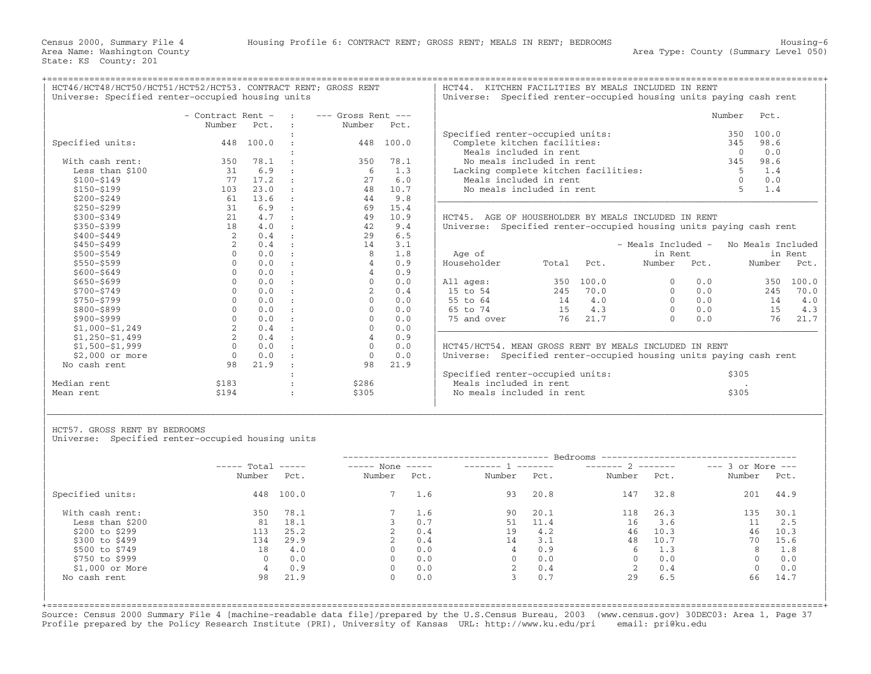+===================================================================================================================================================+

Universe: Specified renter-occupied housing units | | | - Contract Rent - : −−− Gross Rent -−− Number Pct. : Number Pct. | : | Specified renter−occupied units: 350 100.0 | | Specified units: 448 100.0 : 448 100.0 | Complete kitchen facilities: 345 98.6 |  $|\hspace{.1cm}$  Meals included in rent  $|\hspace{.1cm}$  Meals included in rent  $|\hspace{.1cm}$  0  $\rangle$  0.0  $|\hspace{.1cm}$ | With cash rent: 350 78.1 : 350 78.1 | No meals included in rent 345 98.6 | | Less than \$100 31 6.9 : 6 1.3 | Lacking complete kitchen facilities: 5 1.4 | | \$100−\$149 77 17.2 : 27 6.0 | Meals included in rent 0 0.0 | | \$150−\$199 103 23.0 : 48 10.7 | No meals included in rent 5 1.4 | | \$200−\$249 61 13.6 : 44 9.8 |\_\_\_\_\_\_\_\_\_\_\_\_\_\_\_\_\_\_\_\_\_\_\_\_\_\_\_\_\_\_\_\_\_\_\_\_\_\_\_\_\_\_\_\_\_\_\_\_\_\_\_\_\_\_\_\_\_\_\_\_\_\_\_\_\_\_\_\_\_\_\_\_ | | \$250−\$299 31 6.9 : 69 15.4 | | | \$300−\$349 21 4.7 : 49 10.9 | HCT45. AGE OF HOUSEHOLDER BY MEALS INCLUDED IN RENT | | \$350−\$399 18 4.0 : 42 9.4 | Universe: Specified renter−occupied housing units paying cash rent | | \$400−\$449 2 0.4 : 29 6.5 | | | \$450−\$499 2 0.4 : 14 3.1 | − Meals Included − No Meals Included | | \$500−\$549 0 0.0 : 8 1.8 | Age of in Rent in Rent | | \$550−\$599 0 0.0 : 4 0.9 | Householder Total Pct. Number Pct. Number Pct. | | \$600−\$649 0 0.0 : 4 0.9 | | | \$650−\$699 0 0.0 : 0 0.0 | All ages: 350 100.0 0 0.0 350 100.0 | | \$700−\$749 0 0.0 : 2 0.4 | 15 to 54 245 70.0 0 0.0 245 70.0 | | \$750−\$799 0 0.0 : 0 0.0 | 55 to 64 14 4.0 0 0.0 14 4.0 | | \$800−\$899 0 0.0 : 0 0.0 | 65 to 74 15 4.3 0 0.0 15 4.3 | | \$900−\$999 0 0.0 : 0 0.0 | 75 and over 76 21.7 0 0.0 76 21.7 | | \$1,000−\$1,249 2 0.4 : 0 0.0 |\_\_\_\_\_\_\_\_\_\_\_\_\_\_\_\_\_\_\_\_\_\_\_\_\_\_\_\_\_\_\_\_\_\_\_\_\_\_\_\_\_\_\_\_\_\_\_\_\_\_\_\_\_\_\_\_\_\_\_\_\_\_\_\_\_\_\_\_\_\_\_\_ | | \$1,250−\$1,499 2 0.4 : 4 0.9 | | | \$1,500−\$1,999 0 0.0 : 0 0.0 | HCT45/HCT54. MEAN GROSS RENT BY MEALS INCLUDED IN RENT | | \$2,000 or more 0 0.0 : 0 0.0 | Universe: Specified renter−occupied housing units paying cash rent | | No cash rent 98 21.9 : 98 21.9 | | | specified renter−occupied units: \$305 | Specified renter−occupied units: \$305 | \$305 | \$305 | \$305 | \$305 | \$ | Median rent \$183 : \$286 | Meals included in rent . |

| HCT46/HCT48/HCT50/HCT51/HCT52/HCT53. CONTRACT RENT; GROSS RENT<br>Universe: Specified renter-occupied housing units |                   |                  |             |                        | HCT44.<br>KITCHEN FACILITIES BY MEALS INCLUDED IN RENT<br>Universe: Specified renter-occupied housing units paying cash rent |                                      |        |       |  |  |
|---------------------------------------------------------------------------------------------------------------------|-------------------|------------------|-------------|------------------------|------------------------------------------------------------------------------------------------------------------------------|--------------------------------------|--------|-------|--|--|
|                                                                                                                     | - Contract Rent - |                  | $\sim$ 1.00 | $---$ Gross Rent $---$ |                                                                                                                              |                                      | Number | Pct.  |  |  |
|                                                                                                                     | Number            | Pct.             |             | Number                 | Pct.                                                                                                                         |                                      |        |       |  |  |
|                                                                                                                     |                   |                  |             |                        |                                                                                                                              | Specified renter-occupied units:     | 350.   | 100.0 |  |  |
| Specified units:                                                                                                    | 448               | 100.0            |             | 448                    | 100.0                                                                                                                        | Complete kitchen facilities:         | 345    | 98.6  |  |  |
|                                                                                                                     |                   |                  |             |                        |                                                                                                                              | Meals included in rent               |        | 0.0   |  |  |
| With cash rent:                                                                                                     | 350               | 78.1             |             | 350                    | 78.1                                                                                                                         | No meals included in rent            | 345    | 98.6  |  |  |
| Less than \$100                                                                                                     |                   | 6.9              |             |                        | 1.3                                                                                                                          | Lacking complete kitchen facilities: |        | 1.4   |  |  |
| \$100-\$149                                                                                                         |                   | 17.2             |             |                        | 6.0                                                                                                                          | Meals included in rent               |        | 0.0   |  |  |
| \$150-\$199                                                                                                         | 103               | 23.0             |             | 48                     | 10.7                                                                                                                         | No meals included in rent            |        | 1.4   |  |  |
| $A \cap A \cap A \cap A$                                                                                            | $\sim$ 1          | $\sim$ 12 $\sim$ |             |                        | $\cap$ $\cap$                                                                                                                |                                      |        |       |  |  |

| Age of      |       |       | - Meals Included -<br>in Rent |      | No Meals Included | in Rent |
|-------------|-------|-------|-------------------------------|------|-------------------|---------|
| Householder | Total | Pct.  | Number                        | Pot. | Number            | Pct.    |
|             |       |       |                               |      |                   |         |
| All ages:   | 350   | 100.0 | 0                             | 0.0  | 350               | 100.0   |
| 15 to 54    | 245   | 70.0  | 0                             | 0.0  | 245               | 70.0    |
| 55 to 64    | 14    | 4.0   | 0                             | 0.0  | 14                | 4.0     |
| 65 to 74    | 15    | 4.3   | 0                             | 0.0  | 15                | 4.3     |
| 75 and over | 76    | 21.7  | U                             | 0.0  | 76                | 21.7    |
|             |       |       |                               |      |                   |         |

|             |                     |       | Specified renter-occupied units: | S305  |
|-------------|---------------------|-------|----------------------------------|-------|
| Median rent | .107<br><b>PIQ7</b> | \$286 | Meals included in rent           |       |
| Mean rent   | 5194                | \$305 | No meals included in rent        | \$305 |

HCT57. GROSS RENT BY BEDROOMS

Universe: Specified renter-occupied housing units

|                  | $---$ Total | $\qquad \qquad - - - - -$ | $---$ None  | $\qquad \qquad - - - - -$ |        | ________ | Bedrooms -----------------<br>$------ 2$ |      | $---$ 3 or More $---$ |      |
|------------------|-------------|---------------------------|-------------|---------------------------|--------|----------|------------------------------------------|------|-----------------------|------|
|                  | Number      | Pct.                      | Number      | Pct.                      | Number | Pct.     | Number                                   | Pct. | Number                | Pct. |
| Specified units: | 448         | 100.0                     | $7^{\circ}$ | 1.6                       | 93     | 20.8     | 147                                      | 32.8 | 201                   | 44.9 |
| With cash rent:  | 350         | 78.1                      |             | 1.6                       | 90     | 20.1     | 118                                      | 26.3 | 135                   | 30.1 |
| Less than \$200  | 81          | 18.1                      |             | 0.7                       | 51     | 11.4     | 16                                       | 3.6  | 11                    | 2.5  |
| \$200 to \$299   | 113         | 25.2                      |             | 0.4                       | 19     | 4.2      | 46                                       | 10.3 | 46                    | 10.3 |
| \$300 to \$499   | 134         | 29.9                      |             | 0.4                       | 14     | 3.1      | 48                                       | 10.7 | 70                    | 15.6 |
| \$500 to \$749   | 18          | 4.0                       | $\Omega$    | 0.0                       | 4      | 0.9      | 6                                        | 1.3  | 8                     | 1.8  |
| \$750 to \$999   | $\Omega$    | 0.0                       | $\Omega$    | 0.0                       |        | 0.0      | $\Omega$                                 | 0.0  | $\Omega$              | 0.0  |
| $$1,000$ or More | 4           | 0.9                       | 0           | 0.0                       |        | 0.4      | 2                                        | 0.4  | $\mathbf{0}$          | 0.0  |
| No cash rent     | 98          | 21.9                      | $\Omega$    | 0.0                       |        | 0.7      | 29                                       | 6.5  | 66                    | 14.7 |

| | | |\_\_\_\_\_\_\_\_\_\_\_\_\_\_\_\_\_\_\_\_\_\_\_\_\_\_\_\_\_\_\_\_\_\_\_\_\_\_\_\_\_\_\_\_\_\_\_\_\_\_\_\_\_\_\_\_\_\_\_\_\_\_\_\_\_\_\_\_\_\_\_\_\_\_\_\_\_\_\_\_\_\_\_\_\_\_\_\_\_\_\_\_\_\_\_\_\_\_\_\_\_\_\_\_\_\_\_\_\_\_\_\_\_\_\_\_\_\_\_\_\_\_\_\_\_\_\_\_\_\_\_\_\_\_\_\_\_\_\_\_\_\_\_\_\_\_\_| | |

+===================================================================================================================================================+Source: Census 2000 Summary File 4 [machine−readable data file]/prepared by the U.S.Census Bureau, 2003 (www.census.gov) 30DEC03: Area 1, Page 37 Profile prepared by the Policy Research Institute (PRI), University of Kansas URL: http://www.ku.edu/pri email: pri@ku.edu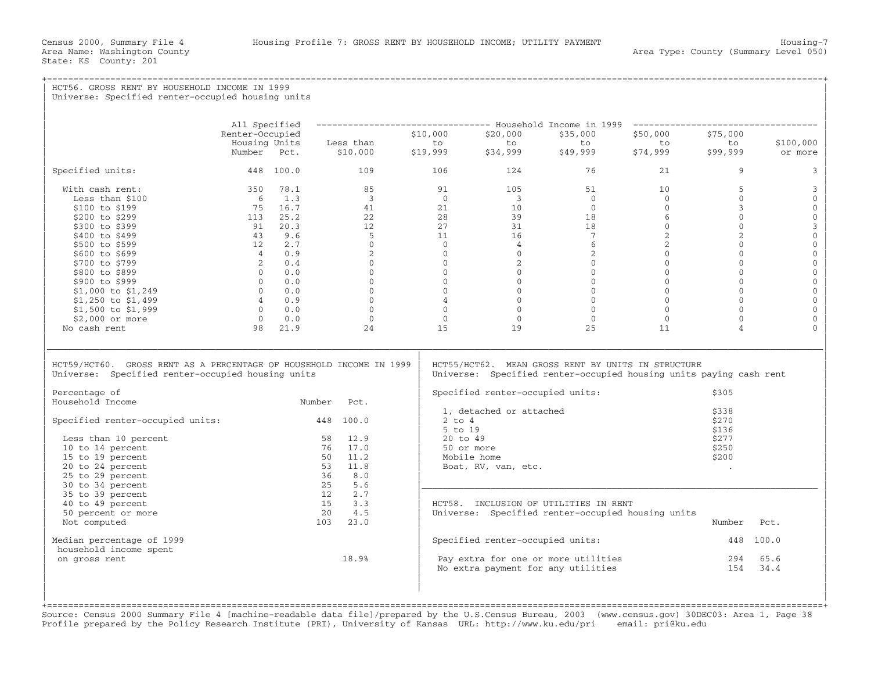| HCT56. GROSS RENT BY HOUSEHOLD INCOME IN 1999<br>Universe: Specified renter-occupied housing units                                                                                                                        |                                  |            |                              |                                                                        |                                                             |                                                                                                                          |                                           |                                           |                      |
|---------------------------------------------------------------------------------------------------------------------------------------------------------------------------------------------------------------------------|----------------------------------|------------|------------------------------|------------------------------------------------------------------------|-------------------------------------------------------------|--------------------------------------------------------------------------------------------------------------------------|-------------------------------------------|-------------------------------------------|----------------------|
|                                                                                                                                                                                                                           |                                  |            |                              |                                                                        |                                                             |                                                                                                                          |                                           |                                           |                      |
|                                                                                                                                                                                                                           | All Specified<br>Renter-Occupied |            |                              | --------------------------------- Household Income in 1999<br>\$10,000 | \$20,000                                                    | \$50,000                                                                                                                 | _____________________________<br>\$75,000 |                                           |                      |
|                                                                                                                                                                                                                           | Housing Units<br>Number Pct.     |            | Less than<br>\$10,000        | to<br>\$19,999                                                         | to<br>\$34,999                                              | to<br>\$49,999                                                                                                           | to<br>\$74,999                            | to<br>\$99,999                            | \$100,000<br>or more |
| Specified units:                                                                                                                                                                                                          |                                  | 448 100.0  | 109                          | 106                                                                    | 124                                                         | 76                                                                                                                       | 21                                        | 9                                         | 3                    |
| With cash rent:                                                                                                                                                                                                           |                                  | 350 78.1   | 85                           | 91                                                                     | 105                                                         | 51                                                                                                                       | 10                                        | 5                                         | 3                    |
| Less than \$100                                                                                                                                                                                                           | 6                                | 1.3        | $\overline{3}$               | $\Omega$                                                               | $\overline{\mathbf{3}}$                                     | $\Omega$                                                                                                                 | $\Omega$                                  | $\Omega$                                  | $\mathbf{0}$         |
| \$100 to \$199                                                                                                                                                                                                            |                                  | 75 16.7    | 41                           | 21                                                                     | 10                                                          | $\overline{0}$                                                                                                           | $\mathbf{0}$                              | $\mathbf{3}$                              | $\mathbf 0$          |
| \$200 to \$299                                                                                                                                                                                                            |                                  | 113 25.2   | 22                           | 28                                                                     | 39                                                          | 18                                                                                                                       | 6                                         | $\circ$                                   | $\mathbf 0$          |
| \$300 to \$399                                                                                                                                                                                                            |                                  | 91 20.3    | 12                           | 27                                                                     | 31                                                          | 18                                                                                                                       | $\mathbf{0}$                              | $\mathbf{0}$                              | $\mathsf 3$          |
| \$400 to \$499                                                                                                                                                                                                            | 43                               | 9.6        | $-5$                         | 11                                                                     | 16                                                          | 7                                                                                                                        | 2                                         | $\overline{2}$                            | $\mathbf 0$          |
| \$500 to \$599                                                                                                                                                                                                            | 12                               | 2.7        | $\Omega$                     | $\Omega$                                                               | $\overline{4}$                                              | 6                                                                                                                        | $\overline{a}$                            | $\mathbf{0}$                              | $\mathsf{O}\xspace$  |
| \$600 to \$699                                                                                                                                                                                                            | $\overline{4}$                   | 0.9        | 2                            | $\circ$                                                                | $\overline{0}$                                              | $\overline{2}$                                                                                                           | $\mathbf{0}$                              | $\mathbf{0}$                              | $\mathbf 0$          |
| \$700 to \$799                                                                                                                                                                                                            | 2                                | 0.4        | $\mathbf{0}$                 | $\Omega$                                                               | $\overline{2}$                                              | $\overline{0}$                                                                                                           | $\mathbf{0}$                              | $\mathbf{0}$                              | $\mathsf{O}\xspace$  |
| \$800 to \$899                                                                                                                                                                                                            | $\Omega$                         | 0.0        | $\Omega$                     | $\Omega$                                                               | $\Omega$                                                    | $\Omega$                                                                                                                 | $\Omega$                                  | $\Omega$                                  | $\mathbb O$          |
| \$900 to \$999                                                                                                                                                                                                            | $\Omega$                         | 0.0        | $\Omega$                     | $\Omega$                                                               | $\Omega$                                                    | $\mathbf{0}$                                                                                                             | $\Omega$                                  | $\circ$                                   | $\mathbb O$          |
| \$1,000 to \$1,249                                                                                                                                                                                                        |                                  | $0 \t 0.0$ | $\overline{0}$               | $\Omega$                                                               | $\overline{0}$                                              | $\overline{0}$                                                                                                           | $\mathbf{0}$                              | $\mathbf{0}$                              | $\mathbf 0$          |
| \$1,250 to \$1,499                                                                                                                                                                                                        |                                  | 40.9       | $\Omega$                     | $\overline{4}$                                                         | $\Omega$                                                    | $\Omega$                                                                                                                 | $\Omega$                                  | $\Omega$                                  | $\mathbf{O}$         |
| \$1,500 to \$1,999                                                                                                                                                                                                        | $\overline{0}$                   | 0.0        | $\circ$                      | $\Omega$                                                               | $\overline{0}$                                              | $\overline{0}$                                                                                                           | $\mathbf{0}$                              | $\mathbf{0}$                              | $\mathbf{0}$         |
| \$2,000 or more                                                                                                                                                                                                           | $\Omega$                         | 0.0        | $\circ$                      | $\Omega$                                                               | $\Omega$                                                    | $\Omega$                                                                                                                 | $\mathbf{0}$                              | $\Omega$                                  | $\mathbf{0}$         |
| No cash rent                                                                                                                                                                                                              | 98                               | 21.9       | 24                           | 15                                                                     | 19                                                          | 25                                                                                                                       | 11                                        | $\overline{4}$                            | $\Omega$             |
| HCT59/HCT60. GROSS RENT AS A PERCENTAGE OF HOUSEHOLD INCOME IN 1999<br>Universe: Specified renter-occupied housing units<br>Percentage of<br>Household Income<br>Specified renter-occupied units:<br>Less than 10 percent |                                  | Number     | Pct.<br>448 100.0<br>58 12.9 | $2$ to $4$<br>5 to 19<br>20 to 49                                      | Specified renter-occupied units:<br>1, detached or attached | HCT55/HCT62. MEAN GROSS RENT BY UNITS IN STRUCTURE<br>Universe: Specified renter-occupied housing units paying cash rent |                                           | \$305<br>\$338<br>\$270<br>\$136<br>\$277 |                      |
| 10 to 14 percent                                                                                                                                                                                                          |                                  |            | 76 17.0                      |                                                                        | 50 or more                                                  |                                                                                                                          |                                           | \$250                                     |                      |
| 15 to 19 percent                                                                                                                                                                                                          |                                  |            | 11.2<br>50                   |                                                                        | Mobile home                                                 |                                                                                                                          |                                           | \$200                                     |                      |
| 20 to 24 percent                                                                                                                                                                                                          |                                  |            | 53<br>11.8                   |                                                                        | Boat, RV, van, etc.                                         |                                                                                                                          |                                           | $\sim$                                    |                      |
| 25 to 29 percent                                                                                                                                                                                                          |                                  |            | 36<br>8.0                    |                                                                        |                                                             |                                                                                                                          |                                           |                                           |                      |
| 30 to 34 percent                                                                                                                                                                                                          |                                  |            | 25<br>5.6                    |                                                                        |                                                             |                                                                                                                          |                                           |                                           |                      |
| 35 to 39 percent                                                                                                                                                                                                          |                                  |            | 12<br>2.7                    |                                                                        |                                                             |                                                                                                                          |                                           |                                           |                      |
| 40 to 49 percent                                                                                                                                                                                                          |                                  |            | 15<br>3.3                    |                                                                        |                                                             | HCT58. INCLUSION OF UTILITIES IN RENT                                                                                    |                                           |                                           |                      |
| 50 percent or more                                                                                                                                                                                                        |                                  |            | 20<br>4.5                    |                                                                        |                                                             | Universe: Specified renter-occupied housing units                                                                        |                                           |                                           |                      |
| Not computed                                                                                                                                                                                                              |                                  |            | 103<br>23.0                  |                                                                        |                                                             |                                                                                                                          |                                           | Number                                    | Pct.                 |
| Median percentage of 1999<br>household income spent                                                                                                                                                                       |                                  |            |                              |                                                                        | Specified renter-occupied units:                            |                                                                                                                          |                                           | 448 100.0                                 |                      |
| on gross rent                                                                                                                                                                                                             |                                  |            | 18.9%                        |                                                                        |                                                             | Pay extra for one or more utilities                                                                                      |                                           | 294                                       | 65.6                 |
|                                                                                                                                                                                                                           |                                  |            |                              |                                                                        |                                                             | No extra payment for any utilities                                                                                       |                                           | 154                                       | 34.4                 |
|                                                                                                                                                                                                                           |                                  |            |                              |                                                                        |                                                             |                                                                                                                          |                                           |                                           |                      |

+===================================================================================================================================================+ Source: Census 2000 Summary File 4 [machine−readable data file]/prepared by the U.S.Census Bureau, 2003 (www.census.gov) 30DEC03: Area 1, Page 38 Profile prepared by the Policy Research Institute (PRI), University of Kansas URL: http://www.ku.edu/pri email: pri@ku.edu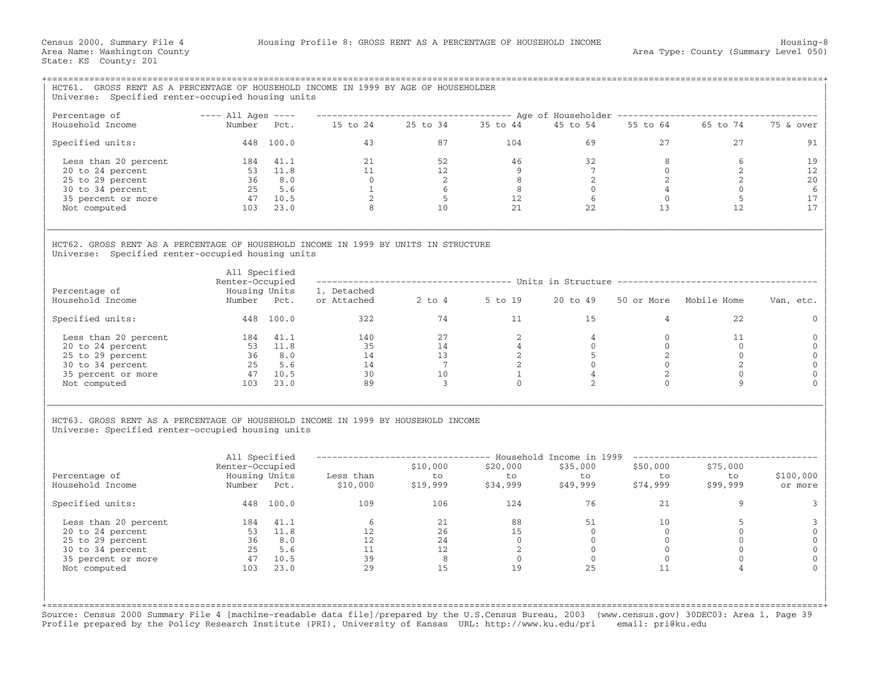| HCT61. GROSS RENT AS A PERCENTAGE OF HOUSEHOLD INCOME IN 1999 BY AGE OF HOUSEHOLDER<br>Universe: Specified renter-occupied housing units                                    |                                                         |               |                                                             |                                         |                                               |                            |                                 |                                                                                        |                      |
|-----------------------------------------------------------------------------------------------------------------------------------------------------------------------------|---------------------------------------------------------|---------------|-------------------------------------------------------------|-----------------------------------------|-----------------------------------------------|----------------------------|---------------------------------|----------------------------------------------------------------------------------------|----------------------|
| Percentage of                                                                                                                                                               | $---$ All Ages $---$                                    |               |                                                             |                                         |                                               |                            |                                 | ----------------------------------- Age of Householder ------------------------------- |                      |
| Household Income                                                                                                                                                            | Number Pct.                                             |               | 15 to 24 25 to 34 35 to 44                                  |                                         |                                               | 45 to 54                   |                                 | 55 to 64 65 to 74                                                                      | 75 & over            |
| Specified units:                                                                                                                                                            |                                                         | 448 100.0     |                                                             | 4.3                                     | 104                                           |                            | 27                              | 27                                                                                     | 91                   |
| Less than 20 percent                                                                                                                                                        |                                                         | 184 41.1      | 21                                                          | 52                                      | 46                                            | 32                         | 8                               | 6                                                                                      | 19                   |
| 20 to 24 percent                                                                                                                                                            |                                                         | 53 11.8       |                                                             | 12                                      | 9                                             | 7                          | $\overline{0}$                  | 2                                                                                      | 12                   |
| 25 to 29 percent                                                                                                                                                            |                                                         | $36 \t 8.0$   |                                                             | $\begin{array}{c} 2 \\ 6 \end{array}$   | 8 <sup>8</sup>                                | $\overline{2}$             | $\overline{2}$                  | 2                                                                                      | 20                   |
| 30 to 34 percent                                                                                                                                                            |                                                         | 25 5.6        | $\begin{array}{c} 21 \\ 11 \\ 0 \\ 1 \\ 2 \\ 8 \end{array}$ |                                         | 8                                             | $\Omega$                   | $\overline{4}$                  | $\circ$                                                                                | 6                    |
| 35 percent or more                                                                                                                                                          | $\begin{array}{cc} 47 & 10.5 \\ 103 & 23.0 \end{array}$ |               |                                                             | $5^{\circ}$                             | $\begin{array}{c} 12 \\ 21 \end{array}$<br>12 | 6                          | $\overline{0}$                  | 5                                                                                      | 17                   |
| Not computed                                                                                                                                                                |                                                         |               |                                                             | 10                                      |                                               | 22                         | 13                              | 12                                                                                     | 17                   |
| HCT62. GROSS RENT AS A PERCENTAGE OF HOUSEHOLD INCOME IN 1999 BY UNITS IN STRUCTURE<br>Universe: Specified renter-occupied housing units                                    | All Specified                                           |               |                                                             |                                         |                                               |                            |                                 |                                                                                        |                      |
| Percentage of                                                                                                                                                               | Renter-Occupied                                         | Housing Units | 1, Detached                                                 |                                         |                                               |                            |                                 | ----------------------------------- Units in Structure ----------------------------    |                      |
| Household Income                                                                                                                                                            | Number Pct.                                             |               | or Attached 2 to 4 5 to 19                                  |                                         |                                               | 20 to 49                   |                                 | 50 or More Mobile Home                                                                 | Van, etc.            |
| Specified units:                                                                                                                                                            |                                                         | 448 100.0     | 322                                                         | 74                                      | 11                                            | 15                         | $\overline{4}$                  | 2.2.                                                                                   | $\Omega$             |
| Less than 20 percent                                                                                                                                                        | 184 41.1                                                |               | 140                                                         | 27                                      | 2                                             | $\overline{4}$             | $\mathbf{0}$                    | 11                                                                                     | $\Omega$             |
| 20 to 24 percent                                                                                                                                                            | $53$ $11.8$<br>36 8.0                                   |               |                                                             | 14                                      | $\overline{4}$                                | $\overline{0}$             | $\overline{0}$                  | $\overline{0}$                                                                         | $\mathbf{0}$         |
| 25 to 29 percent                                                                                                                                                            |                                                         |               |                                                             | 13                                      | $\overline{2}$                                | 5 <sup>5</sup>             | 2                               | $\overline{0}$                                                                         | $\Omega$             |
| 30 to 34 percent                                                                                                                                                            |                                                         | 25 5.6        | $\frac{1}{35}$<br>14<br>14                                  | $\overline{7}$                          | 2                                             | $\Omega$                   | $\overline{0}$                  | 2                                                                                      | $\mathbf{0}$         |
| 35 percent or more                                                                                                                                                          | 47 10.5                                                 |               | 30                                                          | 10                                      | $\mathbf{1}$                                  | $\overline{4}$             | 2                               | $\mathbf{0}$                                                                           | $\Omega$             |
| Not computed                                                                                                                                                                |                                                         | 103 23.0      | 89                                                          | $\overline{3}$                          | $\Omega$                                      | 2                          | $\Omega$                        | $\mathbf{Q}$                                                                           |                      |
| HCT63. GROSS RENT AS A PERCENTAGE OF HOUSEHOLD INCOME IN 1999 BY HOUSEHOLD INCOME<br>Universe: Specified renter-occupied housing units<br>Percentage of<br>Household Income | All Specified<br>Renter-Occupied<br>Number Pct.         | Housing Units | -------------------<br>Less than<br>\$10,000                | \$10,000<br>to<br>\$19,999              | \$20,000<br>to<br>\$34,999                    | \$35,000<br>to<br>\$49,999 | \$50,000<br>to<br>ں<br>\$74,999 | \$75,000<br>to<br>\$99,999                                                             | \$100,000<br>or more |
| Specified units:                                                                                                                                                            |                                                         | 448 100.0     | 109                                                         | 106                                     | 124                                           | 76                         | 21                              | 9                                                                                      | 3                    |
| Less than 20 percent                                                                                                                                                        | 184 41.1                                                |               | $\begin{array}{c} 6 \\ 12 \\ 12 \\ 11 \\ 39 \end{array}$    |                                         | 88                                            | 51                         | 10                              | 5                                                                                      | 3                    |
| 20 to 24 percent                                                                                                                                                            |                                                         | $53 \t 11.8$  |                                                             | $\begin{array}{c} 21 \\ 26 \end{array}$ | 15                                            | $\Omega$                   | $\bigcirc$                      | $\Omega$                                                                               | $\mathbf{0}$         |
| 25 to 29 percent                                                                                                                                                            |                                                         | 36 8.0        |                                                             | 24                                      | $\overline{0}$                                | $\overline{0}$             | $\overline{0}$                  | $\mathbf{0}$                                                                           | $\mathbf{0}$         |
| 30 to 34 percent                                                                                                                                                            |                                                         | 25 5.6        |                                                             | 12                                      | $\overline{\phantom{0}}$ 2                    | $\overline{0}$             | $\overline{0}$                  | $\mathbf{0}$                                                                           | $\Omega$             |
| 35 percent or more                                                                                                                                                          | 47 10.5                                                 |               | 39                                                          | 8                                       | $\overline{0}$                                | $\overline{0}$             | $\overline{0}$                  | $\mathbf{0}$                                                                           |                      |
| Not computed                                                                                                                                                                |                                                         | 103 23.0      | 2.9                                                         | 15                                      | 19                                            | 2.5                        | 11                              |                                                                                        |                      |
|                                                                                                                                                                             |                                                         |               |                                                             |                                         |                                               |                            |                                 |                                                                                        |                      |

Source: Census 2000 Summary File 4 [machine−readable data file]/prepared by the U.S.Census Bureau, 2003 (www.census.gov) 30DEC03: Area 1, Page 39 Profile prepared by the Policy Research Institute (PRI), University of Kansas URL: http://www.ku.edu/pri email: pri@ku.edu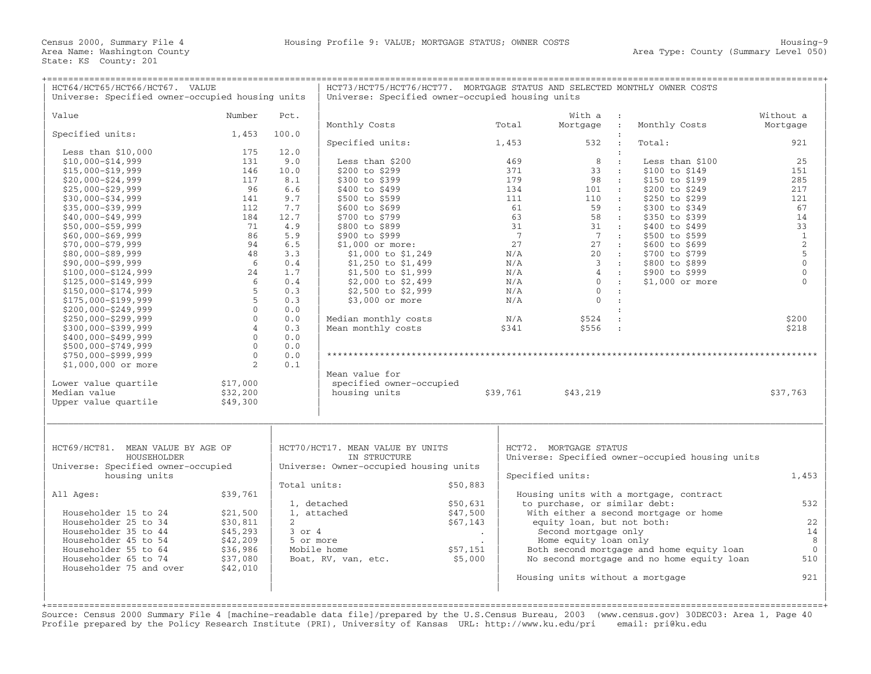| HCT64/HCT65/HCT66/HCT67. VALUE<br>Universe: Specified owner-occupied housing units |                |                 | HCT73/HCT75/HCT76/HCT77. MORTGAGE STATUS AND SELECTED MONTHLY OWNER COSTS<br>Universe: Specified owner-occupied housing units |                      |                 |                                               |                                                  |                |  |  |  |
|------------------------------------------------------------------------------------|----------------|-----------------|-------------------------------------------------------------------------------------------------------------------------------|----------------------|-----------------|-----------------------------------------------|--------------------------------------------------|----------------|--|--|--|
|                                                                                    |                |                 |                                                                                                                               |                      |                 |                                               |                                                  |                |  |  |  |
| Value                                                                              | Number         | Pct.            |                                                                                                                               |                      |                 | With a<br>$\sim 10$                           |                                                  | Without a      |  |  |  |
|                                                                                    |                |                 | Monthly Costs                                                                                                                 |                      | Total           | Mortgage<br>$\cdot$ :                         | Monthly Costs                                    | Mortgage       |  |  |  |
| Specified units:                                                                   | 1,453          | 100.0           |                                                                                                                               |                      |                 | 532<br>$\mathbf{r}$                           | Total:                                           | 921            |  |  |  |
| Less than $$10,000$                                                                | 175            | 12.0            | Specified units:                                                                                                              |                      | 1,453           | $\ddot{\cdot}$                                |                                                  |                |  |  |  |
| $$10,000 - $14,999$                                                                | 131            | 9.0             | Less than \$200                                                                                                               |                      | 469             | 8<br>$\mathbf{r}$                             | Less than \$100                                  | 25             |  |  |  |
| $$15,000 - $19,999$                                                                | 146            | 10.0            | \$200 to \$299                                                                                                                |                      | 371             | 33<br>$\sim$ 1 $^\circ$                       | \$100 to \$149                                   | 151            |  |  |  |
| $$20,000 - $24,999$                                                                | 117            | 8.1             | \$300 to \$399                                                                                                                |                      | 179             | 98<br>$\sim$ 10                               | \$150 to \$199                                   | 285            |  |  |  |
| $$25,000 - $29,999$                                                                | 96             | 6.6             | \$400 to \$499                                                                                                                |                      | 134             | 101<br>$\sim$ 100                             | \$200 to \$249                                   | 217            |  |  |  |
| $$30,000 - $34,999$                                                                | 141            | 9.7             | \$500 to \$599                                                                                                                |                      | 111             | 110<br>$\mathbf{r}$                           | \$250 to \$299                                   | 121            |  |  |  |
| \$35,000-\$39,999                                                                  | 112            | 7.7             | \$600 to \$699                                                                                                                |                      | 61              | 59<br>$\sim$ 100                              | \$300 to \$349                                   | 67             |  |  |  |
| $$40,000 - $49,999$                                                                | 184            | 12.7            | \$700 to \$799                                                                                                                |                      | 63              | 58<br>$\sim$ 10                               | \$350 to \$399                                   | 14             |  |  |  |
| $$50,000 - $59,999$                                                                | 71             | 4.9             | \$800 to \$899                                                                                                                |                      | 31              | 31<br>$\sim$ 1 $^\circ$                       | \$400 to \$499                                   | 33             |  |  |  |
| $$60,000 - $69,999$                                                                | 86             | 5.9             | \$900 to \$999                                                                                                                |                      | $7\phantom{.0}$ | 7:                                            | \$500 to \$599                                   | 1              |  |  |  |
| $$70,000 - $79,999$                                                                | 94             | 6.5             | $$1,000$ or more:                                                                                                             |                      | 27              | 2.7<br>$\sim$ 10                              | \$600 to \$699                                   | $\sqrt{2}$     |  |  |  |
| $$80,000 - $89,999$                                                                | 48             | 3.3             | \$1,000 to \$1,249                                                                                                            |                      | N/A             | 20<br>$\sim$ 1.                               | \$700 to \$799                                   | $\overline{5}$ |  |  |  |
| $$90,000 - $99,999$                                                                | 6              | 0.4             | $$1,250$ to $$1,499$                                                                                                          |                      | N/A             | $\overline{3}$<br>$\sim$ 10                   | \$800 to \$899                                   | $\mathbf{0}$   |  |  |  |
| $$100,000 - $124,999$                                                              | 24             | 1.7             | $$1,500$ to $$1,999$                                                                                                          |                      | N/A             | $\overline{4}$<br>$\mathbb{R}^2$              | \$900 to \$999                                   | $\mathbf{0}$   |  |  |  |
| $$125,000 - $149,999$                                                              | 6              | 0.4             | \$2,000 to \$2,499                                                                                                            |                      | N/A             | $\Omega$<br>$\mathbb{R}^2$                    | \$1,000 or more                                  | $\Omega$       |  |  |  |
| \$150,000-\$174,999                                                                | 5              | 0.3             | \$2,500 to \$2,999                                                                                                            |                      | N/A             | $\mathbf{0}$<br>$\cdot$ :                     |                                                  |                |  |  |  |
| \$175,000-\$199,999                                                                | 5              | 0.3             | \$3,000 or more                                                                                                               |                      | N/A             | $\Omega$<br>$\cdot$ :                         |                                                  |                |  |  |  |
| $$200,000 - $249,999$                                                              | $\mathbf{0}$   | 0.0             |                                                                                                                               |                      |                 | $\ddot{\cdot}$                                |                                                  |                |  |  |  |
| $$250,000 - $299,999$                                                              | $\overline{0}$ | 0.0             | Median monthly costs                                                                                                          |                      | N/A             | \$524<br>$\sim$ 1.                            |                                                  | \$200          |  |  |  |
| \$300,000-\$399,999                                                                | $\overline{4}$ | 0.3             | Mean monthly costs                                                                                                            |                      | \$341           | \$556<br>$\mathbf{r}$                         |                                                  | \$218          |  |  |  |
| $$400,000 - $499,999$                                                              | $\Omega$       | 0.0             |                                                                                                                               |                      |                 |                                               |                                                  |                |  |  |  |
| $$500,000 - $749,999$                                                              | $\Omega$       | 0.0             |                                                                                                                               |                      |                 |                                               |                                                  |                |  |  |  |
| \$750,000-\$999,999                                                                | $\mathbf{0}$   | 0.0             |                                                                                                                               |                      |                 |                                               |                                                  |                |  |  |  |
| \$1,000,000 or more                                                                | 2              | 0.1             |                                                                                                                               |                      |                 |                                               |                                                  |                |  |  |  |
|                                                                                    |                |                 | Mean value for                                                                                                                |                      |                 |                                               |                                                  |                |  |  |  |
| Lower value quartile                                                               | \$17,000       |                 | specified owner-occupied                                                                                                      |                      |                 |                                               |                                                  |                |  |  |  |
| Median value                                                                       | \$32,200       |                 | housing units                                                                                                                 |                      | \$39,761        | \$43,219                                      |                                                  | \$37,763       |  |  |  |
| Upper value quartile                                                               | \$49,300       |                 |                                                                                                                               |                      |                 |                                               |                                                  |                |  |  |  |
|                                                                                    |                |                 |                                                                                                                               |                      |                 |                                               |                                                  |                |  |  |  |
| HCT69/HCT81. MEAN VALUE BY AGE OF                                                  |                |                 | HCT70/HCT17. MEAN VALUE BY UNITS                                                                                              |                      |                 | HCT72. MORTGAGE STATUS                        |                                                  |                |  |  |  |
| HOUSEHOLDER                                                                        |                |                 | IN STRUCTURE                                                                                                                  |                      |                 |                                               | Universe: Specified owner-occupied housing units |                |  |  |  |
| Universe: Specified owner-occupied                                                 |                |                 | Universe: Owner-occupied housing units                                                                                        |                      |                 |                                               |                                                  |                |  |  |  |
| housing units                                                                      |                |                 |                                                                                                                               |                      |                 | Specified units:                              |                                                  | 1,453          |  |  |  |
|                                                                                    |                | Total units:    |                                                                                                                               | \$50,883             |                 |                                               |                                                  |                |  |  |  |
| All Ages:                                                                          | \$39,761       |                 |                                                                                                                               |                      |                 |                                               | Housing units with a mortgage, contract          |                |  |  |  |
| Householder 15 to 24                                                               | \$21,500       |                 | 1, detached<br>1, attached                                                                                                    | \$50,631<br>\$47,500 |                 | to purchase, or similar debt:                 | With either a second mortgage or home            | 532            |  |  |  |
|                                                                                    |                |                 |                                                                                                                               |                      |                 |                                               |                                                  |                |  |  |  |
| Householder 25 to 34<br>Householder 35 to 44                                       | \$30,811       | 2<br>$3$ or $4$ |                                                                                                                               | \$67,143             |                 | equity loan, but not both:                    |                                                  | 22             |  |  |  |
| Householder 45 to 54                                                               | \$45,293       | 5 or more       |                                                                                                                               | $\sim$ $\sim$        |                 | Second mortgage only<br>Home equity loan only |                                                  | 14<br>8        |  |  |  |
|                                                                                    | \$42,209       |                 |                                                                                                                               | $\ddot{\phantom{1}}$ |                 |                                               |                                                  |                |  |  |  |
| Householder 55 to 64                                                               | \$36,986       |                 | Mobile home                                                                                                                   | \$57,151             |                 |                                               | Both second mortgage and home equity loan        | $\mathbf{0}$   |  |  |  |
| Householder 65 to 74<br>Householder 75 and over                                    | \$37,080       |                 | Boat, RV, van, etc.                                                                                                           | \$5,000              |                 |                                               | No second mortgage and no home equity loan       | 510            |  |  |  |
|                                                                                    | \$42,010       |                 |                                                                                                                               |                      |                 | Housing units without a mortgage              |                                                  | 921            |  |  |  |
|                                                                                    |                |                 |                                                                                                                               |                      |                 |                                               |                                                  |                |  |  |  |

+===================================================================================================================================================+ Source: Census 2000 Summary File 4 [machine−readable data file]/prepared by the U.S.Census Bureau, 2003 (www.census.gov) 30DEC03: Area 1, Page 40 Profile prepared by the Policy Research Institute (PRI), University of Kansas URL: http://www.ku.edu/pri email: pri@ku.edu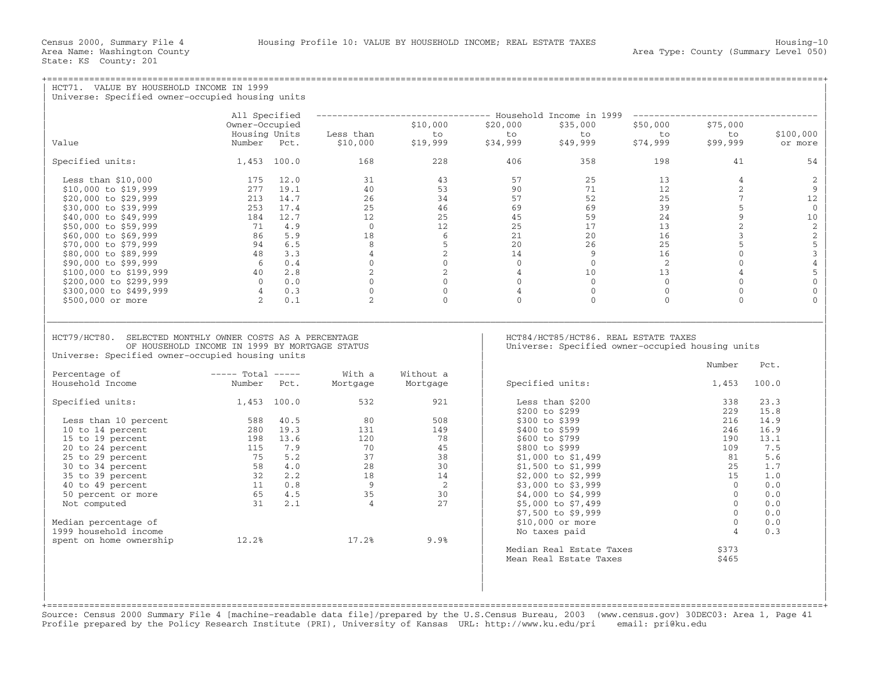| HCT71. VALUE BY HOUSEHOLD INCOME IN 1999                                                                                                                        |                                                                          |                                                                                                                                                            |                                                                                                                                                                                                                                                                                                                                            |          |                                                                                                            |                            |                                |                                                      |  |  |
|-----------------------------------------------------------------------------------------------------------------------------------------------------------------|--------------------------------------------------------------------------|------------------------------------------------------------------------------------------------------------------------------------------------------------|--------------------------------------------------------------------------------------------------------------------------------------------------------------------------------------------------------------------------------------------------------------------------------------------------------------------------------------------|----------|------------------------------------------------------------------------------------------------------------|----------------------------|--------------------------------|------------------------------------------------------|--|--|
| Universe: Specified owner-occupied housing units                                                                                                                |                                                                          |                                                                                                                                                            |                                                                                                                                                                                                                                                                                                                                            |          |                                                                                                            |                            |                                |                                                      |  |  |
|                                                                                                                                                                 | All Specified                                                            |                                                                                                                                                            |                                                                                                                                                                                                                                                                                                                                            |          | -------------------------------- Household Income in 1999 -------------------------                        |                            |                                |                                                      |  |  |
|                                                                                                                                                                 | Owner-Occupied                                                           |                                                                                                                                                            | \$10,000                                                                                                                                                                                                                                                                                                                                   | \$20,000 | \$35,000                                                                                                   | \$50,000                   | \$75,000                       |                                                      |  |  |
|                                                                                                                                                                 | Housing Units                                                            | Less than                                                                                                                                                  | to to to to<br>\$19,999 \$34,999 \$49,999                                                                                                                                                                                                                                                                                                  |          |                                                                                                            | to to<br>\$49,999 \$74,999 | to                             | \$100,000                                            |  |  |
| Value                                                                                                                                                           | Number Pct.                                                              | \$10,000                                                                                                                                                   |                                                                                                                                                                                                                                                                                                                                            |          |                                                                                                            |                            | \$99,999                       | or more                                              |  |  |
| Specified units: $1,453$ 100.0 168                                                                                                                              |                                                                          |                                                                                                                                                            | 228                                                                                                                                                                                                                                                                                                                                        | 406      | 358                                                                                                        | 198                        | 41                             | 54                                                   |  |  |
| Less than $$10,000$                                                                                                                                             | $175$ $12.0$                                                             |                                                                                                                                                            | $\begin{array}{cccccccc} 31 & & & 43 & & & 57 & & 25 & & 13 \\ 40 & & & 53 & & 90 & & 71 & & 12 \\ 26 & & & 34 & & 57 & & 52 & & 25 \\ 25 & & 46 & & & 69 & & 69 & & 39 \\ 12 & & 25 & & 45 & & 59 & & 24 \\ 0 & & 12 & & 25 & & 17 & & 13 \\ 8 & & 6 & & 21 & & 20 & & 16 \\ 8 & & 5 & & 20 & & 26 & & 25 \\ 4 & & 2 & & 14 & & 9 & & 16$ |          |                                                                                                            |                            | $\overline{4}$                 | 2                                                    |  |  |
| \$10,000 to \$19,999                                                                                                                                            | 277 19.1                                                                 |                                                                                                                                                            |                                                                                                                                                                                                                                                                                                                                            |          |                                                                                                            |                            | $2^{\circ}$                    | 9                                                    |  |  |
| \$20,000 to \$29,999                                                                                                                                            | 213 14.7                                                                 |                                                                                                                                                            |                                                                                                                                                                                                                                                                                                                                            |          |                                                                                                            |                            | 7 <sup>7</sup>                 | 12                                                   |  |  |
| \$30,000 to \$39,999                                                                                                                                            | $213$ 14<br>253 17.4<br>184 12.7<br>71 4.9<br>86 5.5                     |                                                                                                                                                            |                                                                                                                                                                                                                                                                                                                                            |          |                                                                                                            |                            | 5 <sup>5</sup>                 | $\mathbf{0}$                                         |  |  |
| \$40,000 to \$49,999                                                                                                                                            |                                                                          |                                                                                                                                                            |                                                                                                                                                                                                                                                                                                                                            |          |                                                                                                            |                            | $\overline{9}$                 | 10                                                   |  |  |
| \$50,000 to \$59,999                                                                                                                                            |                                                                          |                                                                                                                                                            |                                                                                                                                                                                                                                                                                                                                            |          |                                                                                                            |                            | $\overline{2}$                 |                                                      |  |  |
| \$60,000 to \$69,999                                                                                                                                            |                                                                          |                                                                                                                                                            |                                                                                                                                                                                                                                                                                                                                            |          |                                                                                                            |                            | $\mathbf{3}$<br>5 <sup>1</sup> |                                                      |  |  |
| \$70,000 to \$79,999<br>\$80,000 to \$89,999                                                                                                                    |                                                                          |                                                                                                                                                            |                                                                                                                                                                                                                                                                                                                                            |          |                                                                                                            |                            | $\overline{0}$                 |                                                      |  |  |
| \$90,000 to \$99,999                                                                                                                                            |                                                                          |                                                                                                                                                            |                                                                                                                                                                                                                                                                                                                                            |          |                                                                                                            |                            | $\overline{0}$                 | $\begin{array}{c} 2 \\ 2 \\ 5 \\ 3 \\ 4 \end{array}$ |  |  |
| \$100,000 to \$199,999                                                                                                                                          |                                                                          |                                                                                                                                                            |                                                                                                                                                                                                                                                                                                                                            |          |                                                                                                            |                            | $\overline{4}$                 | $\overline{5}$                                       |  |  |
| \$200,000 to \$299,999                                                                                                                                          |                                                                          |                                                                                                                                                            |                                                                                                                                                                                                                                                                                                                                            |          |                                                                                                            |                            | $\circ$                        | $\,0\,$                                              |  |  |
| \$300,000 to \$499,999                                                                                                                                          | $94$ 6.5<br>$48$ 3.3<br>$6$ 0.4<br>$40$ 2.8<br>0 0.0<br>$4$ 0.3<br>2 0.1 |                                                                                                                                                            |                                                                                                                                                                                                                                                                                                                                            |          |                                                                                                            |                            | $\Omega$                       | $\mathbf{0}$                                         |  |  |
| \$500,000 or more                                                                                                                                               |                                                                          |                                                                                                                                                            |                                                                                                                                                                                                                                                                                                                                            |          |                                                                                                            |                            | $\Omega$                       | $\Omega$                                             |  |  |
| HCT79/HCT80. SELECTED MONTHLY OWNER COSTS AS A PERCENTAGE<br>OF HOUSEHOLD INCOME IN 1999 BY MORTGAGE STATUS<br>Universe: Specified owner-occupied housing units |                                                                          |                                                                                                                                                            |                                                                                                                                                                                                                                                                                                                                            |          | HCT84/HCT85/HCT86. REAL ESTATE TAXES<br>Universe: Specified owner-occupied housing units<br>Number<br>Pct. |                            |                                |                                                      |  |  |
| $---$ Total $---$<br>Percentage of<br>Household Income                                                                                                          | Number Pct.                                                              | With a<br>Mortgage                                                                                                                                         | Without a<br>Mortgage                                                                                                                                                                                                                                                                                                                      |          | Specified units:                                                                                           |                            | 1,453                          | 100.0                                                |  |  |
|                                                                                                                                                                 |                                                                          |                                                                                                                                                            |                                                                                                                                                                                                                                                                                                                                            |          |                                                                                                            |                            |                                |                                                      |  |  |
| Specified units: 1,453 100.0                                                                                                                                    |                                                                          | 532                                                                                                                                                        | 921                                                                                                                                                                                                                                                                                                                                        |          | Less than \$200<br>\$200 to \$299                                                                          |                            | 338<br>229                     | 23.3<br>15.8                                         |  |  |
| Less than 10 percent                                                                                                                                            |                                                                          | 80                                                                                                                                                         | 508                                                                                                                                                                                                                                                                                                                                        |          | \$300 to \$399                                                                                             |                            | 216                            | 14.9                                                 |  |  |
| 10 to 14 percent                                                                                                                                                | 588 40.5<br>280 19.3                                                     | 131                                                                                                                                                        | 149                                                                                                                                                                                                                                                                                                                                        |          | \$400 to \$599                                                                                             |                            | 246                            | 16.9                                                 |  |  |
|                                                                                                                                                                 |                                                                          |                                                                                                                                                            |                                                                                                                                                                                                                                                                                                                                            |          | \$600 to \$799                                                                                             |                            | 190                            | 13.1                                                 |  |  |
|                                                                                                                                                                 |                                                                          |                                                                                                                                                            |                                                                                                                                                                                                                                                                                                                                            |          | \$800 to \$999                                                                                             |                            | 109                            | 7.5                                                  |  |  |
|                                                                                                                                                                 |                                                                          | $\begin{array}{cccc} 120 & & & & 78 \\ 70 & & & & 45 \\ 37 & & & 38 \\ 28 & & & 30 \\ 18 & & & 14 \\ 9 & & & 2 \\ 35 & & & 30 \\ 4 & & & & 27 \end{array}$ |                                                                                                                                                                                                                                                                                                                                            |          | \$1,000 to \$1,499                                                                                         |                            | 81                             | 5.6                                                  |  |  |
|                                                                                                                                                                 |                                                                          |                                                                                                                                                            |                                                                                                                                                                                                                                                                                                                                            |          | \$1,500 to \$1,999                                                                                         |                            | 25                             | 1.7                                                  |  |  |
|                                                                                                                                                                 |                                                                          |                                                                                                                                                            |                                                                                                                                                                                                                                                                                                                                            |          | \$2,000 to \$2,999                                                                                         |                            | 15                             | 1.0                                                  |  |  |
|                                                                                                                                                                 |                                                                          |                                                                                                                                                            |                                                                                                                                                                                                                                                                                                                                            |          | \$3,000 to \$3,999                                                                                         |                            | $\bigcap$                      | 0.0                                                  |  |  |
|                                                                                                                                                                 |                                                                          |                                                                                                                                                            |                                                                                                                                                                                                                                                                                                                                            |          | \$4,000 to \$4,999                                                                                         |                            | $\overline{0}$                 | 0.0                                                  |  |  |
|                                                                                                                                                                 |                                                                          |                                                                                                                                                            |                                                                                                                                                                                                                                                                                                                                            |          | $$5,000$ to $$7,499$                                                                                       |                            | $\bigcirc$                     | 0.0                                                  |  |  |
|                                                                                                                                                                 |                                                                          |                                                                                                                                                            |                                                                                                                                                                                                                                                                                                                                            |          | \$7,500 to \$9,999                                                                                         |                            | $\Omega$                       | 0.0                                                  |  |  |
| Median percentage of                                                                                                                                            |                                                                          |                                                                                                                                                            |                                                                                                                                                                                                                                                                                                                                            |          | \$10,000 or more                                                                                           |                            | $\bigcirc$                     | 0.0                                                  |  |  |
| 1999 household income                                                                                                                                           | 12.2% 17.2%                                                              |                                                                                                                                                            |                                                                                                                                                                                                                                                                                                                                            |          | No taxes paid                                                                                              |                            | $\overline{4}$                 | 0.3                                                  |  |  |
| spent on home ownership                                                                                                                                         |                                                                          |                                                                                                                                                            | 9.9%                                                                                                                                                                                                                                                                                                                                       |          |                                                                                                            |                            |                                |                                                      |  |  |
|                                                                                                                                                                 |                                                                          |                                                                                                                                                            |                                                                                                                                                                                                                                                                                                                                            |          | Median Real Estate Taxes<br>Mean Real Estate Taxes                                                         |                            | \$373<br>\$465                 |                                                      |  |  |
|                                                                                                                                                                 |                                                                          |                                                                                                                                                            |                                                                                                                                                                                                                                                                                                                                            |          |                                                                                                            |                            |                                |                                                      |  |  |
|                                                                                                                                                                 |                                                                          |                                                                                                                                                            |                                                                                                                                                                                                                                                                                                                                            |          |                                                                                                            |                            |                                |                                                      |  |  |
|                                                                                                                                                                 |                                                                          |                                                                                                                                                            |                                                                                                                                                                                                                                                                                                                                            |          |                                                                                                            |                            |                                |                                                      |  |  |

+===================================================================================================================================================+ Source: Census 2000 Summary File 4 [machine−readable data file]/prepared by the U.S.Census Bureau, 2003 (www.census.gov) 30DEC03: Area 1, Page 41 Profile prepared by the Policy Research Institute (PRI), University of Kansas URL: http://www.ku.edu/pri email: pri@ku.edu

| |